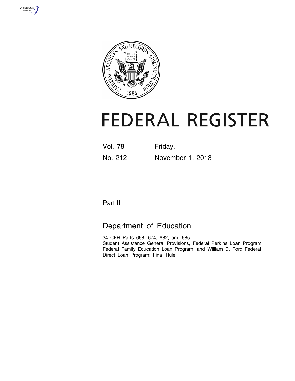



# **FEDERAL REGISTER**

| <b>Vol. 78</b> | Friday,          |
|----------------|------------------|
| No. 212        | November 1, 2013 |

# Part II

# Department of Education

34 CFR Parts 668, 674, 682, and 685 Student Assistance General Provisions, Federal Perkins Loan Program, Federal Family Education Loan Program, and William D. Ford Federal Direct Loan Program; Final Rule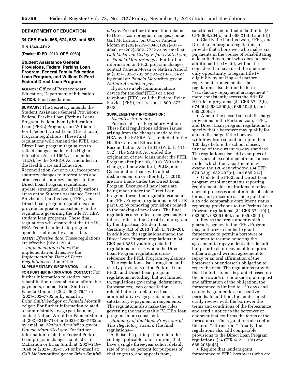#### **DEPARTMENT OF EDUCATION**

## **34 CFR Parts 668, 674, 682, and 685 RIN 1840–AD12**

#### **[Docket ID ED–2013–OPE–0063]**

#### **Student Assistance General Provisions, Federal Perkins Loan Program, Federal Family Education Loan Program, and William D. Ford Federal Direct Loan Program**

**AGENCY:** Office of Postsecondary Education, Department of Education. **ACTION:** Final regulations.

**SUMMARY:** The Secretary amends the Student Assistance General Provisions, Federal Perkins Loan (Perkins Loan) Program, Federal Family Education Loan (FFEL) Program, and William D. Ford Federal Direct Loan (Direct Loan) Program regulations. These final regulations will: Amend the FFEL and Direct Loan program regulations to reflect changes made to the Higher Education Act of 1965, as amended (HEA), by the SAFRA Act included in the Health Care and Education Reconciliation Act of 2010; incorporate statutory changes to interest rates and other recent statutory changes in the Direct Loan Program regulations; update, strengthen, and clarify various areas of the Student Assistance General Provisions, Perkins Loan, FFEL, and Direct Loan program regulations; and provide for greater consistency in the regulations governing the title IV, HEA student loan programs. These final regulations will ensure that the title IV, HEA Federal student aid programs operate as efficiently as possible. **DATES:** *Effective date:* These regulations are effective July 1, 2014.

*Implementation dates:* For implementation dates, see the *Implementation Date of These Regulations* section of the

# **SUPPLEMENTARY INFORMATION** section.

**FOR FURTHER INFORMATION CONTACT:** For further information related to loan rehabilitation reasonable and affordable payments, contact Brian Smith or Pamela Moran at (202)–502–7551 or (202)–502–7732 or by email at: *[Brian.Smith@ed.gov](mailto:Brian.Smith@ed.gov)* or *[Pamela.Moran@](mailto:Pamela.Moran@ed.gov) [ed.gov.](mailto:Pamela.Moran@ed.gov)* For further information related to administrative wage garnishment, contact Nathan Arnold or Pamela Moran at (202)–219–7134 or (202)–502–7732 or by email at: *[Nathan.Arnold@ed.gov](mailto:Nathan.Arnold@ed.gov)* or *[Pamela.Moran@ed.gov.](mailto:Pamela.Moran@ed.gov)* For further information related to Federal Perkins Loan program changes, contact Gail McLarnon or Brian Smith at (202)–219– 7048 or (202)–502–7551 or by email at: *[Gail.McLarnon@ed.gov](mailto:Gail.McLarnon@ed.gov)* or *[Brian.Smith@](mailto:Brian.Smith@ed.gov)*

*[ed.gov.](mailto:Brian.Smith@ed.gov)* For further information related to Direct Loan program changes, contact Gail McLarnon, Jon Utz, or Pamela Moran at (202)–219–7048, (202)–377– 4040, or (202)–502–7732 or by email at: *[Gail.McLarnon@ed.gov,](mailto:Gail.McLarnon@ed.gov) [Jon.Utz@ed.gov,](mailto:Jon.Utz@ed.gov)*  or *[Pamela.Moran@ed.gov.](mailto:Pamela.Moran@ed.gov)* For further information on FFEL program changes, contact Pamela Moran or Nathan Arnold at (202)–502–7732 or 202–219–7134 or by email at: *[Pamela.Moran@ed.gov](mailto:Pamela.Moran@ed.gov)* or *[Nathan.Arnold@ed.gov.](mailto:Nathan.Arnold@ed.gov)* 

If you use a telecommunications device for the deaf (TDD) or a text telephone (TTY), call the Federal Relay Service (FRS), toll free, at 1–800–877– 8339.

#### **SUPPLEMENTARY INFORMATION:**

*Executive Summary:* 

Purpose of This Regulatory Action: These final regulations address issues arising from the changes made to the HEA by the SAFRA Act, included in the Health Care and Education Reconciliation Act of 2010 (Pub. L. 111– 152). The SAFRA Act ended the origination of new loans under the FFEL Program after June 30, 2010. With this change, all new Stafford, PLUS, and Consolidation loans with a first disbursement on or after July 1, 2010, are now made under the Direct Loan Program. Because all new loans are being made under the Direct Loan Program, these final regulations amend the FFEL Program regulations in 34 CFR part 682 by removing provisions related to the making of new loans. The final regulations also reflect changes made to interest rates in the Direct Loan program by the Bipartisan Student Loan Certainty Act of 2013 (Pub. L. 113–28). In addition, the regulations amend the Direct Loan Program regulations in 34 CFR part 685 by adding detailed regulations in areas where the Direct Loan Program regulations crossreference the FFEL Program regulations.

The regulations also strengthen and clarify provisions of the Perkins Loan, FFEL, and Direct Loan program regulations including, but not limited to, regulations governing: deferments, forbearances, loan cancellation, rehabilitation of defaulted loans, administrative wage garnishment, and satisfactory repayment arrangements. The regulations also make the rules governing the various title IV, HEA loan programs more consistent.

*Summary of the Major Provisions of This Regulatory Action:* The final regulations—

• Raise the participation rate index ceiling applicable to institutions that have a single three-year cohort default rate of over 40 percent for purposes of challenges to, and appeals from,

sanctions based on that default rate. (34 CFR 668.204(c) and 668.214(a) and (d))

• Clarify the Perkins Loan, FFEL, and Direct Loan program regulations to provide that a borrower who makes six payments in the course of rehabilitating a defaulted loan, but who does not seek additional title IV aid, will not be considered to have used the one-timeonly opportunity to regain title IV eligibility by making satisfactory repayment arrangements. The regulations also define the term ''satisfactory repayment arrangement'' more consistently across the title IV, HEA loan programs. (34 CFR 674.2(b), 674.9(k), 682.200(b), 685.102(b), and 685.200(d))

• Amend the closed school discharge provisions in the Perkins Loan, FFEL, and Direct Loan program regulations to specify that a borrower may qualify for a loan discharge if the borrower withdrew from school not more than 120 days before the school closed, instead of the current 90-day standard. The regulations also add examples of the types of exceptional circumstances under which the Department may extend the 120-day window. (34 CFR 674.33(g), 682.402(d), and 685.214)

• Update the FFEL and Direct Loan program enrollment status reporting requirements for institutions to reflect current processes and eliminate obsolete terms and procedures. The regulations also add comparable enrollment status reporting provisions to the Perkins Loan Program regulations. (34 CFR 674.19(f), 682.605, 682.610(c), and 685.309(b))

• Revise the terms under which a guaranty agency in the FFEL Program may authorize a lender to grant forbearance to permit a borrower or endorser to resume honoring the agreement to repay a debt after default but prior to claim payment to require either a signed written agreement to repay or an oral affirmation of the borrower's or endorser's obligation to repay the debt. The regulations provide that if a forbearance is granted based on the borrower's or endorser's oral request and affirmation of the obligation, the forbearance is limited to 120 days and cannot be granted for consecutive periods. In addition, the lender must orally review with the borrower the terms and conditions of the forbearance and send a notice to the borrower or endorser that confirms the terms of the forbearance. The regulations also define the term ''affirmation.'' Finally, the regulations also add comparable provisions to the Direct Loan Program regulations. (34 CFR 682.211(d) and 685.205(a)(8))

• Require that lenders grant forbearance to FFEL borrowers who are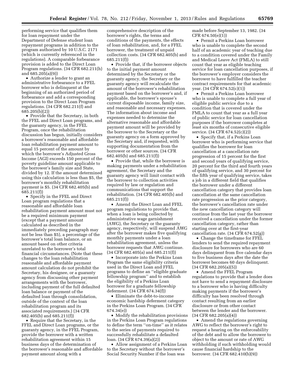performing service that qualifies them for loan repayment under the Department of Defense student loan repayment programs in addition to the program authorized by 10 U.S.C. 2171 (which is currently referenced in the regulations). A comparable forbearance provision is added to the Direct Loan Program regulations. (34 CFR 682.211(h) and 685.205(a)(9))

• Authorize a lender to grant an administrative forbearance to a FFEL borrower who is delinquent at the beginning of an authorized period of forbearance and add a corresponding provision to the Direct Loan Program regulations. (34 CFR 682.211(f) and 685.205(b)(2))

• Provide that the Secretary, in both the FFEL and Direct Loan programs, and the guaranty agency, in the FFEL Program, once the rehabilitation discussion has begun, initially considers a borrower's reasonable and affordable loan rehabilitation payment amount to equal 15 percent of the amount by which the borrower's Adjusted Gross Income (AGI) exceeds 150 percent of the poverty guideline amount applicable to the borrower's family size and State, divided by 12. If the amount determined using this calculation is less than \$5, the borrower's monthly rehabilitation payment is \$5. (34 CFR 682.405(b) and 685.211(f))

• Specify in the FFEL and Direct Loan program regulations that a reasonable and affordable loan rehabilitation payment amount must not be a required minimum payment (except that a payment amount calculated as described in the immediately preceding paragraph may not be less than \$5), a percentage of the borrower's total loan balance, or an amount based on other criteria unrelated to the borrower's total financial circumstances. (Note that these changes to the loan rehabilitation reasonable and affordable payment amount calculation do not prohibit the Secretary, his designee, or a guaranty agency from discussing other payment arrangements with the borrower, including payment of the full defaulted loan balance or payment of the defaulted loan through consolidation, outside of the context of the loan rehabilitation program and its associated requirements.) (34 CFR 682.405(b) and 685.211(f))

• Require that the Secretary, in the FFEL and Direct Loan programs, or the guaranty agency, in the FFEL Program, provide the borrower with a written rehabilitation agreement within 15 business days of the determination of the borrower's reasonable and affordable payment amount along with a

comprehensive description of the borrower's rights, the terms and conditions of the payments, the effects of loan rehabilitation, and, for a FFEL borrower, the treatment of unpaid collection costs. (34 CFR 682.405(b) and 685.211(f))

• Provide that, if the borrower objects to the initial payment amount determined by the Secretary or the guaranty agency, the Secretary or the guaranty agency will recalculate the amount of the borrower's rehabilitation payment based on the borrower's and, if applicable, the borrower's spouse's current disposable income, family size, and reasonable and necessary expenses. The information about income and expenses needed to determine the alternative reasonable and affordable payment amount will be provided by the borrower to the Secretary or the guaranty agency on a form approved by the Secretary and, if requested, with supporting documentation from the borrower or other sources. (34 CFR 682.405(b) and 685.211(f))

• Provide that, while the borrower is making payments under a rehabilitation agreement, the Secretary and the guaranty agency will limit contact with the borrower to collection activities required by law or regulation and communications that support the rehabilitation. (34 CFR 682.405(b) and 685.211(f))

• Amend the Direct Loan and FFEL program regulations to provide that, when a loan is being collected by administrative wage garnishment (AWG), the Secretary or the guaranty agency, respectively, will suspend AWG after the borrower makes five qualifying monthly payments under a loan rehabilitation agreement, unless the borrower requests that AWG continue. (34 CFR 682.405(a) and 685.211(f))

• Incorporate into the Perkins Loan Program the same eligibility criteria used in the Direct Loan and FFEL programs to define an ''eligible graduate fellowship program'' and to establish the eligibility of a Perkins Loan borrower for a graduate fellowship deferment. (34 CFR 674.34(f))

• Eliminate the debt-to-income economic hardship deferment category in the Perkins Loan Program. (34 CFR 674.34(e))

• Modify the rehabilitation provisions in the Perkins Loan Program regulations to define the term ''on-time'' as it relates to the series of payments required to successfully rehabilitate a defaulted loan. (34 CFR 674.39(a)(2))

• Allow assignment of a Perkins Loan to the Secretary without the borrower's Social Security Number if the loan was

made before September 13, 1982. (34 CFR 674.50(e)(1))

• Permit a Perkins Loan borrower who is unable to complete the second half of an academic year of teaching due to a condition covered under the Family and Medical Leave Act (FMLA) to still count that year as eligible teaching service for loan cancellation purposes, if the borrower's employer considers the borrower to have fulfilled the teacher contract requirements for that academic year. (34 CFR 674.52(c)(1))

• Permit a Perkins Loan borrower who is unable to complete a full year of eligible public service due to a condition that is covered under the FMLA to count that year as a full year of public service for loan cancellation purposes if the borrower completes at least six months of consecutive eligible service. (34 CFR 674.52(c)(2))

• Specify that, if a Perkins Loan borrower who is performing service that qualifies the borrower for loan cancellation at a cancellation rate progression of 15 percent for the first and second years of qualifying service, 20 percent for the third and fourth years of qualifying service, and 30 percent for the fifth year of qualifying service, takes a job in a different field that qualifies the borrower under a different cancellation category that provides loan cancellation at the same cancellation rate progression as the prior category, the borrower's cancellation rate under the new cancellation category will continue from the last year the borrower received a cancellation under the former cancellation category, rather than starting over at the first-year cancellation rate. (34 CFR 674.52(g))

• Change the timeframe for FFEL lenders to send the required repayment disclosure for borrowers who are 60 days delinquent from five calendar days to five business days after the date the borrower becomes 60 days delinquent. (34 CFR 682.205(a)(5))

• Amend the FFEL Program regulations to provide that a lender does not have to send a repayment disclosure to a borrower who is having difficulty making payments if the borrower's difficulty has been resolved through contact resulting from an earlier disclosure or from other contact between the lender and the borrower. (34 CFR 682.205(a)(4))

• Amend the regulations governing AWG to reflect the borrower's right to request a hearing on the enforceability of the debt and to allow the borrower to object to the amount or rate of AWG withholding if such withholding would cause financial hardship to the borrower. (34 CFR 682.410(b)(9))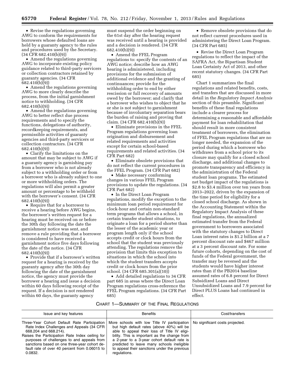• Revise the regulations governing AWG to conform the requirements for borrowers whose defaulted loans are held by a guaranty agency to the rules and procedures used by the Secretary. (34 CFR 682.410(b)(9))

• Amend the regulations governing AWG to incorporate existing policy guidance related to third-party servicers or collection contractors retained by guaranty agencies. (34 CFR 682.410(b)(9))

• Amend the regulations governing AWG to more clearly describe the process, from the initial garnishment notice to withholding. (34 CFR 682.410(b)(9))

• Amend the regulations governing AWG to better reflect due process requirements and to specify the functions, delegations of authority, recordkeeping requirements, and permissible activities of guaranty agencies and third-party servicers or collection contractors. (34 CFR 682.410(b)(9))

• Clarify the limitations on the amount that may be subject to AWG if a guaranty agency is garnishing pay from a borrower who is not already subject to a withholding order or from a borrower who is already subject to one or more withholding orders. The regulations will also permit a greater amount or percentage to be withheld with the borrower's consent. (34 CFR 682.410(b)(9))

• Require that for a borrower to receive a hearing before AWG begins, the borrower's written request for a hearing must be received on or before the 30th day following the date the garnishment notice was sent, and remove a rule providing that a borrower is considered to have received a garnishment notice five days following the date of the notice. (34 CFR 682.410(b)(9))

• Provide that if a borrower's written request for a hearing is received by the guaranty agency after the 30th day following the date of the garnishment notice, the agency must provide the borrower a hearing and issue a decision within 60 days following receipt of the request. If a decision is not rendered within 60 days, the guaranty agency

must suspend the order beginning on the 61st day after the hearing request was received until a hearing is provided and a decision is rendered. (34 CFR 682.410(b)(9))

• Amend the FFEL Program regulations to: specify the contents of an AWG notice; describe how an AWG hearing is administered, including provisions for the submission of additional evidence and the granting of continuances; provide for the withholding order to end by either rescission or full recovery of amounts owed by the borrower; and clarify that a borrower who wishes to object that he or she is not subject to garnishment because of involuntary separation bears the burden of raising and proving that claim. (34 CFR 682.410(b)(9))

• Eliminate provisions in the FFEL Program regulations governing loan origination and disbursement and related requirements and activities except for certain school-based requirements and related activities. (34 CFR Part 682)

• Eliminate obsolete provisions that do not reflect the current procedures in the FFEL Program. (34 CFR Part 682)

• Make necessary conforming changes in various FFEL Program provisions to update the regulations. (34 CFR Part 682)

• In the Direct Loan Program regulations, modify the exception to the minimum loan period requirement for clock-hour and certain non-standard term programs that allows a school, in certain transfer student situations, to originate a loan for a period shorter than the lesser of the academic year or program length only if the school accepts credit or clock hours from the school that the student was previously attending. The regulations remove the provision that limits this exception to situations in which the school into which the student transfers accepts credit or clock hours from the prior school. (34 CFR 685.301(a)(10))

• Add detailed regulations to 34 CFR part 685 in areas where the Direct Loan Program regulations cross-reference the FFEL Program regulations. (34 CFR Part 685)

• Remove obsolete provisions that do not reflect current procedures used in administering the Direct Loan Program. (34 CFR Part 685)

• Revise the Direct Loan Program regulations to reflect the impact of the SAFRA Act, the Bipartisan Student Loan Certainty Act of 2013, and other recent statutory changes. (34 CFR Part 685)

Chart 1 summarizes the final regulations and related benefits, costs, and transfers that are discussed in more detail in the *Regulatory Impact Analysis*  section of this preamble. Significant benefits of these final regulations include a clearer process for determining a reasonable and affordable payment for loan rehabilitation that should result in more consistent treatment of borrowers, the elimination of FFEL Program regulations that are no longer needed, the expansion of the period during which a borrower who withdraws from a school prior to its closure may qualify for a closed school discharge, and additional changes to promote transparency and efficiency in the administration of the Federal student loan programs. The estimated net budget impact of the regulations is \$2.8 to \$3.4 million over ten years from 2013–2022, driven by the expansion of the time period for eligibility for a closed school discharge. As shown in the Accounting Statement within the Regulatory Impact Analysis of these final regulations, the annualized estimated transfer from the Federal government to borrowers associated with the statutory changes to Direct Loan interest rates is \$1.2 billion at a 7 percent discount rate and \$467 million at a 3 percent discount rate. For some future cohorts, depending on the cost of funds of the Federal government, the transfer may be reversed and the students would have higher interest rates than if the PB2014 baseline assumed rates of 6.8 percent for Direct Subsidized Loans and Direct Unsubsidized Loans and 7.9 percent for Direct PLUS Loans had continued in effect.

#### CHART 1—SUMMARY OF THE FINAL REGULATIONS

| Issue and key features                                                                                                                                                                                                                                                                                                           | <b>Benefits</b>                                                                                                                                                                                                                                                                                                                                                                                 | Cost/transfers |
|----------------------------------------------------------------------------------------------------------------------------------------------------------------------------------------------------------------------------------------------------------------------------------------------------------------------------------|-------------------------------------------------------------------------------------------------------------------------------------------------------------------------------------------------------------------------------------------------------------------------------------------------------------------------------------------------------------------------------------------------|----------------|
| Three-Year Cohort Default Rate Participation<br>Rate Index Challenges and Appeals (34 CFR)<br>668.204 and 668.214).<br>Raises the Participation Rate Index ceiling for<br>purposes of challenges to and appeals from<br>sanctions based on one three-year cohort de-<br>fault rate of over 40 percent from 0.06015 to<br>0.0832. | More schools with low Title IV participation $\vert$ No significant costs projected.<br>but high default rates (above 40%) will be<br>able to appeal their loss of Title IV eligi-<br>bility. This is important as the change from<br>a 2-year to a 3-year cohort default rate is<br>predicted to leave many schools ineligible<br>to appeal their sanctions under the previous<br>regulations. |                |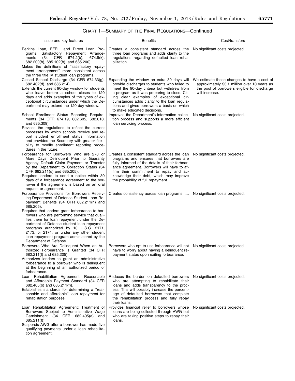| Issue and key features                                                                                                                                                                                                                                                                                                                                                                                                                                                                                           | <b>Benefits</b>                                                                                                                                                                                                                                                                                                                                                | Cost/transfers                                                                                                                                                |
|------------------------------------------------------------------------------------------------------------------------------------------------------------------------------------------------------------------------------------------------------------------------------------------------------------------------------------------------------------------------------------------------------------------------------------------------------------------------------------------------------------------|----------------------------------------------------------------------------------------------------------------------------------------------------------------------------------------------------------------------------------------------------------------------------------------------------------------------------------------------------------------|---------------------------------------------------------------------------------------------------------------------------------------------------------------|
| Perkins Loan, FFEL, and Direct Loan Pro-<br>grams: Satisfactory Repayment Arrange-<br>(34<br>CFR<br>$674.2(b)$ ,<br>ments<br>674.9(k),<br>682.200(b), 685.102(b), and 685.200).<br>Makes the definitions of "satisfactory repay-<br>ment arrangement" more consistent across<br>the three title IV student loan programs.                                                                                                                                                                                        | Creates a consistent standard across the<br>three loan programs and adds clarity to the<br>regulations regarding defaulted loan reha-<br>bilitation.                                                                                                                                                                                                           | No significant costs projected.                                                                                                                               |
| Closed School Discharge (34 CFR 674.33(g),<br>682.402(d), and 685.214).<br>Extends the current 90-day window for students<br>who leave before a school closes to 120<br>days and adds examples of the types of ex-<br>ceptional circumstances under which the De-<br>partment may extend the 120-day window.                                                                                                                                                                                                     | Expanding the window an extra 30 days will<br>provide discharges to students who failed to<br>meet the 90-day criteria but withdrew from<br>a program as it was preparing to close. Cit-<br>ing clear examples of exceptional cir-<br>cumstances adds clarity to the loan regula-<br>tions and gives borrowers a basis on which<br>to make educated decisions. | We estimate these changes to have a cost of<br>approximately \$3.1 million over 10 years as<br>the pool of borrowers eligible for discharge<br>will increase. |
| School Enrollment Status Reporting Require-<br>ments (34 CFR 674.19, 682.605, 682.610,<br>and 685.309).<br>Revises the regulations to reflect the current<br>processes by which schools receive and re-<br>port student enrollment status information<br>and provides the Secretary with greater flexi-<br>bility to modify enrollment reporting proce-<br>dures in the future.                                                                                                                                  | Improves the Department's information collec-<br>tion process and supports a more efficient<br>loan servicing process.                                                                                                                                                                                                                                         | No significant costs projected.                                                                                                                               |
| Forbearance for Borrowers Who are 270 or<br>More Days Delinquent Prior to Guaranty<br>Agency Default Claim Payment or Transfer<br>by the Department to Collection Status (34<br>CFR 682.211(d) and 685.205).<br>Requires lenders to send a notice within 30<br>days of a forbearance agreement to the bor-<br>rower if the agreement is based on an oral                                                                                                                                                         | Creates a consistent standard across the loan<br>programs and ensures that borrowers are<br>fully informed of the details of their forbear-<br>ance agreement. Borrowers will have to af-<br>firm their commitment to repay and ac-<br>knowledge their debt, which may improve<br>the probability of full repayment.                                           | No significant costs projected.                                                                                                                               |
| request or agreement.<br>Forbearance Provisions for Borrowers Receiv-<br>ing Department of Defense Student Loan Re-<br>payment Benefits (34 CFR 682.211(h) and<br>685.205).<br>Requires that lenders grant forbearance to bor-<br>rowers who are performing service that quali-<br>fies them for loan repayment under the De-<br>partment of Defense student loan repayment<br>programs authorized by 10 U.S.C. 2171,<br>2173, or 2174, or under any other student<br>loan repayment program administered by the | Creates consistency across loan programs                                                                                                                                                                                                                                                                                                                       | No significant costs projected.                                                                                                                               |
| Department of Defense.<br>Borrowers Who Are Delinguent When an Au-<br>thorized Forbearance Is Granted (34 CFR<br>682.211(f) and 685.205).<br>Authorizes lenders to grant an administrative<br>forbearance to a borrower who is delinquent<br>at the beginning of an authorized period of<br>forbearance.                                                                                                                                                                                                         | Borrowers who opt to use forbearance will not   No significant costs projected.<br>have to worry about having a delinquent re-<br>payment status upon exiting forbearance.                                                                                                                                                                                     |                                                                                                                                                               |
| Loan Rehabilitation Agreement: Reasonable<br>and Affordable Payment Standard (34 CFR<br>682.405(b) and $685.211(f)$ ).<br>Establishes standards for determining a "rea-<br>sonable and affordable" loan repayment for<br>rehabilitation purposes.                                                                                                                                                                                                                                                                | Reduces the burden on defaulted borrowers<br>who are attempting to rehabilitate their<br>loans and adds transparency to the proc-<br>ess. This will possibly increase the percent-<br>age of defaulted borrowers that complete<br>the rehabilitation process and fully repay<br>their loans.                                                                   | No significant costs projected.                                                                                                                               |
| Loan Rehabilitation Agreement: Treatment of<br>Borrowers Subject to Administrative Wage<br>Garnishment (34 CFR 682.405(a) and<br>$685.211(f)$ ).<br>Suspends AWG after a borrower has made five<br>qualifying payments under a loan rehabilita-<br>tion agreement.                                                                                                                                                                                                                                               | Provides financial relief to borrowers whose<br>loans are being collected through AWG but<br>who are taking positive steps to repay their<br>loans.                                                                                                                                                                                                            | No significant costs projected.                                                                                                                               |

# CHART 1—SUMMARY OF THE FINAL REGULATIONS—Continued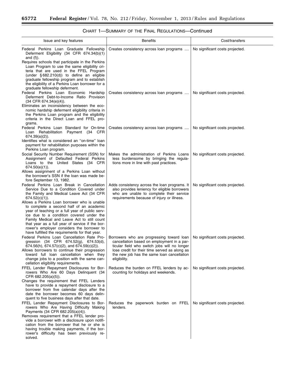$\equiv$ 

| Issue and key features                                                                                                                                                                                                                                                                                                                                                                                                                                                                                                                               | <b>Benefits</b>                                                                                                                                                                                                                                        | Cost/transfers                  |
|------------------------------------------------------------------------------------------------------------------------------------------------------------------------------------------------------------------------------------------------------------------------------------------------------------------------------------------------------------------------------------------------------------------------------------------------------------------------------------------------------------------------------------------------------|--------------------------------------------------------------------------------------------------------------------------------------------------------------------------------------------------------------------------------------------------------|---------------------------------|
| Federal Perkins Loan Graduate Fellowship<br>Deferment Eligibility (34 CFR 674.34(b)(1)<br>and $(f)$ ).                                                                                                                                                                                                                                                                                                                                                                                                                                               | Creates consistency across loan programs                                                                                                                                                                                                               | No significant costs projected. |
| Requires schools that participate in the Perkins<br>Loan Program to use the same eligibility cri-<br>teria that are used in the FFEL Program<br>(under $\S 682.210(d)$ ) to define an eligible<br>graduate fellowship program and to establish<br>the eligibility of a Perkins Loan borrower for a<br>graduate fellowship deferment.<br>Federal Perkins Loan Economic Hardship<br>Deferment Debt-to-Income Ratio Provision<br>(34 CFR 674.34(e)(4)).<br>Eliminates an inconsistency between the eco-                                                 | Creates consistency across loan programs                                                                                                                                                                                                               | No significant costs projected. |
| nomic hardship deferment eligibility criteria in<br>the Perkins Loan program and the eligibility<br>criteria in the Direct Loan and FFEL pro-<br>grams.                                                                                                                                                                                                                                                                                                                                                                                              |                                                                                                                                                                                                                                                        |                                 |
| Federal Perkins Loan Standard for On-time<br>Loan Rehabilitation Payment (34 CFR<br>674.39(a)(2)).<br>Identifies what is considered an "on-time" loan                                                                                                                                                                                                                                                                                                                                                                                                | Creates consistency across loan programs                                                                                                                                                                                                               | No significant costs projected. |
| payment for rehabilitation purposes within the<br>Perkins Loan program.                                                                                                                                                                                                                                                                                                                                                                                                                                                                              |                                                                                                                                                                                                                                                        |                                 |
| Social Security Number Requirement (SSN) for<br>Assignment of Defaulted Federal Perkins<br>Loans to the United States (34 CFR<br>$674.50(e)(1)$ ).<br>Allows assignment of a Perkins Loan without                                                                                                                                                                                                                                                                                                                                                    | Makes the administration of Perkins Loans<br>less burdensome by bringing the regula-<br>tions more in line with past practices.                                                                                                                        | No significant costs projected. |
| the borrower's SSN if the loan was made be-<br>fore September 13, 1982.                                                                                                                                                                                                                                                                                                                                                                                                                                                                              |                                                                                                                                                                                                                                                        |                                 |
| Federal Perkins Loan Break in Cancellation<br>Service Due to a Condition Covered under<br>the Family and Medical Leave Act (34 CFR<br>$674.52(c)(1)$ ).<br>Allows a Perkins Loan borrower who is unable<br>to complete a second half of an academic<br>year of teaching or a full year of public serv-<br>ice due to a condition covered under the<br>Family Medical and Leave Act to still count<br>that year as a full year of service if the bor-<br>rower's employer considers the borrower to<br>have fulfilled the requirements for that year. | Adds consistency across the loan programs. It<br>also provides leniency for eligible borrowers<br>who are unable to complete their service<br>requirements because of injury or illness.                                                               | No significant costs projected. |
| Federal Perkins Loan Cancellation Rate Pro-<br>gression (34 CFR 674.52(g), 674.53(d),<br>$674.56(h)$ , $674.57(c)(2)$ , and $674.59(c)(2)$ ).<br>Allows borrowers to continue their progression<br>toward full loan cancellation when they<br>change jobs to a position with the same can-<br>cellation eligibility requirements.                                                                                                                                                                                                                    | Borrowers who are progressing toward loan<br>cancellation based on employment in a par-<br>ticular field who switch jobs will no longer<br>lose credit for their time served as along as<br>the new job has the same loan cancellation<br>eligibility. | No significant costs projected. |
| FFEL Lender Repayment Disclosures for Bor-<br>rowers Who Are 60 Days Delinquent (34<br>CFR 682.205(a)(5)).<br>Changes the requirement that FFEL Lenders<br>have to provide a repayment disclosure to a<br>borrower from five calendar days after the<br>date the borrower becomes 60 days delin-<br>quent to five business days after that date.                                                                                                                                                                                                     | Reduces the burden on FFEL lenders by ac-<br>counting for holidays and weekends.                                                                                                                                                                       | No significant costs projected. |
| FFEL Lender Repayment Disclosures to Bor-<br>rowers Who Are Having Difficulty Making<br>Payments (34 CFR 682.205(a)(4)).<br>Removes requirement that a FFEL lender pro-<br>vide a borrower with a disclosure upon notifi-<br>cation from the borrower that he or she is<br>having trouble making payments, if the bor-<br>rower's difficulty has been previously re-<br>solved.                                                                                                                                                                      | Reduces the paperwork burden on FFEL<br>lenders.                                                                                                                                                                                                       | No significant costs projected. |

# CHART 1—SUMMARY OF THE FINAL REGULATIONS—Continued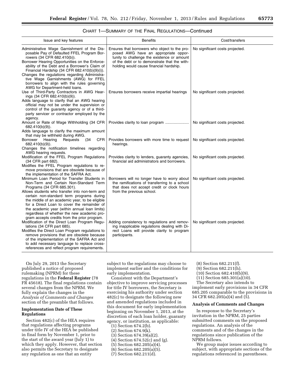|  |  |  | CHART 1—SUMMARY OF THE FINAL REGULATIONS—Continued |  |
|--|--|--|----------------------------------------------------|--|
|--|--|--|----------------------------------------------------|--|

| Issue and key features                                                                                                                                                                                                                                                                                                                                                                                                                                               | <b>Benefits</b>                                                                                                                                                                                                                 | Cost/transfers                  |
|----------------------------------------------------------------------------------------------------------------------------------------------------------------------------------------------------------------------------------------------------------------------------------------------------------------------------------------------------------------------------------------------------------------------------------------------------------------------|---------------------------------------------------------------------------------------------------------------------------------------------------------------------------------------------------------------------------------|---------------------------------|
| Administrative Wage Garnishment of the Dis-<br>posable Pay of Defaulted FFEL Program Bor-<br>rowers (34 CFR 682.410(b)).<br>Borrower Hearing Opportunities on the Enforce-<br>ability of the Debt and a Borrower's Claim of<br>Financial Hardship (34 CFR 682.410(b)(9)(i)).<br>Changes the regulations regarding Administra-<br>tive Wage Garnishments (AWG) for FFEL<br>borrowers to align with the rules governing<br>AWG for Department-held loans.              | Ensures that borrowers who object to the pro-<br>posed AWG have an appropriate oppor-<br>tunity to challenge the existence or amount<br>of the debt or to demonstrate that the with-<br>holding would cause financial hardship. | No significant costs projected. |
| Use of Third-Party Contractors in AWG Hear-<br>ings (34 CFR 682.410(b)(9)).<br>Adds language to clarify that an AWG hearing<br>official may not be under the supervision or<br>control of the guaranty agency or of a third-<br>party servicer or contractor employed by the<br>agency.                                                                                                                                                                              | Ensures borrowers receive impartial hearings                                                                                                                                                                                    | No significant costs projected. |
| Amount or Rate of Wage Withholding (34 CFR<br>682.410(b)(9)).<br>Adds language to clarify the maximum amount<br>that may be withheld during AWG.                                                                                                                                                                                                                                                                                                                     | Provides clarity to loan program                                                                                                                                                                                                | No significant costs projected. |
| Borrower<br>Hearing<br>Requests<br>(34<br>CFR.<br>$682.410(b)(9)$ ).<br>Changes the notification timelines regarding<br>AWG hearing requests.                                                                                                                                                                                                                                                                                                                        | Provides borrowers with more time to request<br>hearings.                                                                                                                                                                       | No significant costs projected. |
| Modification of the FFEL Program Regulations<br>(34 CFR part 682).<br>Modifies the FFEL Program regulations to re-<br>move provisions that are obsolete because of<br>the implementation of the SAFRA Act.                                                                                                                                                                                                                                                           | Provides clarity to lenders, guaranty agencies,<br>financial aid administrators and borrowers.                                                                                                                                  | No significant costs projected. |
| Minimum Loan Period for Transfer Students in<br>Non-Term and Certain Non-Standard Term<br>Programs (34 CFR 685.301).<br>Allows students who transfer into non-term and<br>certain non-standard term programs during<br>the middle of an academic year, to be eligible<br>for a Direct Loan to cover the remainder of<br>the academic year (within annual loan limits)<br>regardless of whether the new academic pro-<br>gram accepts credits from the prior program. | Borrowers will no longer have to worry about<br>the ramifications of transferring to a school<br>that does not accept credit or clock hours<br>from the previous school.                                                        | No significant costs projected. |
| Modification of the Direct Loan Program Regu-<br>lations (34 CFR part 685).<br>Modifies the Direct Loan Program regulations to<br>remove provisions that are obsolete because<br>of the implementation of the SAFRA Act and<br>to add necessary language to replace cross-<br>references and reflect program requirements.                                                                                                                                           | Adding consistency to regulations and remov-<br>ing inapplicable regulations dealing with Di-<br>rect Loans will provide clarity to program<br>participants.                                                                    | No significant costs projected. |

On July 29, 2013 the Secretary published a notice of proposed rulemaking (NPRM) for these regulations in the **Federal Register** (78 FR 45618). The final regulations contain several changes from the NPRM. We fully explain the changes in the *Analysis of Comments and Changes*  section of the preamble that follows.

#### **Implementation Date of These Regulations**

Section 482(c) of the HEA requires that regulations affecting programs under title IV of the HEA be published in final form by November 1, prior to the start of the award year (July 1) to which they apply. However, that section also permits the Secretary to designate any regulation as one that an entity

subject to the regulations may choose to implement earlier and the conditions for early implementation.

Consistent with the Department's objective to improve servicing processes for title IV borrowers, the Secretary is exercising his authority under section 482(c) to designate the following new and amended regulations included in this document for early implementation beginning on November 1, 2013, at the discretion of each loan holder, guaranty agency, or institution, as applicable:

- (1) Section 674.2(b).
- (2) Section 674.9(k).
- (3) Section 674.39(a)(2).
- (4) Section 674.52(c) and (g).
- (5) Section 682.205(a)(4).
- (6) Section 682.205(a)(5).
- (7) Section 682.211(d).
- (8) Section 682.211(f).
- (9) Section 682.211(h).
- (10) Section 682.410(b)(9).
- (11) Section 685.301(a)(10).

The Secretary also intends to implement early provisions in 34 CFR 685.205 comparable to the provisions in 34 CFR 682.205(a)(4) and (5).

#### **Analysis of Comments and Changes**

In response to the Secretary's invitation in the NPRM, 25 parties submitted comments on the proposed regulations. An analysis of the comments and of the changes in the regulations since publication of the NPRM follows.

We group major issues according to subject, with appropriate sections of the regulations referenced in parentheses.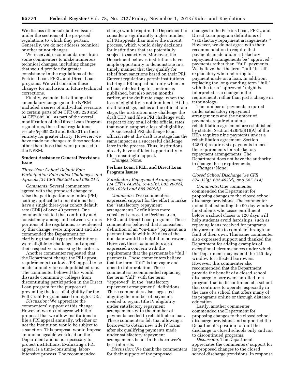We discuss other substantive issues under the sections of the proposed regulations to which they pertain. Generally, we do not address technical or other minor changes.

We received recommendations from some commenters to make numerous technical changes, including changes that would provide for greater consistency in the regulations of the Perkins Loan, FFEL, and Direct Loan programs. We will consider these changes for inclusion in future technical corrections.

Finally, we note that although the amendatory language in the NPRM included a series of individual revisions to certain parts of 34 CFR 685.220 and 34 CFR 685.301 as part of the overall modification of the Direct Loan Program regulations, these final regulations restate §§ 685.220 and 685.301 in their entirety for greater clarity. However, we have made no changes to these sections other than those that were proposed in the NPRM.

#### **Student Assistance General Provisions Issue**

#### *Three-Year Cohort Default Rate Participation Rate Index Challenges and Appeals (34 CFR 668.204 and 668.214)*

*Comments:* Several commenters agreed with the proposed change to raise the participation rate index (PRI) ceiling applicable to institutions that have a single three-year cohort default rate (CDR) of over 40 percent. One commenter stated that continuity and consistency among and between various portions of the regulations, as evidenced by this change, were important and also commended the Department for clarifying that all types of institutions were eligible to challenge and appeal their respective rates using the criteria.

Another commenter requested that the Department change the PRI appeal requirements to allow a PRI appeal to be made annually for each published rate. The commenter believed this would dissuade community colleges from discontinuing participation in the Direct Loan program for the purpose of preventing the loss of eligibility for the Pell Grant Program based on high CDRs.

*Discussion:* We appreciate the commenters' support of this change. However, we do not agree with the proposal that we allow institutions to file a PRI appeal annually, whether or not the institution would be subject to a sanction. This proposal would impose an unmanageable workload on the Department and is not necessary to protect institutions. Evaluating a PRI appeal is a time-consuming, laborintensive process. The recommended

change would require the Department to consider a significantly higher number of PRI appeals than under the current process, which would delay decisions for institutions that are potentially subject to sanctions. Moreover, the Department believes institutions have ample opportunity to demonstrate in a timely manner that they qualify for relief from sanctions based on their PRI. Current regulations permit institutions to bring a PRI appeal not only when an official rate leading to sanctions is published, but also seven months earlier, at the draft rate stage, when the loss of eligibility is not imminent. At the draft rate stage, just as at the official rate stage, the institution may challenge the draft CDR and file a PRI challenge with respect to any or all of the official rates that would support a loss of eligibility.

A successful PRI challenge to an official rate at the draft rate stage has the same impact as a successful challenge later in the process. Thus, institutions already have sufficient opportunity to file a meaningful appeal. *Changes:* None.

#### **Perkins Loan, FFEL, and Direct Loan Program Issues**

#### *Satisfactory Repayment Arrangements (34 CFR 674.2(b), 674.9(k), 682.200(b), 685.102(b) and 685.200(d))*

*Comments:* Two commenters expressed support for the effort to make the ''satisfactory repayment arrangements'' definitions more consistent across the Perkins Loan, FFEL, and Direct Loan programs. These commenters believed that a consistent definition of an ''on-time'' payment as a payment made within 20 days of the due date would be helpful to borrowers. However, these commenters also expressed a concern with the requirement that the payments be ''full'' payments. These commenters believe that the term ''full'' is too vague and open to interpretation. These commenters recommended replacing the term ''full'' with the term ''approved'' in the ''satisfactory repayment arrangement'' definitions. These commenters also suggested aligning the number of payments needed to regain title IV eligibility under satisfactory repayment arrangements with the number of payments needed to rehabilitate a loan. These commenters felt that allowing a borrower to obtain new title IV loans after six qualifying payments made under satisfactory repayment arrangements is not in the borrower's best interests.

*Discussion:* We thank the commenters for their support of the proposed

changes to the Perkins Loan, FFEL, and Direct Loan program definitions of ''satisfactory repayment arrangements.'' However, we do not agree with their recommendation to require that payments made under satisfactory repayment arrangements be ''approved'' payments rather than ''full'' payments. We believe that the term "full" is selfexplanatory when referring to a payment made on a loan. In addition, replacing the long-standing term ''full'' with the term ''approved'' might be interpreted as a change in the requirement, rather than just a change in terminology.

The number of payments required under satisfactory repayment arrangements and the number of payments required under a rehabilitation agreement are established by statute. Section 428F(a)(1)(A) of the HEA requires nine payments under a rehabilitation agreement. Section 428F(b) requires six payments to meet the requirements for satisfactory repayment arrangements. The Department does not have the authority to change these requirements. *Changes:* None.

#### *Closed School Discharge (34 CFR 674.33(g), 682.402(d), and 685.214)*

*Comments:* One commenter commended the Department for proposing changes to the closed school discharge provisions. The commenter noted that extending the 90-day window for students who cease enrollment before a school closes to 120 days will help students avoid hardships, such as repaying loans received for programs they are unable to complete through no fault of their own. This same commenter also expressed support and thanked the Department for adding examples of exceptional circumstances under which the Department may extend the 120-day window for affected borrowers. However, this commenter also recommended that the Department provide the benefit of a closed school discharge to borrowers enrolled in a program that is discontinued at a school that continues to operate, especially in the case of a school that offers many of its programs online or through distance education.

Lastly, another commenter commended the Department for proposing changes to the closed school discharge provisions and supported the Department's position to limit the discharge to closed schools only and not to discontinued programs.

*Discussion:* The Department appreciates the commenters' support for its proposed changes to the closed school discharge provisions. In response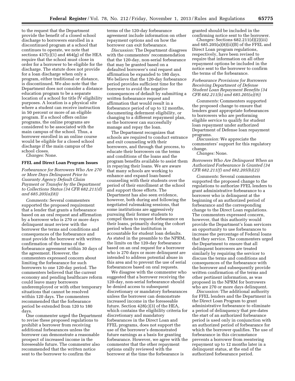to the request that the Department provide the benefit of a closed school discharge to borrowers enrolled in a discontinued program at a school that continues to operate, we note that sections  $437(c)(1)$  and  $464(g)$  of the HEA require that the school must close in order for a borrower to be eligible for the discharge. The statute does not provide for a loan discharge when only a program, either traditional or distance, is discontinued. We also note that the Department does not consider a distance education program to be a separate location of a school for title IV eligibility purposes. A location is a physical site where a student can receive instruction in 50 percent or more of an eligible program. If a school offers online programs, the online programs are considered to be associated with the main campus of the school. Thus, a borrower enrolled in an online course would be eligible for a closed school discharge if the main campus of the school closes.

*Changes:* None.

#### **FFEL and Direct Loan Program Issues**

*Forbearance for Borrowers Who Are 270 or More Days Delinquent Prior to Guaranty Agency Default Claim Payment or Transfer by the Department to Collections Status (34 CFR 682.211(d) and 685.205(a)(8))* 

*Comments:* Several commenters supported the proposed requirement that a lender that grants a forbearance based on an oral request and affirmation by a borrower who is 270 or more days delinquent must review with the borrower the terms and conditions and consequences of the forbearance and must provide the borrower with written confirmation of the terms of the forbearance agreement within 30 days of the agreement. However, the commenters expressed concern about limiting the forbearance for such borrowers to one 120-day period. The commenters believed that the current economy and pending healthcare reform could leave many borrowers underemployed or with other temporary situations that cannot be resolved within 120 days. The commenters recommended that the forbearance period be extended from 120 to 180 days.

One commenter urged the Department to revise these proposed regulations to prohibit a borrower from receiving additional forbearances unless the borrower can demonstrate a reasonable prospect of increased income in the foreseeable future. The commenter also recommended that the written notice sent to the borrower to confirm the

terms of the 120-day forbearance agreement include information on other repayment options and on how the borrower can exit forbearance.

*Discussion:* The Department disagrees with the commenters' recommendation that the 120-day, non-serial forbearance that may be granted based on a defaulted borrower's oral request and affirmation be expanded to 180 days. We believe that the 120-day forbearance period provides sufficient time for the borrower to avoid the negative consequences of default by submitting a written forbearance request and affirmation that would result in a forbearance period of up to 12 months, documenting deferment eligibility, or changing to a different repayment plan, so the borrower can successfully manage and repay the loan.

The Department recognizes that schools are required to conduct entrance and exit counseling with their borrowers, and through that process, to educate their borrowers on the terms and conditions of the loans and the program benefits available to assist them in repaying their loans. We are aware that many schools are working to enhance and expand loan-based counseling with their students over the period of their enrollment at the school and support those efforts. The Department has also seen evidence, however, both during and following the negotiated rulemaking sessions, that some institutions are aggressively pursuing their former students to compel them to request forbearance on their loans, primarily during the cohort period when the institution is accountable for student loan defaults. As stated in the preamble to the NPRM, the limits on the 120-day forbearance based on an oral request for a borrower who is 270 days or more delinquent are intended to address potential abuse in this area and to prevent the use of serial forbearances based on oral requests.

We disagree with the commenter who suggested that a borrower receiving the 120-day, non-serial forbearance should be denied access to subsequent discretionary or mandatory forbearances unless the borrower can demonstrate increased income in the foreseeable future. Section 428(c)(3) of the HEA, which contains the eligibility criteria for discretionary and mandatory forbearances in the Direct Loan and FFEL programs, does not support the use of the borrower's demonstrated future earnings as a basis for granting forbearance. However, we agree with the commenter that the other repayment options orally reviewed with the borrower at the time the forbearance is

granted should be included in the confirming notice sent to the borrower.

*Changes:* Sections 682.211(d)(2)(iii) and 685.205(a)(8)(ii)(B) of the FFEL and Direct Loan program regulations, respectively, have been revised to require that information on all other repayment options be included in the notice sent to the borrower to confirm the terms of the forbearance.

#### *Forbearance Provisions for Borrowers Receiving Department of Defense Student Loan Repayment Benefits (34 CFR 682.211(h) and 685.205(a)(9))*

*Comments:* Commenters supported the proposed change to ensure that lenders grant appropriate forbearances to borrowers who are performing eligible service to qualify for student loan repayment under authorized Department of Defense loan repayment programs.

*Discussion:* We appreciate the commenters' support for this regulatory change.

*Changes:* None.

#### *Borrowers Who Are Delinquent When an Authorized Forbearance Is Granted (34 CFR 682.211(f) and 682.205(b)(2))*

*Comments:* Several commenters supported the proposed change to the regulations to authorize FFEL lenders to grant administrative forbearance to a borrower who is delinquent at the beginning of an authorized period of forbearance and the corresponding change to the Direct Loan regulations. The commenters expressed concern, however, that this authority would provide the Department's loan servicers an opportunity to use forbearances to increase the percentage of Federal loans that they service. The commenters urged the Department to ensure that all delinquent borrowers are treated similarly by requiring the servicer to discuss the terms and conditions and consequences of the forbearance with the borrower and subsequently provide written confirmation of the terms and other pertinent information, as was proposed in the NPRM for borrowers who are 270 or more days delinquent.

*Discussion:* The additional authority for FFEL lenders and the Department in the Direct Loan Program to grant administrative forbearance to eliminate a period of delinquency that pre-dates the start of an authorized forbearance period is used only in conjunction with an authorized period of forbearance for which the borrower qualifies. The use of forbearance in this circumstance prevents a borrower from reentering repayment up to 12 months later in a delinquent status, at the end of the authorized forbearance period.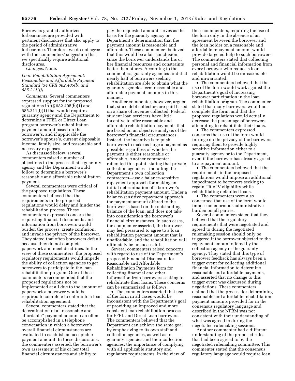Borrowers granted authorized forbearances are provided with pertinent disclosures that also apply to the period of administrative forbearance. Therefore, we do not agree with the commenters' suggestion that we specifically require additional disclosures.

*Changes:* None.

#### *Loan Rehabilitation Agreement: Reasonable and Affordable Payment Standard (34 CFR 682.405(b) and 685.211(f))*

*Comments:* Several commenters expressed support for the proposed regulations in §§ 682.405(b)(1) and 685.211(f)(1) that would require a guaranty agency and the Department to determine a FFEL or Direct Loan program borrower's rehabilitation payment amount based on the borrower's, and if applicable the borrower's spouse's, current disposable income, family size, and reasonable and necessary expenses.

As discussed below, several commenters raised a number of objections to the process that a guaranty agency and the Department would follow to determine a borrower's reasonable and affordable rehabilitation payment.

Several commenters were critical of the proposed regulations. These commenters believed that the requirements in the proposed regulations would delay and hinder the rehabilitation process. These commenters expressed concern that requesting financial documents and information from borrowers would burden the process, create confusion, and invade the privacy of the borrower. They stated that often borrowers default because they do not complete paperwork and meet deadlines. In the view of these commenters, the proposed regulatory requirements would impede the ability of collection agencies to get borrowers to participate in the loan rehabilitation program. One of these commenters recommended that the proposed regulations not be implemented at all due to the amount of paperwork a borrower would be required to complete to enter into a loan rehabilitation agreement.

Several commenters stated that the determination of a ''reasonable and affordable'' payment amount can often be accomplished in a telephone conversation in which a borrower's overall financial circumstances are evaluated to establish an acceptable payment amount. In these discussions, the commenters asserted, the borrower's own assessment of his or her total financial circumstances and ability to

pay the requested amount serves as the basis for the guaranty agency or Department's determination that the payment amount is reasonable and affordable. These commenters believed that this would be a fair conclusion, since the borrower understands his or her financial resources and constraints better than others. According to the commenters, guaranty agencies find that nearly half of borrowers seeking rehabilitation are able to obtain what the guaranty agencies term reasonable and affordable payment amounts in this manner.

Another commenter, however, argued that, since debt collectors are paid based on a share of revenue collected, Federal student loan servicers have little incentive to offer reasonable and affordable rehabilitation payments that are based on an objective analysis of the borrower's financial circumstances. Instead, the incentive is to push borrowers to make as large a payment as possible, regardless of whether the payment is either reasonable or affordable. Another commenter reiterated this point, stating that private collection agencies—including the Department's own collection contractors—use a balance-sensitive repayment approach for making an initial determination of a borrower's rehabilitation payment amount. Under a balance-sensitive repayment approach, the payment amount offered to the borrower is based on the outstanding balance of the loan, and does not take into consideration the borrower's financial circumstances. In such cases, the commenter asserted, the borrower may feel pressured to agree to a loan rehabilitation payment amount that is unaffordable, and the rehabilitation will ultimately be unsuccessful.

Several commenters raised concerns with regard to use of the Department's proposed Financial Disclosure for Reasonable and Affordable Rehabilitation Payments form for collecting financial and other information from borrowers seeking to rehabilitate their loans. These concerns can be summarized as follows:

• The commenters asserted that use of the form in all cases would be inconsistent with the Department's goal of providing an improved and more consistent loan rehabilitation process for FFEL and Direct Loan borrowers. The commenters believed that the Department can achieve the same goal by emphasizing to its own staff and collection agencies, as well as to guaranty agencies and their collection agencies, the importance of complying with all applicable statutory and regulatory requirements. In the view of

these commenters, requiring the use of the form only in the absence of an agreement between the borrower and the loan holder on a reasonable and affordable repayment amount would provide targeted help to such borrowers. The commenters stated that collecting personal and financial information from every borrower who requests loan rehabilitation would be unreasonable and unwarranted.

• The commenters believed that the use of the form would work against the Department's goal of increasing borrower participation in the loan rehabilitation program. The commenters stated that many borrowers would not complete the form, and that the proposed regulations would actually decrease the percentage of borrowers attempting to rehabilitate their loans.

• The commenters expressed concerns that use of the form would infringe on the privacy of the borrowers, requiring them to provide highly sensitive information either to a guaranty agency or to the Department, even if the borrower has already agreed to a repayment amount.

• The commenters believed that the requirements in the proposed regulations would impose an additional impediment to borrowers seeking to regain Title IV eligibility while rehabilitating defaulted loans.

• The commenters were also concerned that use of the form would impose an enormous administrative burden on all parties.

Several commenters stated that they believed that the regulatory requirements that were negotiated and agreed to during the negotiated rulemaking session should only be triggered if the borrower objected to the repayment amount offered by the collection agency or the guaranty agency. They stated that this type of borrower feedback has always been a trigger event for collecting additional financial information to determine reasonable and affordable payments, and asserted that no change to this trigger event was discussed during negotiations. These commenters claimed that the process for determining reasonable and affordable rehabilitation payment amounts provided for in the consensus regulatory language and described in the NPRM was not consistent with their understanding of what was agreed to during the negotiated rulemaking sessions.

Another commenter had a different understanding of the proposed rules that had been agreed to by the negotiated rulemaking committee. This commenter stated that the consensus regulatory language would require loan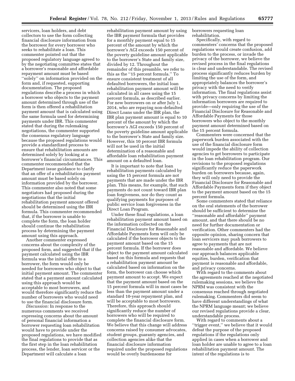servicers, loan holders, and debt collectors to use the form collecting financial disclosure information from the borrower for every borrower who seeks to rehabilitate a loan. This commenter pointed out that the proposed regulatory language agreed to by the negotiating committee states that a borrower's reasonable and affordable repayment amount must be based ''solely'' on information provided on the form and, if requested, supporting documentation. The proposed regulations describe a process in which a borrower who objects to the payment amount determined through use of the form is then offered a rehabilitation payment amount that is calculated using the same formula used for determining payments under IBR. This commenter stated that during the rulemaking negotiations, the commenter supported the consensus regulatory language because the proposed regulations would provide a standardized process to ensure that rehabilitation amounts are determined solely by looking at a borrower's financial circumstances. This commenter recommended that the Department issue guidance to clarify that an offer of a rehabilitation payment amount must be based solely on information provided by the borrower. This commenter also noted that some negotiators had proposed during the negotiations that the initial rehabilitation payment amount offered should be determined using the IBR formula. This commenter recommended that, if the borrower is unable to complete the form, the loan holder should continue the rehabilitation process by determining the payment amount using this approach.

Another commenter expressed concerns about the complexity of the proposed form, and suggested that if the payment calculated using the IBR formula was the initial offer to a borrower, the form would only be needed for borrowers who object to that initial payment amount. The commenter stated that a payment amount calculated using this approach would be acceptable to most borrowers, and would therefore significantly reduce the number of borrowers who would need to use the financial disclosure form.

*Discussion:* In response to the numerous comments we received expressing concerns about the amount of personal financial information a borrower requesting loan rehabilitation would have to provide under the proposed regulations, we have modified the final regulations to provide that as the first step in the loan rehabilitation process, the lender, loan servicer or the Department will calculate a loan

rehabilitation payment amount by using the IBR payment formula that provides for a monthly payment equal to 15 percent of the amount by which the borrower's AGI exceeds 150 percent of the poverty guideline amount applicable to the borrower's State and family size, divided by 12. Throughout the remainder of this preamble, we refer to this as the ''15 percent formula.'' To ensure consistent treatment of all defaulted borrowers, the initial loan rehabilitation payment amount will be calculated in all cases using the 15 percent formula, as described earlier. For new borrowers on or after July 1, 2014, who are repaying non-defaulted Direct Loans under the IBR plan, the IBR plan payment amount is equal to 10 percent of the amount by which the borrower's AGI exceeds 150 percent of the poverty guideline amount applicable to the borrower's State and family size. However, this 10 percent IBR formula will not be used in the initial determination of a reasonable and affordable loan rehabilitation payment amount on a defaulted loan.

It is important to note that loan rehabilitation payments calculated by using the 15 percent formula are not payments that are made under the IBR plan. This means, for example, that such payments do not count toward IBR plan loan forgiveness, nor do they count as qualifying payments for purposes of public service loan forgiveness in the Direct Loan Program.

Under these final regulations, a loan rehabilitation payment amount based on the information collected on the Financial Disclosure for Reasonable and Affordable Payments form will only be calculated if the borrower objects to the payment amount based on the 15 percent formula. If the borrower does object to the payment amount calculated based on this formula and requests that a rehabilitation payment amount be calculated based on information on the form, the borrower can choose which payment amount to accept. We expect that the payment amount based on the 15 percent formula will in most cases be less than the payment amount under a standard 10-year repayment plan, and will be acceptable to most borrowers. Therefore, this approach should significantly reduce the number of borrowers who will be required to complete the financial disclosure form. We believe that this change will address concerns raised by consumer advocates, student groups, guaranty agencies, and collection agencies alike that the financial disclosure information required under the proposed regulations would be overly burdensome for

borrowers requesting loan rehabilitation.

Specifically, with regard to commenters' concerns that the proposed regulations would create confusion, add burden to the process, or invade the privacy of the borrower, we believe the revised process in the final regulations is clear and understandable. The revised process significantly reduces burden by limiting the use of the form, and appropriately balances the borrower's privacy with the need to verify information. The final regulations assist with privacy concerns by limiting the information borrowers are required to provide—only requiring the use of the Financial Disclosure for Reasonable and Affordable Payments for those borrowers who object to the monthly payment amount determined based on the 15 percent formula.

Commenters were concerned that the paperwork burden associated with the use of the financial disclosure form would impede the ability of collection agencies to get borrowers to participate in the loan rehabilitation program. Our revisions to the proposed regulations significantly reduce the paperwork burden on borrowers because, again, they will only need to provide the Financial Disclosure for Reasonable and Affordable Payments form if they object to the payment amount based on the 15 percent formula.

Some commenters stated that reliance on the oral statements of the borrower should be sufficient to determine the ''reasonable and affordable'' payment amount, and that there should be no need for further documentation or verification. Other commenters had the opposite opinion, sharing concern that loan servicers may push borrowers to agree to payments that are not reasonable and affordable. We believe our approach balances applicable equities, burden, verification that payment is reasonable and affordable, and privacy concerns.

With regard to the comments about the agreements reached at the negotiated rulemaking sessions, we believe the NPRM was consistent with the consensus reached through negotiated rulemaking. Commenters did seem to have different understandings of what the NPRM language meant; we believe our revised regulations provide a clear, understandable process.

With regard to comments about a ''trigger event,'' we believe that it would defeat the purpose of the proposed regulations if the regulations only applied in cases when a borrower and loan holder are unable to agree to a loan rehabilitation payment amount. The intent of the regulations is to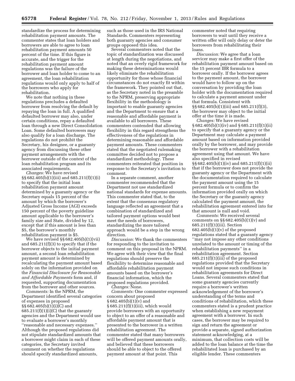standardize the process for determining rehabilitation payment amounts. The commenter states that loan holders and borrowers are able to agree to loan rehabilitation payment amounts 50 percent of the time. If this figure is accurate, and the trigger for the rehabilitation payment amount regulations was the failure of the borrower and loan holder to come to an agreement, the loan rehabilitation regulations would only apply to half of the borrowers who apply for rehabilitation.

We note that nothing in these regulations precludes a defaulted borrower from resolving the default by repaying the loan in full. A qualified defaulted borrower may also, under certain conditions, repay a defaulted loan through a new Direct Consolidation Loan. Some defaulted borrowers may also qualify for a loan discharge. The regulations do not prohibit the Secretary, his designee, or a guaranty agency from discussing these other payment arrangements with the borrower outside of the context of the loan rehabilitation program and its associated requirements.

*Changes:* We have revised §§ 682.405(b)(1)(iii) and 685.211(f)(1)(i) to specify that the initial loan rehabilitation payment amount determined by a guaranty agency or the Secretary equals 15 percent of the amount by which the borrower's Adjusted Gross Income (AGI) exceeds 150 percent of the poverty guideline amount applicable to the borrower's family size and State, divided by 12, except that if this amount is less than \$5, the borrower's monthly rehabilitation payment is \$5.

We have revised §§ 682.405(b)(1)(vii) and 685.211(f)(3) to specify that if the borrower objects to the initial payment amount, a second loan rehabilitation payment amount is determined by recalculating the payment amount based solely on the information provided on the *Financial Disclosure for Reasonable and Affordable Payments* form and, if requested, supporting documentation from the borrower and other sources.

*Comments:* In the NPRM, the Department identified several categories of expenses in proposed §§ 682.405(b)(1)(i)(C) and  $685.211(f)(1)(i)(C)$  that the guaranty agencies and the Department would use to evaluate a borrower's monthly ''reasonable and necessary expenses.'' Although the proposed regulations did not stipulate standardized amounts that a borrower might claim in each of these categories, the Secretary invited comment on whether the regulations should specify standardized amounts,

such as those used in the IRS National Standards. Commenters representing both guaranty agencies and consumer groups opposed this idea.

Several commenters noted that the topic of standardization was discussed at length during the negotiations, and noted that an overly rigid framework for making these determinations would likely eliminate the rehabilitation opportunity for those whose financial circumstances do not exactly fit within the framework. They pointed out that, as the Secretary noted in the preamble to the NPRM, preserving appropriate flexibility in the methodology is important to enable guaranty agencies and the Department to ensure that a reasonable and affordable payment is available to all borrowers. These commenters contended that allowing flexibility in this regard strengthens the effectiveness of the regulations in determining reasonable and affordable payment amounts. These commenters stated that the negotiated rulemaking committee decided not to propose a standardized methodology. These commenters reiterated that position in response to the Secretary's invitation to comment.

In a separate comment, another commenter recommended that the Department not use standardized national standards for expense amounts. This commenter stated that, to the extent that the consensus regulatory language reflected an agreement that a combination of standardized and tailored payment options would best meet the needs of borrowers, standardizing the more tailored approach would be a step in the wrong direction.

*Discussion:* We thank the commenters for responding to the invitation to comment on this proposal in the NPRM. We agree with their view that the final regulations should preserve the flexibility to determine reasonable and affordable rehabilitation payment amounts based on the borrower's financial information, which the proposed regulations provided.

*Changes:* None.

*Comments:* One commenter expressed concern about proposed  $§ 682.405(b)(1)(v)$  and § 685.211(f)(1)(iii), which would provide borrowers with an opportunity to object to an offer of a reasonable and affordable payment amount that is presented to the borrower in a written rehabilitation agreement. The commenter stated that many borrowers will be offered payment amounts orally, and believed that these borrowers should be able to object to the offered payment amount at that point. This

commenter noted that requiring borrowers to wait until they receive a written offer will only delay or deter the borrowers from rehabilitating their loans.

*Discussion:* We agree that a loan servicer may make a first offer of the rehabilitation payment amount based on the 15 percent IBR formula to a borrower orally. If the borrower agrees to the payment amount, the borrower would have to follow up on the conversation by providing the loan holder with the documentation required to calculate a payment amount under that formula. Consistent with §§ 682.405(b)(1)(iii) and 685.211(f)(3), the borrower may object to the initial offer at the time it is made.

*Changes:* We have revised § 682.405(b)(1)(iv) and § 685.211(f)(1)(ii) to specify that a guaranty agency or the Department may calculate a payment amount based on information provided orally by the borrower, and may provide the borrower with a rehabilitation agreement using that amount. We have also specified in revised §§ 682.405(b)(1)(iv) and 685.211(f)(1)(ii) that if the borrower does not provide the guaranty agency or the Department with the documentation required to calculate the payment amount using the 15 percent formula or to confirm the information provided orally on which the Secretary or the guaranty agency calculated the payment amount, the rehabilitation agreement entered into for that amount is null and void.

*Comments:* We received several comments on  $\S$ § 682.405(b)(1)(v) and 685.211(f)(1)(iii). Section  $682.405(b)(1)(v)$  of the proposed regulations stated that a guaranty agency ''may not impose any other conditions unrelated to the amount or timing of the rehabilitation payments'' in a rehabilitation agreement. Section 685.211(f)(1)(iii) of the proposed regulations provided that the Secretary would not impose such conditions in rehabilitation agreements for Direct Loans. Several commenters stated that some guaranty agencies currently require a borrower's written acknowledgement of the borrower's understanding of the terms and conditions of rehabilitation, which these commenters stated is a prudent practice when establishing a new repayment agreement with a borrower. In such cases, the borrower may be required to sign and return the agreement or provide a separate, signed authorization statement acknowledging, at a minimum, that collection costs will be added to the loan balance at the time the rehabilitated loan is purchased by an eligible lender. These commenters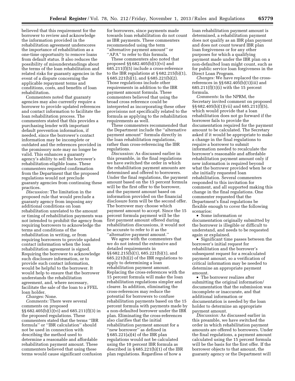believed that this requirement for the borrower to review and acknowledge the information provided in the rehabilitation agreement underscores the importance of rehabilitation as a one-time opportunity to remove loans from default status. It also reduces the possibility of misunderstandings about the terms of the loan rehabilitation and related risks for guaranty agencies in the event of a dispute concerning the applicable repayment terms and conditions, costs, and benefits of loan rehabilitation.

Commenters noted that guaranty agencies may also currently require a borrower to provide updated references and contact information to facilitate the loan rehabilitation process. The commenters stated that this provides a purchasing lender with important default prevention information, if needed, since the borrower's contact information may be incomplete or outdated and the references provided in the promissory note may no longer be valid. This enhances a guaranty agency's ability to sell the borrower's rehabilitation-eligible loans. These commenters requested confirmation from the Department that the proposed regulations would not preclude guaranty agencies from continuing these practices.

*Discussion:* The limitation in the proposed rule that would preclude a guaranty agency from imposing any additional conditions on loan rehabilitation unrelated to the amount or timing of rehabilitation payments was not intended to prohibit the agency from requiring borrowers to acknowledge the terms and conditions of the rehabilitation in writing, or from requiring borrowers to provide updated contact information when the loan rehabilitation agreement is signed. Requiring the borrower to acknowledge such disclosure information, or to provide such contact information, would be helpful to the borrower. It would help to ensure that the borrower understands the rehabilitation agreement, and, where necessary, facilitate the sale of the loan to a FFEL loan holder.

*Changes:* None.

*Comments:* There were several comments on proposed §§ 682.405(b)(1)(vi) and 685.211(f)(3) in the proposed regulations. These commenters stated that the terms ''IBR formula'' or ''IBR calculation'' should not be used in connection with describing the method used to determine a reasonable and affordable rehabilitation payment amount. These commenters believed that using these terms would cause significant confusion

for borrowers, since payments made towards loan rehabilitation do not count as IBR payments. These commenters recommended using the term ''alternative payment amount'' or "APA" to refer to this formula.

These commenters also noted that proposed §§ 682.405(b)(1)(vi) and 685.211(f)(5) include a cross-reference to the IBR regulations at § 682.215(b)(1), § 685.221(b)(1), and § 685.221(b)(2). Those regulations include other requirements in addition to the IBR payment amount formula. These commenters believed that using the broad cross reference could be interpreted as incorporating these other provisions not specifically related to the formula as applying to the rehabilitation requirements as well.

These commenters recommended that the Department include the ''alternative payment amount'' formula directly in the loan rehabilitation regulations, rather than cross-referencing the IBR regulations.

*Discussion:* As discussed earlier in this preamble, in the final regulations we have switched the order in which the rehabilitation payment amounts are determined and offered to borrowers. Under the final regulations, the payment amount based on the 15 percent formula will be the first offer to the borrower, and the payment amount based on information provided on the financial disclosure form will be the second offer. The borrower may choose which payment amount to accept. Since the 15 percent formula payment will be the first payment amount offered during rehabilitation discussions, it would not be accurate to refer to it as the ''alternative payment amount.''

We agree with the commenters that we do not intend the extensive and detailed requirements in §§ 682.215(b)(1), 685.221(b)(1), and 685.221(b)(2) of the IBR regulations to apply to determining a loan rehabilitation payment amount. Replacing the cross-references with the 15 percent formula will make the loan rehabilitation regulations simpler and clearer. In addition, eliminating the cross-references may reduce the potential for borrowers to confuse rehabilitation payments based on the 15 percent formula with payments made by a non-defaulted borrower under the IBR plan. Eliminating the cross-references also clarifies that the initial rehabilitation payment amount for a "new borrower" as defined in § 685.221(a)(4) of the IBR plan regulations would not be calculated using the 10 percent IBR formula as described in § 685.221(b)(1) of the IBR plan regulations. Regardless of how a

loan rehabilitation payment amount is determined, a rehabilitation payment does not qualify as an IBR plan payment and does not count toward IBR plan loan forgiveness or for any other purposes for which a qualifying payment made under the IBR plan on a non-defaulted loan might count, such as for public service loan forgiveness in the Direct Loan Program.

*Changes:* We have replaced the crossreferences in §§ 682.405(b)(1)(iii) and 685.211(f)(1)(i) with the 15 percent formula.

*Comments:* In the NPRM, the Secretary invited comment on proposed §§ 682.405(b)(1)(vii) and 685.211(f)(5), which would provide that a loan rehabilitation does not go forward if the borrower fails to provide the documentation required for the payment amount to be calculated. The Secretary asked if it would be appropriate to make a change in the final regulations to require a borrower to submit information needed to recalculate the borrower's reasonable and affordable rehabilitation payment amount only if new information is required beyond what the borrower provided when he or she initially requested loan rehabilitation. Several commenters responded to this invitation for comment, and all supported making this change in the final regulations. One commenter requested that the Department's final regulations be flexible enough to cover the following scenarios:

• Some information or documentation originally submitted by the borrower is illegible or difficult to understand, and needs to be requested again or explained.

• Significant time passes between the borrower's initial request for rehabilitation and the borrower's subsequent request for a recalculated payment amount, so a verification of critical information may be needed to determine an appropriate payment amount.

• The borrower realizes after submitting the original information/ documentation that the submission was incomplete or inaccurate, and that additional information or documentation is needed by the loan holder to determine an appropriate payment amount.

*Discussion:* As discussed earlier in this preamble, we have switched the order in which rehabilitation payment amounts are offered to borrowers. Under the final regulations, a payment amount calculated using the 15 percent formula will be the basis for the first offer. If the borrower objects to that amount, the guaranty agency or the Department will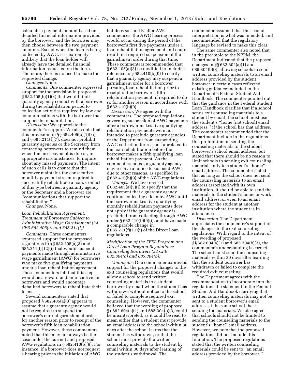calculate a payment amount based on detailed financial information provided by the borrower, and the borrower may then choose between the two payment amounts. Except when the loan is being collected by AWG, it is extremely unlikely that the loan holder will already have the detailed financial information requested on the form. Therefore, there is no need to make the requested change.

*Changes:* None.

*Comments:* One commenter expressed support for the provision in proposed  $§ 682.405(b)(1)(x)$  that would limit guaranty agency contact with a borrower during the rehabilitation period to collection activities required by law and communications with the borrower that support the rehabilitation.

*Discussion:* We appreciate the commenter's support. We also note that this provision, in  $\S$ § 682.405(b)(1)(xi) and  $§ 685.211(f)(7)$ , does not prohibit guaranty agencies or the Secretary from contacting borrowers to remind them when the next payment is due or, in appropriate circumstances, to inquire about any missed payments. The intent of such calls is to ensure that the borrower maintains the consecutive monthly payment stream required to successfully rehabilitate a loan. Contacts of this type between a guaranty agency or the Secretary and a borrower are ''communications that support the rehabilitation.''

*Changes:* None.

#### *Loan Rehabilitation Agreement: Treatment of Borrowers Subject to Administrative Wage Garnishment (34 CFR 682.405(a) and 685.211(f))*

*Comments:* Three commenters expressed support for the proposed regulations in §§ 682.405(a)(3) and 685.211(f)(12)(i) that would suspend payments made through administrative wage garnishment (AWG) for borrowers who make five qualifying payments under a loan rehabilitation agreement. These commenters felt that this step would be a reward and an incentive for borrowers and would encourage defaulted borrowers to rehabilitate their loans.

Several commenters stated that proposed § 682.405(a)(3) appears to assume that a guaranty agency would not be required to suspend the borrower's current garnishment order for another reason prior to receipt of the borrower's fifth loan rehabilitation payment. However, these commenters noted that this may not always be the case under the current and proposed AWG regulations in § 682.410(b)(9). For instance, if a borrower does not request a hearing prior to the initiation of AWG,

but does so shortly after AWG commences, the AWG hearing process would occur during the period of the borrower's first five payments under a loan rehabilitation agreement and could result in a required suspension of the garnishment order during that time. These commenters recommended that § 682.405(a)(3) be modified to include a reference to  $\S 682.410(b)(9)$  to clarify that a guaranty agency may suspend a garnishment order for a borrower pursuing loan rehabilitation prior to receipt of the borrower's fifth rehabilitation payment, if required to do so for another reason in accordance with § 682.410(b)(9).

*Discussion:* We agree with the commenters. The proposed regulations governing suspension of AWG payments after a borrower makes five qualifying rehabilitation payments were not intended to preclude guaranty agencies or the Department from suspending AWG collection for reasons unrelated to the loan rehabilitation before the borrower makes a fifth qualifying loan rehabilitation payment. As the commenters noted, a guaranty agency may receive a notice to suspend AWG due to other reasons, as specified in § 682.410(b)(9) of the AWG regulations.

*Changes:* We have revised § 682.405(a)(3)(i) to specify that the requirement that a guaranty agency continue collecting a loan by AWG until the borrower makes five qualifying monthly rehabilitation payments does not apply if the guaranty agency is precluded from collecting through AWG under § 682.410(b)(9)(i), and have made a comparable change in § 685.211(f)(11)(i) of the Direct Loan regulations.

#### *Modification of the FFEL Program and Direct Loan Program Regulations: Counseling Borrowers (34 CFR 682.604(a) and 685.304(b))*

*Comments:* One commenter expressed support for the proposed changes to the exit counseling regulations that would allow a school to send written counseling materials to a student borrower by email when the student has withdrawn without notice to the school or failed to complete required exit counseling. However, the commenter believed that the wording of proposed §§ 682.604(a)(1) and 685.304(b)(3) could be misinterpreted, as it could be read to mean either that a student must provide an email address to the school within 30 days after the school learns that the student has withdrawn, or that the school must provide the written counseling materials to the student by email within 30 days after learning of the student's withdrawal. The

commenter assumed that the second interpretation is what was intended, and recommended that the regulatory language be revised to make this clear.

The same commenter also noted that in the preamble to the NPRM, the Department indicated that the proposed changes in §§ 682.604(a)(1) and 685.304(b)(3) allowing schools to send written counseling materials to an email address provided by the student borrower in certain cases reflected existing guidance included in the Department's Federal Student Aid Handbook. The commenter pointed out that the guidance in the Federal Student Loan Handbook clarifies that if a school sends exit counseling materials to a student by email, the school must use the student's ''home (not school) email address,'' if the school has that address. The commenter recommended that the Department include in the regulations this prohibition on sending the counseling materials to the student borrower's school email address, but stated that there should be no reason to limit schools to sending exit counseling materials only to a student's ''home'' email address. The commenter stated that as long as the school does not send the counseling materials to an email address associated with its own institution, it should be able to send the materials to the student's home or work email address, or even to an email address for the student at another institution where the student is in attendance.

*Discussion:* The Department appreciates the commenter's support of the changes to the exit counseling regulations. With regard to the intent of the wording of proposed §§ 682.604(a)(1) and 685.304(b)(3), the commenter's understanding is correct. The school must send the counseling materials within 30 days after learning that the student borrower has withdrawn or failed to complete the required exit counseling.

The Department agrees with the recommendation to incorporate into the regulations the statement in the Federal Student Aid Handbook clarifying that written counseling materials may not be sent to a student borrower's email address at the same school that is sending the materials. We also agree that schools should not be limited to sending the counseling materials to the student's ''home'' email address. However, we note that the proposed regulations did not include this limitation. The proposed regulations stated that the written counseling materials could be sent to ''an email address provided by the borrower.''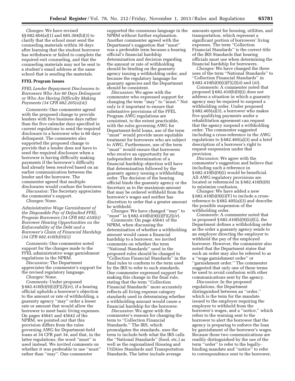*Changes:* We have revised §§ 682.604(a)(1) and 685.304(b)(3) to clarify that the school must send the counseling materials within 30 days after learning that the student borrower has withdrawn or failed to complete the required exit counseling, and that the counseling materials may not be sent to a student's email address at the same school that is sending the materials.

#### **FFEL Program Issues**

*FFEL Lender Repayment Disclosures to Borrowers Who Are 60 Days Delinquent or Who Are Having Difficulty Making Payments (34 CFR 682.205(a)(4))* 

*Comments:* One commenter agreed with the proposed change to provide lenders with five business days rather than the five calendar days specified in current regulations to send the required disclosure to a borrower who is 60 days delinquent. The commenter also supported the proposed change to provide that a lender does not have to send the required disclosure when a borrower is having difficulty making payments if the borrower's difficulty had already been resolved based on an earlier communication between the lender and the borrower. The commenter agreed that multiple disclosures would confuse the borrower. *Discussion:* The Secretary appreciates

the commenter's support.

*Changes:* None.

*Administrative Wage Garnishment of the Disposable Pay of Defaulted FFEL Program Borrowers (34 CFR 682.410(b)) Borrower Hearing Opportunities on the Enforceability of the Debt and a Borrower's Claim of Financial Hardship (34 CFR 682.410(b)(9)(i))* 

*Comments:* One commenter noted support for the changes made to the FFEL administrative wage garnishment regulations in the NPRM.

*Discussion:* The Department appreciates the commenter's support for the revised regulatory language.

*Changes:* None.

*Comments:* Under proposed § 682.410(b)(9)(i)(F)(*2*)(*iv*), if a hearing official upholds a borrower's objection to the amount or rate of withholding, a guaranty agency ''may'' order a lesser rate or amount that would allow the borrower to meet basic living expenses. On pages 45641 and 45642 of the NPRM, we pointed out that this provision differs from the rules governing AWG for Department-held loans at 34 CFR part 34, and that, in the latter regulations, the word ''must'' is used instead. We invited comments on whether it was preferable to use ''must'' rather than ''may''. One commenter

supported the consensus language in the NPRM without further explanation. Another commenter agreed with the Department's suggestion that ''must'' was a preferable term because a hearing official's financial hardship determination and decision regarding the amount or rate of withholding should be binding on the guaranty agency issuing a withholding order, and because the regulatory language for guaranty agencies and the Department should be consistent.

*Discussion:* We agree with the commenter who expressed support for changing the term ''may'' to ''must.'' Not only is it important to ensure that substantive provisions of the FFEL Program AWG regulations are consistent, to the extent practicable, with the rules governing AWG for Department-held loans, use of the term ''must'' would provide more equitable treatment for borrowers who are subject to AWG. Furthermore, use of the term ''must'' would ensure that borrowers who receive an opportunity for an independent determination of a financial hardship objection will have that determination followed by the guaranty agency issuing a withholding order. The decision of the hearing official binds the guaranty agency or the Secretary as to the maximum amount that may be ordered withheld from the borrower's wages and neither has discretion to order that a greater amount be withheld.

*Changes:* We have changed ''may'' to ''must'' in § 682.410(b)(9)(i)(F)(*2*)(*iv*).

*Comments:* On page 45641 of the NPRM, when discussing the determination of whether a withholding amount would cause a financial hardship to a borrower, we invited comments on whether the term ''National Standards'' used in the proposed rules should be changed to ''Collection Financial Standards'' in the final rules to conform to the term used by the IRS to refer to such standards. One commenter expressed support for making this change in the final rule, stating that the term ''Collection Financial Standards'' more accurately reflects all living expense category standards used in determining whether a withholding amount would cause a financial hardship for the borrower.

*Discussion:* We agree with the commenter's reasons for changing the term to ''Collection Financial Standards.'' The IRS, which promulgates the standards, uses the term to include both what the IRS calls the ''National Standards'' (food, etc.) as well as the regionalized Housing and Utilities Standards and Transportation Standards. The latter include average

amounts spent for housing, utilities, and transportation, which represent a significant portion of borrowers' living expenses. The term ''Collection Financial Standards'' is the correct title of the IRS Standards that hearing officials must use when determining the financial hardship for borrowers.

*Changes:* We have changed the three uses of the term ''National Standards'' to ''Collection Financial Standards'' in § 682.410(b)(9)(i)(F)(*2*)(*ii*) and (*iii*).

*Comments:* A commenter noted that proposed  $§ 682.410(b)(9)(i)$  does not address a situation in which a guaranty agency may be required to suspend a withholding order. Under proposed § 682.405(a)(3), a borrower who makes five qualifying payments under a rehabilitation agreement can request that the agency suspend a withholding order. The commenter suggested including a cross-reference in the AWG regulations to § 682.405(a)(3) and a brief description of a borrower's right to request suspension under that provision.

*Discussion:* We agree with the commenter's suggestion and believe that including such a reference in § 682.410(b)(9)(i) would be beneficial. All AWG regulatory provisions are located or referenced in § 682.410(b)(9) to minimize confusion.

*Changes:* We have added a new  $§ 682.410(b)(9)(i)(V)$  to include a crossreference to § 682.405(a)(3) and describe the possible suspension of the withholding order.

*Comments:* A commenter noted that in proposed § 682.410(b)(9)(ii)(G), the Department defines a withholding order as the order a guaranty agency sends to an employer directing the employer to withhold the pay of the employed borrower. However, the commenter also noted that the Department states that such an order may also be referred to as a ''wage garnishment order'' or ''garnishment order.'' The commenter suggested that only one of these terms be used to avoid confusion with other communications sent by the agency.

*Discussion:* In the proposed regulations, the Department distinguished between an ''order,'' which is the term for the mandate issued to the employer requiring the employer to withhold from the borrower's wages, and a ''notice,'' which refers to the warning sent to the borrower to alert the borrower that the agency is preparing to enforce the loan by garnishment of the borrower's wages. Because these two communications are readily distinguished by the use of the term ''order'' to refer to the legallybinding mandate and ''notice'' to refer to correspondence sent to the borrower,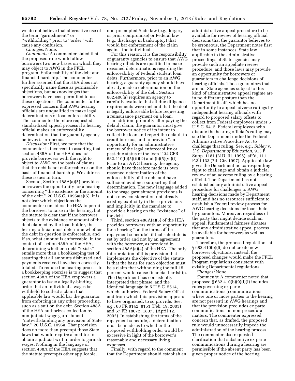we do not believe that alternative use of the term ''garnishment'' or ''withholding'' prior to ''order'' will cause any confusion.

*Changes:* None.

*Comments:* A commenter stated that the proposed rule would allow borrowers two new bases on which they may object to AWG in the FFEL program: Enforceability of the debt and financial hardship. The commenter further asserted that the HEA does not specifically name these as permissible objections, but acknowledges that borrowers have been permitted to use these objections. The commenter further expressed concern that AWG hearing officials are unqualified to make legal determinations of loan enforceability. The commenter therefore requested a standardized appeal process if a hearing official makes an enforceability determination that the guaranty agency believes is erroneous.

*Discussion:* First, we note that the commenter is incorrect in asserting that section 488A of the HEA does not provide borrowers with the right to object to AWG on the basis of claims that the debt is not enforceable or on the basis of financial hardship. We address these issues in turn.

Second, Section 488A(a)(5) provides borrowers the opportunity for a hearing concerning ''the existence or the amount of the debt.'' 20 U.S.C. 1095a(a)(5). It is not clear which objections the commenter considers the HEA to permit the borrower to raise in the hearing, but the statute is clear that if the borrower objects to the existence or amount of the debt claimed by the loan holder, the hearing official must determine whether the debt in question is enforceable, and if so, what amount is enforceable. In the context of section 488A of the HEA, determining whether a debt ''exists'' entails more than a bookkeeping test of assuring that all amounts disbursed and payments received have been correctly totaled. To reduce the hearing process to a bookkeeping exercise is to suggest that section 488A of the HEA empowers a guarantor to issue a legally-binding order that an individual's wages be withheld to collect a claim that applicable law would bar the guarantor from enforcing in any other proceeding, such as a suit on the debt. Section 488A of the HEA authorizes collection by non-judicial wage garnishment ''notwithstanding any provision of State law.'' 20 U.S.C. 1095a. That provision does no more than preempt those State laws that would require a creditor to obtain a judicial writ in order to garnish wages. Nothing in the language of section 488A of the HEA suggests that the statute preempts other applicable,

non-preempted State law (e.g., forgery or prior compromise) or Federal law (e.g., discharge in bankruptcy) that would bar enforcement of the claim against the individual.

For this reason, it is the responsibility of guaranty agencies to ensure that AWG hearing officials are qualified to make reasoned determinations regarding the enforceability of Federal student loan debts. Furthermore, prior to an AWG hearing, a guaranty agency should have already made a determination on the enforceability of the debt. Section 682.406(a) requires an agency to carefully evaluate that all due diligence requirements were met and that the debt is legally enforceable before requesting a reinsurance payment on a loan.

In addition, promptly after paying the default claim, the guarantor must give the borrower notice of its intent to collect the loan and report the default to credit bureaus, and to provide ''an opportunity for an administrative review of the legal enforceability or past-due status of the loan.'' 34 CFR  $682.410(b)(5)(ii)(D)$  and  $(b)(5)(vi)(I)$ . Prior to an AWG hearing, the agency should have therefore made its own reasoned determination of the enforceability of the debt and have sufficient evidence supporting that determination. The new language added to the wage garnishment provisions is not a new consideration not already existing explicitly in these provisions and implicitly in the mandate to provide a hearing on the ''existence'' of the debt.

Third, section 488A(a)(5) of the HEA provides borrowers with an opportunity for a hearing ''on the terms of the repayment schedule'' if that schedule is set by order and not by an agreement with the borrower, as provided in section 488A(a)(4) of the HEA. The only interpretation of this provision that implements the objective of the statute is that the basis for such objection must be a claim that withholding the full 15 percent would cause financial hardship. The Department has consistently interpreted that phrase, and the identical language in 5 U.S.C. 5514, which authorizes Federal Salary Offset and from which this provision appears to have originated, to so provide. See, e.g., 68 FR 8142, 8151 (Feb. 19, 2003) and 67 FR 18072, 18073 (April 12, 2002). In establishing the terms of the repayment schedule, a determination must be made as to whether the proposed withholding order would be excessive in light of the borrower's reasonable and necessary living expenses.

Finally, with regard to the comment that the Department should establish an administrative appeal procedure to be available for review of hearing official decisions that the guarantor believes to be erroneous, the Department notes first that in some instances, State law applicable to the administrative proceedings of State agencies may provide such an appellate review procedure, and those laws may provide an opportunity for borrowers or guarantors to challenge decisions of hearing officials. Those guarantors that are not State agencies subject to this kind of administrative appeal regime are in no different posture than the Department itself, which has no opportunity to appeal adverse rulings by independent hearing officials with regard to proposed salary offsets to collect from Federal employees under 5 U.S.C. 5415. Federal employees who dispute the hearing official's ruling may sue the Department under the Federal Administrative Procedure Act to challenge that ruling. See, e.g., *Sibley* v. *U.S. Department of Education,* 913 F. Supp. 1181 (N.D. Ill. 1995), aff'd, 111 F.3d 133 (7th Cir. 1997). Applicable law gives the Department no corresponding right to challenge and obtain a judicial review of an adverse ruling by a hearing official. The Department has not established any administrative appeal procedure for challenges to AWG hearing decisions made by Department staff, and has no resources sufficient to establish a Federal review process for AWG hearing decisions for loans held by guarantors. Moreover, regardless of the party that might decide such an appeal, fundamental fairness dictates that any administrative appeal process be available for borrowers as well as guarantors.

Therefore, the proposed regulations at § 682.410(b)(9) do not create new borrower objections; instead, the proposed changes would make the FFEL Program regulations consistent with existing Departmental regulations.

*Changes:* None.

*Comments:* A commenter noted that proposed  $§ 682.410(b)(9)(i)(I)$  includes rules governing ex parte communications (communications where one or more parties to the hearing are not present) in AWG hearings and that the provision precludes ex parte communications on non-procedural matters. The commenter expressed concern that, as drafted, the proposed rule would unnecessarily impede the administration of the hearing process. The commenter also requested clarification that substantive ex parte communications during a hearing are permissible if the absent party has been given proper notice of the hearing.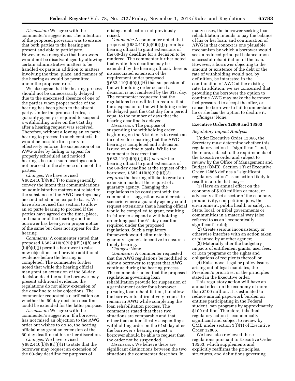*Discussion:* We agree with the commenter's suggestions. The intention of the proposed provision was to ensure that both parties to the hearing are present and able to participate. However, we recognize that borrowers would not be disadvantaged by allowing certain administrative matters to be handled ex parte in addition to matters involving the time, place, and manner of the hearing as would be permitted under the proposed rule.

We also agree that the hearing process should not be unnecessarily delayed due to the unexcused absence of one of the parties when proper notice of the hearing has been given to the absent party. Under the proposed rules, a guaranty agency is required to suspend a withholding order on the 61st day after a hearing request was received. Therefore, without allowing an ex parte hearing to proceed in such contexts, it would be possible for a party to effectively enforce the suspension of an AWG order by failing to appear for properly scheduled and noticed hearings, because such hearings could not proceed in the absence of one of the parties.

*Changes:* We have revised  $§ 682.410(b)(9)(i)(I)$  to more generally convey the intent that communications on administrative matters not related to the substance of the AWG hearings may be conducted on an ex parte basis. We have also revised this section to allow an ex parte hearing to proceed if the parties have agreed on the time, place, and manner of the hearing and the borrower has been given proper notice of the same but does not appear for the hearing.

*Comments:* A commenter stated that proposed § 682.410(b)(9)(i)(F)(*1*)(*ii*) and  $(b)(9)(i)(J)$  permit a borrower to raise new objections and provide additional evidence before the hearing is completed. The commenter further noted that while the hearing official may grant an extension of the 60-day decision deadline so the borrower may present additional evidence, the regulations do not allow extension of the deadline to raise objections. The commenter requested a clarification on whether the 60 day decision deadline could be extended for the latter purpose.

*Discussion:* We agree with the commenter's suggestion. If a borrower has not raised an objection to the AWG order but wishes to do so, the hearing official may grant an extension of the 60-day deadline at his or her discretion.

*Changes:* We have revised § 682.410(b)(9)(i)(J)(*1*) to state that the borrower may request an extension of the 60-day deadline for purposes of

raising an objection not previously raised.

*Comments:* A commenter noted that proposed  $\S 682.410(b)(9)(i)(J)$  permits a hearing official to grant extensions of the 60-day deadline for a decision to be rendered. The commenter further noted that while this deadline may be extended by the hearing official, there is no associated extension of the requirement under proposed  $§ 682.410(b)(9)(i)(H)$  that suspension of the withholding order occur if a decision is not rendered by the 61st day. The commenter requested that the regulations be modified to require that the suspension of the withholding order be delayed past the 61st day for a period equal to the number of days that the hearing deadline is delayed.

*Discussion:* The purpose of suspending the withholding order beginning on the 61st day is to create an incentive for ensuring that the AWG hearing is completed and a decision issued on a timely basis. While the commenter is correct that § 682.410(b)(9)(i)(J)(*1*) *permits* the hearing official to grant extensions of the 60-day deadline at the request of the borrower, § 682.410(b)(9)(i)(J)(*2*) *requires* the hearing official to grant an extension made at the request of a guaranty agency. Changing the regulations to be consistent with the commenter's suggestion would create a scenario where a guaranty agency could request extensions that a hearing official would be compelled to grant, resulting in failure to suspend a withholding order long past the 61-day deadline required under the proposed regulations. Such a regulatory framework would eliminate the guaranty agency's incentive to ensure a timely hearing.

*Changes:* None.

*Comments:* A commenter requested that the AWG regulations be modified to allow a borrower to request that AWG continue during the hearing process. The commenter noted that the proposed regulations governing loan rehabilitation provide for suspension of a garnishment order for a borrower pursuing loan rehabilitation, but allow the borrower to affirmatively request to remain in AWG while completing the loan rehabilitation process. The commenter stated that these two situations are comparable and that rather than automatically suspending a withholding order on the 61st day after the borrower's hearing request, a borrower should be able to request that the order not be suspended.

*Discussion:* We believe there are significant distinctions between the two situations the commenter describes. In

many cases, the borrower seeking loan rehabilitation intends to pay the balance of his or her loan, and continuation of AWG in that context is one plausible mechanism by which a borrower would seek a reduced principal balance upon successful rehabilitation of the loan. However, a borrower objecting to the amount or existence of the debt or the rate of withholding would not, by definition, be interested in the continuation of AWG at the existing rate. In addition, we are concerned that providing the borrower the option to continue AWG may make the borrower feel pressured to accept the offer, or cause the borrower to fail to understand he or she has the option to decline it. *Changes:* None.

**Executive Orders 12866 and 13563** 

## *Regulatory Impact Analysis*

Under Executive Order 12866, the Secretary must determine whether this regulatory action is ''significant'' and, therefore, subject to the requirements of the Executive order and subject to review by the Office of Management and Budget (OMB). Section 3(f) of Executive Order 12866 defines a ''significant regulatory action'' as an action likely to result in a rule that may—

(1) Have an annual effect on the economy of \$100 million or more, or adversely affect a sector of the economy, productivity, competition, jobs, the environment, public health or safety, or State, local, or tribal governments or communities in a material way (also referred to as an ''economically significant'' rule);

(2) Create serious inconsistency or otherwise interfere with an action taken or planned by another agency;

(3) Materially alter the budgetary impacts of entitlement grants, user fees, or loan programs or the rights and obligations of recipients thereof; or

(4) Raise novel legal or policy issues arising out of legal mandates, the President's priorities, or the principles stated in the Executive order.

This regulatory action will have an annual effect on the economy of more than \$100 million. It is estimated to reduce annual paperwork burden on entities participating in the Federal student loan programs by approximately \$109 million. Therefore, this final regulatory action is economically significant and subject to review by OMB under section 3(f)(1) of Executive Order 12866.

We have also reviewed these regulations pursuant to Executive Order 13563, which supplements and explicitly reaffirms the principles, structures, and definitions governing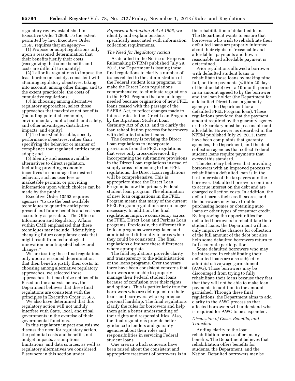regulatory review established in Executive Order 12866. To the extent permitted by law, Executive Order 13563 requires that an agency—

(1) Propose or adopt regulations only upon a reasoned determination that their benefits justify their costs (recognizing that some benefits and costs are difficult to quantify);

(2) Tailor its regulations to impose the least burden on society, consistent with attaining regulatory objectives, taking into account, among other things, and to the extent practicable, the costs of cumulative regulations;

(3) In choosing among alternative regulatory approaches, select those approaches that maximize net benefits (including potential economic, environmental, public health and safety, and other advantages; distributive impacts; and equity);

(4) To the extent feasible, specify performance objectives, rather than specifying the behavior or manner of compliance that regulated entities must adopt; and

(5) Identify and assess available alternatives to direct regulation, including providing economic incentives to encourage the desired behavior, such as user fees or marketable permits, or providing information upon which choices can be made by the public.

Executive Order 13563 requires agencies ''to use the best available techniques to quantify anticipated present and future benefits and costs as accurately as possible.'' The Office of Information and Regulatory Affairs within OMB emphasized that these techniques may include ''identifying changing future compliance costs that might result from technological innovation or anticipated behavioral changes.''

We are issuing these final regulations only upon a reasoned determination that their benefits justify their costs. In choosing among alternative regulatory approaches, we selected those approaches that maximize net benefits. Based on the analysis below, the Department believes that these final regulations are consistent with the principles in Executive Order 13563.

We also have determined that this regulatory action will not unduly interfere with State, local, and tribal governments in the exercise of their governmental functions.

In this regulatory impact analysis we discuss the need for regulatory action, the potential costs and benefits, net budget impacts, assumptions, limitations, and data sources, as well as regulatory alternatives we considered. Elsewhere in this section under

*Paperwork Reduction Act of 1995,* we identify and explain burdens specifically associated with information collection requirements.

#### *The Need for Regulatory Action*

As detailed in the Notice of Proposed Rulemaking (NPRM) published July 29, 2013, the Department is issuing these final regulations to clarify a number of issues related to the administration of the Federal student loan programs, to make the Direct Loan regulations comprehensive, to eliminate regulations in the FFEL Program that are no longer needed because origination of new FFEL loans ceased with the passage of the SAFRA Act, to reflect changes made to interest rates in the Direct Loan Program by the Bipartisan Student Loan Certainty Act of 2013, and to clarify the loan rehabilitation process for borrowers with defaulted student loans.

The Secretary is revising the Direct Loan regulations to incorporate provisions from the FFEL regulations that were only cross-referenced. By incorporating the substantive provisions in the Direct Loan regulations instead of simply cross-referencing to the FFEL regulations, the Direct Loan regulations will be comprehensive. This is appropriate since the Direct Loan Program is now the primary Federal student loan program. The elimination of new loan originations in the FFEL Program means that many of the current FFEL Program regulations are no longer necessary. In addition, the final regulations improve consistency across the FFEL, Direct Loan and Perkins Loan programs. Previously, the different title IV loan programs were regulated and administered differently in areas where they could be consistent. The final regulations eliminate these differences where appropriate.

The final regulations provide clarity and transparency to the administration of the loans programs. Over the years there have been consistent concerns that borrowers are unable to properly manage their Federal student loans because of confusion over their rights and options. This is particularly true for borrowers who are delinquent on their loans and borrowers who experience personal hardship. The final regulations clarify the rules for borrowers and help them gain a better understanding of their rights and responsibilities. Also, the final regulations provide better guidance to lenders and guaranty agencies about their roles and responsibilities in servicing Federal student loans.

One area in which concerns have been raised about the consistent and appropriate treatment of borrowers is in

the rehabilitation of defaulted loans. The Department wants to ensure that borrowers who wish to rehabilitate their defaulted loans are properly informed about their rights to ''reasonable and affordable'' payments and how a reasonable and affordable payment is determined.

Prior regulations allowed a borrower with defaulted student loans to rehabilitate those loans by making nine full, on-time payments (within 20 days of the due date) over a 10-month period in an amount agreed to by the borrower and the loan holder (the Department for a defaulted Direct Loan, a guaranty agency or the Department for a defaulted FFEL Program loan). These regulations provided that the payment amount required by the guaranty agency or the Secretary must be reasonable and affordable. However, as described in the NPRM published July 29, 2013, there have been complaints that guaranty agencies, the Department, and the debt collection agencies that collect Federal student loans require payments that exceed this standard.

The Secretary believes that providing borrowers with an improved process to rehabilitate a defaulted loan is in the best interests of the taxpayers and the borrower. Defaulted borrowers continue to accrue interest on the debt and are charged collection costs. In addition, the default harms their credit scores, and the borrowers may have trouble purchasing homes or obtaining auto loans or other types of consumer credit. By improving the opportunities for defaulted borrowers to rehabilitate their student loans, the Department will not only improve the chances for collection of the full amount of the debt but also help some defaulted borrowers return to full economic participation.

Some defaulted borrowers who may be interested in rehabilitating their defaulted loans are also subject to administrative wage garnishment (AWG). Those borrowers may be discouraged from trying to fully rehabilitate their loans because they fear that they will not be able to make loan payments in addition to the amount garnished. Through these final regulations, the Department aims to add clarity to the AWG process so that affected borrowers will understand what is required for AWG to be suspended.

#### *Discussion of Costs, Benefits, and Transfers*

Adding clarity to the loan rehabilitation process offers many benefits. The Department believes that rehabilitation offers benefits for students, the Department, and the Nation. Defaulted borrowers may be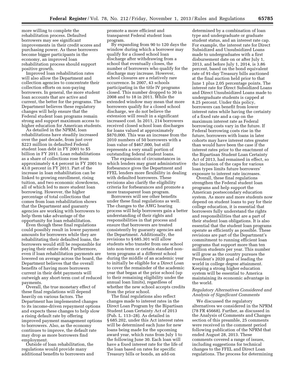more willing to complete the rehabilitation process. Defaulted borrowers may see significant improvements in their credit scores and purchasing power. As these borrowers become bigger participants in the economy, an improved loan rehabilitation process should support positive growth.

Improved loan rehabilitation rates will also allow the Department and collection agencies to concentrate their collection efforts on non-paying borrowers. In general, the more student loan accounts that are active and current, the better for the programs. The Department believes these regulatory changes will help ensure that the Federal student loan programs remain strong and support maximum access to higher education for American students.

As detailed in the NPRM, loan rehabilitations have steadily increased over the past decade, from just over \$223 million in defaulted Federal student loan debt in FY 2001 to \$5 billion in FY 2011. Loan rehabilitations as a share of collections rose from approximately 4.4 percent in FY 2001 to 43.0 percent in FY 2011. Part of the increase in loan rehabilitation can be linked to growing enrollment, rising tuition, and two economic slowdowns, all of which led to more student loan borrowing. However, the higher percentage of total collections that comes from loan rehabilitation shows that the Department and guaranty agencies are working with borrowers to help them take advantage of the opportunity for loan rehabilitation.

Even though these final regulations could possibly result in lower payment amounts for borrowers while they are rehabilitating their defaulted loans, the borrowers would still be responsible for paying their entire debt. Furthermore, even if loan rehabilitation payments are lowered on average across the board, the Department believes that the overall benefits of having more borrowers current in their debt payments will outweigh any short-term cost of reduced payments.

Overall, the true monetary effect of these final regulations will depend heavily on various factors. The Department has implemented changes to its income-driven repayment options and expects these changes to help slow a rising default rate by offering improved payment management options to borrowers. Also, as the economy continues to improve, the default rate may drop as more borrowers find employment.

Outside of loan rehabilitation, the regulations would provide many additional benefits to borrowers and promote a more efficient and transparent Federal student loan program.

By expanding from 90 to 120 days the window during which a borrower may qualify for a closed school loan discharge after withdrawing from a school that eventually closes, the number of borrowers who qualify for the discharge may increase. However, school closures are a relatively rare occurrence. In 2007, 43 schools participating in the title IV programs closed. This number dropped to 30 in 2008 and to 18 in 2011. While the extended window may mean that more borrowers qualify for a closed school discharge, we do not believe the extension will result in a significant increased cost. In 2011, 214 borrowers received closed school loan discharges for loans valued at approximately \$870,000. This was an increase from the 2010 numbers of 50 borrowers with a loan value of \$467,000, but still represents a very small portion of outstanding federal student loans.

The expansion of circumstances in which lenders may grant administrative forbearance gives the Department and FFEL lenders more flexibility in dealing with defaulted borrowers. These revisions also clarify the eligibility criteria for forbearances and promote a more transparent loan program.

Borrowers will see other benefits under these final regulations as well. The changes to the AWG hearing process will help borrowers gain a better understanding of their rights and responsibilities in that process and ensure that borrowers are treated consistently by guaranty agencies and the Department. Additionally, the revisions to § 685.301 will allow students who transfer from one school into non-term or certain standard nonterm programs at a different school during the middle of an academic year to initially be eligible for a Direct Loan to cover the remainder of the academic year that began at the prior school (up to their remaining eligibility under the annual loan limits), regardless of whether the new school accepts credits from the prior school.

The final regulations also reflect changes made to interest rates in the Direct Loan Program by the Bipartisan Student Loan Certainty Act of 2013 (Pub. L. 113–28). As detailed in § 685.202, under this Act interest rates will be determined each June for new loans being made for the upcoming award year, which runs from July 1 to the following June 30. Each loan will have a fixed interest rate for the life of the loan based on rates for specific Treasury bills or bonds, an add-on

determined by a combination of loan type and undergraduate or graduate student status, and an interest rate cap. For example, the interest rate for Direct Subsidized and Unsubsidized Loans made to undergraduates with a first disbursement date on or after July 1, 2013, and before July 1, 2014, is 3.86 percent, based on the bond equivalent rate of 91-day Treasury bills auctioned at the final auction held prior to that June 1 plus 2.05 percentage points. The interest rate for Direct Subsidized Loans and Direct Unsubsidized Loans made to undergraduate students is capped at 8.25 percent. Under this policy, borrowers can benefit from lower interest rates while having the certainty of a fixed rate and a cap on the maximum interest rate as Federal borrowing costs vary in the future. If Federal borrowing costs rise in the future, borrowers with loans in later cohorts may have interest rates greater than would have been the case if the interest rates prior to the enactment of the Bipartisan Student Loan Certainty Act of 2013, had remained in effect, so the inclusion of the caps for various loan types limits future borrowers' exposure to interest rate increases.

Overall, these final regulations strengthen the Federal student loan programs and help support the American postsecondary education system. As more and more students now depend on student loans to pay for their college education, it is essential that borrowers fully understand the rights and responsibilities that are a part of their student loan obligations. It is also essential that the student loan programs operate as efficiently as possible. These revisions are part of the Department's commitment to running efficient loan programs that support more than ten million students per year. This number will grow as the country pursues the President's 2020 goal of leading the world in college degree attainment. Keeping a strong higher education system will be essential to America maintaining its economic advantage in the world.

#### *Regulatory Alternatives Considered and Analysis of Significant Comments*

We discussed the regulatory alternatives we considered in the NPRM (78 FR 45668). Further, as discussed in the Analysis of Comments and Changes section of this preamble, 25 comments were received in the comment period following publication of the NPRM that ended August 28, 2013. These comments covered a range of issues, including suggestions for technical changes to the FFEL and Direct Loan regulations. The process for determining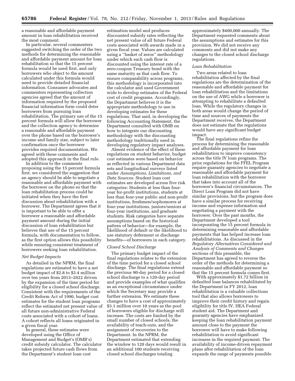a reasonable and affordable payment amount in loan rehabilitation received the most comment.

In particular, several commenters suggested switching the order of the two methods for determining the reasonable and affordable payment amount for loan rehabilitation so that the 15 percent formula would be used first, and only borrowers who object to the amount calculated under this formula would need to provide detailed financial information. Consumer advocates and commenters representing collection agencies agreed that the amount of information required by the proposed financial information form could deter borrowers from pursuing loan rehabilitation. The primary use of the 15 percent formula will allow the borrower and the collection agency to determine a reasonable and affordable payment over the phone based on the borrower's income and family size, subject to later confirmation once the borrower provides required documentation. We agreed with these comments and adopted this approach in the final rule.

In addition to the comments proposing using the 15 percent formula first, we considered the suggestion that an agency should be able to negotiate a reasonable and affordable payment with the borrower on the phone so that the loan rehabilitation process could be initiated when they have the first discussion about rehabilitation with a borrower. The Department agrees that it is important to be able to offer a borrower a reasonable and affordable payment amount during the initial discussion of loan rehabilitation but believes that use of the 15 percent formula, with documentation to follow, as the first option allows this possibility while ensuring consistent treatment of borrowers seeking loan rehabilitation.

#### *Net Budget Impacts*

As detailed in the NPRM, the final regulations are estimated to have a net budget impact of \$2.8 to \$3.4 million over ten years from 2013–2022 driven by the expansion of the time period for eligibility for a closed school discharge. Consistent with the requirements of the Credit Reform Act of 1990, budget cost estimates for the student loan programs reflect the estimated net present value of all future non-administrative Federal costs associated with a cohort of loans. A cohort reflects all loans originated in a given fiscal year.

In general, these estimates were developed using the Office of Management and Budget's (OMB's) credit subsidy calculator. The calculator takes projected future cash flows from the Department's student loan cost

estimation model and produces discounted subsidy rates reflecting the net present value of all future Federal costs associated with awards made in a given fiscal year. Values are calculated using a ''basket of zeros'' methodology under which each cash flow is discounted using the interest rate of a zero-coupon Treasury bond with the same maturity as that cash flow. To ensure comparability across programs, this methodology is incorporated into the calculator and used Government wide to develop estimates of the Federal cost of credit programs. Accordingly, the Department believes it is the appropriate methodology to use in developing estimates for these regulations. That said, in developing the following Accounting Statement, the Department consulted with OMB on how to integrate our discounting methodology with the discounting methodology traditionally used in developing regulatory impact analyses.

Absent evidence of the effect of these regulations on student behavior, budget cost estimates were based on behavior as reflected in various Department data sets and longitudinal surveys listed under *Assumptions, Limitations, and Data Sources.* Student loan cost estimates are developed across five risk categories: Students at less than fouryear for-profit institutions, students at less than four-year public and non-profit institutions, freshmen/sophomores at four-year institutions, juniors/seniors at four-year institutions, and graduate students. Risk categories have separate assumptions based on the historical pattern of behavior—for example, the likelihood of default or the likelihood to use statutory deferment or discharge benefits—of borrowers in each category.

#### *Closed School Discharge*

The primary budget impact of the final regulations relates to the extension of the time period for a closed school discharge. The final regulations extend the previous 90-day period for a closed school discharge to a 120-day period and provide examples of what qualifies as an exceptional circumstance under which the Secretary may provide a further extension. We estimate these changes to have a cost of approximately \$3.1 million over 10 years as the pool of borrowers eligible for discharge will increase. The costs are limited by the small number of closed schools, the availability of teach-outs, and the assignment of recoveries to the Department. In the NPRM, the Department estimated that extending the window to 120 days would result in an additional 100 students receiving closed school discharges totaling

approximately \$400,000 annually. The Department requested comments about the assumptions and estimates for this provision. We did not receive any comments and did not make any changes to the closed school discharge regulations.

#### *Loan Rehabilitation*

Two areas related to loan rehabilitation affected by the final regulations are the determination of the reasonable and affordable payment for loan rehabilitation and the limitations on the use of AWG while a borrower is attempting to rehabilitate a defaulted loan. While the regulatory changes in both areas would change the period of time and sources of payments the Department receives, the Department does not estimate that the regulations would have any significant budget impact.

The final regulations refine the process for determining the reasonable and affordable payment for loan rehabilitation to improve consistency across the title IV loan programs. The prior regulations for the FFEL Program require guaranty agencies to negotiate a reasonable and affordable payment for loan rehabilitation with the borrower that takes into account all of the borrower's financial circumstances. The Direct Loan Program did not have similar provisions, but the program does have a similar process for receiving income and expense information and negotiating a payment with the borrower. Over the past months, the Department developed a tool incorporating the 15 percent formula in determining reasonable and affordable payments that has helped increase loan rehabilitations. As discussed in the *Regulatory Alternatives Considered and Analysis of Comments and Changes*  sections of this preamble, the Department has agreed to reverse the order of the methods for determining a reasonable and affordable payment so that the 15 percent formula comes first.

With approximately \$1.72 billion in defaulted loan balances rehabilitated by the Department in FY 2012, loan rehabilitation is a valuable collections tool that also allows borrowers to improve their credit history and regain eligibility for title IV, HEA Federal student aid. The Department and guaranty agencies have emphasized keeping the loan rehabilitation payment amount close to the payment the borrower will have to make following rehabilitation to avoid significant increases in the required payment. The availability of income-driven repayment plans after rehabilitation of the loan expands the range of payments possible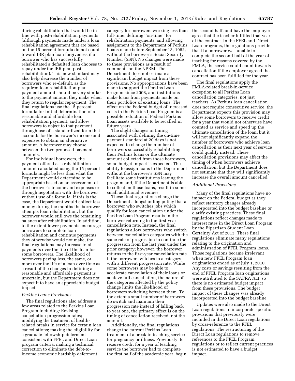during rehabilitation that would be in line with post-rehabilitation payments (although payments made under a loan rehabilitation agreement that are based on the 15 percent formula do not count toward IBR plan loan forgiveness if a borrower who has successfully rehabilitated a defaulted loan chooses to repay under the IBR plan postrehabilitation). This new standard may also help decrease the number of borrowers who re-default, as the required loan rehabilitation plan payment amount should be very similar to the payment amount they make when they return to regular repayment. The final regulations use the 15 percent formula for initial determination of a reasonable and affordable loan rehabilitation payment, and allow borrowers to object to that payment through use of a standardized form that accounts for the borrower's income and expenses to obtain an alternative amount. A borrower may choose between the two proposed payment amounts.

For individual borrowers, the payment offered as a rehabilitation amount calculated using the 15 percent formula might be less than what the Department would determine to be appropriate based on an assessment of the borrower's income and expenses or through negotiation with the borrower without use of a formula. If this is the case, the Department would collect less money during the months the borrower attempts loan rehabilitation, but the borrower would still owe the remaining balance after rehabilitation. In addition, to the extent lower payments encourage borrowers to complete loan rehabilitation and continue payments they otherwise would not make, the final regulations may increase total payments over the life of the loan for some borrowers. The likelihood of borrowers paying less, the same, or more over the life of a loan over time as a result of the changes in defining a reasonable and affordable payment is uncertain, but the Department does not expect it to have an appreciable budget impact.

#### *Perkins Loans Provisions*

The final regulations also address a few areas related to the Perkins Loan Program including: Revising cancellation progression rates; modifying the treatment of healthrelated breaks in service for certain loan cancellations; making the eligibility for a graduate fellowship deferment consistent with FFEL and Direct Loan program criteria; making a technical correction to eliminate the debt-toincome economic hardship deferment

category for borrowers working less than full-time; defining ''on-time'' for rehabilitation payments; and allowing assignment to the Department of Perkins Loans made before September 13, 1982, without the borrower's Social Security Number (SSN). No changes were made to these provisions as a result of comments on the NPRM. The Department does not estimate a significant budget impact from these provisions. No appropriations have been made to support the Perkins Loan Program since 2008, and institutions make loans from payments made on their portfolios of existing loans. The effect on the Federal budget of increased costs in the Perkins Loan Program is a possible reduction of Federal Perkins Loan assets available to be recalled in future years.

The slight changes in timing associated with defining the on-time payment standard at 20 days is not expected to change the number of borrowers successfully rehabilitating their Perkins loans or the ultimate amount collected from those borrowers, so no budget impact is expected. The ability to assign loans to the Department without the borrower's SSN may facilitate some institutions leaving the program and, if the Department is able to collect on those loans, result in some small additional revenues.

These final regulations change the Department's longstanding policy that a borrower who switches jobs which qualify for loan cancellation under the Perkins Loan Program results in the borrower returning to the first-year cancellation rate. Instead, the final regulations allow borrowers who switch between cancellation categories with the same rate of progression to continue the progression from the last year under the prior category; however, the borrower returns to the first-year cancellation rate if the borrower switches to a category with a different progression rate. While some borrowers may be able to accelerate cancellation of their loans or achieve full cancellation, the nature of the categories affected by the policy change limits the likelihood of borrowers switching between them. To the extent a small number of borrowers do switch and maintain their progression rate instead of falling back to year one, the primary effect is on the timing of cancellation received, not the amount.

Additionally, the final regulations change the current Perkins Loan treatment of a break in teaching service for pregnancy or illness. Previously, to receive credit for a year of teaching service the borrower had to complete the first half of the academic year, begin the second half, and have the employer agree that the teacher fulfilled that year of the contract. In the FFEL and Direct Loan programs, the regulations provide that if a borrower was unable to complete the second half of the year of teaching for reasons covered by the FMLA, the service could count towards cancellation if the employer agreed the contract has been fulfilled for the year.

The final regulations apply the FMLA-related break-in-service exception to all Perkins Loan cancellation categories, not just teachers. As Perkins loan cancellation does not require consecutive service, the Department expects this provision may allow some borrowers to receive credit for a year that would not otherwise have counted as service and speed up the ultimate cancellation of the loan, but it will not significantly expand the number of borrowers who achieve loan cancellation as their next year of service could qualify instead. These cancellation provisions may affect the timing of when borrowers achieve cancellation, but the Department does not estimate that they will significantly increase the overall amount cancelled.

#### *Additional Provisions*

Many of the final regulations have no impact on the Federal budget as they reflect statutory changes already incorporated into the budget baseline or clarify existing practices. These final regulations reflect changes made to interest rates in the Direct Loan Program by the Bipartisan Student Loan Certainty Act of 2013. These final regulations eliminate many regulations relating to the origination and administration of FFEL Program loans. Those regulations became irrelevant when new FFEL Program loan originations ended as of July 1, 2010. Any costs or savings resulting from the end of FFEL Program loan originations were attributed to the SAFRA Act, so there is no estimated budget impact from these provisions. The budget impact of these changes was already incorporated into the budget baseline.

Updates were also made to the Direct Loan regulations to incorporate specific provisions that previously were included in the Direct Loan regulations by cross-reference to the FFEL regulations. The restructuring of the Direct Loan regulations to remove references to the FFEL Program regulations or to reflect current practices is not estimated to have a budget impact.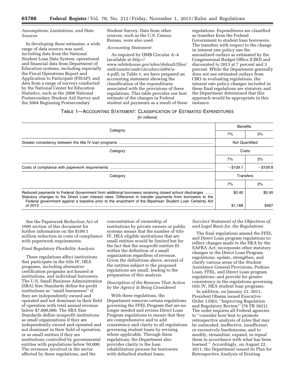#### *Assumptions, Limitations, and Data Sources*

In developing these estimates, a wide range of data sources was used, including data from the National Student Loan Data System; operational and financial data from Department of Education systems, including especially the Fiscal Operations Report and Application to Participate (FISAP); and data from a range of surveys conducted by the National Center for Education Statistics, such as the 2008 National Postsecondary Student Aid Survey and the 2004 Beginning Postsecondary

Student Survey. Data from other sources, such as the U.S. Census Bureau, were also used.

#### *Accounting Statement*

As required by OMB Circular A–4 (available at *[http://](http://www.whitehouse.gov/sites/default/files/omb/assets/omb/circulars/a004/a-4.pdf) [www.whitehouse.gov/sites/default/files/](http://www.whitehouse.gov/sites/default/files/omb/assets/omb/circulars/a004/a-4.pdf) [omb/assets/omb/circulars/a004/a-](http://www.whitehouse.gov/sites/default/files/omb/assets/omb/circulars/a004/a-4.pdf)[4.pdf](http://www.whitehouse.gov/sites/default/files/omb/assets/omb/circulars/a004/a-4.pdf)*), in Table 1, we have prepared an accounting statement showing the classification of the expenditures associated with the provisions of these regulations. This table provides our best estimate of the changes in Federal student aid payments as a result of these

regulations. Expenditures are classified as transfers from the Federal Government to student loan borrowers. The transfers with respect to the change in interest rate policy use the annualized outlays as estimated by the Congressional Budget Office (CBO) and discounted to 2013 at 7 percent and 3 percent. While the Department generally does not use estimated outlays from CBO in evaluating regulations, the interest rate policy changes included in these final regulations are statutory and the Department determined that this approach would be appropriate in this instance.

#### TABLE 1—ACCOUNTING STATEMENT: CLASSIFICATION OF ESTIMATED EXPENDITURES

[In millions]

|                                                                                                                                                                                                                                                                                                                                |                       | <b>Benefits</b> |  |
|--------------------------------------------------------------------------------------------------------------------------------------------------------------------------------------------------------------------------------------------------------------------------------------------------------------------------------|-----------------------|-----------------|--|
| Category                                                                                                                                                                                                                                                                                                                       | 7%                    | 3%              |  |
|                                                                                                                                                                                                                                                                                                                                | <b>Not Quantified</b> |                 |  |
| Category                                                                                                                                                                                                                                                                                                                       |                       | Costs           |  |
|                                                                                                                                                                                                                                                                                                                                | 7%                    | 3%              |  |
|                                                                                                                                                                                                                                                                                                                                | $-$ \$109.1           | $-$ \$109.8     |  |
| Category                                                                                                                                                                                                                                                                                                                       |                       | Transfers       |  |
|                                                                                                                                                                                                                                                                                                                                | 7%                    | 3%              |  |
| Reduced payments to Federal Government from additional borrowers receiving closed school discharges<br>Statutory changes to the Direct Loan interest rates: Difference in transfer payments from borrowers to the<br>Federal government against a baseline prior to the enactment of the Bipartisan Student Loan Certainty Act | \$0.40                | \$0.40          |  |
| of 2013                                                                                                                                                                                                                                                                                                                        | \$1,168               | \$467           |  |

See the Paperwork Reduction Act of 1995 section of this document for further information on the \$109.1 million reduction in costs of compliance with paperwork requirements.

#### *Final Regulatory Flexibility Analysis*

These regulations affect institutions that participate in the title IV, HEA programs, including alternative certification programs not housed at institutions, and individual borrowers. The U.S. Small Business Administration (SBA) Size Standards define for-profit institutions as ''small businesses'' if they are independently owned and operated and not dominant in their field of operation with total annual revenue below \$7,000,000. The SBA Size Standards define nonprofit institutions as small organizations if they are independently owned and operated and not dominant in their field of operation, or as small entities if they are institutions controlled by governmental entities with populations below 50,000. The revenues involved in the sector affected by these regulations, and the

concentration of ownership of institutions by private owners or public systems means that the number of title IV, HEA eligible institutions that are small entities would be limited but for the fact that the nonprofit entities fit within the definition of a small organization regardless of revenue. Given the definitions above, several of the entities subject to the proposed regulations are small, leading to the preparation of this analysis.

#### *Description of the Reasons That Action by the Agency Is Being Considered*

With these regulations, the Department removes certain regulations governing the FFEL Program that are no longer needed and revises Direct Loan Program regulations to ensure that they are comprehensive and to add consistency and clarity to all regulations governing student loans by revising where applicable. Through these regulations, the Department also provides clarity to the loan rehabilitation process for borrowers with defaulted student loans.

*Succinct Statement of the Objectives of, and Legal Basis for, the Regulations* 

The final regulations amend the FFEL and Direct Loan program regulations to: reflect changes made to the HEA by the SAFRA Act; incorporate other statutory changes in the Direct Loan Program regulations; update, strengthen, and clarify various areas of the Student Assistance General Provisions, Perkins Loan, FFEL, and Direct Loan program regulations; and provide for greater consistency in the regulations governing title IV, HEA student loan programs.

In addition, on January 21, 2011, President Obama issued Executive Order 13563, ''Improving Regulation and Regulatory Review'' (76 FR 3821). The order requires all Federal agencies to ''consider how best to promote retrospective analysis of rules that may be outmoded, ineffective, insufficient, or excessively burdensome, and to modify, streamline, expand, or repeal them in accordance with what has been learned.'' Accordingly, on August 22, 2011, the Department issued its Plan for Retrospective Analysis of Existing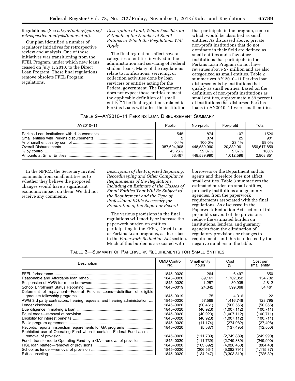#### Regulations. (See *ed.gov/policy/gen/reg/ retrospective-analysis/index.html*).

Our plan identified a number of regulatory initiatives for retrospective review and analysis. One of those initiatives was transitioning from the FFEL Program, under which new loans ceased on July 1, 2010, to the Direct Loan Program. These final regulations remove obsolete FFEL Program regulations.

*Description of and, Where Feasible, an Estimate of the Number of Small Entities to Which the Regulations Will Apply* 

The final regulations affect several categories of entities involved in the administration and servicing of Federal student loans. Many of the regulations relate to notifications, servicing, or collection activities done by loan servicers or entities acting for the Federal government. The Department does not expect these entities to meet the applicable definition of ''small entity.'' The final regulations related to Perkins Loans will affect the institutions

that participate in the program, some of which would be classified as small entities. As discussed above, private non-profit institutions that do not dominate in their field are defined as small entities and a few other institutions that participate in the Perkins Loan Program do not have revenues above \$7 million and are also categorized as small entities. Table 2 summarizes AY 2010–11 Perkins loan disbursements by institutions that qualify as small entities. Based on the definition of non-profit institutions as small entities, approximately 59 percent of institutions that disbursed Perkins loans in AY2010–11 were small entities.

| TABLE 2-AY2010-11 PERKINS LOAN DISBURSEMENT SUMMARY |  |
|-----------------------------------------------------|--|
|-----------------------------------------------------|--|

| AY2010-11 | Public                                         | Non-profit                                                   | For-profit                                             | Total                                                    |
|-----------|------------------------------------------------|--------------------------------------------------------------|--------------------------------------------------------|----------------------------------------------------------|
|           | 545<br>0.4%<br>387,694,908<br>45.26%<br>53.467 | 874<br>874<br>100.0%<br>448.589.990<br>52.37%<br>448.589.990 | 107<br>25<br>23.4%<br>20.332.961<br>2.37%<br>1.012.596 | 1526<br>901<br>59.0%<br>856.617.859<br>100%<br>2.808.851 |

In the NPRM, the Secretary invited comments from small entities as to whether they believe the proposed changes would have a significant economic impact on them. We did not receive any comments.

*Description of the Projected Reporting, Recordkeeping and Other Compliance Requirements of the Regulations, Including an Estimate of the Classes of Small Entities That Will Be Subject to the Requirement and the Type of Professional Skills Necessary for Preparation of the Report or Record* 

The various provisions in the final regulations will modify or increase the paperwork burden on entities participating in the FFEL, Direct Loan, or Perkins Loan programs, as described in the *Paperwork Reduction Act* section. Much of this burden is associated with

borrowers or the Department and its agents and therefore does not affect small entities. Table 3 summarizes the estimated burden on small entities, primarily institutions and guaranty agencies, from the paperwork requirements associated with the final regulations. As discussed in the Paperwork Reduction Act section of this preamble, several of the provisions reduce the estimated burden on institutions, lenders, and guaranty agencies from the elimination of regulatory provisions or changes to requirements and this is reflected by the negative numbers in the table.

TABLE 3—SUMMARY OF PAPERWORK REQUIREMENTS FOR SMALL ENTITIES

| Description                                                             | <b>OMB Control</b><br>No. | Small entity<br>hours | Cost<br>(S) | Cost per<br>small entity |
|-------------------------------------------------------------------------|---------------------------|-----------------------|-------------|--------------------------|
|                                                                         | 1845-0020                 | 264                   | 6.497       | 650                      |
|                                                                         | 1845-0020                 | 69.161                | 1,702,052   | 154,732                  |
|                                                                         | 1845-0020                 | 1.257                 | 30,935      | 2,812                    |
|                                                                         | 1845-0019                 | 24,342                | 599.068     | 54.461                   |
| Deferment of repayment—Federal Perkins Loans—definition of eligible     |                           |                       |             |                          |
|                                                                         | 1845-0019                 | 175                   | 4,316       | 22                       |
| AWG 3rd party contractors; hearing requests, and hearing administration | 1845-0020                 | 57,568                | 1,416,748   | 128,795                  |
|                                                                         | 1845-0020                 | (20.461)              | (503, 556)  | (50, 356)                |
|                                                                         | 1845-0020                 | (40, 923)             | (1,007,112) | (100,711)                |
|                                                                         | 1845-0020                 | (40, 923)             | (1,007,112) | (100,711)                |
|                                                                         | 1845-0020                 | (40, 923)             | (1,007,112) | (100,711)                |
|                                                                         | 1845-0020                 | (11, 174)             | (274, 982)  | (27, 498)                |
|                                                                         | 1845-0020                 | (5,587)               | (137, 495)  | (12,500)                 |
| Prohibited use of Operating Fund when it contains Federal Fund assets—  |                           |                       |             |                          |
|                                                                         | 1845-0020                 | (111, 739)            | (2,749,889) | (249,990)                |
| Funds transferred to Operating Fund by a GA—removal of provision        | 1845-0020                 | (111, 739)            | (2,749,889) | (249,990)                |
|                                                                         | 1845-0020                 | (163, 692)            | (4,028,450) | (884.40)                 |
|                                                                         | 1845-0020                 | (206, 534)            | (5,082,791) | (1, 115.87)              |
|                                                                         | 1845-0020                 | (134, 247)            | (3,303,819) | (725.32)                 |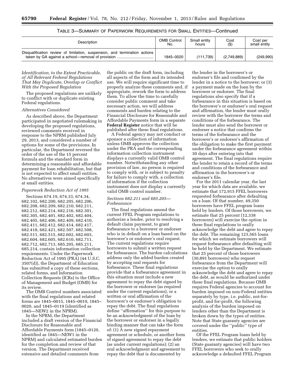| Description                                                                | <b>OMB Control</b> | Small entity | Cost        | Cost per     |
|----------------------------------------------------------------------------|--------------------|--------------|-------------|--------------|
|                                                                            | No.                | hours        | (3)         | small entity |
| Disqualification review of limitation, suspension, and termination actions | 1845-0020          | (111.739)    | (2,749,889) | (249.990)    |

| TABLE 3—SUMMARY OF PAPERWORK REQUIREMENTS FOR SMALL ENTITIES—Continued |
|------------------------------------------------------------------------|
|------------------------------------------------------------------------|

#### *Identification, to the Extent Practicable, of All Relevant Federal Regulations That May Duplicate, Overlap or Conflict With the Proposed Regulation*

The proposed regulations are unlikely to conflict with or duplicate existing Federal regulations.

#### *Alternatives Considered*

As described above, the Department participated in negotiated rulemaking in developing the proposed regulations, reviewed comments received in response to the NPRM published July 29, 2013, and considered a number of options for some of the provisions. In particular, the Department reversed the order of the use of the 15 percent formula and the standard form in determining a reasonable and affordable payment for loan rehabilitation, but that is not expected to affect small entities. No alternatives were aimed specifically at small entities.

#### *Paperwork Reduction Act of 1995*

Sections 674.19, 674.33, 674.34, 682.102, 682.200, 682.205, 682.206, 682.208, 682.209, 682.210, 682.211, 682.212, 682.214, 682.216, 682.301, 682.305, 682.401, 682.402, 682.404, 682.405, 682.406, 682.409, 682.410, 682.411, 682.412, 682.414, 682.417, 682.418, 682.421, 682.507, 682.508, 682.511, 682.515, 682.602, 682.603, 682.604, 682.605, 682.610, 682.711, 682.712, 682.713, 685.205, 685.211, 685.214, contain information collection requirements. Under the Paperwork Reduction Act of 1995 (PRA) (44 U.S.C. 3507(d)), the Department of Education has submitted a copy of these sections, related forms, and Information Collection Requests (ICRs) to the Office of Management and Budget (OMB) for its review.

The OMB Control numbers associated with the final regulations and related forms are 1845–0015, 1845–0019, 1845– 0020, and 1845–0119 (identified as 1845—NEW2 in the NPRM).

In the NPRM, the Department included a draft version of the Financial Disclosure for Reasonable and Affordable Payments form (1845–0120, identified as 1845—NEW1 in the NPRM) and calculated estimated burden for the completion and review of that version. The Department received extensive and detailed comments from

the public on the draft form, including all aspects of the form and its intended use. We will require significant time to properly analyze these comments and, if appropriate, rework the form to address them. To allow the time to carefully consider public comment and take necessary action, we will address comments and burden relating to the Financial Disclosure for Reasonable and Affordable Payments form in a separate **Federal Register** notice that will be published after these final regulations.

A Federal agency may not conduct or sponsor a collection of information unless OMB approves the collection under the PRA and the corresponding information collection instrument displays a currently valid OMB control number. Notwithstanding any other provision of law, no person is required to comply with, or is subject to penalty for failure to comply with, a collection of information if the collection instrument does not display a currently valid OMB control number.

#### *Sections 682.211 and 685.205— Forbearance*

The final regulations amend the current FFEL Program regulations to authorize a lender, prior to resolving a default claim payment, to grant forbearance to a borrower or endorser who is in default on a loan based on the borrower's or endorser's oral request. The current regulations require borrowers to submit a written request for forbearance. The burden calculations address only the added burden created by accepting oral requests for forbearance. These final regulations provide that a forbearance agreement in this situation must include a new agreement to repay the debt signed by the borrower or endorser (as required under the current regulations), or a written or oral affirmation of the borrower's or endorser's obligation to repay the debt. The final regulations define ''affirmation'' for this purpose to be an acknowledgment of the loan by the borrower or endorser in a legally binding manner that can take the form of: (1) A new signed repayment agreement or schedule, or another form of signed agreement to repay the debt (as under current regulations); (2) an oral acknowledgment and agreement to repay the debt that is documented by

the lender in the borrower's or endorser's file and confirmed by the lender in a notice to the borrower; or (3) a payment made on the loan by the borrower or endorser. The final regulations also specify that if a forbearance in this situation is based on the borrower's or endorser's oral request and affirmation, the lender must orally review with the borrower the terms and conditions of the forbearance. The lender must also send the borrower or endorser a notice that confirms the terms of the forbearance and the borrower's or endorser's affirmation of the obligation to make the first payment under the forbearance agreement within 30 days after entering into that agreement. The final regulations require the lender to retain a record of the terms and conditions of the forbearance and affirmation in the borrower's or endorser's file.

For the 2011 calendar year, the last year for which data are available, we estimate that 172,915 FFEL borrowers requested forbearance after defaulting on a loan. Of that number, 49,350 borrowers have FFEL program loans held by lenders. Of those borrowers, we estimate that 25 percent (12,338 borrowers) will exercise the option in these final regulations to orally acknowledge the debt and agree to repay the debt. The remaining 123,565 loans for which we estimate borrowers will request forbearance after defaulting will be held by the Department. We estimate that 25 percent of those borrowers (30,891 borrowers) who request forbearance from the Department will exercise the option to orally acknowledge the debt and agree to repay the debt, as would be authorized under these final regulations. Because OMB requires Federal agencies to account for burden imposed on non-Federal entities separately by type, i.e. public, not-forprofit, and for-profit, the following analysis of the burden imposed on lenders other than the Department is broken down by the types of entities. Note that State guaranty agencies are covered under the ''public'' type of entities.

Of the FFEL Program loans held by lenders, we estimate that public holders (State guaranty agencies) will have two FFEL borrowers who seek to orally acknowledge a defaulted FFEL Program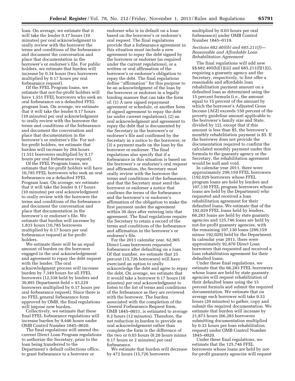loan. On average, we estimate that it will take the lender 0.17 hours (10 minutes) per oral acknowledgment to orally review with the borrower the terms and conditions of the forbearance and document the conversation and place that documentation in the borrower's or endorser's file. For public holders, we estimate that burden will increase by 0.34 hours (two borrowers multiplied by 0.17 hours per oral forbearance request).

Of the FFEL Program loans, we estimate that not-for-profit holders will have 1,551 FFEL borrowers who seek an oral forbearance on a defaulted FFEL program loan. On average, we estimate that it will take the lender 0.17 hours (10 minutes) per oral acknowledgment to orally review with the borrower the terms and conditions of the forbearance and document the conversation and place that documentation in the borrower's or endorser's file. For notfor-profit holders, we estimate that burden will increase by 264 hours (1,551 borrowers multiplied by 0.17 hours per oral forbearance request).

Of the FFEL Program loans, we estimate that for-profit holders will have 10,785 FFEL borrowers who seek an oral forbearance on a defaulted FFEL Program loan. On average, we estimate that it will take the lender 0.17 hours (10 minutes) per oral acknowledgment to orally review with the borrower the terms and conditions of the forbearance and document the conversation and place that documentation in the borrower's or endorser's file. We estimate that burden will increase by 1,833 hours (10,785 borrowers multiplied by 0.17 hours per oral forbearance request) at for-profit holders.

We estimate there will be an equal amount of burden on the borrower engaged in the oral acknowledgement and agreement to repay the debt request with the lender. The oral acknowledgment process will increase burden by 7,349 hours for all FFEL borrowers (12,338 held by lenders and 30,891 Department-held = 43,229 borrowers multiplied by 0.17 hours per oral forbearance request). Since there is no FFEL general forbearance form approved by OMB, the final regulations will impose new burden.

Collectively, we estimate that these final FFEL forbearance regulations will increase burden by 9,446 hours under OMB Control Number 1845–0020.

The final regulations will amend the current Direct Loan Program regulations to authorize the Secretary, prior to the loan being transferred to the Department's default collections office, to grant forbearance to a borrower or

endorser who is in default on a loan based on the borrower's or endorser's oral request. The final regulations provide that a forbearance agreement in this situation must include a new agreement to repay the debt signed by the borrower or endorser (as required under the current regulations), or a written or oral affirmation of the borrower's or endorser's obligation to repay the debt. The final regulations define ''affirmation'' for this purpose to be an acknowledgment of the loan by the borrower or endorser in a legally binding manner that can take the form of: (1) A new signed repayment agreement or schedule, or another form of signed agreement to repay the debt (as under current regulations); (2) an oral acknowledgment and agreement to repay the debt that is documented by the Secretary in the borrower's or endorser's file and confirmed by the Secretary in a notice to the borrower; or (3) a payment made on the loan by the borrower or endorser. The final regulations also specify that if a forbearance in this situation is based on the borrower's or endorser's oral request and affirmation, the Secretary must orally review with the borrower the terms and conditions of the forbearance, and that the Secretary must send the borrower or endorser a notice that confirms the terms of the forbearance and the borrower's or endorser's affirmation of the obligation to make the first payment under the agreement within 30 days after entering into that agreement. The final regulations require the Secretary to retain a record of the terms and conditions of the forbearance and affirmation in the borrower's or endorser's file.

For the 2011 calendar year, 62,905 Direct Loan borrowers requested forbearance after defaulting on a loan. Of that number, we estimate that 25 percent (15,726 borrowers) will have exercised an option to orally acknowledge the debt and agree to repay the debt. On average, we estimate that it would take a borrower 0.17 hours (10 minutes) per oral acknowledgment to listen to the list of terms and conditions of the forbearance as they are reviewed with the borrower. The burden associated with the completion of the General Forbearance Request form, OMB 1845–0031, is estimated to average 0.2 hours (12 minutes). Therefore, the net reduction in burden to provide an oral acknowledgement rather than complete the form is the difference of the two or 0.03 hours (0.20 hours minus 0.17 hours or 2 minutes) per oral forbearance.

We estimate that burden will decrease by 472 hours (15,726 borrowers

multiplied by 0.03 hours per oral forbearance) under OMB Control Number 1845–0119.

#### *Sections 682.405(b) and 685.211(f)— Reasonable and Affordable Loan Rehabilitation Agreement*

The final regulations will add new §§ 682.405(b)(1)(iii) and 685.211(f)(1)(i), requiring a guaranty agency and the Secretary, respectively, to first offer a reasonable and affordable loan rehabilitation payment amount on a defaulted loan as determined using the 15 percent formula (i.e., the amount equal to 15 percent of the amount by which the borrower's Adjusted Gross Income (AGI) exceeds 150 percent of the poverty guideline amount applicable to the borrower's family size and State, divided by 12), except that if this amount is less than \$5, the borrower's monthly rehabilitation payment is \$5. If the borrower does not provide the documentation required to confirm the calculated monthly payment under this formula to the guaranty agency or the Secretary, the rehabilitation agreement would be null and void.

In calendar year 2011, there were approximately 299,159 FFEL borrowers (192,029 borrowers whose FFEL program loans are held by lenders and 107,130 FFEL program borrowers whose loans are held by the Department) who requested and received a loan rehabilitation agreement for their defaulted loans. We estimate that of the 192,029 FFEL loans held by lenders, 66,283 loans are held by state guaranty agencies and 125,746 loans are held by not-for-profit guaranty agencies, with the remaining 107,130 loans (299,159 minus 192,029) held by the Department. In calendar year 2011, there were approximately 92,870 Direct Loan borrowers that requested and received a loan rehabilitation agreement for their defaulted loans.

Under these final regulations, we estimate that the 66,283 FFEL borrowers whose loans are held by state guaranty agencies will request rehabilitation of their defaulted loans using the 15 percent formula and submit the required documentation. We estimate that on average each borrower will take 0.33 hours (20 minutes) to gather, copy and submit the required documentation. We estimate that burden will increase by 21,873 hours (66,283 borrowers submitting documentation multiplied by 0.33 hours per loan rehabilitation request) under OMB Control Number 1845–0020.

Under these final regulations, we estimate that the 125,746 FFEL borrowers whose loans are held by notfor-profit guaranty agencies will request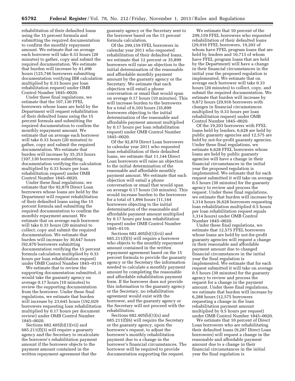rehabilitation of their defaulted loans using the 15 percent formula and submitting the required documentation to confirm the monthly repayment amount. We estimate that on average each borrower will take 0.33 hours (20 minutes) to gather, copy and submit the required documentation. We estimate that burden will increase by 41,496 hours (125,746 borrowers submitting documentation verifying IBR calculation multiplied by 0.33 hours per loan rehabilitation request) under OMB Control Number 1845–0020.

Under these final regulations, we estimate that the 107,130 FFEL borrowers whose loans are held by the Department will request rehabilitation of their defaulted loans using the 15 percent formula and submitting the required documentation to confirm the monthly repayment amount. We estimate that on average each borrower will take 0.33 hours (20 minutes) to gather, copy and submit the required documentation. We estimate that burden will increase by 35,353 hours (107,130 borrowers submitting documentation verifying the calculation multiplied by 0.33 hours per loan rehabilitation request) under OMB Control Number 1845–0020.

Under these final regulations, we estimate that the 92,870 Direct Loan borrowers whose loans are held by the Department will request rehabilitation of their defaulted loans using the 15 percent formula and submitting the required documentation to confirm the monthly repayment amount. We estimate that on average each borrower will take 0.33 hours (20 minutes) to collect, copy and submit the required documentation. We estimate that burden will increase by 30,647 hours (92,870 borrowers submitting documentation verifying the 15 percent formula calculation multiplied by 0.33 hours per loan rehabilitation request) under OMB Control Number 1845–0119.

We estimate that to review the supporting documentation submitted, it would take the guaranty agency on average 0.17 hours (10 minutes) to review the supporting documentation from the borrower. Under these final regulations, we estimate that burden will increase by 23,645 hours (192,029 borrowers requesting loan rehabilitation multiplied by 0.17 hours per document review) under OMB Control Number 1845–0020.

Sections 682.405(b)(1)(vii) and 685.211(f)(3) will require a guaranty agency and the Secretary to recalculate the borrower's rehabilitation payment amount if the borrower objects to the payment amount contained in the written repayment agreement that the

guaranty agency or the Secretary sent to the borrower based on the 15 percent formula calculation.

Of the 299,159 FFEL borrowers in calendar year 2011 who requested rehabilitation of their defaulted loans, we estimate that 12 percent or 35,899 borrowers will raise an objection to the initial determination of the reasonable and affordable monthly payment amount by the guaranty agency or the Secretary. We estimate that each objection will entail a phone conversation or email that would span on average 0.17 hours (10 minutes). This will increase burden to the borrowers for a total of 6,103 hours (35,899 borrowers objecting to the initial determination of the reasonable and affordable payment amount multiplied by 0.17 hours per loan rehabilitation request) under OMB Control Number 1845–0020.

Of the 92,870 Direct Loan borrowers in calendar year 2011 who requested loan rehabilitation of their defaulted loans, we estimate that 11,144 Direct Loan borrowers will raise an objection to the initial determination of the reasonable and affordable monthly payment amount. We estimate that each objection will entail a phone conversation or email that would span on average 0.17 hours (10 minutes). This would increase burden to the borrowers for a total of 1,894 hours (11,144 borrowers objecting to the initial determination of the reasonable and affordable payment amount multiplied by 0.17 hours per loan rehabilitation request) under OMB Control Number 1845–0119.

Sections 682.405(b)(1)(vii) and 685.211(f)(5) will require a borrower who objects to the monthly repayment amount contained in the written repayment agreement based on the 15 percent formula to provide the guaranty agency or the Secretary the information needed to calculate a monthly payment amount by completing the reasonable and affordable rehabilitation payment form. If the borrower does not provide this information to the guaranty agency or the Secretary, no rehabilitation agreement would exist with the borrower, and the guaranty agency or the Secretary will not proceed with the rehabilitation.

Sections 682.405(b)(1)(x) and 685.211(f)(6) will require the Secretary or the guaranty agency, upon the borrower's request, to adjust the borrower's monthly rehabilitation payment due to a change in the borrower's financial circumstances. The borrower will be required to provide documentation supporting the request.

We estimate that 10 percent of the 299,159 FFEL borrowers who requested rehabilitation of their defaulted loans (29,916 FFEL borrowers, 19,203 of whom have FFEL program loans that are held by lenders and 10,713 of whom have FFEL program loans that are held by the Department) will have a change in their financial circumstances in the initial year the proposed regulation is implemented. We estimate that on average each borrower will take 0.33 hours (20 minutes) to collect, copy, and submit the required documentation. We estimate that burden will increase by 9,872 hours (29,916 borrowers with changes in financial circumstances multiplied by 0.33 hours per loan rehabilitation request) under OMB Control Number 1845–0020.

Of the 19,203 borrowers with FFEL loans held by lenders, 6,628 are held by public guaranty agencies and 12,575 are held by not-for-profit guaranty agencies. Under these final regulations, we estimate 6,628 FFEL borrowers whose loans are held by public guaranty agencies will have a change in their financial circumstances in the initial year the proposed regulation is implemented. We estimate that for each request submitted it will take on average 0.5 hours (30 minutes) for the guaranty agency to review and process the request. Under these final regulations, we estimate that burden will increase by 3,314 hours (6,628 borrowers requesting loan rehabilitation multiplied 0.5 hours per loan rehabilitation request equals 3,314 hours) under OMB Control Number 1845–0020.

Under these final regulations, we estimate that 12,575 FFEL borrowers whose loans are held by not-for-profit guaranty agencies will request a change in their reasonable and affordable payment amount due to changed financial circumstances in the initial year the final regulation is implemented. We estimate that for each request submitted it will take on average 0.5 hours (30 minutes) for the guaranty agency to review and process the request for a change in the payment amount. Under these final regulations, we estimate that burden will increase by 6,288 hours (12,575 borrowers requesting a change in the loan rehabilitation payment amount multiplied by 0.5 hours per request) under OMB Control Number 1845–0020.

We estimate that 10 percent of Direct Loan borrowers who are rehabilitating their defaulted loans (9,287 Direct Loan borrowers) will request a change in the reasonable and affordable payment amount due to a change in their financial circumstances in the initial year the final regulation is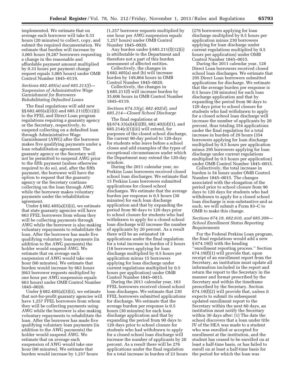implemented. We estimate that on average each borrower will take 0.33 hours (20 minutes) to collect, copy, and submit the required documentation. We estimate that burden will increase by 3,065 hours (9,287 borrowers requesting a change in the reasonable and affordable payment amount multiplied by 0.33 hours per payment change request equals 3,065 hours) under OMB Control Number 1845–0119.

#### *Sections 682.405(a) and 685.211(f)— Suspension of Administrative Wage Garnishment for Borrowers Rehabilitating Defaulted Loans*

The final regulations will add new §§ 682.405(a)(3)(i) and 685.211(f)(12)(i) to the FFEL and Direct Loan program regulations requiring a guaranty agency or the Secretary, respectively, to suspend collecting on a defaulted loan through Administrative Wage Garnishment (AWG) after the borrower makes five qualifying payments under a loan rehabilitation agreement. The guaranty agency or the Secretary will not be permitted to suspend AWG prior to the fifth payment (unless otherwise required to do so), and, after the fifth payment, the borrower will have the option to request that the guaranty agency or the Secretary continue collecting on the loan through AWG while the borrower makes voluntary payments under the rehabilitation agreement.

Under § 682.405(a)(3)(ii), we estimate that state guaranty agencies will have 663 FFEL borrowers from whom they will be collecting payments through AWG while the borrower is also making voluntary repayments to rehabilitate the loan. After the borrower has made five qualifying voluntary loan payments (in addition to the AWG payments) the holder would suspend AWG. We estimate that on average each suspension of AWG would take one hour (60 minutes). We estimate that burden would increase by 663 hours (663 borrower requests multiplied by one hour per AWG suspension equals 663 hours) under OMB Control Number 1845–0020.

Under § 682.405(a)(3)(ii), we estimate that not-for-profit guaranty agencies will have 1,257 FFEL borrowers from whom they will be collecting payments using AWG while the borrower is also making voluntary repayments to rehabilitate the loan. After the borrower has made five qualifying voluntary loan payments (in addition to the AWG payments) the holder would suspend AWG. We estimate that on average each suspension of AWG would take one hour (60 minutes). We estimate that burden would increase by 1,257 hours

(1,257 borrower requests multiplied by one hour per AWG suspension equals 1,257 hours) under OMB Control Number 1845–0020.

Any burden under § 685.211(f)(12)(i) is attributable to the Department and therefore not a part of this burden assessment of affected entities.

Collectively, the changes in § 682.405(a) and (b) will increase burden by 149,864 hours in OMB Control Number 1845–0020.

Collectively, the changes in § 685.211(f) will increase burden by 35,606 hours in OMB Control Number 1845–0119.

#### *Sections 674.33(g), 682.402(d), and 685.214—Closed School Discharge*

The final regulations at §§ 674.33(a)(4)(i)(B), 682.402(d)(1), and  $685.214(c)(1)(iii)$  will extend, for purposes of the closed school discharge, the current 90-day period to 120-days for students who leave before a school closes and add examples of the types of exceptional circumstances under which the Department may extend the 120-day window.

During the 2011 calendar year, no Perkins Loan borrowers received closed school loan discharges. We estimate that 15 Perkins Loan borrowers submitted applications for closed school discharges. We estimate that the average burden per response is 0.5 hours (30 minutes) for each loan discharge application and that by expanding the period from 90 days to 120 days prior to school closure for students who had withdrawn to apply for a closed school loan discharge will increase the number of applicants by 20 percent. As a result there will be an estimated 18 applications under the final regulation for a total increase in burden of 2 hours (18 borrowers applying for loan discharge multiplied by 0.5 hours per application minus 15 borrowers applying for loan discharge under current regulations multiplied by 0.5 hours per application) under OMB Control Number 1845–0015.

During the 2011 calendar year, 163 FFEL borrowers received closed school loan discharges. We estimate that 230 FFEL borrowers submitted applications for discharge. We estimate that the average burden per response is 0.5 hours (30 minutes) for each loan discharge application and that by expanding the period from 90 days to 120 days prior to school closure for students who had withdrawn to apply for a closed school loan discharge will increase the number of applicants by 20 percent. As a result there will be 276 applications under the final regulation for a total increase in burden of 23 hours

(276 borrowers applying for loan discharge multiplied by 0.5 hours per application minus 230 borrowers applying for loan discharge under current regulations multiplied by 0.5 hours per application) under OMB Control Number 1845–0015.

During the 2011 calendar year, 128 Direct Loan borrowers received closed school loan discharges. We estimate that 295 Direct Loan borrowers submitted applications for discharge. We estimate that the average burden per response is 0.5 hours (30 minutes) for each loan discharge application and that by expanding the period from 90 days to 120 days prior to school closure for students who had withdrawn to apply for a closed school loan discharge will increase the number of applicants by 20 percent, thus totaling 354 applications under the final regulation for a total increase in burden of 29 hours (354 borrowers applying for loan discharge multiplied by 0.5 hours per application minus 295 borrowers applying for loan discharge under current regulations multiplied by 0.5 hours per application) under OMB Control Number 1845–0015.

Collectively, the total increase in burden is 54 hours under OMB Control Number 1845–0015. The changes associated with the elongation of the period prior to school closure from 90 days to 120 days for students who had withdrawn to apply for a closed school loan discharge is non-substantive and as such, we will submit a Form 83–C to OMB to make this change.

#### *Sections 674.19, 682.610, and 685.309— School Enrollment Status Reporting Requirements*

For the Federal Perkins Loan program, the final regulations would add a new § 674.19(f) with the heading ''enrollment reporting process.'' Section  $674.19(f)(1)$  will provide that, upon receipt of an enrollment report from the Secretary, an institution must update all information included in the report and return the report to the Secretary in the manner and format prescribed by the Secretary and within the timeframe prescribed by the Secretary. Section 674.19(f)(2) will provide that, unless it expects to submit its subsequent updated enrollment report to the Secretary within the next 60 days, an institution must notify the Secretary within 30 days after: (1) The date the school discovers that a loan under title IV of the HEA was made to a student who was enrolled or accepted for enrollment at the institution, and the student has ceased to be enrolled on at least a half-time basis, or has failed to enroll on at least a half-time basis for the period for which the loan was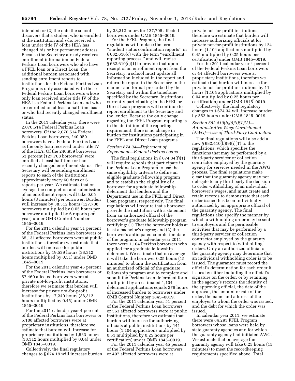intended; or (2) the date the school discovers that a student who is enrolled at the institution and who received a loan under title IV of the HEA has changed his or her permanent address. Because the Secretary already receives enrollment information on Federal Perkins Loan borrowers who also have a FFEL loan or a Direct Loan, the additional burden associated with sending enrollment reports to institutions for the Federal Perkins Loan Program is only associated with those Federal Perkins Loan borrowers whose only loan received under title IV of the HEA is a Federal Perkins Loan and who are enrolled on at least a half-time basis or who had recently changed enrollment status.

In the 2011 calendar year, there were 2,070,514 Federal Perkins Loan borrowers. Of the 2,070,514 Federal Perkins Loan borrowers, 240,959 borrowers have a Federal Perkins Loan as the only loan received under title IV of the HEA. Of the 240,959 borrowers, 53 percent (127,708 borrowers) were enrolled at least half-time or had recently changed enrollment status. The Secretary will be sending enrollment reports to each of the institutions approximately every 60 days or 6 reports per year. We estimate that on average the completion and submission of an enrollment report will take 0.05 hours (3 minutes) per borrower. Burden will increase by 38,312 hours (127,708 borrowers multiplied by 0.05 hours per borrower multiplied by 6 reports per year) under OMB Control Number 1845–0019.

For the 2011 calendar year 51 percent of the Federal Perkins loan borrowers or 65,131 affected borrowers were at public institutions, therefore we estimate that burden will increase for public institutions by 19,539 hours (38,312 hours multiplied by 0.51) under OMB 1845–0019.

For the 2011 calendar year 45 percent of the Federal Perkins loan borrowers or 57,469 affected borrowers were at private not-for-profit institutions, therefore we estimate that burden will increase for private not-for-profit institutions by 17,240 hours (38,312 hours multiplied by 0.45) under OMB 1845–0019.

For the 2011 calendar year 4 percent of the Federal Perkins loan borrowers or 5,108 affected borrowers were at proprietary institutions, therefore we estimate that burden will increase for proprietary institutions by 1,533 hours (38,312 hours multiplied by 0.04) under OMB 1845–0019.

Collectively, the final regulatory changes to § 674.19 will increase burden by 38,312 hours for 127,708 affected borrowers under OMB 1845–0019.

For the FFEL Program, the final regulations will replace the term ''student status confirmation reports'' in § 682.610(c) with the term ''enrollment reporting process,'' and will revise § 682.610(c)(1) to provide that upon receipt of an enrollment report from the Secretary, a school must update all information included in the report and return the report to the Secretary in the manner and format prescribed by the Secretary and within the timeframe specified by the Secretary. Institutions currently participating in the FFEL or Direct Loan programs will continue to report enrollment to the Secretary and the lender. Because the only change regarding the FFEL Program reporting is in the definition of the reporting requirement, there is no change in burden for institutions participating in the FFEL and Direct Loan programs.

#### *Section 674.34—Deferment of Repayment—Federal Perkins Loans*

The final regulations in  $\S 674.34(f)(1)$ will require schools that participate in the Perkins Loan Program to use the same eligibility criteria to define an eligible graduate fellowship program and to establish the eligibility of a borrower for a graduate fellowship deferment that lenders and the Department use in the FFEL and Direct Loan programs, respectively. The final regulations will require that a borrower provide the institution with a statement from an authorized official of the borrower's graduate fellowship program certifying: (1) That the borrower holds at least a bachelor's degree; and (2) the borrower's anticipated completion date of the program. In calendar year 2011 there were 1,104 Perkins borrowers who applied for a graduate fellowship deferment. We estimate that on average it will take the borrower 0.25 hours (15 minutes) to obtain the certification from an authorized official of the graduate fellowship program and to complete and submit the Perkins Loan deferment form multiplied by an estimated 1,104 deferment applications equals 276 hours of increased burden to borrowers under OMB Control Number 1845–0019.

For the 2011 calendar year 51 percent of the Federal Perkins Loan borrowers or 563 affected borrowers were at public institutions, therefore we estimate that burden will increase for authorizing officials at public institutions by 141 hours (1,104 applications multiplied by 0.51 multiplied by 0.25 hours per certification) under OMB 1845–0019.

For the 2011 calendar year 45 percent of the Federal Perkins Loan borrowers or 497 affected borrowers were at

private not-for-profit institutions, therefore we estimate that burden will increase authorizing officials at for private not-for-profit institutions by 124 hours (1,104 applications multiplied by 0.45 multiplied by 0.25 hours per certification) under OMB 1845–0019.

For the 2011 calendar year 4 percent of the Federal Perkins Loan borrowers or 44 affected borrowers were at proprietary institutions, therefore we estimate that burden will increase for private not-for-profit institutions by 11 hours (1,104 applications multiplied by 0.04 multiplied by 0.25 hours per certification) under OMB 1845–0019.

Collectively, the final regulatory changes to § 674.34 will increase burden by 552 hours under OMB 1845–0019.

#### *Section 682.410(b)(9)(i)(T)(2)— Administrative Wage Garnishment (AWG)—Use of Third-Party Contractors*

The final regulations will also add a new § 682.410(b)(9)(i)(T) to the regulations, which specifies the functions that may be performed by a third-party servicer or collection contractor employed by the guaranty agency for services needed in the AWG process. The final regulations make clear that the guaranty agency may not delegate to any third party the decision to order withholding of an individual borrower's wages, and must create and retain records to demonstrate that each order issued has been individually authorized by an appropriate official of the guaranty agency. The final regulations also specify the manner by which a withholding order may be sent to employers and the permissible activities that may be performed by a third-party servicer or collection contractor employed by the guaranty agency with respect to withholding orders. Only an authorized official of the guaranty agency may determine that an individual withholding order is to be issued. The guarantor must record the official's determination for each order it issues by either including the official's signature on the order, or by retaining in the agency's records the identity of the approving official, the date of the approval, the amount or rate of the order, the name and address of the employer to whom the order was issued, and the debt for which the order was issued.

In calendar year 2011, we estimate there were 84,293 FFEL Program borrowers whose loans were held by state guaranty agencies and for which the guaranty agency had initiated AWG. We estimate that on average the guaranty agency will take 0.25 hours (15 minutes) to meet the recordkeeping requirements specified above. Total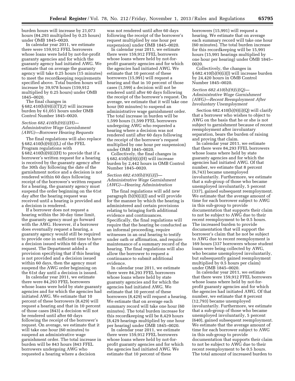burden hours will increase by 21,073 hours (84,293 multiplied by 0.25 hours) under OMB 1845–0020.

In calendar year 2011, we estimate there were 159,912 FFEL borrowers whose loans were held by not-for-profit guaranty agencies and for which the guaranty agency had initiated AWG. We estimate that on average the guaranty agency will take 0.25 hours (15 minutes) to meet the recordkeeping requirements specified above. Total burden hours will increase by 39,978 hours (159,912 multiplied by 0.25 hours) under OMB 1845–0020.

The final changes in § 682.410(b)(9)(i)(T)(*2*) will increase burden by 61,051 hours under OMB Control Number 1845–0020.

#### *Section 682.410(b)(9)(i)(H)— Administrative Wage Garnishment (AWG)—Borrower Hearing Requests*

The final regulations will also replace § 682.410(b)(9)(i)(L) of the FFEL Program regulations with § 682.410(b)(9)(i)(H) to provide that if a borrower's written request for a hearing is received by the guaranty agency after the 30th day following the date of the garnishment notice and a decision is not rendered within 60 days following receipt of the borrower's written request for a hearing, the guaranty agency must suspend the order beginning on the 61st day after the hearing request was received until a hearing is provided and a decision is rendered.

If a borrower does not request a hearing within the 30-day time limit, the guaranty agency must go forward with the AWG. However, if a borrower does eventually request a hearing, a guaranty agency would still be required to provide one in sufficient time to have a decision issued within 60 days of the request. The Department added a provision specifying that if this hearing is not provided and a decision issued within 60 days, then the agency must suspend the AWG order beginning on the 61st day until a decision is issued.

In calendar year 2011, we estimate there were 84,293 FFEL borrowers whose loans were held by state guaranty agencies and for which the agencies had initiated AWG. We estimate that 10 percent of these borrowers (8,429) will request a hearing and that in 10 percent of those cases (843) a decision will not be rendered until after 60 days following the receipt of the borrower's request. On average, we estimate that it will take one hour (60 minutes) to suspend an administrative wage garnishment order. The total increase in burden will be 843 hours (843 FFEL borrowers undergoing AWG who requested a hearing where a decision

was not rendered until after 60 days following the receipt of the borrower's request multiplied by one hour per suspension) under OMB 1845–0020.

In calendar year 2011, we estimate there were 159,912 FFEL borrowers whose loans where held by not-forprofit guaranty agencies and for which the agencies had initiated AWG. We estimate that 10 percent of these borrowers (15,991) will request a hearing and that in 10 percent of those cases (1,599) a decision will not be rendered until after 60 days following the receipt of the borrower's request. On average, we estimate that it will take one hour (60 minutes) to suspend an administrative wage garnishment order. The total increase in burden will be 1,599 hours (1,599 FFEL borrowers undergoing AWG who requested a hearing where a decision was not rendered until after 60 days following the receipt of the borrower's request multiplied by one hour per suspension) under OMB 1845–0020.

Collectively, the final changes in § 682.410(b)(9)(i)(H) will increase burden by 2,442 hours in OMB Control Number 1845–0020.

#### *Section 682.410(b)(9)(i)(J)— Administrative Wage Garnishment (AWG)—Hearing Administration*

The final regulations will add new paragraph (b)(9)(i)(J) and will provide for the manner by which the hearing is administered and certain provisions relating to bringing forth additional evidence and continuances. Specifically, the final regulations will require that the hearing be conducted as an informal proceeding, require witnesses in an oral hearing to testify under oath or affirmation, and require maintenance of a summary record of the hearing. The final regulations will also allow the borrower to request a continuance to submit additional evidence.

In calendar year 2011, we estimate there were 84,293 FFEL borrowers whose loans where held by state guaranty agencies and for which the agencies had initiated AWG. We estimate that 10 percent of these borrowers (8,429) will request a hearing. We estimate that on average each summary record will take one hour (60 minutes). The total burden increase for this recordkeeping will be 8,429 hours (8,429 hearings multiplied by one hour per hearing) under OMB 1845–0020.

In calendar year 2011, we estimate there were 159,912 FFEL borrowers whose loans where held by not-forprofit guaranty agencies and for which the agencies had initiated AWG. We estimate that 10 percent of these

borrowers (15,991) will request a hearing. We estimate that on average each summary record will take one hour (60 minutes). The total burden increase for this recordkeeping will be 15,991 hours (15,991 hearings multiplied by one hour per hearing) under OMB 1845– 0020.

Collectively, the changes in § 682.410(b)(9)(i)(J) will increase burden by 24,420 hours in OMB Control Number 1845–0020.

#### *Section 682.410(b)(9)(i)(Q)— Administrative Wage Garnishment (AWG)—Recent Reemployment After Involuntary Unemployment*

Section  $682.410(b)(9)(i)(Q)$  will clarify that a borrower who wishes to object to AWG on the basis that he or she is not subject to garnishment because of recent reemployment after involuntary separation, bears the burden of raising and proving that claim.

In calendar year 2011, we estimate that there were 84,293 FFEL borrowers whose loans where held by state guaranty agencies and for which the agencies had initiated AWG. Of that number, we estimate that 8 percent (6,743) became unemployed involuntarily. Furthermore, we estimate that a sub-group of those who became unemployed involuntarily, 5 percent (337), gained subsequent reemployment. We estimate that the average amount of time for each borrower subject to AWG in this sub-group to provide documentation that supports their claim to not be subject to AWG due to their recent reemployment to be 0.5 hours. The increased burden to provide documentation that will support the borrower's claim that he not be subject to AWG due to recent reemployment is 169 hours (337 borrowers whose student loans were being collected by AWG, who became unemployed involuntarily, but subsequently gained reemployment multiplied by 0.5 hours per claim) under OMB 1845–0020.

In calendar year 2011, we estimate that there were 159,912 FFEL borrowers whose loans where held by not-forprofit guaranty agencies and for which the agencies had initiated AWG. Of that number, we estimate that 8 percent (12,793) became unemployed involuntarily. Furthermore, we estimate that a sub-group of those who became unemployed involuntarily, 5 percent (640), gained subsequent reemployment. We estimate that the average amount of time for each borrower subject to AWG in this sub-group to provide documentation that supports their claim to not be subject to AWG due to their recent reemployment to be 0.5 hours. The total amount of increased burden to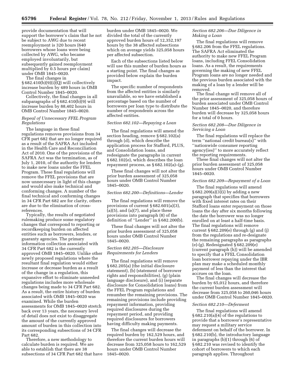provide documentation that will support the borrower's claim that he not be subject to AWG due to recent reemployment is 320 hours (640 borrowers whose loans were being collected by AWG, who became employed involuntarily, but subsequently gained reemployment multiplied by 0.5 hours per claim) under OMB 1845–0020.

The final changes in § 682.410(b)(9)(i)(Q) will collectively increase burden by 489 hours in OMB Control Number 1845–0020.

Collectively, the final changes in all subparagraphs of  $\S 682.410(b)(9)$  will increase burden by 88,402 hours in OMB Control Number 1845–0020.

#### *Repeal of Unnecessary FFEL Program Regulations*

The language in these final regulations removes provisions from 34 CFR part 682 that are no longer required as a result of the SAFRA Act included in the Health Care and Reconciliation Act of 2010. One of the provisions of the SAFRA Act was the termination, as of July 1, 2010, of the authority for lenders to make new loans under the FFEL Program. These final regulations will remove the FFEL provisions that are now unnecessary in light of this change and would also make technical and conforming changes. A number of the final technical and conforming changes in 34 CFR Part 682 are for clarity, others are due to the elimination of crossreferences.

Typically, the results of negotiated rulemaking produce some regulatory changes that correspond to reporting or recordkeeping burden on affected entities such as borrowers, lenders, or guaranty agencies. The primary information collection associated with 34 CFR Part 682 is the currently approved OMB 1845–0020. Unlike other newly proposed regulations where the resultant final regulation would either increase or decrease burden as a result of the change in a regulation, this expansive effort to eliminate unneeded regulations includes more wholesale changes being made to 34 CFR Part 682. As a result, the entire history of burden associated with OMB 1845–0020 was examined. While the burden assessments for OMB 1845–0020 stretch back over 13 years, the necessary level of detail does not exist to disaggregate the amount of the currently approved amount of burden in this collection into its corresponding subsections of 34 CFR Part 682.

Therefore, a new methodology to calculate burden is required. We are able to establish that there are 38 subsections of 34 CFR Part 682 that have burden under OMB 1845–0020. We divided the total of the currently approved burden hours of 12,352,197 hours by the 38 affected subsections which on average yields 325,058 hours per affected subsection.

Each of the subsections listed below will use this number of burden hours as a starting point. The final changes as provided below explain the burden impact.

The specific number of respondents from the affected entities is similarly unavailable, so we have established a percentage based on the number of borrowers per loan type to distribute the number of respondents across the affected entities.

#### *Section 682.102—Repaying a Loan*

The final regulations will amend the section heading, remove § 682.102(a) through (d), which describe the application process for Stafford, PLUS, and Consolidation loans, and redesignate the paragraphs in current § 682.102(e), which describes the loan repayment process, as  $§ 682.102(a)–(g)$ .

These final changes will not alter the prior burden assessment of 325,058 hours under OMB Control Number 1845–0020.

#### *Section 682.200—Definitions—Lender*

The final regulations will remove the provisions of current § 682.601(a)(3),  $(a)(5)$ , and  $(a)(7)$ , and place these provisions into paragraph (8) of the definition of ''Lender'' in § 682.200(b).

These final changes will not alter the prior burden assessment of 325,058 hours under OMB Control Number 1845–0020.

#### *Section 682.205—Disclosure Requirements for Lenders*

The final regulations will remove § 682.205(a) (the initial disclosure statement), (b) (statement of borrower rights and responsibilities), (g) (plain language disclosure), and (i) (separate disclosure for Consolidation loans) from the FFEL Program regulations and renumber the remaining provisions. The remaining provisions include providing repayment information, providing required disclosures during the repayment period, and providing required disclosures for borrowers having difficulty making payments.

The final changes will decrease the required burden by 162,529 hours, and therefore the current burden hours will decrease from 325,058 hours to 162,529 hours under OMB Control Number 1845–0020.

#### *Section 682.206—Due Diligence in Making a Loan*

The final regulations will remove § 682.206 from the FFEL regulations. The SAFRA Act eliminated the authority to make new FFEL Program loans, including FFEL Consolidation loans. As a result, the requirements governing the making of new FFEL Program loans are no longer needed and the previous burden associated with the making of a loan by a lender will be removed.

The final change will remove all of the prior assessment of 325,058 hours of burden associated under OMB Control Number 1845–0020, and therefore burden will decrease by 325,058 hours for a total of 0 hours.

#### *Section 682.208—Due Diligence in Servicing a Loan*

The final regulations will replace the term ''national credit bureau(s)'' with ''nationwide consumer reporting agency(ies)'' to more accurately reflect the reporting requirements.

These final changes will not alter the prior burden assessment of 325,058 hours under OMB Control Number 1845–0020.

#### *Section 682.209—Repayment of a Loan*

The final regulations will amend § 682.209(a)(3)(i) by adding a new paragraph that specifies that borrowers with fixed interest rates on their Stafford loans enter repayment on those loans the day after six months following the date the borrower was no longer enrolled on at least a half-time basis. The final regulations will remove current  $\S 682.209(e)$  through (g) and (j) from the regulations and re-designate the remaining paragraphs as paragraphs (e)-(g). Redesignated § 682.209(e) (current paragraph (h)) will be amended to specify that a FFEL Consolidation loan borrower repaying under the IBR plan may make a scheduled monthly payment of less than the interest that accrues on the loan.

The final changes will decrease the burden by 65,012 hours, and therefore the current burden assessment will decrease from 325,058 to 260,046 hours under OMB Control Number 1845–0020.

#### *Section 682.210—Deferment*

The final regulations will amend § 682.210(a)(4) of the regulations to provide that a borrower's representative may request a military service deferment on behalf of the borrower. In § 682.210(b), the introductory language in paragraphs (b)(1) through (6) of § 682.210 was revised to identify the cohort of borrowers to which each paragraph applies. Throughout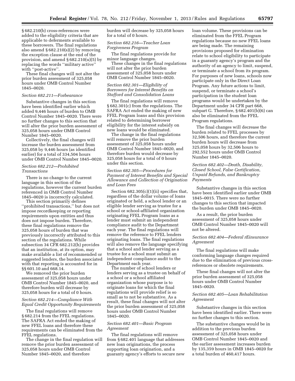§ 682.210(b) cross-references were added to the eligibility criteria that are applicable to deferments available to these borrowers. The final regulations also amend  $\S 682.210(s)(2)$  by removing the exception clause at the end of the provision, and amend § 682.210(u)(5) by replacing the words ''military active'' with ''post-active''.

These final changes will not alter the prior burden assessment of 325,058 hours under OMB Control Number 1845–0020.

#### *Section 682.211—Forbearance*

Substantive changes in this section have been identified earlier which added 9,446 hours of burden to OMB Control Number 1845–0020. There were no further changes to this section that will alter the prior burden assessment of 325,058 hours under OMB Control Number 1845–0020.

Collectively, the final changes will increase the burden assessment from 325,058 by 9,446 hours (as identified earlier) for a total of 334,504 hours under OMB Control Number 1845–0020.

#### *Section 682.212—Prohibited Transactions*

There is no change to the current language in this section of the regulations, however the current burden referenced in OMB Control Number 1845–0020 is incorrectly calculated.

This section primarily defines ''prohibited transactions,'' but does not impose recordkeeping or reporting requirements upon entities and thus does not impose burden. Therefore, these final regulations remove the 325,058 hours of burden that was previously incorrectly attributed to this section of the regulations. While subsection 34 CFR 682.212(h) provides that an institution, at its option, may make available a list of recommended or suggested lenders, the burden associated with that reporting is accounted for in §§ 601.10 and 668.14.

We removed the prior burden assessment of 325,058 hours under OMB Control Number 1845–0020, and therefore burden will decrease by 325,058 hours for a total of 0 hours.

#### *Section 682.214—Compliance With Equal Credit Opportunity Requirements*

The final regulations will remove § 682.214 from the FFEL regulations. The SAFRA Act ended the making of new FFEL loans and therefore these requirements can be eliminated from the FFEL regulations.

The change in the final regulation will remove the prior burden assessment of 325,058 hours under OMB Control Number 1845–0020, and therefore

burden will decrease by 325,058 hours for a total of 0 hours.

#### *Section 682.216—Teacher Loan Forgiveness Program*

The final regulations provide for minor language changes.

These changes in the final regulations will not alter the prior burden assessment of 325,058 hours under OMB Control Number 1845–0020.

#### *Section 682.301—Eligibility of Borrowers for Interest Benefits on Stafford and Consolidation Loans*

The final regulations will remove § 682.301(c) from the regulations. The SAFRA Act ended the making of new FFEL Program loans and this provision related to determining borrower eligibility for the interest subsidy on new loans would be eliminated.

The change in the final regulations will remove the prior burden assessment of 325,058 hours under OMB Control Number 1845–0020, and therefore burden would decrease by 325,058 hours for a total of 0 hours under this section.

#### *Section 682.305—Procedures for Payment of Interest Benefits and Special Allowance and Collection of Origination and Loan Fees*

Section 682.305(c)(1)(ii) specifies that, regardless of the dollar volume of loans originated or held, a school lender or an eligible lender serving as trustee for a school or school-affiliated organization originating FFEL Program loans as a lender must submit an independent compliance audit to the Department each year. The final regulations will remove the reference to FFEL lenders originating loans. The final regulations will also remove the language specifying that a school and lender serving as a trustee for a school must submit an independent compliance audit to the Department each year.

The number of school lenders or lenders serving as a trustee on behalf of a school or a school affiliated organization whose purpose is to originate loans for which the final regulations will provide relief is so small as to not be substantive. As a result, these final changes will not alter the prior burden assessment of 325,058 hours under OMB Control Number 1845–0020.

#### *Section 682.401—Basic Program Agreement*

The final regulations will remove from § 682.401 language that addresses new loan originations, the process supporting loan origination, and a guaranty agency's efforts to secure new

loan volume. These provisions can be eliminated from the FFEL Program regulations because no new FFEL loans are being made. The remaining provisions proposed for elimination relate to school eligibility to participate in a guaranty agency's program and the authority of an agency to limit, suspend, or terminate a school from its program. For purposes of new loans, schools now participate only in the Direct Loan Program. Any future actions to limit, suspend, or terminate a school's participation in the student loan programs would be undertaken by the Department under 34 CFR part 668, subpart G. Therefore, § 682.401(b)(6) can also be eliminated from the FFEL Program regulations.

The final changes will decrease the burden related to FFEL processes by 32,506 hours, and therefore the current burden hours will decrease from 325,058 hours by 32,506 hours to 292,552 hours under OMB Control Number 1845–0020.

#### *Section 682.402—Death, Disability, Closed School, False Certification, Unpaid Refunds, and Bankruptcy Payments*

Substantive changes in this section have been identified earlier under OMB 1845–0015. There were no further changes to this section that impacted the burden under OMB 1845–0020.

As a result, the prior burden assessment of 325,058 hours under OMB Control Number 1845–0020 will not be altered.

#### *Section 682.404—Federal rEinsurance Agreement*

The final regulations will make conforming language changes required due to the elimination of previous crossreferences or obsolete requirements.

These final changes will not alter the prior burden assessment of 325,058 hours under OMB Control Number 1845–0020.

#### *Section 682.405—Loan Rehabilitation Agreement*

Substantive changes in this section have been identified earlier. There were no further changes to this section.

The substantive changes would be in addition to the previous burden assessment of 325,058 hours under OMB Control Number 1845–0020 and the earlier assessment increases burden by 135,359 hours in OMB 1845–0020 for a total burden of 460,417 hours.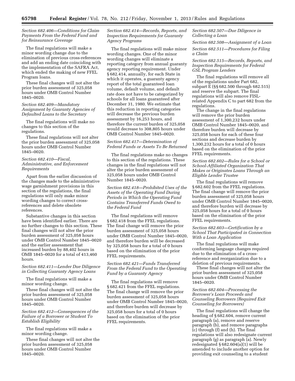#### *Section 682.406—Conditions for Claim Payments From the Federal Fund and for Reinsurance Coverage*

The final regulations will make a minor wording change due to the elimination of previous cross-references and add an ending date coinciding with the implementation of the SAFRA Act, which ended the making of new FFEL Program loans.

These final changes will not alter the prior burden assessment of 325,058 hours under OMB Control Number 1845–0020.

#### *Section 682.409—Mandatory Assignment by Guaranty Agencies of Defaulted Loans to the Secretary*

The final regulations will make no changes to this section of the regulations.

These final regulations will not alter the prior burden assessment of 325,058 hours under OMB Control Number 1845–0020.

#### *Section 682.410—Fiscal, Administrative, and Enforcement Requirements*

Apart from the earlier discussion of the changes made to the administrative wage garnishment provisions in this section of the regulations, the final regulations will only make minor wording changes to correct crossreferences and delete obsolete references.

Substantive changes in this section have been identified earlier. There are no further changes to this section. These final changes will not alter the prior burden assessment of 325,058 hours under OMB Control Number 1845–0020 and the earlier assessment that increased burden by 88,402 hours in OMB 1845–0020 for a total of 413,460 hours.

#### *Section 682.411—Lender Due Diligence in Collecting Guaranty Agency Loans*

The final regulations will make a minor wording change.

These final changes will not alter the prior burden assessment of 325,058 hours under OMB Control Number 1845–0020.

#### *Section 682.412—Consequences of the Failure of a Borrower or Student To Establish Eligibility*

The final regulations will make a minor wording change.

These final changes will not alter the prior burden assessment of 325,058 hours under OMB Control Number 1845–0020.

#### *Section 682.414—Records, Reports, and Inspection Requirements for Guaranty Agency Programs*

The final regulations will make minor wording changes. One of the minor wording changes will eliminate a reporting category from annual guaranty agency reporting requirement. Under § 682.414, annually, for each State in which it operates, a guaranty agency report of the total guaranteed loan volume, default volume, and default rate does not have to be categorized by schools for all loans guaranteed after December 31, 1980. We estimate that this reduction in reporting categories will decrease the previous burden assessment by 16,253 hours, and therefore the current burden of 325,058 would decrease to 308,805 hours under OMB Control Number 1845–0020.

#### *Section 682.417—Determination of Federal Funds or Assets To Be Returned*

The final regulations make no changes to this section of the regulations. These changes in the final regulations will not alter the prior burden assessment of 325,058 hours under OMB Control Number 1845–0020.

*Section 682.418—Prohibited Uses of the Assets of the Operating Fund During Periods in Which the Operating Fund Contains Transferred Funds Owed to the Federal Fund* 

The final regulations will remove § 682.418 from the FFEL regulations. The final change will remove the prior burden assessment of 325,058 hours under OMB Control Number 1845–0020, and therefore burden will be decreased by 325,058 hours for a total of 0 hours based on the elimination of the prior FFEL requirements.

#### *Section 682.421—Funds Transferred From the Federal Fund to the Operating Fund by a Guaranty Agency*

The final regulations will remove § 682.421 from the FFEL regulations. The final change will remove the prior burden assessment of 325,058 hours under OMB Control Number 1845–0020, and therefore burden will decrease by 325,058 hours for a total of 0 hours based on the elimination of the prior FFEL requirements.

*Section 682.507—Due Diligence in Collecting a Loan* 

*Section 682.508—Assignment of a Loan* 

*Section 682.511—Procedures for Filing a Claim* 

*Section 682.515—Records, Reports, and Inspection Requirements for Federal GSL Program Lenders* 

The final regulations will remove all of the regulations under Part 682, subpart E (§§ 682.500 through 682.515) and reserve the subpart. The final regulations will also remove FISLrelated Appendix C to part 682 from the regulations.

The change in the final regulations will remove the prior burden assessment of 1,300,232 hours under OMB Control Number 1845–0020, and therefore burden will decrease by 325,058 hours for each of these four sections and decrease burden by 1,300,232 hours for a total of 0 hours based on the elimination of the prior FFEL requirements.

#### *Section 682.602—Rules for a School or School-Affiliated Organization That Makes or Originates Loans Through an Eligible Lender Trustee*

The final regulations will remove § 682.602 from the FFEL regulations. The final change will remove the prior burden assessment of 325,058 hours under OMB Control Number 1845–0020, and therefore burden will decrease by 325,058 hours for a total of 0 hours based on the elimination of the prior FFEL requirements.

#### *Section 682.603—Certification by a School That Participated in Connection With a Loan Application*

The final regulations will make conforming language changes required due to the elimination of a crossreference and reorganization due to a deletion of previous requirements.

These final changes will not alter the prior burden assessment of 325,058 hours under OMB Control Number 1845–0020.

#### *Section 682.604—Processing the Borrower's Loan Proceeds and Counseling Borrowers (Required Exit Counseling for Borrowers)*

The final regulations will change the heading of § 682.604, remove current paragraph (a), remove and reserve paragraph (b), and remove paragraphs (c) through (f) and (h). The final regulations will also redesignate current paragraph (g) as paragraph (a). Newly redesignated  $§ 682.604(a)(1)$  will be amended to include another option for providing exit counseling to a student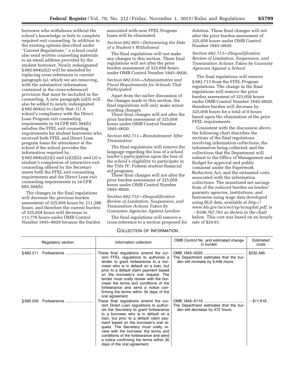borrower who withdraws without the school's knowledge or fails to complete required exit counseling. In addition to the existing options described under ''Current Regulations,'' a school could also send written counseling materials to an email address provided by the student borrower. Newly redesignated § 682.604(a)(2) will be amended by replacing cross-references to current paragraph (a), which we are removing, with the substantive information contained in the cross-referenced provision that must be included in the counseling. A new paragraph (a)(5) will also be added to newly redesignated § 682.604(a) to clarify that: (1) A school's compliance with the Direct Loan Program exit counseling requirements in 34 CFR 685.304(b) satisfies the FFEL exit counseling requirements for student borrowers who received both FFEL and Direct Loan program loans for attendance at the school if the school provides the information required by § 682.604(a)(2)(i) and (a)(2)(ii); and (2) a student's completion of interactive exit counseling offered by the Secretary meets both the FFEL exit counseling requirements and the Direct Loan exit counseling requirements in 34 CFR 685.304(b).

The changes in the final regulations will decrease the previous burden assessment of 325,058 hours by 211,288 hours, and therefore the current burden of 325,058 hours will decrease to 113,770 hours under OMB Control Number 1845–0020 because the burden

associated with new FFEL Program loans will be eliminated.

#### *Section 682.605—Determining the Date of a Student's Withdrawal*

The final regulations will not make any changes to this section. These final regulations will not alter the prior burden assessment of 325,058 hours under OMB Control Number 1845–0020.

#### *Section 682.610—Administrative and Fiscal Requirements for Schools That Participated*

Apart from the earlier discussion of the changes made to this section, the final regulations will only make minor wording changes.

These final changes will not alter the prior burden assessment of 325,058 hours under OMB Control Number 1845–0020.

#### *Section 682.711—Reinstatement After Termination*

The final regulations will remove the language regarding the loss of a school lender's participation upon the loss of the school's eligibility to participate in the Title IV, Federal student financial aid programs.

These final changes will not alter the prior burden assessment of 325,058 hours under OMB Control Number 1845–0020.

*Section 682.712—Disqualification Review of Limitation, Suspension, and Termination Actions Taken by Guarantee Agencies Against Lenders* 

The final regulations will remove a cross-reference to a section proposed for

deletion. These final changes will not alter the prior burden assessment of 325,058 hours under OMB Control Number 1845–0020.

#### *Section 682.713—Disqualification Review of Limitation, Suspension, and Termination Actions Taken by Guaranty Agencies Against a School*

The final regulations will remove § 682.713 from the FFEL Program regulations. The change in the final regulations will remove the prior burden assessment of 325,058 hours under OMB Control Number 1845–0020, therefore burden will decrease by 325,058 hours for a total of 0 hours based upon the elimination of the prior FFEL requirements.

Consistent with the discussion above, the following chart describes the sections of the final regulations involving information collections, the information being collected, and the collections that the Department will submit to the Office of Management and Budget for approval and public comment under the Paperwork Reduction Act, and the estimated costs associated with the information collections. The monetized net savings from of the reduced burden on lender/ guaranty agencies, institutions, and borrowers using wage data developed using BLS data, available at *[http://](http://www.bls.gov/ncs/ect/sp/ecsuphst.pdf) [www.bls.gov/ncs/ect/sp/ecsuphst.pdf,](http://www.bls.gov/ncs/ect/sp/ecsuphst.pdf)* is  $-$ \$108,767,761 as shown in the chart below. This cost was based on an hourly rate of \$24.61.

## COLLECTION OF INFORMATION

| Regulatory section | Information collection                                                                                                                                                                                                                                                                                                                                                                                                                                      | OMB Control No. and estimated change<br>in burden                           | Estimated<br>costs |
|--------------------|-------------------------------------------------------------------------------------------------------------------------------------------------------------------------------------------------------------------------------------------------------------------------------------------------------------------------------------------------------------------------------------------------------------------------------------------------------------|-----------------------------------------------------------------------------|--------------------|
|                    | These final regulations amend the cur-<br>rent FFEL regulations to authorize a<br>lender to grant forbearance to a bor-<br>rower who is in default on a loan, but<br>prior to a default claim payment based<br>on the borrower's oral request. The<br>lender must orally review with the bor-<br>rower the terms and conditions of the<br>forbearance and send a notice con-<br>firming the terms within 30 days of the<br>oral agreement.                  | The Department estimates that the bur-<br>den will increase by 9,446 hours. | \$232,466.         |
|                    | These final regulations amend the cur-<br>rent Direct Loan regulations to author-<br>ize the Secretary to grant forbearance<br>to a borrower who is in default on a<br>loan, but prior to a default claim pay-<br>ment based on the borrower's oral re-<br>quest. The Secretary must orally re-<br>view with the borrower the terms and<br>conditions of the forbearance and send<br>a notice confirming the terms within 30<br>days of the oral agreement. | The Department estimates that the bur-<br>den will decrease by 472 hours.   | $-$ \$11,616.      |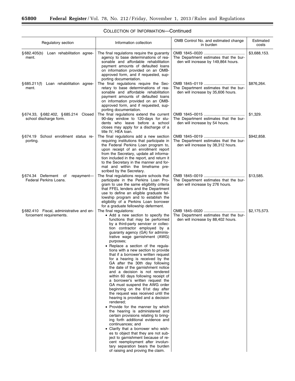$\equiv$ 

| Regulatory section                                                 | Information collection                                                                                                                                                                                                                                                                                                                                                                                                                                                                                                                                                                                                                                                                                                                                                                                                                                                                                                                                                                                                                                                                                                                                                               | OMB Control No. and estimated change<br>in burden                             | Estimated<br>costs |
|--------------------------------------------------------------------|--------------------------------------------------------------------------------------------------------------------------------------------------------------------------------------------------------------------------------------------------------------------------------------------------------------------------------------------------------------------------------------------------------------------------------------------------------------------------------------------------------------------------------------------------------------------------------------------------------------------------------------------------------------------------------------------------------------------------------------------------------------------------------------------------------------------------------------------------------------------------------------------------------------------------------------------------------------------------------------------------------------------------------------------------------------------------------------------------------------------------------------------------------------------------------------|-------------------------------------------------------------------------------|--------------------|
| §682.405(b) Loan rehabilitation agree-<br>ment.                    | The final regulations require the guaranty<br>agency to base determinations of rea-<br>sonable and affordable rehabilitation<br>payment amounts of defaulted loans<br>on information provided on an OMB-<br>approved form, and if requested, sup-<br>porting documentation.                                                                                                                                                                                                                                                                                                                                                                                                                                                                                                                                                                                                                                                                                                                                                                                                                                                                                                          | The Department estimates that the bur-<br>den will increase by 149,864 hours. | \$3,688,153.       |
| §685.211(f) Loan rehabilitation agree-<br>ment.                    | The final regulations require the Sec-<br>retary to base determinations of rea-<br>sonable and affordable rehabilitation<br>payment amounts of defaulted loans<br>on information provided on an OMB-<br>approved form, and if requested, sup-<br>porting documentation.                                                                                                                                                                                                                                                                                                                                                                                                                                                                                                                                                                                                                                                                                                                                                                                                                                                                                                              | The Department estimates that the bur-<br>den will increase by 35,606 hours.  | \$876,264.         |
| §674.33, §682.402, §685.214 Closed<br>school discharge form.       | The final regulations extend the current<br>90-day window to 120-days for stu-<br>dents who leave before a school<br>closes may apply for a discharge of a<br>title IV, HEA loan.                                                                                                                                                                                                                                                                                                                                                                                                                                                                                                                                                                                                                                                                                                                                                                                                                                                                                                                                                                                                    | The Department estimates that the bur-<br>den will increase by 54 hours.      | \$1,329.           |
| §674.19 School enrollment status re-<br>porting.                   | The final regulations add a new section<br>requiring institutions that participate in<br>the Federal Perkins Loan program to,<br>upon receipt of an enrollment report<br>from the Secretary, update all informa-<br>tion included in the report, and return it<br>to the Secretary in the manner and for-<br>mat and within the timeframe pre-<br>scribed by the Secretary.                                                                                                                                                                                                                                                                                                                                                                                                                                                                                                                                                                                                                                                                                                                                                                                                          | The Department estimates that the bur-<br>den will increase by 38,312 hours.  | \$942,858.         |
| §674.34 Deferment of<br>repayment-<br>Federal Perkins Loans.       | The final regulations require schools that<br>participate in the Perkins Loan Pro-<br>gram to use the same eligibility criteria<br>that FFEL lenders and the Department<br>use to define an eligible graduate fel-<br>lowship program and to establish the<br>eligibility of a Perkins Loan borrower<br>for a graduate fellowship deferment.                                                                                                                                                                                                                                                                                                                                                                                                                                                                                                                                                                                                                                                                                                                                                                                                                                         | The Department estimates that the bur-<br>den will increase by 276 hours.     | \$13,585.          |
| §682.410 Fiscal, administrative and en-<br>forcement requirements. | The final regulations:<br>• Add a new section to specify the<br>functions that may be performed<br>by a third-party servicer or collec-<br>tion contractor employed by a<br>guaranty agency (GA) for adminis-<br>trative wage garnishment (AWG)<br>purposes;<br>• Replace a section of the regula-<br>tions with a new section to provide<br>that if a borrower's written request<br>for a hearing is received by the<br>GA after the 30th day following<br>the date of the garnishment notice<br>and a decision is not rendered<br>within 60 days following receipt of<br>a borrower's written request the<br>GA must suspend the AWG order<br>beginning on the 61st day after<br>the request was received until the<br>hearing is provided and a decision<br>rendered;<br>• Provide for the manner by which<br>the hearing is administered and<br>certain provisions relating to bring-<br>ing forth additional evidence and<br>continuances; and<br>• Clarify that a borrower who wish-<br>es to object that they are not sub-<br>ject to garnishment because of re-<br>cent reemployment after involun-<br>tary separation bears the burden<br>of raising and proving the claim. | The Department estimates that the bur-<br>den will increase by 88,402 hours.  | \$2,175,573.       |

# COLLECTION OF INFORMATION—Continued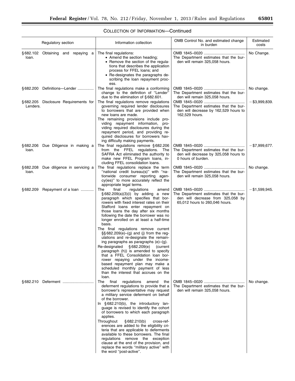|          | Regulatory section                     | Information collection                                                                                                                                                                                                                                                                                                                                                                                                                                                                                                                                                                                                                                                                                                                                                                                                 | OMB Control No. and estimated change<br>in burden                                                             | Estimated<br>costs |
|----------|----------------------------------------|------------------------------------------------------------------------------------------------------------------------------------------------------------------------------------------------------------------------------------------------------------------------------------------------------------------------------------------------------------------------------------------------------------------------------------------------------------------------------------------------------------------------------------------------------------------------------------------------------------------------------------------------------------------------------------------------------------------------------------------------------------------------------------------------------------------------|---------------------------------------------------------------------------------------------------------------|--------------------|
| loan.    | §682.102 Obtaining and repaying a      | The final regulations:<br>• Amend the section heading;<br>• Remove the section of the regula-<br>tions that describes the application<br>process for FFEL loans; and<br>• Re-designates the paragraphs de-<br>scribing the loan repayment proc-<br>ess.                                                                                                                                                                                                                                                                                                                                                                                                                                                                                                                                                                | The Department estimates that the bur-<br>den will remain 325,058 hours.                                      | No Change.         |
|          | §682.200 Definitions—Lender            | The final regulations make a conforming<br>change to the definition of "Lender"<br>due to the elimination of $§ 682.601$ .                                                                                                                                                                                                                                                                                                                                                                                                                                                                                                                                                                                                                                                                                             | The Department estimates that the bur-<br>den will remain 325,058 hours.                                      | No change.         |
| Lenders. | §682.205 Disclosure Requirements for   | The final regulations remove regulations<br>governing required lender disclosures<br>to borrowers that are provided when<br>new loans are made.<br>The remaining provisions include pro-<br>viding repayment information,<br>pro-<br>viding required disclosures during the<br>repayment period, and providing re-<br>quired disclosures for borrowers hav-<br>ing difficulty making payments.                                                                                                                                                                                                                                                                                                                                                                                                                         | The Department estimates that the bur-<br>den will decrease by 162,529 hours to<br>162,529 hours.             | – \$3,999,839.     |
| loan.    | §682.206 Due Diligence in making a     | The final regulations remove $§ 682.206$<br>from the FFEL regulations. The<br>SAFRA Act eliminated the authority to<br>make new FFEL Program loans, in-<br>cluding FFEL consolidation loans.                                                                                                                                                                                                                                                                                                                                                                                                                                                                                                                                                                                                                           | The Department estimates that the bur-<br>den will decrease by 325,058 hours to<br>0 hours of burden.         | $-$ \$7,999,677.   |
| loan.    | § 682.208 Due diligence in servicing a | The final regulations replace the term<br>"national credit bureau(s)" with "na-<br>tionwide consumer reporting agen-<br>cy(ies)" to more accurately reflect the<br>appropriate legal terms.                                                                                                                                                                                                                                                                                                                                                                                                                                                                                                                                                                                                                            | The Department estimates that the bur-<br>den will remain 325,058 hours.                                      | No change.         |
| §682.209 | Repayment of a loan                    | The<br>final<br>regulations<br>amend<br>$\S$ 682.209(a)(3)(i) by adding a new<br>paragraph which specifies that bor-<br>rowers with fixed interest rates on their<br>Stafford loans enter repayment on<br>those loans the day after six months<br>following the date the borrower was no<br>longer enrolled on at least a half-time<br>basis.<br>The final regulations remove current<br>$\S$ § 682.209(e)–(g) and (j) from the reg-<br>ulations and re-designate the remain-<br>ing paragraphs as paragraphs $(e)$ – $(g)$ .<br>Re-designated<br>§682.209(e)<br>(current<br>paragraph (h)) is amended to specify<br>that a FFEL Consolidation loan bor-<br>rower repaying under the income-<br>based repayment plan may make a<br>scheduled monthly payment of less<br>than the interest that accrues on the<br>loan. | The Department estimates that the bur-<br>den will decrease from 325,058 by<br>65,012 hours to 260,046 hours. | - \$1,599,945.     |
|          |                                        | The<br>final<br>regulations amend the<br>deferment regulations to provide that a<br>borrower's representative may request<br>a military service deferment on behalf<br>of the borrower.<br>In $§682.210(b)$ , the introductory lan-<br>guage is revised to identify the cohort<br>of borrowers to which each paragraph<br>applies.<br>Throughout<br>§682.210(b)<br>cross-ref-<br>erences are added to the eligibility cri-<br>teria that are applicable to deferments<br>available to these borrowers. The final<br>regulations remove the exception<br>clause at the end of the provision, and<br>replace the words "military active" with<br>the word "post-active".                                                                                                                                                 | The Department estimates that the bur-<br>den will remain 325,058 hours.                                      | No change.         |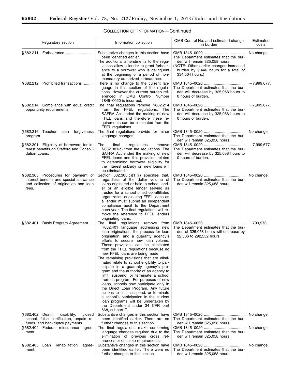$\equiv$ 

|                                   | Regulatory section                                                                                                      | Information collection                                                                                                                                                                                                                                                                                                                                                                                                                                                                                                                                                                                                                                                                                                                                                                                                                            | OMB Control No. and estimated change<br>in burden                                                                                                                             | Estimated<br>costs |
|-----------------------------------|-------------------------------------------------------------------------------------------------------------------------|---------------------------------------------------------------------------------------------------------------------------------------------------------------------------------------------------------------------------------------------------------------------------------------------------------------------------------------------------------------------------------------------------------------------------------------------------------------------------------------------------------------------------------------------------------------------------------------------------------------------------------------------------------------------------------------------------------------------------------------------------------------------------------------------------------------------------------------------------|-------------------------------------------------------------------------------------------------------------------------------------------------------------------------------|--------------------|
|                                   |                                                                                                                         | Substantive changes in this section have<br>been identified earlier.<br>The additional amendments to the regu-<br>lations allow a lender to grant forbear-<br>ance to a borrower who is delinquent<br>at the beginning of a period of non-<br>mandatory authorized forbearance.                                                                                                                                                                                                                                                                                                                                                                                                                                                                                                                                                                   | The Department estimates that the bur-<br>den will remain 325,058 hours.<br>(NOTE: Other earlier changes increased<br>burden by 9,446 hours for a total of<br>334,504 hours.) | No change.         |
|                                   | §682.212 Prohibited transactions                                                                                        | There is no change to the current lan-<br>quage in this section of the regula-<br>tions. However the current burden ref-<br>erenced in OMB Control Number<br>1845-0020 is incorrect.                                                                                                                                                                                                                                                                                                                                                                                                                                                                                                                                                                                                                                                              | The Department estimates that the bur-<br>den will decrease by 325,058 hours to<br>0 hours of burden.                                                                         | $-7,999,677.$      |
|                                   | §682.214 Compliance with equal credit<br>opportunity requirements.                                                      | The final regulations remove $§ 682.214$<br>from the FFEL regulations. The<br>SAFRA Act ended the making of new<br>FFEL loans and therefore these re-<br>quirements can be eliminated from the<br>FFEL regulations.                                                                                                                                                                                                                                                                                                                                                                                                                                                                                                                                                                                                                               | The Department estimates that the bur-<br>den will decrease by 325,058 hours to<br>0 hours of burden.                                                                         | $-7,999,677.$      |
| §682.216 Teacher Ioan<br>program. | forgiveness                                                                                                             | The final regulations provide for minor<br>language changes.                                                                                                                                                                                                                                                                                                                                                                                                                                                                                                                                                                                                                                                                                                                                                                                      | The Department estimates that the bur-<br>den will remain 325,058 hours.                                                                                                      | No change.         |
| dation Loans.                     | § 682.301 Eligibility of borrowers for in-<br>terest benefits on Stafford and Consoli-                                  | The<br>final<br>regulations<br>remove<br>§682.301(c) from the regulations. The<br>SAFRA Act ended the making of new<br>FFEL loans and this provision related<br>to determining borrower eligibility for<br>the interest subsidy on new loans will<br>be eliminated.                                                                                                                                                                                                                                                                                                                                                                                                                                                                                                                                                                               | The Department estimates that the bur-<br>den will decrease by 325,058 hours to<br>0 hours of burden.                                                                         | $-7,999,677.$      |
| fees.                             | §682.305 Procedures for payment of<br>interest benefits and special allowance<br>and collection of origination and loan | Section 682.305(c)(1)(ii) specifies that,<br>regardless of the dollar volume of<br>loans originated or held, a school lend-<br>er or an eligible lender serving as<br>trustee for a school or school-affiliated<br>organization originating FFEL loans as<br>a lender must submit an independent<br>compliance audit to the Department<br>each year. The final regulations will re-<br>move the reference to FFEL lenders<br>originating loans.                                                                                                                                                                                                                                                                                                                                                                                                   | The Department estimates that the bur-<br>den will remain 325,058 hours.                                                                                                      | No change.         |
|                                   | § 682.401 Basic Program Agreement                                                                                       | The final regulations remove from<br>§682.401 language addressing new<br>loan originations, the process for loan<br>origination, and a guaranty agency's<br>efforts to secure new loan volume.<br>These provisions can be eliminated<br>from the FFEL regulations because no<br>new FFEL loans are being made.<br>The remaining provisions that are elimi-<br>nated relate to school eligibility to par-<br>ticipate in a guaranty agency's pro-<br>gram and the authority of an agency to<br>limit, suspend, or terminate a school<br>from its program. For purposes of new<br>loans, schools now participate only in<br>the Direct Loan Program. Any future<br>actions to limit, suspend, or terminate<br>a school's participation in the student<br>loan programs will be undertaken by<br>the Department under 34 CFR part<br>668, subpart G. | The Department estimates that the bur-<br>den of 325,058 hours will decrease by<br>32,506 to 292,552 hours.                                                                   | $-799,973.$        |
| §682.402 Death,                   | disability,<br>closed<br>school, false certification, unpaid re-<br>funds, and bankruptcy payments.                     | Substantive changes in this section have<br>been identified earlier. There are no<br>further changes to this section.                                                                                                                                                                                                                                                                                                                                                                                                                                                                                                                                                                                                                                                                                                                             | The Department estimates that the bur-<br>den will remain 325,058 hours.                                                                                                      | No change.         |
| ment.                             | §682.404 Federal reinsurance agree-                                                                                     | The final regulations make conforming<br>language changes required due to the<br>elimination of previous cross ref-<br>erences or obsolete requirements.                                                                                                                                                                                                                                                                                                                                                                                                                                                                                                                                                                                                                                                                                          | The Department estimates that the bur-<br>den will remain 325,058 hours.                                                                                                      | No change.         |
| §682.405<br>Loan<br>ment.         | rehabilitation<br>agree-                                                                                                | Substantive changes in this section have<br>been identified earlier. There were no<br>further changes to this section.                                                                                                                                                                                                                                                                                                                                                                                                                                                                                                                                                                                                                                                                                                                            | The Department estimates that the bur-<br>den will remain 325,058 hours.                                                                                                      | No change.         |

# COLLECTION OF INFORMATION—Continued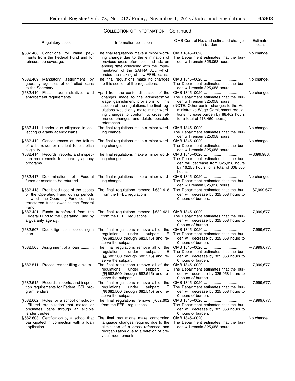## COLLECTION OF INFORMATION—Continued

| Regulatory section                                                                                                                                                       | Information collection                                                                                                                                                                                                                                                                                   | OMB Control No. and estimated change<br>in burden                                                                                                                                                                                       | Estimated<br>costs |
|--------------------------------------------------------------------------------------------------------------------------------------------------------------------------|----------------------------------------------------------------------------------------------------------------------------------------------------------------------------------------------------------------------------------------------------------------------------------------------------------|-----------------------------------------------------------------------------------------------------------------------------------------------------------------------------------------------------------------------------------------|--------------------|
| §682.406 Conditions for claim pay-<br>ments from the Federal Fund and for<br>reinsurance coverage.                                                                       | The final regulations make a minor word-<br>ing change due to the elimination of<br>previous cross-references and add an<br>ending date coinciding with the imple-<br>mentation of the SAFRA Act, which<br>ended the making of new FFEL loans.                                                           | The Department estimates that the bur-<br>den will remain 325,058 hours.                                                                                                                                                                | No change.         |
| §682.409 Mandatory assignment<br>by<br>guaranty agencies of defaulted loans<br>to the Secretary.                                                                         | The final regulations make no changes<br>to this section of the regulations.                                                                                                                                                                                                                             | The Department estimates that the bur-<br>den will remain 325,058 hours.                                                                                                                                                                | No change.         |
| §682.410 Fiscal,<br>administrative,<br>and<br>enforcement requirements.                                                                                                  | Apart from the earlier discussion of the<br>changes made to the administrative<br>wage garnishment provisions of this<br>section of the regulations, the final reg-<br>ulations would only make minor word-<br>ing changes to conform to cross ref-<br>erence changes and delete obsolete<br>references. | The Department estimates that the bur-<br>den will remain 325,058 hours.<br>(NOTE: Other earlier changes to the Ad-<br>ministrative Wage Garnishment regula-<br>tions increase burden by 88,402 hours<br>for a total of 413,460 hours.) | No change.         |
| §682.411 Lender due diligence in col-<br>lecting guaranty agency loans.                                                                                                  | The final regulations make a minor word-<br>ing change.                                                                                                                                                                                                                                                  | The Department estimates that the bur-<br>den will remain 325,058 hours.                                                                                                                                                                | No change.         |
| §682.412 Consequences of the failure<br>of a borrower or student to establish<br>eligibility.                                                                            | The final regulations make a minor word-<br>ing change.                                                                                                                                                                                                                                                  | The Department estimates that the bur-<br>den will remain 325,058 hours.                                                                                                                                                                | No change.         |
| §682.414 Records, reports, and inspec-<br>tion requirements for guaranty agency<br>programs.                                                                             | The final regulations make a minor word-<br>ing change.                                                                                                                                                                                                                                                  | The Department estimates that the bur-<br>den will decrease from 325,058 hours<br>by 16,253 hours for a total of 308,805<br>hours.                                                                                                      | $-$ \$399,986.     |
| §682.417 Determination of Federal<br>funds or assets to be returned.                                                                                                     | The final regulations make a minor word-<br>ing change.                                                                                                                                                                                                                                                  | The Department estimates that the bur-<br>den will remain 325,058 hours.                                                                                                                                                                | No change.         |
| §682.418 Prohibited uses of the assets<br>of the Operating Fund during periods<br>in which the Operating Fund contains<br>transferred funds owed to the Federal<br>Fund. | The final regulations remove $§ 682.418$<br>from the FFEL regulations.                                                                                                                                                                                                                                   | The Department estimates that the bur-<br>den will decrease by 325,058 hours to<br>0 hours of burden                                                                                                                                    | $-$ \$7,999,677.   |
| §682.421 Funds transferred from the<br>Federal Fund to the Operating Fund by<br>a guaranty agency.                                                                       | The final regulations remove $§ 682.421$<br>from the FFEL regulations.                                                                                                                                                                                                                                   | The Department estimates that the bur-<br>den will decrease by 325,058 hours to<br>0 hours of burden.                                                                                                                                   | $-7,999,677.$      |
| §682.507 Due diligence in collecting a<br>loan.                                                                                                                          | The final regulations remove all of the<br>regulations<br>under<br>subpart<br>Е<br>(§§682.500 through 682.515) and re-<br>serve the subpart.                                                                                                                                                             | The Department estimates that the bur-<br>den will decrease by 325,058 hours to<br>0 hours of burden.                                                                                                                                   | $-7,999,677.$      |
| $§682.508$ Assignment of a loan                                                                                                                                          | The final regulations remove all of the<br>regulations under subpart<br>(§§682.500 through 682.515) and re-<br>serve the subpart.                                                                                                                                                                        | E   The Department estimates that the bur-<br>den will decrease by 325,058 hours to<br>0 hours of burden.                                                                                                                               | $-7,999,677.$      |
| § 682.511 Procedures for filing a claim                                                                                                                                  | The final regulations remove all of the<br>regulations<br>under<br>subpart<br>Е<br>(§§ 682.500 through 682.515) and re-<br>serve the subpart.                                                                                                                                                            | The Department estimates that the bur-<br>den will decrease by 325,058 hours to<br>0 hours of burden.                                                                                                                                   | $-7,999,677.$      |
| §682.515 Records, reports, and inspec-<br>tion requirements for Federal GSL pro-<br>gram lenders.                                                                        | The final regulations remove all of the<br>regulations<br>under<br>subpart<br>Е<br>(§§682.500 through 682.515) and re-<br>serve the subpart.                                                                                                                                                             | The Department estimates that the bur-<br>den will decrease by 325,058 hours to<br>0 hours of burden.                                                                                                                                   | $-7,999,677.$      |
| §682.602 Rules for a school or school-<br>affiliated organization that makes or<br>originates loans through an eligible<br>lender trustee.                               | The final regulations remove $§ 682.602$<br>from the FFEL regulations.                                                                                                                                                                                                                                   | The Department estimates that the bur-<br>den will decrease by 325,058 hours to<br>0 hours of burden.                                                                                                                                   | $-7,999,677.$      |
| §682.603 Certification by a school that<br>participated in connection with a loan<br>application.                                                                        | The final regulations make conforming<br>language changes required due to the<br>elimination of a cross reference and<br>reorganization due to a deletion of pre-<br>vious requirements.                                                                                                                 | The Department estimates that the bur-<br>den will remain 325,058 hours.                                                                                                                                                                | No change.         |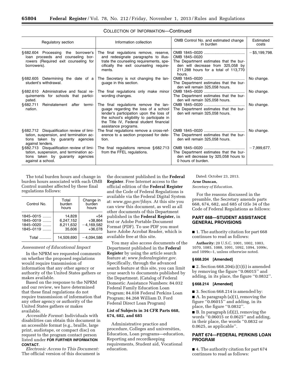| Regulatory section                                                                                                                            | Information collection                                                                                                                                                                                                                    | OMB Control No. and estimated change<br>in burden                                                                                              | Estimated<br>costs |
|-----------------------------------------------------------------------------------------------------------------------------------------------|-------------------------------------------------------------------------------------------------------------------------------------------------------------------------------------------------------------------------------------------|------------------------------------------------------------------------------------------------------------------------------------------------|--------------------|
| §682.604 Processing the borrower's<br>loan proceeds and counseling bor-<br>rowers (Required exit counseling for<br>borrowers).                | The final regulations remove, reserve,<br>and redesignate paragraphs to illus-<br>trate the counseling requirements, spe-<br>cifically the exit counseling require-<br>ments.                                                             | OMB 1845-0020<br>The Department estimates that the bur-<br>den will decrease from 325,058 by<br>211,288 hours for a total of 113,770<br>hours. | $-$ \$5,199,798.   |
| §682.605 Determining the date of a<br>student's withdrawal.                                                                                   | The Secretary is not changing the lan-<br>guage in this section.                                                                                                                                                                          | The Department estimates that the bur-<br>den will remain 325,058 hours.                                                                       | No change.         |
| §682.610 Administrative and fiscal re-<br>quirements for schools that partici-<br>pated.                                                      | The final regulations only make minor<br>wording changes.                                                                                                                                                                                 | The Department estimates that the bur-<br>den will remain 325,058 hours.                                                                       | No change.         |
| §682.711<br>Reinstatement after termi-<br>nation.                                                                                             | The final regulations remove the lan-<br>guage regarding the loss of a school<br>lender's participation upon the loss of<br>the school's eligibility to participate in<br>the Title IV, Federal student financial<br>assistance programs. | The Department estimates that the bur-<br>den will remain 325,058 hours.                                                                       | No change.         |
| §682.712 Disqualification review of limi-<br>tation, suspension, and termination ac-<br>tions taken by guaranty agencies<br>against lenders.  | The final regulations remove a cross-ref-<br>erence to a section proposed for dele-<br>tion.                                                                                                                                              | The Department estimates that the bur-<br>den will remain 325.058 hours.                                                                       | No change.         |
| §682.713 Disqualification review of limi-<br>tation, suspension, and termination ac-<br>tions taken by guaranty agencies<br>against a school. | The final regulations remove $§ 682.713$<br>from the FFEL regulations.                                                                                                                                                                    | The Department estimates that the bur-<br>den will decrease by 325,058 hours to<br>0 hours of burden.                                          | $-7,999,677.$      |

### COLLECTION OF INFORMATION—Continued

The total burden hours and change in burden hours associated with each OMB Control number affected by these final regulations follows:

| Control No.                                          | Total<br>burden<br>hours                   | Change in<br>burden<br>hours                  |
|------------------------------------------------------|--------------------------------------------|-----------------------------------------------|
| $1845 - 0015$<br>1845-0019<br>1845-0020<br>1845-0119 | 14.828<br>6.247.152<br>8,211,632<br>35.606 | +54<br>$+38.864$<br>$-4,169,582$<br>$+36.078$ |
| Total                                                | 14.509.690                                 | $-4.094.586$                                  |

### *Assessment of Educational Impact*

In the NPRM we requested comments on whether the proposed regulations would require transmission of information that any other agency or authority of the United States gathers or makes available.

Based on the response to the NPRM and our review, we have determined that these final regulations do not require transmission of information that any other agency or authority of the United States gathers or makes available.

*Accessible Format:* Individuals with disabilities can obtain this document in an accessible format (e.g., braille, large print, audiotape, or compact disc) on request to the program contact person listed under **FOR FURTHER INFORMATION CONTACT**.

*Electronic Access to This Document:*  The official version of this document is the document published in the **Federal Register**. Free Internet access to the official edition of the **Federal Register**  and the Code of Federal Regulations is available via the Federal Digital System at: *[www.gpo.gov/fdsys](http://www.gpo.gov/fdsys)*. At this site you can view this document, as well as all other documents of this Department published in the **Federal Register,** in text or Adobe Portable Document Format (PDF). To use PDF you must have Adobe Acrobat Reader, which is available free at this site.

You may also access documents of the Department published in the **Federal Register** by using the article search feature at: *[www.federalregister.gov](http://www.federalregister.gov)*. Specifically, through the advanced search feature at this site, you can limit your search to documents published by the Department. (Catalog of Federal Domestic Assistance Numbers: 84.032 Federal Family Education Loan Program; 84.038 Federal Perkins Loan Program; 84.268 William D. Ford Federal Direct Loan Program)

### **List of Subjects in 34 CFR Parts 668, 674, 682, and 685**

Administrative practice and procedure, Colleges and universities, Education, Loan programs—education, Reporting and recordkeeping requirements, Student aid, Vocational education.

Dated: October 23, 2013.

### **Arne Duncan,**

*Secretary of Education.* 

For the reasons discussed in the preamble, the Secretary amends parts 668, 674, 682, and 685 of title 34 of the Code of Federal Regulations as follows:

### **PART 668—STUDENT ASSISTANCE GENERAL PROVISIONS**

■ 1. The authority citation for part 668 continues to read as follows:

**Authority:** 20 U.S.C. 1001, 1002, 1003, 1070, 1085, 1088, 1091, 1092, 1094, 1099c, and 1099c–1, unless otherwise noted.

### **§ 668.204 [Amended]**

 $\blacksquare$  2. Section 668.204(c)(1)(i) is amended by removing the figure ''0.06015'' and adding, in its place, the figure ''0.0832''.

#### **§ 668.214 [Amended]**

■ 3. Section 668.214 is amended by: ■ A. In paragraph (a)(1), removing the figure ''0.06015'' and adding, in its place, the figure ''0.0832''.

■ B. In paragraph (d)(2), removing the words ''0.06015 or 0.0625'' and adding, in their place, the words ''0.0832 or 0.0625, as applicable''.

### **PART 674—FEDERAL PERKINS LOAN PROGRAM**

■ 4. The authority citation for part 674 continues to read as follows: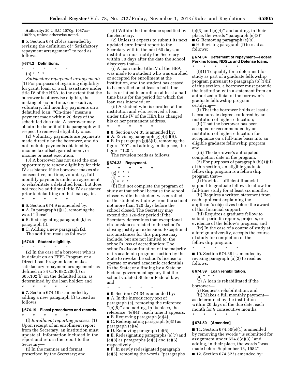**Authority:** 20 U.S.C. 1070g, 1087aa– 1087hh, unless otherwise noted.

■ 5. Section 674.2(b) is amended by revising the definition of ''Satisfactory repayment arrangement'' to read as follows:

#### **§ 674.2 Definitions.**

- \* \* \* \* \*
- (b) \* \* \*

*Satisfactory repayment arrangement:*  (1) For purposes of regaining eligibility for grant, loan, or work assistance under title IV of the HEA, to the extent that the borrower is otherwise eligible, the making of six on-time, consecutive, voluntary, full monthly payments on a defaulted loan. ''On-time'' means a payment made within 20 days of the scheduled due date. A borrower may obtain the benefit of this paragraph with respect to renewed eligibility once.

(2) Voluntary payments are payments made directly by the borrower, and do not include payments obtained by income tax offset, garnishment, or income or asset execution.

(3) A borrower has not used the one opportunity to renew eligibility for title IV assistance if the borrower makes six consecutive, on-time, voluntary, full monthly payments under an agreement to rehabilitate a defaulted loan, but does not receive additional title IV assistance prior to defaulting on that loan again. \* \* \* \* \*

■ 6. Section 674.9 is amended by:

 $\blacksquare$  A. In paragraph (j)(1), removing the word ''those''.

■ B. Redesignating paragraph (k) as paragraph (l).

 $\blacksquare$  C. Adding a new paragraph  $(k)$ . The addition reads as follows:

**§ 674.9 Student eligibility.**  \* \* \* \* \*

(k) In the case of a borrower who is in default on an FFEL Program or a Direct Loan Program loan, makes satisfactory repayment arrangements as defined in 34 CFR 682.200(b) or 685.102(b) on the defaulted loan, as determined by the loan holder; and \* \* \* \* \*

■ 7. Section 674.19 is amended by adding a new paragraph (f) to read as follows:

#### **§ 674.19 Fiscal procedures and records.**

\* \* \* \* \* (f) *Enrollment reporting process.* (1) Upon receipt of an enrollment report from the Secretary, an institution must update all information included in the report and return the report to the Secretary—

(i) In the manner and format prescribed by the Secretary; and

(ii) Within the timeframe specified by the Secretary.

(2) Unless it expects to submit its next updated enrollment report to the Secretary within the next 60 days, an institution must notify the Secretary within 30 days after the date the school discovers that—

(i) A loan under title IV of the HEA was made to a student who was enrolled or accepted for enrollment at the institution, and the student has ceased to be enrolled on at least a half-time basis or failed to enroll on at least a halftime basis for the period for which the loan was intended; or

(ii) A student who is enrolled at the institution and who received a loan under title IV of the HEA has changed his or her permanent address.

\* \* \* \* \*

■ 8. Section 674.33 is amended by:

A. Revising paragraph  $(g)(4)(i)(B)$ .

■ B. In paragraph (g)(8)(i), removing the figure ''90'' and adding, in its place, the figure "120".

The revision reads as follows:

#### **§ 674.33 Repayment.**

\* \* \* \* \*

- (g) \* \* \*
- (4) \* \* \*  $(i)$  \* \* \*

(B) Did not complete the program of study at that school because the school closed while the student was enrolled, or the student withdrew from the school not more than 120 days before the school closed. The Secretary may extend the 120-day period if the Secretary determines that exceptional circumstances related to the school's closing justify an extension. Exceptional circumstances for this purpose may include, but are not limited to: the school's loss of accreditation; The school's discontinuation of the majority of its academic programs; action by the State to revoke the school's license to operate or award academic credentials in the State; or a finding by a State or Federal government agency that the school violated State or Federal law; and

\* \* \* \* \* ■ 9. Section 674.34 is amended by: ■ A. In the introductory text of paragraph (e), removing the reference ''(e)(5)'' and adding, in its place, the reference "(e)(4)", each time it appears. ■ B. Removing paragraph (e)(4).

■ C. Redesignating paragraph (e)(5) as paragraph (e)(4).

■ D. Removing paragraph (e)(6).

■ E. Redesignating paragraphs (e)(7) and  $(e)(8)$  as paragraphs  $(e)(5)$  and  $(e)(6)$ , respectively.

■ F. In newly redesignated paragraph (e)(5), removing the words ''paragraphs  $(e)(3)$  and  $(e)(4)$ " and adding, in their place, the words ''paragraph (e)(3)''. ■ G. Removing paragraph (e)(9). ■ H. Revising paragraph (f) to read as

follows:

### **§ 674.34 Deferment of repayment—Federal Perkins loans, NDSLs and Defense loans.**

\* \* \* \* \* (f)(1) To qualify for a deferment for study as part of a graduate fellowship program pursuant to paragraph (b)(1)(ii) of this section, a borrower must provide the institution with a statement from an authorized official of the borrower's graduate fellowship program certifying—

(i) That the borrower holds at least a baccalaureate degree conferred by an institution of higher education;

(ii) That the borrower has been accepted or recommended by an institution of higher education for acceptance on a full-time basis into an eligible graduate fellowship program; and

(iii) The borrower's anticipated completion date in the program.

(2) For purposes of paragraph (b)(1)(ii) of this section, an eligible graduate fellowship program is a fellowship program that—

(i) Provides sufficient financial support to graduate fellows to allow for full-time study for at least six months;

(ii) Requires a written statement from each applicant explaining the applicant's objectives before the award of that financial support;

(iii) Requires a graduate fellow to submit periodic reports, projects, or evidence of the fellow's progress; and

(iv) In the case of a course of study at a foreign university, accepts the course of study for completion of the fellowship program.

\* \* \* \* \* ■ 10. Section 674.39 is amended by revising paragraph (a)(2) to read as follows:

#### **§ 674.39 Loan rehabilitation.**

 $(a) * * * *$ 

(2) A loan is rehabilitated if the borrower—

(i) Requests rehabilitation; and (ii) Makes a full monthly payment as determined by the institution within 20 days of the due date, each month for 9 consecutive months.

\* \* \* \* \*

### **§ 674.50 [Amended]**

 $\blacksquare$  11. Section 674.50(e)(1) is amended by removing the words ''is submitted for assignment under 674.8(d)(3)'' and adding, in their place, the words ''was made before September 13, 1982''.

■ 12. Section 674.52 is amended by: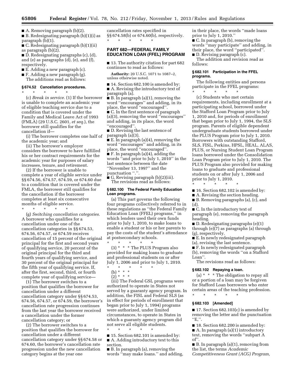A. Removing paragraph  $(b)(2)$ .

■ B. Redesignating paragraph (b)(1)(i) as paragraph (b)(1).

■ C. Redesignating paragraph (b)(1)(ii) as paragraph (b)(2).

■ D. Redesignating paragraphs (c), (d), and (e) as paragraphs (d), (e), and (f), respectively.

■ E. Adding a new paragraph (c).

■ F. Adding a new paragraph (g). The additions read as follows:

### **§ 674.52 Cancellation procedures.**

\* \* \* \* \* (c) *Break in service.* (1) If the borrower is unable to complete an academic year of eligible teaching service due to a condition that is covered under the Family and Medical Leave Act of 1993 (FMLA) (29 U.S.C. 2601, *et seq.*), the borrower still qualifies for the cancellation if—

(i) The borrower completes one half of the academic year; and

(ii) The borrower's employer considers the borrower to have fulfilled his or her contract requirements for the academic year for purposes of salary increases, tenure, and retirement.

(2) If the borrower is unable to complete a year of eligible service under §§ 674.56, 674.57, 674.59, or 674.60 due to a condition that is covered under the FMLA, the borrower still qualifies for the cancellation if the borrower completes at least six consecutive months of eligible service.

\* \* \* \* \*

(g) *Switching cancellation categories.*  A borrower who qualifies for a cancellation under one of the cancellation categories in §§ 674.53, 674.56, 674.57, or 674.59 receives cancellation of 15 percent of the original principal for the first and second years of qualifying service, 20 percent of the original principal for the third and fourth years of qualifying service, and 30 percent of the original principal for the fifth year of qualifying service. If, after the first, second, third, or fourth complete year of qualifying service—

(1) The borrower switches to a position that qualifies the borrower for cancellation under a different cancellation category under §§ 674.53, 674.56, 674.57, or 674.59, the borrower's cancellation rate progression continues from the last year the borrower received a cancellation under the former cancellation category; or

(2) The borrower switches to a position that qualifies the borrower for cancellation under a different cancellation category under §§ 674.58 or 674.60, the borrower's cancellation rate progression under the new cancellation category begins at the year one

cancellation rates specified in §§ 674.58(b) or 674.60(b), respectively. \* \* \* \* \*

### **PART 682—FEDERAL FAMILY EDUCATION LOAN (FFEL) PROGRAM**

■ 13. The authority citation for part 682 continues to read as follows:

**Authority:** 20 U.S.C. 1071 to 1087–2, unless otherwise noted.

■ 14. Section 682.100 is amended by: ■ A. Revising the introductory text of paragraph (a).

■ B. In paragraph (a)(1), removing the word ''encourages'' and adding, in its place, the word ''encouraged''. ■ C. In the first sentence of paragraph (a)(3), removing the word ''encourages''

and adding, in its place, the word ''encouraged''.

■ D. Revising the last sentence of paragraph (a)(3).

■ E. In paragraph (a)(4), removing the word ''encourages'' and adding, in its place, the word "encouraged" ■ F. In paragraph (a)(4), adding the words ''and prior to July 1, 2010'' in the last sentence between the date ''November 13, 1997'' and the punctuation ".".

■ G. Revising paragraph (b)(2)(iii). The revisions read as follows:

### **§ 682.100 The Federal Family Education Loan programs.**

(a) This part governs the following four programs collectively referred to in these regulations as ''the Federal Family Education Loan (FFEL) programs,'' in which lenders used their own funds prior to July 1, 2010, to make loans to enable a student or his or her parents to pay the costs of the student's attendance at postsecondary schools.

\* \* \* \* \* (3) \* \* \* The PLUS Program also provided for making loans to graduate and professional students on or after July 1, 2006 and prior to July 1, 2010.

- \* \* \* \* \*
	- (b) \* \* \*  $\left(\frac{2}{2}\right) * * *$

(iii) The Federal GSL programs were authorized to operate in States not served by a guaranty agency program. In addition, the FISL and Federal SLS (as in effect for periods of enrollment that began prior to July 1, 1994) programs were authorized, under limited circumstances, to operate in States in which a guaranty agency program did not serve all eligible students.

\* \* \* \* \* ■ 15. Section 682.101 is amended by: ■ A. Adding introductory text to this section.

■ B. In paragraph (a), removing the words ''may make loans.'' and adding, in their place, the words ''made loans prior to July 1, 2010.''

■ C. In paragraph (b), removing the words ''may participate'' and adding, in their place, the word ''participated''.

■ D. Revising paragraph (c).

The addition and revision read as follows:

#### **§ 682.101 Participation in the FFEL programs.**

The following entities and persons participate in the FFEL programs: \* \* \* \* \*

(c) Students who met certain requirements, including enrollment at a participating school, borrowed under the Stafford Loan Program prior to July 1, 2010 and, for periods of enrollment that began prior to July 1, 1994, the SLS program. Parents of eligible dependent undergraduate students borrowed under the PLUS Program prior to July 1, 2010. Borrowers with outstanding Stafford, SLS, FISL, Perkins, HPSL, HEAL, ALAS, PLUS, or Nursing Student Loan Program loans borrowed under the Consolidation Loan Program prior to July 1, 2010. The PLUS Program also provided for making loans to graduate and professional students on or after July 1, 2006 and prior to July 1, 2010.

\* \* \* \* \*

■ 16. Section 682.102 is amended by:

- A. Revising the section heading.
- B. Removing paragraphs (a), (c), and (d).

■ C. In the introductory text of paragraph (e), removing the paragraph heading.

■ D. Redesignating paragraphs (e)(1) through (e)(7) as paragraphs (a) through (g), respectively.

■ E. In newly redesignated paragraph (a), revising the last sentence.

■ F. In newly redesignated paragraph

(b), removing the words ''on a Stafford Loan''.

The revisions read as follows:

### **§ 682.102 Repaying a loan.**

(a) \* \* \* The obligation to repay all or a portion of a loan may be forgiven for Stafford Loan borrowers who enter certain areas of the teaching profession. \* \* \* \* \*

### **§ 682.103 [Amended]**

 $\blacksquare$  17. Section 682.103(c) is amended by removing the letter and the punctuation  $"E,"$ .

■ 18. Section 682.200 is amended by:

■ A. In paragraph (a)(1) introductory

text, removing the words ''subpart A of''.

■ B. In paragraph (a)(1), removing from the list, the terms *Academic Competitiveness Grant (ACG) Program,*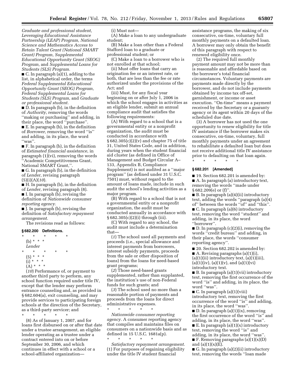*Graduate and professional student, Leveraging Educational Assistance Partnership (LEAP) Program, National Science and Mathematics Access to Retain Talent Grant (National SMART Grant) Program, Supplemental Educational Opportunity Grant (SEOG) Program,* and *Supplemental Loans for Students (SLS) Program.* 

■ C. In paragraph (a)(1), adding to the list, in alphabetical order, the terms *Federal Supplemental Educational Opportunity Grant (SEOG) Program, Federal Supplemental Loans for Students (SLS) Program,* and *Graduate or professional student.* 

■ D. In paragraph (b), in the definition of *Authority,* removing the words ''making or purchasing'' and adding, in their place, the word ''purchase''. ■ E. In paragraph (b), in the definition of *Borrower,* removing the word ''is'' and adding, in its place, the word ''was''.

■ F. In paragraph (b), in the definition of *Estimated financial assistance,* in paragraph (1)(vi), removing the words ''Academic Competitiveness Grant, National SMART Grant,''.

■ G. In paragraph (b), in the definition of *Lender,* revising paragraph (5)(i)(A)(*10*).

■ H. In paragraph (b), in the definition of *Lender,* revising paragraph (8). ■ I. In paragraph (b), revising the definition of *Nationwide consumer* 

*reporting agency.*  ■ J. In paragraph (b), revising the

definition of *Satisfactory repayment arrangement.* 

The revisions read as follows:

### **§ 682.200 Definitions.**

 $\star$   $\star$ (b) \* \* \* *Lender*  \* \* \* \* \*  $(5) * * * *$  $(i) * * * *$  $(A) * * * *$ 

(*10*) Performance of, or payment to another third party to perform, any school function required under title IV, except that the lender may perform entrance counseling and, as provided in § 682.604(a), exit counseling, and may provide services to participating foreign schools at the direction of the Secretary, as a third-party servicer; and

\* \* \* \* \*

(8) As of January 1, 2007, and for loans first disbursed on or after that date under a trustee arrangement, an eligible lender operating as a trustee under a contract entered into on or before September 30, 2006, and which continues in effect with a school or a school-affiliated organization(i) Must not—

(A) Make a loan to any undergraduate student;

(B) Make a loan other than a Federal Stafford loan to a graduate or professional student; or

(C) Make a loan to a borrower who is not enrolled at that school;

(ii) Must offer loans that carry an origination fee or an interest rate, or both, that are less than the fee or rate authorized under the provisions of the Act; and

(iii) Must, for any fiscal year beginning on or after July 1, 2006 in which the school engages in activities as an eligible lender, submit an annual compliance audit that satisfies the following requirements:

(A) With regard to a school that is a governmental entity or a nonprofit organization, the audit must be conducted in accordance with § 682.305(c)(2)(v) and chapter 75 of title 31, United States Code, and in addition, during years when the student financial aid cluster (as defined in Office of Management and Budget Circular A– 133, Appendix B, Compliance Supplement) is not audited as a ''major program'' (as defined under 31 U.S.C. 7501) must, without regard to the amount of loans made, include in such audit the school's lending activities as a major program.

(B) With regard to a school that is not a governmental entity or a nonprofit organization, the audit must be conducted annually in accordance with § 682.305(c)(2)(i) through (iii).

(C) With regard to any school, the audit must include a determination that—

(*1*) The school used all payments and proceeds (i.e., special allowance and interest payments from borrowers, interest subsidy payments, proceeds from the sale or other disposition of loans) from the loans for need-based grant programs;

(*2*) Those need-based grants supplemented, rather than supplanted, the institution's use of non-Federal funds for such grants; and

(*3*) The school used no more than a reasonable portion of payments and proceeds from the loans for direct administrative expenses.

\* \* \* \* \* *Nationwide consumer reporting agency.* A consumer reporting agency that compiles and maintains files on consumers on a nationwide basis and as defined in 15 U.S.C. 1681a(p).

\* \* \* \* \* *Satisfactory repayment arrangement.*  (1) For purposes of regaining eligibility under the title IV student financial

assistance programs, the making of six consecutive, on-time, voluntary full monthly payments on a defaulted loan. A borrower may only obtain the benefit of this paragraph with respect to renewed eligibility once.

(2) The required full monthly payment amount may not be more than is reasonable and affordable based on the borrower's total financial circumstances. Voluntary payments are payments made directly by the borrower, and do not include payments obtained by income tax off-set, garnishment, or income or asset execution. ''On-time'' means a payment received by the Secretary or a guaranty agency or its agent within 20 days of the scheduled due date.

(3) A borrower has not used the one opportunity to renew eligibility for title IV assistance if the borrower makes six consecutive, on-time, voluntary, full monthly payments under an agreement to rehabilitate a defaulted loan but does not receive additional title IV assistance prior to defaulting on that loan again.

\* \* \* \* \*

### **§ 682.201 [Amended]**

■ 19. Section 682.201 is amended by: ■ A. In paragraph (a) introductory text, removing the words ''made under § 682.209(e) or (f)''.

■ B. In paragraph (a)(4)(ii) introductory text, adding the words ''paragraph (a)(4) of'' between the words ''of'' and ''this''.

■ C. In paragraph (a)(6) introductory text, removing the word ''student'' and adding, in its place, the word ''borrower''.

 $\blacksquare$  D. In paragraph  $(c)(2)(i)$ , removing the words ''credit bureau'' and adding, in their place, the words ''consumer reporting agency''.

■ 20. Section 682.202 is amended by: ■ A. Revising paragraphs (a)(1)(i),  $(a)(1)(ii)$  introductory text,  $(a)(1)(iii)$ ,  $(a)(1)(iv)$ ,  $(a)(1)(v)$ , and  $(a)(1)(vi)$ introductory text.

■ B. In paragraph (a)(1)(vii) introductory text, removing the first occurrence of the word ''is'' and adding, in its place, the word ''was''.

■ C. In paragraph (a)(1)(viii) introductory text, removing the first occurrence of the word ''is'' and adding, in its place, the word ''was''.

■ D. In paragraph (a)(1)(ix), removing the first occurrence of the word ''is'' and adding, in its place, the word ''was''.

 $\blacksquare$  E. In paragraph (a)(1)(x) introductory text, removing the word ''is'' and adding, in its place, the word ''was''.

 $\blacksquare$  F. Removing paragraphs (a)(1)(x)(D) and  $(a)(1)(x)(E)$ .

■ G. In paragraph (a)(2)(ii) introductory text, removing the words ''loan made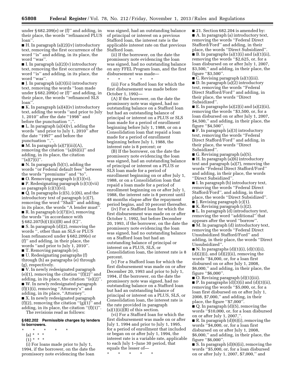under  $\S 682.209(e)$  or (f)" and adding, in their place, the words ''refinanced PLUS loan''.

■ H. In paragraph (a)(2)(iv) introductory text, removing the first occurrence of the word ''is'' and adding, in its place, the word ''was''.

■ I. In paragraph  $(a)(2)(v)$  introductory text, removing the first occurrence of the word ''is'' and adding, in its place, the word ''was''.

■ J. In paragraph (a)(3)(ii) introductory text, removing the words ''loan made under  $§ 682.209(e)$  or (f)" and adding, in their place, the words ''refinanced SLS loan''.

■ K. In paragraph (a)(4)(iv) introductory text, adding the words ''and prior to July 1, 2010'' after the date ''1998'' and before the punctuation ","

 $\blacksquare$  L. In paragraph (a)(4)(v), adding the words ''and prior to July 1, 2010'' after the date ''1997'' and before the punctuation ",".

 $\blacksquare$  M. In paragraph (a)(7)(iii)(A), removing the citation "(a)(6)(ii)" and adding, in its place, the citation  $''(a)(7)(i)$ ".

■ N. In paragraph (b)(1), adding the words ''or Federal default fees'' between the words ''premiums'' and ''to''.

 $\blacksquare$  O. Removing paragraph  $(c)(1)(vi)$ . ■ P. Redesignating paragraph (c)(1)(vii) as paragraph (c)(1)(vi).

 $\blacksquare$  Q. In paragraphs (c)(5), (c)(6), and the introductory text of paragraph (c)(7), removing the word "Shall" and adding, in its place, the words ''A lender must''. ■ R. In paragraph (c)(7)(iv), removing the words ''in accordance with § 682.207(b)(1)(ii)(B) and (C)''.

■ S. In paragraph (d)(2), removing the words '', other than an SLS or PLUS loan refinanced under § 682.209(e) or (f)'' and adding, in their place, the words ''and prior to July 1, 2010''. ■ T. Removing paragraph (e).

■ U. Redesignating paragraphs (f) through (h) as paragraphs (e) through (g), respectively.

■ V. In newly redesignated paragraph  $(e)(1)$ , removing the citation " $(f)(2)$ " and adding, in its place, the citation ''(e)(2)''. ■ W. In newly redesignated paragraph (f)(1)(i), removing ''Attorney's'' and adding, in its place, ''Attorney''. ■ X. In newly redesignated paragraph  $(f)(2)$ , removing the citation " $(g)(1)$ " and adding, in its place, the citation  $f(f)(1)$ ". The revisions read as follows:

**§ 682.202 Permissible charges by lenders to borrowers.** 

- \* \* \* \* \*
	- (a) \* \* \*
	- $(1) * * * *$

(i) For loans made prior to July 1, 1994, if the borrower, on the date the promissory note evidencing the loan

was signed, had an outstanding balance of principal or interest on a previous Stafford loan, the interest rate is the applicable interest rate on that previous Stafford loan.

(ii) If the borrower, on the date the promissory note evidencing the loan was signed, had no outstanding balance on any FFEL Program loan, and the first disbursement was made—

\* \* \* \* \* (iii) For a Stafford loan for which the first disbursement was made before October 1, 1992—

(A) If the borrower, on the date the promissory note was signed, had no outstanding balance on a Stafford loan but had an outstanding balance of principal or interest on a PLUS or SLS loan made for a period of enrollment beginning before July 1, 1988, or on a Consolidation loan that repaid a loan made for a period of enrollment beginning before July 1, 1988, the interest rate is 8 percent; or

(B) If the borrower, on the date the promissory note evidencing the loan was signed, had an outstanding balance of principal or interest on a PLUS or SLS loan made for a period of enrollment beginning on or after July 1, 1988, or on a Consolidation loan that repaid a loan made for a period of enrollment beginning on or after July 1, 1988, the interest rate is 8 percent until 48 months elapse after the repayment period begins, and 10 percent thereafter.

(iv) For a Stafford loan for which the first disbursement was made on or after October 1, 1992, but before December 20, 1993, if the borrower, on the date the promissory note evidencing the loan was signed, had no outstanding balance on a Stafford loan but had an outstanding balance of principal or interest on a PLUS, SLS, or Consolidation loan, the interest rate is 8 percent.

(v) For a Stafford loan for which the first disbursement was made on or after December 20, 1993 and prior to July 1, 1994, if the borrower, on the date the promissory note was signed, had no outstanding balance on a Stafford loan but had an outstanding balance of principal or interest on a PLUS, SLS, or Consolidation loan, the interest rate is the rate provided in paragraph  $(a)(1)(ii)(B)$  of this section.

(vi) For a Stafford loan for which the first disbursement was made on or after July 1, 1994 and prior to July 1, 1995, for a period of enrollment that included or began on or after July 1, 1994, the interest rate is a variable rate, applicable to each July 1–June 30 period, that equals the lesser of—

\* \* \* \* \*

■ 21. Section 682.204 is amended by: ■ A. In paragraph (a) introductory text, removing the words ''Federal Direct Stafford/Ford'' and adding, in their place, the words ''Direct Subsidized''.

 $\blacksquare$  B. In paragraphs (a)(1)(i) and (a)(1)(ii), removing the words ''\$2,625, or, for a loan disbursed on or after July 1, 2007, \$3,500,'' and adding, in their place, the figure ''\$3,500''.

■ C. Revising paragraph (a)(1)(iii). ■ D. In paragraph (a)(2) introductory text, removing the words ''Federal Direct Stafford/Ford'' and adding, in their place, the words ''Direct Subsidized''.

 $\blacksquare$  E. In paragraphs (a)(2)(i) and (a)(2)(ii), removing the words ''\$3,500, or, for a loan disbursed on or after July 1, 2007, \$4,500,'' and adding, in their place, the figure ''\$4,500''.

■ F. In paragraph (a)(3) introductory text, removing the words ''Federal Direct Stafford/Ford'' and adding, in their place, the words ''Direct Subsidized''.

■ G. Revising paragraph (a)(5). ■ H. In paragraph (a)(6) introductory text and paragraph (a)(7), removing the words ''Federal Direct Stafford/Ford'' and adding, in their place, the words ''Direct Subsidized''.

■ I. In paragraph (b) introductory text, removing the words ''Federal Direct Stafford/Ford'', and adding, in their place, the words ''Direct Subsidized''.

 $\blacksquare$  J. Revising paragraph  $(c)(1)$ .

■ K. Revising paragraph (c)(2).

■ L. In paragraph (d) introductory text, removing the word ''additional'' that appears after the word ''borrow''.

■ M. In paragraph (d) introductory text, removing the words ''Federal Direct Unsubsidized Stafford/Ford'' and adding, in their place, the words ''Direct Unsubsidized''.

 $\blacksquare$  N. In paragraphs (d)(1)(i), (d)(1)(ii),  $(d)(2)(i)$ , and  $(d)(2)(ii)$ , removing the words ''\$4,000, or, for a loan first disbursed on or after July 1, 2008, \$6,000,'' and adding, in their place, the figure ''\$6,000''.

■ O. Revising paragraph (d)(1)(iii).  $\blacksquare$  P. In paragraphs (d)(3)(i) and (d)(3)(ii), removing the words ''\$5,000, or, for a loan first disbursed on or after July 1, 2008, \$7,000,'' and adding, in their place, the figure ''\$7,000''.

■ Q. In paragraph (d)(5), removing the words ''\$10,000, or, for a loan disbursed on or after July 1, 2007,''.

■ R. In paragraph (d)(6)(i), removing the words ''\$4,000, or, for a loan first disbursed on or after July 1, 2008, \$6,000,'' and adding, in their place, the figure ''\$6,000''.

■ S. In paragraph (d)(6)(ii), removing the words ''\$5,000, or, for a loan disbursed on or after July 1, 2007, \$7,000,'' and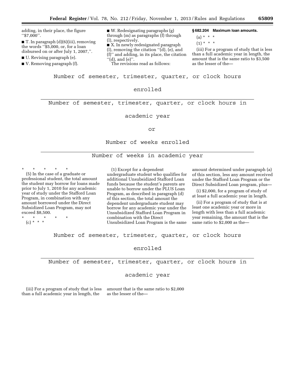| adding, in their place, the figure<br>$``\$7,000".$<br>$\blacksquare$ T. In paragraph (d)(6)(iii), removing<br>the words ''\$5,000, or, for a loan<br>disbursed on or after July 1, 2007,".<br>$\blacksquare$ U. Revising paragraph (e).<br>$\blacksquare$ V. Removing paragraph (f). | $\blacksquare$ W. Redesignating paragraphs (g)<br>through (m) as paragraphs (f) through<br>(l), respectively.<br>$\blacksquare$ X. In newly redesignated paragraph<br>$(l)$ , removing the citation " $(d)$ , $(e)$ , and<br>(f)" and adding, in its place, the citation<br>" $(d)$ , and $(e)$ ".<br>The revisions read as follows: | §682.204 Maximum Ioan amounts.<br>$(a) * * * *$<br>$(1) * * * *$<br>(iii) For a program of study that is less<br>than a full academic year in length, the<br>amount that is the same ratio to \$3,500<br>as the lesser of the— |
|---------------------------------------------------------------------------------------------------------------------------------------------------------------------------------------------------------------------------------------------------------------------------------------|--------------------------------------------------------------------------------------------------------------------------------------------------------------------------------------------------------------------------------------------------------------------------------------------------------------------------------------|--------------------------------------------------------------------------------------------------------------------------------------------------------------------------------------------------------------------------------|
|---------------------------------------------------------------------------------------------------------------------------------------------------------------------------------------------------------------------------------------------------------------------------------------|--------------------------------------------------------------------------------------------------------------------------------------------------------------------------------------------------------------------------------------------------------------------------------------------------------------------------------------|--------------------------------------------------------------------------------------------------------------------------------------------------------------------------------------------------------------------------------|

Number of semester, trimester, quarter, or clock hours

### enrolled

Number of semester, trimester, quarter, or clock hours in

academic year

or

Number of weeks enrolled

Number of weeks in academic year

\* \* \* \* \* (5) In the case of a graduate or professional student, the total amount the student may borrow for loans made prior to July 1, 2010 for any academic year of study under the Stafford Loan Program, in combination with any amount borrowed under the Direct Subsidized Loan Program, may not exceed \$8,500.

\* \* \* \* \* (c) \* \* \*

(1) Except for a dependent undergraduate student who qualifies for additional Unsubsidized Stafford Loan funds because the student's parents are unable to borrow under the PLUS Loan Program, as described in paragraph (d) of this section, the total amount the dependent undergraduate student may borrow for any academic year under the Unsubsidized Stafford Loan Program in combination with the Direct Unsubsidized Loan Program is the same

amount determined under paragraph (a) of this section, less any amount received under the Stafford Loan Program or the Direct Subsidized Loan program, plus—

(i) \$2,000, for a program of study of at least a full academic year in length.

(ii) For a program of study that is at least one academic year or more in length with less than a full academic year remaining, the amount that is the same ratio to \$2,000 as the—

Number of semester, trimester, quarter, or clock hours

### enrolled

Number of semester, trimester, quarter, or clock hours in

## academic year

(iii) For a program of study that is less than a full academic year in length, the

amount that is the same ratio to \$2,000 as the lesser of the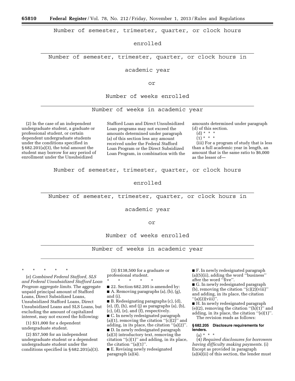Number of semester, trimester, quarter, or clock hours

enrolled

Number of semester, trimester, quarter, or clock hours in

academic year

or

Number of weeks enrolled

Number of weeks in academic year

(2) In the case of an independent undergraduate student, a graduate or professional student, or certain dependent undergraduate students under the conditions specified in § 682.201(a)(3), the total amount the student may borrow for any period of enrollment under the Unsubsidized

Stafford Loan and Direct Unsubsidized Loan programs may not exceed the amounts determined under paragraph (a) of this section less any amount received under the Federal Stafford Loan Program or the Direct Subsidized Loan Program, in combination with the amounts determined under paragraph (d) of this section.

 $(d) * * * *$ 

 $(1) * * * *$ 

(iii) For a program of study that is less than a full academic year in length, an amount that is the same ratio to \$6,000 as the lesser of—

Number of semester, trimester, quarter, or clock hours

enrolled

Number of semester, trimester, quarter, or clock hours in

academic year

### Ωr

Number of weeks enrolled

Number of weeks in academic year

\* \* \* \* \*

(e) *Combined Federal Stafford, SLS and Federal Unsubsidized Stafford Loan Program aggregate limits.* The aggregate unpaid principal amount of Stafford Loans, Direct Subsidized Loans, Unsubsidized Stafford Loans, Direct Unsubsidized Loans and SLS Loans, but excluding the amount of capitalized interest, may not exceed the following:

(1) \$31,000 for a dependent undergraduate student.

(2) \$57,500 for an independent undergraduate student or a dependent undergraduate student under the conditions specified in § 682.201(a)(3).

(3) \$138,500 for a graduate or professional student.

\* \* \* \* \*

■ 22. Section 682.205 is amended by: ■ A. Removing paragraphs (a), (b), (g), and (i).

■ B. Redesignating paragraphs (c), (d), (e), (f), (h), and (j) as paragraphs (a), (b),  $(c)$ ,  $(d)$ ,  $(e)$ , and  $(f)$ , respectively.

■ C. In newly redesignated paragraph (a)(1), removing the citation " $(c)(2)$ " and adding, in its place, the citation ''(a)(2)''.

■ D. In newly redesignated paragraph (a)(3) introductory text, removing the citation  $C(1)$ " and adding, in its place, the citation  $"$ (a)(1)".

■ E. Revising newly redesignated paragraph (a)(4).

■ F. In newly redesignated paragraph (a)(5)(ii), adding the word ''business'' after the word ''five''.

■ G. In newly redesignated paragraph (b), removing the citation  $\sqrt{\frac{c}{c}}$ ( $\sqrt{2}$ )(viii)'' and adding, in its place, the citation  $"$ (a)(2)(viii)"

■ H. In newly redesignated paragraph  $(e)(2)$ , removing the citation " $(h)(1)$ " and adding, in its place, the citation ''(e)(1)''. The revision reads as follows:

### **§ 682.205 Disclosure requirements for lenders.**

(a) \* \* \*

(4) *Required disclosures for borrowers having difficulty making payments.* (i) Except as provided in paragraph (a)(4)(ii) of this section, the lender must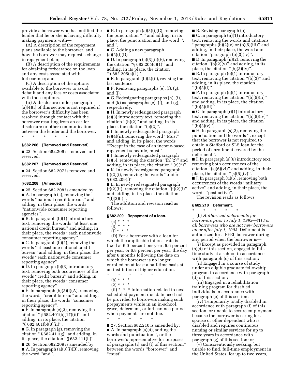provide a borrower who has notified the lender that he or she is having difficulty making payments with—

(A) A description of the repayment plans available to the borrower, and how the borrower may request a change in repayment plan;

(B) A description of the requirements for obtaining forbearance on the loan and any costs associated with forbearance; and

(C) A description of the options available to the borrower to avoid default and any fees or costs associated with those options.

(ii) A disclosure under paragraph (a)(4)(i) of this section is not required if the borrower's difficulty has been resolved through contact with the borrower resulting from an earlier disclosure or other communication between the lender and the borrower.

\* \* \* \* \*

## **§ 682.206 [Removed and Reserved]**

■ 23. Section 682.206 is removed and reserved.

#### **§ 682.207 [Removed and Reserved]**

■ 24. Section 682.207 is removed and reserved.

#### **§ 682.208 [Amended]**

■ 25. Section 682.208 is amended by: ■ A. In paragraph (a), removing the words ''national credit bureaus'' and adding, in their place, the words ''nationwide consumer reporting agencies''.

■ B. In paragraph (b)(1) introductory text, removing the words ''at least one national credit bureau'' and adding, in their place, the words ''each nationwide consumer reporting agency''.

■ C. In paragraph (b)(2), removing the words ''at least one national credit bureau'' and adding, in their place, the words ''each nationwide consumer reporting agency''.

■ D. In paragraph (b)(3) introductory text, removing both occurrences of the words ''credit bureau'' and adding, in their place, the words ''consumer reporting agency''.

 $\blacksquare$  E. In paragraph (b)(3)(i)(A), removing the words ''credit bureau'' and adding, in their place, the words ''consumer reporting agency''.

■ F. In paragraph (e)(3), removing the citation ''§ 682.401(b)(17)(ii)'' and adding, in its place, the citation ''§ 682.401(b)(8)(ii)''.

■ G. In paragraph (g), removing the citation " $\S 682.411(g)$ " and adding, in its place, the citation " $\S 682.411(h)$ ".

■ 26. Section 682.209 is amended by: ■ A. In paragraph (a)(3)(i)(B), removing the word ''and''.

 $\blacksquare$  B. In paragraph (a)(3)(i)(C), removing the punctuation ''.'' and adding, in its place, the punctuation and the word ''; and''.

■ C. Adding a new paragraph  $(a)(3)(i)(D)$ .

■ D. In paragraph (a)(3)(ii)(E), removing the citation ''§ 682.205(c)(1)'' and adding, in its place, the citation ''§ 682.205(a)(1)''.

 $\blacksquare$  E. In paragraph (b)(2)(ii), revising the last sentence.

 $\blacksquare$  F. Removing paragraphs (e), (f), (g), and (j).

■ G. Redesignating paragraphs (h), (i), and (k) as paragraphs (e), (f), and (g), respectively.

■ H. In newly redesignated paragraph (e)(3) introductory text, removing the citation  $\lq(h)(2)$ " and adding, in its place, the citation "(e)(2)".

■ I. In newly redesignated paragraph (e)(4)(ii), removing the word ''Must'' and adding, in its place, the words ''Except in the case of an income-based repayment schedule, must''.

■ J. In newly redesignated paragraph  $(e)(5)$ , removing the citation " $(h)(2)$ " and adding, in its place, the citation ''(e)(2)''.

■ K. In newly redesignated paragraph (f)(2)(i), removing the words ''under § 682.209(f)".

■ L. In newly redesignated paragraph  $(f)(2)(ii)$ , removing the citation " $(i)(2)(i)$ " and adding, in its place, the citation  $"({\rm f})(2)({\rm i})".$ 

The addition and revision read as follows:

#### **§ 682.209 Repayment of a loan.**

- $(a) * * * *$
- (3) \* \* \*
- $(i) * * * *$

(D) For a borrower with a loan for which the applicable interest rate is fixed at 6.0 percent per year, 5.6 percent per year, or 6.8 percent per year, the day after 6 months following the date on which the borrower is no longer enrolled on at least a half-time basis at an institution of higher education. \* \* \* \* \*

- 
- (b) \* \* \*
- $(2) * * * *$

(ii) \* \* \* Information related to next scheduled payment due date need not be provided to borrowers making such prepayments while in an in-school, grace, deferment, or forbearance period when payments are not due.

\* \* \* \* \* ■ 27. Section 682.210 is amended by: ■ A. In paragraph (a)(4), adding the words and punctuation '', or the borrower's representative for purposes of paragraphs (i) and (t) of this section,'' between the words ''borrower'' and ''must''.

■ B. Revising paragraph (b).

 $\blacksquare$  C. In paragraph  $(n)(1)$  introductory text, removing the words and citations ''paragraphs (b)(2)(v) or (b)(5)(iii)'' and adding, in their place, the word and citation ''paragraph (b)(3)(iv)''.

■ D. In paragraph (n)(2), removing the citation  $\lq(b)(2)(v)$ " and adding, in its place, the citation ''(b)(3)(iv)''.

■ E. In paragraph (o)(1) introductory text, removing the citation ''(b)(3)'' and adding, in its place, the citation  $''(b)(3)(i)''$ .

■ F. In paragraph (q)(1) introductory text, removing the citation ''(b)(5)(ii)'' and adding, in its place, the citation ''(b)(3)(iii)''.

■ G. In paragraph (r)(1) introductory text, removing the citation  $"$ (b)(5)(iv)" and adding, in its place, the citation  $''(b)(3)(v)$ ".

 $\blacksquare$  H. In paragraph (s)(2), removing the punctuation and the words '', except that the borrower is not required to obtain a Stafford or SLS loan for the period of enrollment covered by the deferment''.

■ I. In paragraph (s)(6) introductory text, removing both occurrences of the citation  $\mathbf{H}(s)(6)(vi)$ " and adding, in their place, the citation  $\cdot$ '(s)(6)(iv)''.

■ J. In paragraph (u)(5), removing both occurrences of the words ''military active'' and adding, in their place, the words ''post-active''.

The revision reads as follows:

#### **§ 682.210 Deferment.**  \* \* \* \* \*

(b) *Authorized deferments for borrowers prior to July 1, 1993*—(1) *For all borrowers who are not new borrowers on or after July 1, 1993.* Deferment is authorized for a FFEL borrower during any period when the borrower is—

(i) Except as provided in paragraph (b)(4) of this section, engaged in fulltime study at a school in accordance with paragraph (c) of this section;

(ii) Engaged in a course of study under an eligible graduate fellowship program in accordance with paragraph (d) of this section;

(iii) Engaged in a rehabilitation training program for disabled individuals in accordance with paragraph (e) of this section;

(iv) Temporarily totally disabled in accordance with paragraph (f) of this section, or unable to secure employment because the borrower is caring for a spouse or other dependent who is disabled and requires continuous nursing or similar services for up to three years in accordance with paragraph (g) of this section; or

(v) Conscientiously seeking, but unable to find, full-time employment in the United States, for up to two years,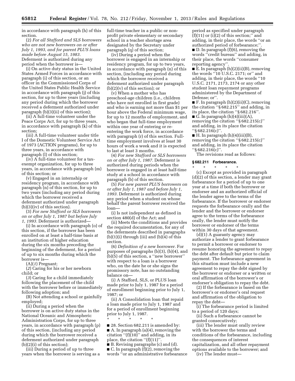in accordance with paragraph (h) of this section.

(2) *For all Stafford and SLS borrowers who are not new borrowers on or after July 1, 1993, and for parent PLUS loans made before August 15, 1983.*  Deferment is authorized during any period when the borrower is—

(i) On active duty status in the United States Armed Forces in accordance with paragraph (i) of this section, or an officer in the Commissioned Corps of the United States Public Health Service in accordance with paragraph (j) of this section, for up to three years (including any period during which the borrower received a deferment authorized under paragraph (b)(3)(ii) of this section);

(ii) A full-time volunteer under the Peace Corps Act, for up to three years, in accordance with paragraph (k) of this section;

(iii) A full-time volunteer under title I of the Domestic Volunteer Service Act of 1973 (ACTION programs), for up to three years, in accordance with paragraph (l) of this section;

(iv) A full-time volunteer for a taxexempt organization, for up to three years, in accordance with paragraph (m) of this section; or

(v) Engaged in an internship or residency program, in accordance with paragraph (n) of this section, for up to two years (including any period during which the borrower received a deferment authorized under paragraph (b)(3)(iv) of this section).

(3) *For new Stafford or SLS borrowers on or after July 1, 1987 but before July 1, 1993.* Deferment is authorized—

(i) In accordance with paragraph (o) of this section, if the borrower has been enrolled on at least a half-time basis at an institution of higher education during the six months preceding the beginning of the deferment, for a period of up to six months during which the borrower is—

(A)(*1*) Pregnant;

(*2*) Caring for his or her newborn child; or

(*3*) Caring for a child immediately following the placement of the child with the borrower before or immediately following adoption; and

(B) Not attending a school or gainfully employed;

(ii) During a period when the borrower is on active duty status in the National Oceanic and Atmospheric Administration Corps, for up to three years, in accordance with paragraph (p) of this section, (including any period during which the borrower received a deferment authorized under paragraph (b)(2)(i) of this section);

(iii) During a period of up to three years when the borrower is serving as a full-time teacher in a public or nonprofit private elementary or secondary school in a teacher shortage area designated by the Secretary under paragraph (q) of this section;

(iv) During a period when the borrower is engaged in an internship or residency program, for up to two years, in accordance with paragraph (n) of this section, (including any period during which the borrower received a deferment authorized under paragraph  $(b)(2)(v)$  of this section); or

(v) When a mother who has preschool-age children (i.e., children who have not enrolled in first grade) and who is earning not more than \$1 per hour above the Federal minimum wage, for up to 12 months of employment, and who began that full-time employment within one year of entering or reentering the work force, in accordance with paragraph (r) of this section. Fulltime employment involves at least 30 hours of work a week and it is expected to last at least 3 months.

(4) *For new Stafford or SLS borrowers on or after July 1, 1987.* Deferment is authorized during periods when the borrower is engaged in at least half-time study at a school in accordance with paragraph (b) of this section.

(5) *For new parent PLUS borrowers on or after July 1, 1987 and before July 1, 1993.* Deferment is authorized during any period when a student on whose behalf the parent borrower received the loan—

(i) Is not independent as defined in section 480(d) of the Act; and

(ii) Meets the conditions and provides the required documentation, for any of the deferments described in paragraphs  $(b)(1)(i)$  through  $(iii)$  and  $(b)(4)$  of this section.

(6) *Definition of a new borrower.* For purposes of paragraphs (b)(3), (b)(4), and (b)(5) of this section, a ''new borrower'' with respect to a loan is a borrower who, on the date he or she signs the promissory note, has no outstanding balance on—

(i) A Stafford, SLS, or PLUS loan made prior to July 1, 1987 for a period of enrollment beginning prior to July 1, 1987; or

(ii) A Consolidation loan that repaid a loan made prior to July 1, 1987 and for a period of enrollment beginning prior to July 1, 1987.

■ 28. Section 682.211 is amended by: ■ A. In paragraph (a)(4), removing the citation " $(f)(10)$ " and adding, in its place, the citation ''(f)(11)''.

\* \* \* \* \*

■ B. Revising paragraphs (c) and (d). ■ C. In paragraph (f)(2), removing the words ''or an administrative forbearance

period as specified under paragraph  $(f)(11)$  or  $(i)(2)$  of this section;" and adding, in their place, the words ''or an authorized period of forbearance;" ■ D. In paragraph (f)(6), removing the words ''credit bureau'' and adding, in their place, the words ''consumer reporting agency''.

■ E. In paragraph (h)(2)(ii)(B), removing the words ''10 U.S.C. 2171; or'' and adding, in their place, the words ''10 U.S.C. 2171, 2173, 2174 or any other student loan repayment programs administered by the Department of Defense; or''.

 $\blacksquare$  F. In paragraph  $(h)(2)(ii)(C)$ , removing the citation ''§ 682.215'' and adding, in its place, the citation ''§ 682.216''.  $\blacksquare$  G. In paragraph (h)(4)(iii)(A), removing the citation ''§ 682.215(c)'' and adding, in its place the citation ''§ 682.216(c)''.

 $\blacksquare$  H. In paragraph  $(h)(4)(iii)(B)$ , removing the citation ''§ 682.215(c)'' and adding, in its place the citation ''§ 682.216(c)''.

The revisions read as follows:

### **§ 682.211 Forbearance.**

\* \* \* \* \* (c) Except as provided in paragraph (d)(2) of this section, a lender may grant forbearance for a period of up to one year at a time if both the borrower or endorser and an authorized official of the lender agree to the terms of the forbearance. If the borrower or endorser requests the forbearance orally and the lender and the borrower or endorser agree to the terms of the forbearance orally, the lender must notify the borrower or endorser of the terms within 30 days of that agreement.

(d)(1) A guaranty agency may authorize a lender to grant forbearance to permit a borrower or endorser to resume honoring the agreement to repay the debt after default but prior to claim payment. The forbearance agreement in this situation must include a new agreement to repay the debt signed by the borrower or endorser or a written or oral affirmation of the borrower's or endorser's obligation to repay the debt.

(2) If the forbearance is based on the borrower's or endorser's oral request and affirmation of the obligation to repay the debt—

(i) The forbearance period is limited to a period of 120 days;

(ii) Such a forbearance cannot be granted consecutively;

(iii) The lender must orally review with the borrower the terms and conditions of the forbearance, including the consequences of interest capitalization, and all other repayment options available to the borrower; and

(iv) The lender must—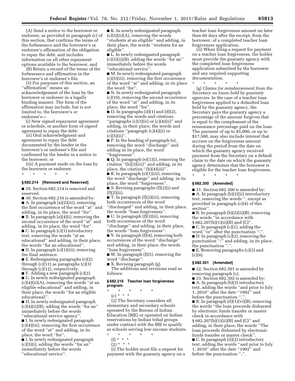(A) Send a notice to the borrower or endorser, as provided in paragraph (c) of this section, that confirms the terms of the forbearance and the borrower's or endorser's affirmation of the obligation to repay the debt, and includes information on all other repayment options available to the borrower, and

(B) Retain a record of the terms of the forbearance and affirmation in the borrower's or endorser's file.

(3) For purposes of this section, an ''affirmation'' means an acknowledgement of the loan by the borrower or endorser in a legally binding manner. The form of the affirmation may include, but is not limited to, the borrower's or endorser's—

(i) New signed repayment agreement or schedule, or another form of signed agreement to repay the debt;

(ii) Oral acknowledgment and agreement to repay the debt documented by the lender in the borrower's or endorser's file and confirmed by the lender in a notice to the borrower; or

(iii) A payment made on the loan by the borrower or endorser.

### **§ 682.214 [Removed and Reserved]**

\* \* \* \* \*

■ 29. Section 682.214 is removed and reserved.

■ 30. Section 682.216 is amended by: ■ A. In paragraph (a)(2)(iii), removing the first occurrence of the word ''at'' and adding, in its place, the word ''for''.

■ B. In paragraph (a)(4)(i), removing the second occurrence of the word ''at'' and adding, in its place, the word ''for''.

■ C. In paragraph (c)(1) introductory text, removing the words ''at an educational'' and adding, in their place, the words ''for an educational''.

■ D. In paragraph (c)(1)(iii), removing the final sentence.

■ E. Redesignating paragraphs (c)(2) through (c)(11) as paragraphs (c)(3) through (c)(12), respectively.

■ F. Adding a new paragraph (c)(2). ■ G. In newly redesignated paragraph (c)(4)(ii)(A), removing the words ''at an eligible educational'' and adding, in their place, the words ''for an eligible educational''.

■ H. In newly redesignated paragraph (c)(4)(ii)(B), adding the words ''for an'' immediately before the words ''educational service agency''.

■ I. In newly redesignated paragraph (c)(4)(iii), removing the first occurrence of the word ''at'' and adding, in its place, the word "for"

■ J. In newly redesignated paragraph (c)(5)(i), adding the words ''for an'' immediately before the words ''educational service''.

■ K. In newly redesignated paragraph  $(c)(5)(ii)(A)$ , removing the words 'students at an eligible" and adding, in their place, the words ''students for an eligible''.

■ L. In newly redesignated paragraph  $(c)(5)(ii)(B)$ , adding the words "for an" immediately before the words ''educational service''.

■ M. In newly redesignated paragraph (c)(5)(iii), removing the first occurrence of the word ''at'' and adding, in its place the word ''for''.

■ N. In newly redesignated paragraph (c)(10), removing the second occurrence of the word ''at'' and adding, in its place, the word ''for''.

 $\blacksquare$  O. In paragraphs (d)(1) and (d)(2), removing the words and citations ''paragraphs (c)(3)(ii) or (c)(4)(ii)'' and adding, in their place, the words and citations ''paragraph (c)(4)(ii) or  $(c)(5)(ii)$ ".

■ P. In the heading of paragraph (e), removing the word ''discharge'' and adding in its place, the word ''forgiveness''.

■ Q. In paragraph (e)(1)(i), removing the citation  $"$ (h)(3)(iii)" and adding, in its place, the citation "(h)(4)(iii)".

■ R. In paragraph (e)(1)(iii), removing the word ''discharge'' and adding, in its place, the word ''forgiveness''.

■ S. Revising paragraphs (f)(2)(i) and  $(f)(2)(ii)$ .

■ T. In paragraph (f)(2)(iii), removing both occurrences of the word ''discharged'' and adding, in their place, the words ''loan forgiveness''.

■ U. In paragraph (f)(3)(ii), removing both occurrences of the word ''discharge'' and adding, in their place,

the words ''loan forgiveness''. ■ V. In paragraph (f)(4), removing both occurrences of the word ''discharge'' and adding, in their place, the words ''loan forgiveness''.

■ W. In paragraph (f)(5), removing the word ''discharge''.

■ X. Revising paragraph (g). The additions and revisions read as follows:

#### **§ 682.216 Teacher loan forgiveness program.**

\* \* \* \* \*

(c) \* \* \*

(2) The Secretary considers all elementary and secondary schools operated by the Bureau of Indian Education (BIE) or operated on Indian reservations by Indian tribal groups under contract with the BIE to qualify as schools serving low-income students.

\* \* \* \* \*

(f) \* \* \*  $(2) * * * *$ 

(i) The holder must file a request for payment with the guaranty agency on a teacher loan forgiveness amount no later than 60 days after the receipt, from the borrower, of a completed teacher loan forgiveness application.

(ii) When filing a request for payment on a teacher loan forgiveness, the holder must provide the guaranty agency with the completed loan forgiveness application submitted by the borrower and any required supporting documentation.

\* \* \* \* \* (g) *Claims for reimbursement from the Secretary on loans held by guaranty agencies.* In the case of a teacher loan forgiveness applied to a defaulted loan held by the guaranty agency, the Secretary pays the guaranty agency a percentage of the amount forgiven that is equal to the complement of the reinsurance percentage paid on the loan. The payment of up to \$5,000, or up to \$17,500, may also include interest that accrues on the forgiveness amount during the period from the date on which the guaranty agency received payment from the Secretary on a default claim to the date on which the guaranty agency determines that the borrower is eligible for the teacher loan forgiveness. \* \* \* \* \*

#### **§ 682.300 [Amended]**

■ 31. Section 682.300 is amended by: ■ A. In paragraph (b)(2)(ii) introductory text, removing the words '', except as provided in paragraph (c)(4) of this section''.

■ B. In paragraph (b)(2)(ii)(B), removing the words ''in accordance with § 682.207(b)(1)(ii)(B) and (C)''.

■ C. In paragraph (c)(1), adding the word "or" after the punctuation ";"

■ D. In paragraph (c)(2), removing the punctuation '';'' and adding, in its place, the punctuation ".".

■ E. Removing paragraphs (c)(3) and  $(c)(4).$ 

#### **§ 682.301 [Amended]**

■ 32. Section 682.301 is amended by removing paragraph (c).

■ 33. Section 682.302 is amended by: ■ A. In paragraph (b)(3) introductory text, adding the words ''and prior to July 1, 2010'' after the date ''1992'' and before the punctuation '',''.

■ B. In paragraph (d)(1)(vi)(B), removing the words ''the loan proceeds disbursed by electronic funds transfer or master check in accordance with

§ 682.207(b)(1)(ii)(B) and (C)'' and adding, in their place, the words ''The loan proceeds disbursed by electronic funds transfer or master check''.

■ C. In paragraph (d)(2) introductory text, adding the words ''and prior to July 1, 2010'' after the date ''1992'' and before the punctuation ",".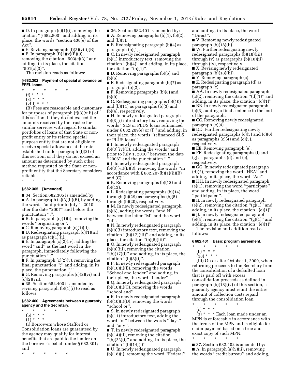■ D. In paragraph (e)(1)(i), removing the citation ''§ 682.800'' and adding, in its place, the words ''section 438(e) of the Act''.

 $\blacksquare$  E. Revising paragraph  $(f)(3)(viii)(B)$ . ■ F. In paragraph (f)(3)(x)(B)(*3*),

removing the citation ''503(c)(3)'' and adding, in its place, the citation  $"501(c)(3)"$ .

The revision reads as follows:

#### **§ 682.302 Payment of special allowance on FFEL loans.**

- \* \* \* \* \*
	- (f) \* \* \*
	- $(3) * * * *$
	- $(viii) * * * *$

(B) Fees are reasonable and customary for purposes of paragraph (f)(3)(viii) of this section, if they do not exceed the amounts received by the trustee for similar services with regard to similar portfolios of loans of that State or nonprofit entity or its related special purpose entity that are not eligible to receive special allowance at the rate established under paragraph (f)(2) of this section, or if they do not exceed an amount as determined by such other method requested by the State or nonprofit entity that the Secretary considers reliable.

\* \* \* \* \*

### **§ 682.305 [Amended]**

■ 34. Section 682.305 is amended by:  $\blacksquare$  A. In paragraph (a)(3)(ii)(B), by adding the words ''and prior to July 1, 2010'' after the date ''2007'' and before the punctuation ","

 $\blacksquare$  B. In paragraph  $(c)(1)(i)$ , removing the words ''originating or''.

■ C. Removing paragraph (c)(1)(ii).

■ D. Redesignating paragraph (c)(1)(iii) as paragraph (c)(1)(ii).

■ E. In paragraph (c)(2)(iv), adding the word ''and'' as the last word in the paragraph, immediately following the punctuation ";".

 $\blacksquare$  F. In paragraph (c)(2)(v), removing the final punctuation '';'' and adding, in its place, the punctuation ".".

■ G. Removing paragraphs (c)(2)(vi) and  $(c)(2)(vii)$ .

■ 35. Section 682.400 is amended by revising paragraph (b)(1)(i) to read as follows:

### **§ 682.400 Agreements between a guaranty agency and the Secretary.**

- \* \* \* \* \*
- (b) \* \* \*

 $(1) * * * *$ 

(i) Borrowers whose Stafford or Consolidation loans are guaranteed by the agency may qualify for interest benefits that are paid to the lender on the borrower's behalf under § 682.301; and

\* \* \* \* \*

■ 36. Section 682.401 is amended by: A. Removing paragraphs  $(b)(1)$ ,  $(b)(2)$ , and (b)(3).

■ B. Redesignating paragraph (b)(4) as paragraph (b)(1).

■ C. In newly redesignated paragraph (b)(1) introductory text, removing the citation ''(b)(4)'' and adding, in its place, the citation ''(b)(1)''.

■ D. Removing paragraphs (b)(5) and (b)(6).

■ E. Redesignating paragraph (b)(7) as paragraph (b)(2).

 $\blacksquare$  F. Removing paragraphs (b)(8) and (b)(9).

■ G. Redesignating paragraphs (b)(10) and (b)(11) as paragraphs (b)(3) and (b)(4), respectively.

■ H. In newly redesignated paragraph (b)(3)(i) introductory text, removing the words ''SLS or PLUS loans refinanced under  $\S 682.209(e)$  or (f)" and adding, in their place, the words ''refinanced SLS or PLUS loans''.

■ I. In newly redesignated paragraph (b)(3)(iv)(C), adding the words ''and prior to July 1, 2010'' between the date ''2006'' and the punctuation ''.''.

■ J. In newly redesignated paragraph (b)(3)(vi)(B)(*4*), removing the words ''in accordance with  $\S 682.207(b)(1)(ii)(B)$ and  $(C)$ ".

■ K. Removing paragraphs (b)(12) and (b)(13).

 $\blacksquare$  L. Redesignating paragraphs (b)(14) through (b)(29) as paragraphs (b)(5) through (b)(20), respectively. ■ M. In newly redesignated paragraph (b)(6), adding the words ''and N'' between the letter ''M'' and the word  $"of'.$ 

■ N. In newly redesignated paragraph (b)(8)(i) introductory text, removing the citation  $(ii)(17)(iii)$  and adding, in its place, the citation ''(b)(8)(iii)''.

■ O. In newly redesignated paragraph (b)(8)(iii), removing the citation  $'(b)(17)(i)''$  and adding, in its place, the citation  $'(b)(8)(i)$ .

■ P. In newly redesignated paragraph  $(b)(10)(i)(B)$ , removing the words ''School and lender'' and adding, in their place, the word ''Lender''.

■ Q. In newly redesignated paragraph  $(b)(10)(i)(C)$ , removing the words ''school and''.

■ R. In newly redesignated paragraph  $(b)(10)(i)(D)$ , removing the words ''school or''.

■ S. In newly redesignated paragraph (b)(11) introductory text, adding the word ''of'' between the words ''days'' and ''any''.

■ T. In newly redesignated paragraph (b)(14)(ii), removing the citation

''(b)(23)(i)'' and adding, in its place, the citation  $"({b})(14)(i)"$ .

■ U. In newly redesignated paragraph (b)(18)(i), removing the word ''Federal'' and adding, in its place, the word ''Direct''.

■ V. Removing newly redesignated paragraph (b)(18)(ii).

■ W. Further redesignating newly redesignated paragraphs (b)(18)(iii) through (v) as paragraphs (b)(18)(ii) through (iv), respectively.

■ X. Revising newly redesignated paragraph (b)(18)(iii).

■ Y. Removing paragraph (c).

■ Z. Redesignating paragraph (d) as paragraph (c).

■ AA. In newly redesignated paragraph  $(c)(2)$ , removing the citation " $(d)(1)$ " and adding, in its place, the citation  $\Gamma$ (c)(1) $\Gamma$ .

■ BB. In newly redesignated paragraph

(c)(3), adding a final sentence to the end of the paragraph.

■ CC. Removing newly redesignated paragraph (c)(4).

■ DD. Further redesignating newly redesignated paragraphs (c)(5) and (c)(6) as paragraphs  $(c)(4)$  and  $(c)(5)$ , respectively.

■ EE. Removing paragraph (e).

■ FF. Redesignating paragraphs (f) and (g) as paragraphs (d) and (e),

respectively.

■ GG. In newly redesignated paragraph (d)(2), removing the word ''HEA'' and adding, in its place, the word ''Act''.

■ HH. In newly redesignated paragraph (e)(1), removing the word ''participate'' and adding, in its place, the word ''participated''.

■ II. In newly redesignated paragraph (e)(2), removing the citation " $(g)(1)$ " and adding, in its place, the citation ''(e)(1)''. ■ JJ. In newly redesignated paragraph

 $(e)(4)$ , removing the citation " $(g)(1)$ " and adding, in its place, the citation ''(e)(1)''.

The revision and addition read as follows:

### **§ 682.401 Basic program agreement.**

\* \* \* \* \*

(b) \* \* \*

 $(18) * * * *$ 

(iii) On or after October 1, 2009, when returning proceeds to the Secretary from the consolidation of a defaulted loan that is paid off with excess consolidation proceeds as defined in paragraph (b)(18)(iv) of this section, a guaranty agency must remit the entire amount of collection costs repaid through the consolidation loan.

\* \* \* \* \*

(c) \* \* \*

(3) \* \* \* Each loan made under an MPN is enforceable in accordance with the terms of the MPN and is eligible for claim payment based on a true and exact copy of such MPN.

\* \* \* \* \* ■ 37. Section 682.402 is amended by: ■ A. In paragraph (a)(5)(ii), removing the words ''credit bureau'' and adding,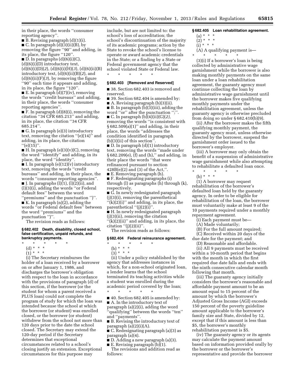in their place, the words ''consumer reporting agency''.

 $\blacksquare$  B. Revising paragraph  $(d)(1)(i)$ . ■ C. In paragraph (d)(3)(ii)(B), by removing the figure ''90'' and adding, in its place, the figure "120".

 $\blacksquare$  D. In paragraphs  $(d)(6)(i)(C)$ ,  $(d)(6)(i)(D)$  introductory text,

(d)(6)(i)(D)(*2*), (d)(6)(i)(H)(*3*), (d)(6)(ii)(B) introductory text, (d)(6)(ii)(B)(*2*), and (d)(6)(ii)(F)(*3*), by removing the figure ''90'' each time it appears and adding, in its place, the figure ''120''.

■ E. In paragraph (d)(7)(iv), removing the words ''credit bureaus'' and adding, in their place, the words ''consumer reporting agencies''.

 $\blacksquare$  F. In paragraph (d)(8)(i), removing the citation ''34 CFR 685.213'' and adding, in its place, the citation ''34 CFR 685.214''.

■ G. In paragraph (e)(3) introductory text, removing the citation ''(e)(14)'' and adding, in its place, the citation  $"({\rm e})(15)"$ .

 $\blacksquare$  H. In paragraph (e)(3)(v)(C), removing the word ''identify'' and adding, in its place, the word ''identity''.

I. In paragraph  $(e)(12)(v)$  introductory text, removing the words ''credit bureaus'' and adding, in their place, the words ''consumer reporting agencies''.  $\blacksquare$  J. In paragraphs (1)(1), (1)(2)(ii), and (l)(3)(i), adding the words ''or Federal default fees'' between the word

''premiums'' and the punctuation '')''.  $\blacksquare$  K. In paragraph  $(n)(2)$ , adding the words ''or Federal default fees'' between the word ''premiums'' and the punctuation ")".

The revision reads as follows:

#### **§ 682.402 Death, disability, closed school, false certification, unpaid refunds, and bankruptcy payments.**

\* \* \* \* \*

(d) \* \* \*

 $(1) * * * *$ 

(i) The Secretary reimburses the holder of a loan received by a borrower on or after January 1, 1986, and discharges the borrower's obligation with respect to the loan in accordance with the provisions of paragraph (d) of this section, if the borrower (or the student for whom a parent received a PLUS loan) could not complete the program of study for which the loan was intended because the school at which the borrower (or student) was enrolled closed, or the borrower (or student) withdrew from the school not more than 120 days prior to the date the school closed. The Secretary may extend the 120-day period if the Secretary determines that exceptional circumstances related to a school's closing justify an extension. Exceptional circumstances for this purpose may

include, but are not limited to: the school's loss of accreditation; the school's discontinuation of the majority of its academic programs; action by the State to revoke the school's license to operate or award academic credentials in the State; or a finding by a State or Federal government agency that the school violated State or Federal law.

\* \* \* \* \* **§ 682.403 [Removed and Reserved]** 

# ■ 38. Section 682.403 is removed and

reserved. ■ 39. Section 682.404 is amended by:

■ A. Revising paragraph (b)(3)(ii).

 $\blacksquare$  B. In paragraph (b)(3)(iii), adding the word "or" after the punctuation ";". ■ C. In paragraph (b)(4)(ii)(G)(*2),*  removing the words ''is consistent with § 682.509(a)(1)'' and adding, in their place, the words ''addresses the

condition identified in paragraph (b)(3)(ii) of this section''. ■ D. In paragraph (d)(1) introductory

text, removing the words ''made under § 682.209(e), (f) and (h),'' and adding, in their place the words ''that were refinanced pursuant to section  $428B(e)(2)$  and  $(3)$  of the Act,"

■ E. Removing paragraph (h).

■ F. Redesignating paragraphs (i) through (l) as paragraphs (h) through (k), respectively.

■ G. In newly redesignated paragraph (j)(3)(i), removing the parenthetical

 $\cdot$ <sup>'</sup>(k)(2)(i)'' and adding, in its place, the parenthetical  $'(\mathfrak{j})(2)(\mathfrak{j})'$ .

■ H. In newly redesignated paragraph

(j)(3)(ii), removing the citation

 $''(k)(2)(ii)''$  and adding, in its place, the citation  $"(j)(2)(ii)$ ".

The revision reads as follows:

### **§ 682.404 Federal reinsurance agreement.**

 $\star$   $\star$   $\star$ 

- (b) \* \* \*
- $(3)^{*}$  \* \*

(ii) Under a policy established by the agency that addresses instances in which, for a non-school originated loan, a lender learns that the school terminated its teaching activities while a student was enrolled during the academic period covered by the loan;

■ 40. Section 682.405 is amended by: ■ A. In the introductory text of paragraph (a)(2)(i), adding the word ''qualifying'' between the words ''ten'' and ''payments''.

\* \* \* \* \*

■ B. Revising the introductory text of paragraph  $(a)(2)(i)(A)$ .

■ C. Redesignating paragraph (a)(3) as paragraph (a)(4).

■ D. Adding a new paragraph (a)(3). ■ E. Revising paragraph (b)(1).

The revisions and addition read as follows:

### **§ 682.405 Loan rehabilitation agreement.**

 $(a) * * * *$ 

 $(2) * * * *$ 

 $(i) * * * *$ 

(A) A qualifying payment is— \* \* \* \* \*

(3)(i) If a borrower's loan is being collected by administrative wage garnishment while the borrower is also making monthly payments on the same loan under a loan rehabilitation agreement, the guaranty agency must continue collecting the loan by administrative wage garnishment until the borrower makes five qualifying monthly payments under the rehabilitation agreement, unless the guaranty agency is otherwise precluded from doing so under § 682.410(b)(9).

(ii) After the borrower makes the fifth qualifying monthly payment, the guaranty agency must, unless otherwise directed by the borrower, suspend the garnishment order issued to the borrower's employer.

(iii) A borrower may only obtain the benefit of a suspension of administrative wage garnishment while also attempting to rehabilitate a defaulted loan once.

\* \* \* \* \*

(b) \* \* \*

(1) A borrower may request rehabilitation of the borrower's defaulted loan held by the guaranty agency. In order to be eligible for rehabilitation of the loan, the borrower must voluntarily make at least 9 of the 10 payments required under a monthly repayment agreement.

(i) Each payment must be—

(A) Made voluntarily;

(B) For the full amount required;

(C) Received within 20 days of the

due date for the payment; and

(D) Reasonable and affordable. (ii) All 9 payments must be received within a 10-month period that begins

with the month in which the first required due date falls and ends with the ninth consecutive calendar month following that month.

(iii) The guaranty agency initially considers the borrower's reasonable and affordable payment amount to be an amount equal to 15 percent of the amount by which the borrower's Adjusted Gross Income (AGI) exceeds 150 percent of the poverty guideline amount applicable to the borrower's family size and State, divided by 12, except that if this amount is less than \$5, the borrower's monthly rehabilitation payment is \$5.

(iv) The guaranty agency or its agents may calculate the payment amount based on information provided orally by the borrower or the borrower's representative and provide the borrower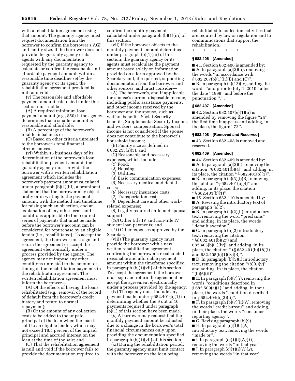with a rehabilitation agreement using that amount. The guaranty agency must request documentation from the borrower to confirm the borrower's AGI and family size. If the borrower does not provide the guaranty agency or its agents with any documentation requested by the guaranty agency to calculate or confirm the reasonable and affordable payment amount, within a reasonable time deadline set by the guaranty agency or its agent, the rehabilitation agreement provided is null and void.

(v) The reasonable and affordable payment amount calculated under this section must not be—

(A) A required minimum loan payment amount (e.g., \$50) if the agency determines that a smaller amount is reasonable and affordable;

(B) A percentage of the borrower's total loan balance; or

(C) Based on other criteria unrelated to the borrower's total financial circumstances.

(vi) Within 15 business days of its determination of the borrower's loan rehabilitation payment amount, the guaranty agency must provide the borrower with a written rehabilitation agreement which includes the borrower's payment amount calculated under paragraph (b)(1)(iii), a prominent statement that the borrower may object orally or in writing to the payment amount, with the method and timeframe for raising such an objection, and an explanation of any other terms and conditions applicable to the required series of payments that must be made before the borrower's account can be considered for repurchase by an eligible lender (i.e., rehabilitated). To accept the agreement, the borrower must sign and return the agreement or accept the agreement electronically under a process provided by the agency. The agency may not impose any other conditions unrelated to the amount or timing of the rehabilitation payments in the rehabilitation agreement. The written rehabilitation agreement must inform the borrower—

(A) Of the effects of having the loans rehabilitated (e.g., removal of the record of default from the borrower's credit history and return to normal repayment);

(B) Of the amount of any collection costs to be added to the unpaid principal of the loan when the loan is sold to an eligible lender, which may not exceed 18.5 percent of the unpaid principal and accrued interest on the loan at the time of the sale; and

(C) That the rehabilitation agreement is null and void if the borrower fails to provide the documentation required to

confirm the monthly payment calculated under paragraph (b)(1)(iii) of this section.

(vii) If the borrower objects to the monthly payment amount determined under paragraph (b)(1)(iii) of this section, the guaranty agency or its agents must recalculate the payment amount based solely on information provided on a form approved by the Secretary and, if requested, supporting documentation from the borrower and other sources, and must consider—

(A) The borrower's, and if applicable, the spouse's current disposable income, including public assistance payments, and other income received by the borrower and the spouse, such as welfare benefits, Social Security benefits, Supplemental Security Income, and workers' compensation. Spousal income is not considered if the spouse does not contribute to the borrower's household income;

(B) Family size as defined in § 682.215(a)(3); and

(C) Reasonable and necessary expenses, which include—

(*1*) Food;

(*2*) Housing;

(*3*) Utilities;

(*4*) Basic communication expenses;

(*5*) Necessary medical and dental

costs;

(*6*) Necessary insurance costs;

(*7*) Transportation costs;

(*8*) Dependent care and other workrelated expenses;

(*9*) Legally required child and spousal support;

(*10*) Other title IV and non-title IV student loan payments; and

(*11*) Other expenses approved by the Secretary.

(viii) The guaranty agency must provide the borrower with a new written rehabilitation agreement confirming the borrower's recalculated reasonable and affordable payment amount within the timeframe specified in paragraph (b)(1)(vii) of this section. To accept the agreement, the borrower must sign and return the agreement or accept the agreement electronically under a process provided by the agency.

(ix) The agency must include any payment made under § 682.401(b)(1) in determining whether the 9 out of 10 payments required under paragraph (b)(1) of this section have been made.

(x) A borrower may request that the monthly payment amount be adjusted due to a change in the borrower's total financial circumstances only upon providing the documentation specified in paragraph (b)(1)(vii) of this section.

(xi) During the rehabilitation period, the guaranty agency must limit contact with the borrower on the loan being

rehabilitated to collection activities that are required by law or regulation and to communications that support the rehabilitation.

\* \* \* \* \*

### **§ 682.406 [Amended]**

■ 41. Section 682.406 is amended by: ■ A. In paragraph (a)(2)(ii), removing the words ''in accordance with § 682.207(b)(1)(ii)(B) and (C)''. ■ B. In paragraph (a)(12)(iv), adding the

words ''and prior to July 1, 2010'' after the date ''1999'' and before the punctuation ",".

### **§ 682.407 [Amended]**

 $\blacksquare$  42. Section 682.407(e)(1)(ii) is amended by removing the figure ''24'' the first time it appears and adding, in its place, the figure ''72''.

#### **§ 682.408 [Removed and Reserved]**

■ 43. Section 682.408 is removed and reserved.

#### **§ 682.409 [Amended]**

■ 44. Section 682.409 is amended by: ■ A. In paragraph (a)(2)(i), removing the citation ''§ 682.401(b)(4)'' and adding, in its place, the citation " $\S 682.401(b)(1)$ ".  $\blacksquare$  B. In paragraph (a)(3)(i)(B), removing the citation ''§ 682.401(b)(4)'' and adding, in its place, the citation ''§ 682.401(b)(1)''.

■ 45. Section 682.410 is amended by:

■ A. Revising the introductory text of paragraph (a)(2).

■ B. In paragraph (a)(2)(ii) introductory text, removing the word ''preclaims'' and adding, in its place, the words ''default aversion''.

■ C. In paragraph (b)(2) introductory text, removing the citation ''§§ 682.401(b)(27) and  $682.405(b)(1)(iv)$ " and adding, in its place, the citation ''§§ 682.401(b)(18)(i)

and  $682.405(b)(1)(iv)(B)$ ". ■ D. In paragraph (b)(5)(i) introductory text, removing the citation " $(b)(6)(v)'$ and adding, in its place, the citation

 $''(b)(6)(ii)''$  $\blacksquare$  E. In paragraph (b)(7)(i), removing the words ''conditions described in § 682.509(a)(1)'' and adding, in their place, the words ''condition described in § 682.404(b)(3)(ii)".

■ F. In paragraph (b)(7)(ii)(A), removing the words ''credit bureau'' and adding, in their place, the words ''consumer reporting agency''.

**G.** Revising paragraph  $(b)(9)$ .

 $\blacksquare$  H. In paragraph (c)(1)(i)(A) introductory text, removing the words ''made or''.

■ I. In paragraph (c)(1)(i)(A)(*1*), removing the words "in that year".

 $\blacksquare$  J. In paragraph (c)(1)(i)(A)(2),

removing the words ''in that year''.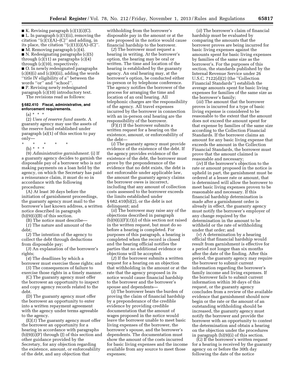$\blacksquare$  K. Revising paragraph  $(c)(1)(i)(C)$ .  $\blacksquare$  L. In paragraph (c)(1)(ii), removing the citation  $\lq (c)(1)(A)$ – $(C)$ " and adding, in its place, the citation  $"({\rm c})(1)(i)(A)$ – $({\rm C})"$ . ■ M. Removing paragraph (c)(4).

■ N. Redesignating paragraphs (c)(5) through (c)(11) as paragraphs (c)(4) through (c)(10), respectively.

■ O. In newly redesignated paragraphs  $(c)(8)(i)$  and  $(c)(8)(ii)$ , adding the words ''title IV eligibility of a'' between the words ''or'' and ''school''.

■ P. Revising newly redesignated paragraph (c)(10) introductory text.

## The revisions read as follows:

### **§ 682.410 Fiscal, administrative, and enforcement requirements.**

 $(a) * * * *$ 

(2) *Uses of reserve fund assets.* A guaranty agency may use the assets of the reserve fund established under paragraph (a)(1) of this section to pay only—

\* \* \* \* \*

(b)  $* * * *$ 

(9) *Administrative garnishment.* (i) If a guaranty agency decides to garnish the disposable pay of a borrower who is not making payments on a loan held by the agency, on which the Secretary has paid a reinsurance claim, it must do so in accordance with the following procedures:

(A) At least 30 days before the initiation of garnishment proceedings, the guaranty agency must mail to the borrower's last known address, a written notice described in paragraph  $(b)(9)(i)(B)$  of this section.

(B) The notice must describe—

(*1*) The nature and amount of the debt;

(*2*) The intention of the agency to collect the debt through deductions from disposable pay;

(*3*) An explanation of the borrower's rights;

(*4*) The deadlines by which a

borrower must exercise those rights; and (*5*) The consequences of failure to

exercise those rights in a timely manner. (C) The guaranty agency must offer

the borrower an opportunity to inspect and copy agency records related to the debt.

(D) The guaranty agency must offer the borrower an opportunity to enter into a written repayment agreement with the agency under terms agreeable to the agency.

(E)(*1*) The guaranty agency must offer the borrower an opportunity for a hearing in accordance with paragraphs (b)(9)(i)(F) through (J) of this section and other guidance provided by the Secretary, for any objection regarding the existence, amount, or enforceability of the debt, and any objection that

withholding from the borrower's disposable pay in the amount or at the rate proposed in the notice would cause financial hardship to the borrower.

(*2*) The borrower must request a hearing in writing. At the borrower's option, the hearing may be oral or written. The time and location of the hearing is established by the guaranty agency. An oral hearing may, at the borrower's option, be conducted either in-person or by telephone conference. The agency notifies the borrower of the process for arranging the time and location of an oral hearing. All telephonic charges are the responsibility of the agency. All travel expenses incurred by the borrower in connection with an in-person oral hearing are the responsibility of the borrower.

(F)(*1*) If the borrower submits a written request for a hearing on the existence, amount, or enforceability of the debt—

(*i*) The guaranty agency must provide evidence of the existence of the debt. If the agency provides evidence of the existence of the debt, the borrower must prove by the preponderance of the evidence that no debt exists, the debt is not enforceable under applicable law, the amount the guaranty agency claims the borrower owes is incorrect, including that any amount of collection costs assessed to the borrower exceeds the limits established under § 682.410(b)(2), or the debt is not delinquent; and

(*ii*) The borrower may raise any of the objections described in paragraph (b)(9)(i)(F)(*1*)(*i*) of this section not raised in the written request, but must do so before a hearing is completed. For purposes of this paragraph, a hearing is completed when the record is closed and the hearing official notifies the parties that no additional evidence or objections will be accepted.

(*2*) If the borrower submits a written request for a hearing on an objection that withholding in the amount or at the rate that the agency proposed in its notice would cause financial hardship to the borrower and the borrower's spouse and dependents—

(*i*) The borrower bears the burden of proving the claim of financial hardship by a preponderance of the credible evidence by providing credible documentation that the amount of wages proposed in the notice would leave the borrower unable to meet basic living expenses of the borrower, the borrower's spouse, and the borrower's dependents. The documentation must show the amount of the costs incurred for basic living expenses and the income available from any source to meet those expenses;

(*ii*) The borrower's claim of financial hardship must be evaluated by comparing the amounts that the borrower proves are being incurred for basic living expenses against the amounts spent for basic living expenses by families of the same size as the borrower's. For the purposes of this section, the standards published by the Internal Revenue Service under 26 U.S.C. 7122(d)(2) (the ''Collection Financial Standards'') establish the average amounts spent for basic living expenses for families of the same size as the borrower's family;

(*iii*) The amount that the borrower proves is incurred for a type of basic living expense is considered to be reasonable to the extent that the amount does not exceed the amount spent for that expense by families of the same size according to the Collection Financial Standards. If the borrower claims an amount for any basic living expense that exceeds the amount in the Collection Financial Standards, the borrower must prove that the amount claimed is reasonable and necessary;

(*iv*) If the borrower's objection to the rate or amount proposed in the notice is upheld in part, the garnishment must be ordered at a lesser rate or amount, that is determined will allow the borrower to meet basic living expenses proven to be reasonable and necessary. If this financial hardship determination is made after a garnishment order is already in effect, the guaranty agency must notify the borrower's employer of any change required by the determination in the amount to be withheld or the rate of withholding under that order; and

(*v*) A determination by a hearing official that financial hardship would result from garnishment is effective for a period not longer than six months after the date of the finding. After this period, the guaranty agency may require the borrower to submit current information regarding the borrower's family income and living expenses. If the borrower fails to submit current information within 30 days of this request, or the guaranty agency concludes from a review of the available evidence that garnishment should now begin or the rate or the amount of an outstanding withholding should be increased, the guaranty agency must notify the borrower and provide the borrower with an opportunity to contest the determination and obtain a hearing on the objection under the procedures in paragraph (b)(9)(i) of this section.

(G) If the borrower's written request for a hearing is received by the guaranty agency on or before the 30th day following the date of the notice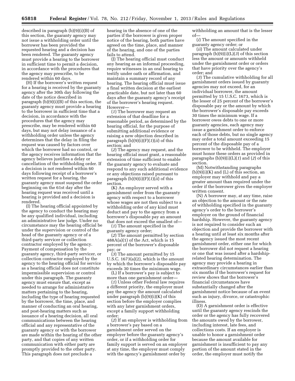described in paragraph (b)(9)(i)(B) of this section, the guaranty agency may not issue a withholding order until the borrower has been provided the requested hearing and a decision has been rendered. The guaranty agency must provide a hearing to the borrower in sufficient time to permit a decision, in accordance with the procedures that the agency may prescribe, to be rendered within 60 days.

(H) If the borrower's written request for a hearing is received by the guaranty agency after the 30th day following the date of the notice described in paragraph (b)(9)(i)(B) of this section, the guaranty agency must provide a hearing to the borrower in sufficient time that a decision, in accordance with the procedures that the agency may prescribe, may be rendered within 60 days, but may not delay issuance of a withholding order unless the agency determines that the delay in filing the request was caused by factors over which the borrower had no control, or the agency receives information that the agency believes justifies a delay or cancellation of the withholding order. If a decision is not rendered within 60 days following receipt of a borrower's written request for a hearing, the guaranty agency must suspend the order beginning on the 61st day after the hearing request was received until a hearing is provided and a decision is rendered.

(I) The hearing official appointed by the agency to conduct the hearing may be any qualified individual, including an administrative law judge. Under no circumstance may the hearing official be under the supervision or control of the head of the guaranty agency or of a third-party servicer or collection contractor employed by the agency. Payment of compensation by the guaranty agency, third-party servicer, or collection contractor employed by the agency to the hearing official for service as a hearing official does not constitute impermissible supervision or control under this paragraph. The guaranty agency must ensure that, except as needed to arrange for administrative matters pertaining to the hearing, including the type of hearing requested by the borrower, the time, place, and manner of conducting an oral hearing, and post-hearing matters such as issuance of a hearing decision, all oral communications between the hearing official and any representative of the guaranty agency or with the borrower are made within the hearing of the other party, and that copies of any written communication with either party are promptly provided to the other party. This paragraph does not preclude a

hearing in the absence of one of the parties if the borrower is given proper notice of the hearing, both parties have agreed on the time, place, and manner of the hearing, and one of the parties fails to attend.

(J) The hearing official must conduct any hearing as an informal proceeding, require witnesses in an oral hearing to testify under oath or affirmation, and maintain a summary record of any hearing. The hearing official must issue a final written decision at the earliest practicable date, but not later than 60 days after the guaranty agency's receipt of the borrower's hearing request. However—

(*1*) The borrower may request an extension of that deadline for a reasonable period, as determined by the hearing official, for the purpose of submitting additional evidence or raising a new objection described in paragraph (b)(9)(i)(F)(*1*)(*ii*) of this section; and

(*2*) The agency may request, and the hearing official must grant, a reasonable extension of time sufficient to enable the guaranty agency to evaluate and respond to any such additional evidence or any objections raised pursuant to paragraph (b)(9)(i)(F)(*1*)(*ii*) of this section.

(K) An employer served with a garnishment order from the guaranty agency with respect to a borrower whose wages are not then subject to a withholding order of any kind must deduct and pay to the agency from a borrower's disposable pay an amount that does not exceed the smallest of—

(*1*) The amount specified in the guaranty agency order;

(*2*) The amount permitted by section  $488A(a)(1)$  of the Act, which is 15 percent of the borrower's disposable pay; or

(*3*) The amount permitted by 15 U.S.C. 1673(a)(2), which is the amount by which the borrower's disposable pay exceeds 30 times the minimum wage.

(L) If a borrower's pay is subject to more than one garnishment order—

(*1*) Unless other Federal law requires a different priority, the employer must pay the agency the amount calculated under paragraph (b)(9)(i)(K) of this section before the employer complies with any later garnishment orders, except a family support withholding order;

(*2*) If an employer is withholding from a borrower's pay based on a garnishment order served on the employer before the guaranty agency's order, or if a withholding order for family support is served on an employer at any time, the employer must comply with the agency's garnishment order by

withholding an amount that is the lesser of—

(*i*) The amount specified in the guaranty agency order; or

(*ii*) The amount calculated under paragraph (b)(9)(i)(L)(*3*) of this section less the amount or amounts withheld under the garnishment order or orders that have priority over the agency's order; and

(*3*) The cumulative withholding for all garnishment orders issued by guaranty agencies may not exceed, for an individual borrower, the amount permitted by 15 U.S.C. 1673, which is the lesser of 25 percent of the borrower's disposable pay or the amount by which the borrower's disposable pay exceeds 30 times the minimum wage. If a borrower owes debts to one or more guaranty agencies, each agency may issue a garnishment order to enforce each of those debts, but no single agency may order a total amount exceeding 15 percent of the disposable pay of a borrower to be withheld. The employer must honor these orders as provided in paragraphs (b)(9)(i)(L)(*1*) and (*2*) of this section.

(M) Notwithstanding paragraphs  $(b)(9)(i)(K)$  and  $(L)$  of this section, an employer may withhold and pay a greater amount than required under the order if the borrower gives the employer written consent.

(N) A borrower may, at any time, raise an objection to the amount or the rate of withholding specified in the guaranty agency's order to the borrower's employer on the ground of financial hardship. However, the guaranty agency is not required to consider such an objection and provide the borrower with a hearing until at least six months after the agency issued the most recent garnishment order, either one for which the borrower did not request a hearing or one that was issued after a hardshiprelated hearing determination. The agency may provide a hearing in extraordinary circumstances earlier than six months if the borrower's request for review shows that the borrower's financial circumstances have substantially changed after the garnishment notice because of an event such as injury, divorce, or catastrophic illness.

(O) A garnishment order is effective until the guaranty agency rescinds the order or the agency has fully recovered the amounts owed by the borrower, including interest, late fees, and collections costs. If an employer is unable to honor a garnishment order because the amount available for garnishment is insufficient to pay any portion of the amount stated in the order, the employer must notify the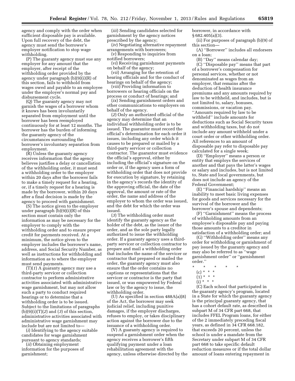agency and comply with the order when sufficient disposable pay is available. Upon full recovery of the debt, the agency must send the borrower's employer notification to stop wage withholding.

(P) The guaranty agency must sue any employer for any amount that the employer, after receipt of the withholding order provided by the agency under paragraph (b)(9)(i)(R) of this section, fails to withhold from wages owed and payable to an employee under the employer's normal pay and disbursement cycle.

(Q) The guaranty agency may not garnish the wages of a borrower whom it knows has been involuntarily separated from employment until the borrower has been reemployed continuously for at least 12 months. The borrower has the burden of informing the guaranty agency of the circumstances surrounding the borrower's involuntary separation from employment.

(R) Unless the guaranty agency receives information that the agency believes justifies a delay or cancellation of the withholding order, it must send a withholding order to the employer within 20 days after the borrower fails to make a timely request for a hearing, or, if a timely request for a hearing is made by the borrower, within 20 days after a final decision is made by the agency to proceed with garnishment.

(S) The notice given to the employer under paragraph (b)(9)(i)(R) of this section must contain only the information as may be necessary for the employer to comply with the withholding order and to ensure proper credit for payments received. At a minimum, the notice given to the employer includes the borrower's name, address, and Social Security Number, as well as instructions for withholding and information as to where the employer must send payments.

(T)(*1*) A guaranty agency may use a third-party servicer or collection contractor to perform administrative activities associated with administrative wage garnishment, but may not allow such a party to conduct required hearings or to determine that a withholding order is to be issued. Subject to the limitations of paragraphs (b)(9)(i)(T)(*2*) and (*3*) of this section, administrative activities associated with administrative wage garnishment may include but are not limited to—

(*i*) Identifying to the agency suitable candidates for wage garnishment pursuant to agency standards;

(*ii*) Obtaining employment information for the purposes of garnishment;

(*iii*) Sending candidates selected for garnishment by the agency notices prescribed by the agency;

(*iv*) Negotiating alternative repayment arrangements with borrowers;

(*v*) Responding to inquiries from notified borrowers;

(*vi*) Receiving garnishment payments on behalf of the agency;

(*vii*) Arranging for the retention of hearing officials and for the conduct of hearings on behalf of the agency;

(*viii*) Providing information to borrowers or hearing officials on the process or conduct of hearings; and

(*ix*) Sending garnishment orders and other communications to employers on behalf of the agency.

(*2*) Only an authorized official of the agency may determine that an individual withholding order is to be issued. The guarantor must record the official's determination for each order it issues, including any order which it causes to be prepared or mailed by a third-party servicer or collection contractor. The guarantor must evidence the official's approval, either by including the official's signature on the order or, if the agency uses a form of withholding order that does not provide for execution by signature, by retaining in the agency's records the identity of the approving official, the date of the approval, the amount or rate of the order, the name and address of the employer to whom the order was issued, and the debt for which the order was issued.

(*3*) The withholding order must identify the guaranty agency as the holder of the debt, as the issuer of the order, and as the sole party legally authorized to issue the withholding order. If a guaranty agency uses a thirdparty servicer or collection contractor to prepare and mail a withholding order that includes the name of the servicer or contractor that prepared or mailed the order, the guaranty agency must also ensure that the order contains no captions or representations that the servicer or contractor is the party that issued, or was empowered by Federal law or by the agency to issue, the withholding order.

(U) As specified in section 488A(a)(8) of the Act, the borrower may seek judicial relief, including punitive damages, if the employer discharges, refuses to employ, or takes disciplinary action against the borrower due to the issuance of a withholding order.

(V) A guaranty agency is required to suspend a garnishment order when the agency receives a borrower's fifth qualifying payment under a loan rehabilitation agreement with the agency, unless otherwise directed by the borrower, in accordance with § 682.405(a)(3).

(ii) For purposes of paragraph (b)(9) of this section—

(A) ''Borrower'' includes all endorsers on a loan;

(B) ''Day'' means calendar day;

(C) ''Disposable pay'' means that part of a borrower's compensation for personal services, whether or not denominated as wages from an employer, that remains after the deduction of health insurance premiums and any amounts required by law to be withheld, and includes, but is not limited to, salary, bonuses, commissions, or vacation pay. ''Amounts required by law to be withheld'' include amounts for deductions such as Social Security taxes and withholding taxes, but do not include any amount withheld under a court order or other withholding order. All references to an amount of disposable pay refer to disposable pay calculated for a single week;

(D) ''Employer'' means a person or entity that employs the services of another and that pays the latter's wages or salary and includes, but is not limited to, State and local governments, but does not include an agency of the Federal Government;

(E) ''Financial hardship'' means an inability to meet basic living expenses for goods and services necessary for the survival of the borrower and the borrower's spouse and dependents;

(F) ''Garnishment'' means the process of withholding amounts from an employee's disposable pay and paying those amounts to a creditor in satisfaction of a withholding order; and

(G) ''Withholding order'' means any order for withholding or garnishment of pay issued by the guaranty agency and may also be referred to as ''wage garnishment order'' or ''garnishment order.''

- \* \* \* \* \*
	- (c) \* \* \*
	- $(1) * * * *$
	- $(i) * * * *$

(C) Each school that participated in the guaranty agency's program, located in a State for which the guaranty agency is the principal guaranty agency, that has a cohort default rate, as described in subpart M of 34 CFR part 668, that includes FFEL Program loans, for either of the 2 immediately preceding fiscal years, as defined in 34 CFR 668.182, that exceeds 20 percent, unless the school is under a mandate from the Secretary under subpart M of 34 CFR part 668 to take specific default reduction measures or if the total dollar amount of loans entering repayment in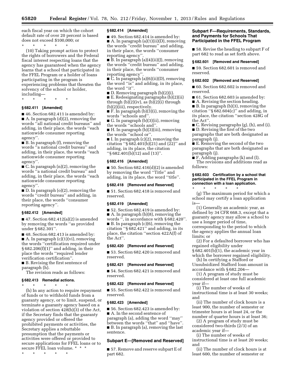each fiscal year on which the cohort default rate of over 20 percent is based does not exceed \$100,000; or

\* \* \* \* \*

(10) Taking prompt action to protect the rights of borrowers and the Federal fiscal interest respecting loans that the agency has guaranteed when the agency learns that a school that participated in the FFEL Program or a holder of loans participating in the program is experiencing problems that threaten the solvency of the school or holder, including—

\* \* \* \* \*

### **§ 682.411 [Amended]**

■ 46. Section 682.411 is amended by: ■ A. In paragraph (d)(2), removing the words ''all national credit bureaus'' and adding, in their place, the words ''each nationwide consumer reporting agency''.

■ B. In paragraph (f), removing the words ''a national credit bureau'' and adding, in their place, the words ''each nationwide consumer reporting agency''.

 $\blacksquare$  C. In paragraph  $(n)(2)$ , removing the words ''a national credit bureau'' and adding, in their place, the words ''each nationwide consumer reporting agency''.

■ D. In paragraph (o)(2), removing the words ''credit bureau'' and adding, in their place, the words ''consumer reporting agency''.

#### **§ 682.412 [Amended]**

 $\blacksquare$  47. Section 682.412(a)(2) is amended by removing the words ''as provided under § 682.301''.

■ 48. Section 682.413 is amended by: ■ A. In paragraph (c)(1)(vi), removing the words ''certification required under  $§ 682.206(f)(1)'$  and adding, in their place the words ''required lender verification certification''. ■ B. Revising the first sentence of

paragraph (h).

The revision reads as follows:

### **§ 682.413 Remedial actions.**

\* \* \* \* \*

(h) In any action to require repayment of funds or to withhold funds from a guaranty agency, or to limit, suspend, or terminate a guaranty agency based on a violation of section 428(b)(3) of the Act, if the Secretary finds that the guaranty agency provided or offered the prohibited payments or activities, the Secretary applies a rebuttable presumption that the payments or activities were offered or provided to secure applications for FFEL loans or to secure FFEL loan volume. \* \* \*

\* \* \* \* \*

### **§ 682.414 [Amended]**

■ 49. Section 682.414 is amended by: ■ A. In paragraph (a)(1)(ii)(D), removing the words ''credit bureau'' and adding, in their place, the words ''consumer reporting agency''.

 $\blacksquare$  B. In paragraph (a)(4)(ii)(J), removing the words ''credit bureau'' and adding, in their place, the words ''consumer reporting agency''.

■ C. In paragraph (a)(6)(ii)(D), removing the word ''is'' and adding, in its place, the word "it".

■ D. Removing paragraph (b)(2)(i).

■ E. Redesignating paragraphs (b)(2)(ii) through  $(b)(2)(iv)$ , as  $(b)(2)(i)$  through (b)(2)(iii), respectively.

■ F. In paragraph (b)(3)(i), removing the words ''schools and''.

■ G. In paragraph (b)(3)(ii), removing the words ''schools and''.

■ H. In paragraph (b)(3)(iii), removing the words ''school or''.

 $\blacksquare$  I. In paragraph (c)(2), removing the citation ''§ 682.401(b)(21) and (22)'' and adding, in its place, the citation ''§ 682.401(b)(12) and (13)''.

### **§ 682.416 [Amended]**

 $\blacksquare$  50. Section 682.416(d)(2) is amended by removing the word ''Title'' and adding, in its place, the word ''title''.

#### **§ 682.418 [Removed and Reserved]**

■ 51. Section 682.418 is removed and reserved.

#### **§ 682.419 [Amended]**

■ 52. Section 682.419 is amended by: ■ A. In paragraph (b)(8), removing the words '', in accordance with § 682.420''. ■ B. In paragraph (c)(6), removing the citation ''§ 682.421'' and adding, in its place, the citation ''section 422A(f) of the Act''.

#### **§ 682.420 [Removed and Reserved]**

■ 53. Section 682.420 is removed and reserved.

### **§ 682.421 [Removed and Reserved]**

■ 54. Section 682.421 is removed and reserved.

### **§ 682.422 [Removed and Reserved]**

■ 55. Section 682.422 is removed and reserved.

### **§ 682.423 [Amended]**

■ 56. Section 682.423 is amended by: ■ A. In the second sentence of paragraph (a), adding the word ''may'' between the words ''that'' and ''have''. ■ B. In paragraph (a), removing the last sentence.

### **Subpart E—[Removed and Reserved]**

■ 57. Remove and reserve subpart E of part 682.

#### **Subpart F—Requirements, Standards, and Payments for Schools That Participated in the FFEL Program**

■ 58. Revise the heading to subpart F of part 682 to read as set forth above.

#### **§ 682.601 [Removed and Reserved]**

■ 59. Section 682.601 is removed and reserved.

#### **§ 682.602 [Removed and Reserved]**

■ 60. Section 682.602 is removed and reserved.

■ 61. Section 682.603 is amended by:

■ A. Revising the section heading.

■ B. In paragraph (b)(3), removing the citation " $\S 682.604(c)$ " and adding, in its place, the citation ''section 428G of the Act''.

■ C. Revising paragraphs (g), (h), and (i).

■ D. Revising the first of the two paragraphs that are both designated as paragraph (j).

■ E. Removing the second of the two paragraphs that are both designated as paragraph (j).

■ F. Adding paragraphs (k) and (l).

The revisions and additions read as follows:

#### **§ 682.603 Certification by a school that participated in the FFEL Program in connection with a loan application.**

\* \* \* \* \*

(g) The maximum period for which a school may certify a loan application is—

(1) Generally an academic year, as defined by 34 CFR 668.3, except that a guaranty agency may allow a school to use a longer period of time, corresponding to the period to which the agency applies the annual loan limits; or

(2) For a defaulted borrower who has regained eligibility under

§ 682.401(b)(1), the academic year in which the borrower regained eligibility.

(h) In certifying a Stafford or Unsubsidized Stafford loan amount in accordance with § 682.204—

(1) A program of study must be considered at least one full academic year if—

(i) The number of weeks of instructional time is at least 30 weeks; and

(ii) The number of clock hours is a least 900, the number of semester or trimester hours is at least 24, or the number of quarter hours is at least 36;

(2) A program of study must be considered two-thirds (2/3) of an academic year if—

(i) The number of weeks of instructional time is at least 20 weeks; and

(ii) The number of clock hours is at least 600, the number of semester or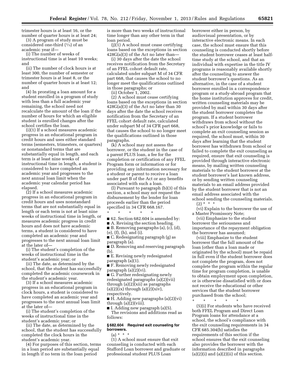trimester hours is at least 16, or the number of quarter hours is at least 24;

(3) A program of study must be considered one-third (1⁄3) of an academic year if—

(i) The number of weeks of instructional time is at least 10 weeks; and

(ii) The number of clock hours is at least 300, the number of semester or trimester hours is at least 8, or the number of quarter hours is at least 12; and

(4) In prorating a loan amount for a student enrolled in a program of study with less than a full academic year remaining, the school need not recalculate the amount of the loan if the number of hours for which an eligible student is enrolled changes after the school certifies the loan.

(i)(1) If a school measures academic progress in an educational program in credit hours and uses either standard terms (semesters, trimesters, or quarters) or nonstandard terms that are substantially equal in length, and each term is at least nine weeks of instructional time in length, a student is considered to have completed an academic year and progresses to the next annual loan limit when the academic year calendar period has elapsed.

(2) If a school measures academic progress in an educational program in credit hours and uses nonstandard terms that are not substantially equal in length or each term is not at least nine weeks of instructional time in length, or measures academic progress in credit hours and does not have academic terms, a student is considered to have completed an academic year and progresses to the next annual loan limit at the later of—

(i) The student's completion of the weeks of instructional time in the student's academic year; or

(ii) The date, as determined by the school, that the student has successfully completed the academic coursework in the student's academic year.

(3) If a school measures academic progress in an educational program in clock hours, a student is considered to have completed an academic year and progresses to the next annual loan limit at the later of—

(i) The student's completion of the weeks of instructional time in the student's academic year; or

(ii) The date, as determined by the school, that the student has successfully completed the clock hours in the student's academic year.

(4) For purposes of this section, terms in a loan period are substantially equal in length if no term in the loan period

is more than two weeks of instructional time longer than any other term in that loan period.

(j)(1) A school must cease certifying loans based on the exceptions in section 428G(a)(3) of the Act no later than—

(i) 30 days after the date the school receives notification from the Secretary of an FFEL cohort default rate, calculated under subpart M of 34 CFR part 668, that causes the school to no longer meet the qualifications outlined in those paragraphs; or

(ii) October 1, 2002.

(2) A school must cease certifying loans based on the exceptions in section 428G(a)(3) of the Act no later than 30 days after the date the school receives notification from the Secretary of an FFEL cohort default rate, calculated under subpart M of 34 CFR part 668, that causes the school to no longer meet the qualifications outlined in those paragraphs.

(k) A school may not assess the borrower, or the student in the case of a parent PLUS loan, a fee for the completion or certification of any FFEL Program form or information or for providing any information necessary for a student or parent to receive a loan under part B of the Act or any benefits associated with such a loan.

(l) Pursuant to paragraph (b)(3) of this section, a school may not request the disbursement by the lender for loan proceeds earlier than the period specified in 34 CFR 668.167.

\* \* \* \* \*

■ 62. Section 682.604 is amended by:

■ A. Revising the section heading.

■ B. Removing paragraphs (a), (c), (d), (e), (f), (h), and (i).

■ C. Redesignating paragraph (g) as paragraph (a).

■ D. Removing and reserving paragraph (b).

■ E. Revising newly redesignated paragraph (a)(1).

■ F. Removing newly redesignated paragraph (a)(2)(vi).

■ G. Further redesignating newly redesignated paragraphs (a)(2)(vii) through (a)(2)(xii) as paragraphs  $(a)(2)(ix)$  through  $(a)(2)(xiv)$ , respectively.

■ H. Adding new paragraphs (a)(2)(vi) through  $(a)(2)(viii)$ .

■ I. Adding new paragraph (a)(5). The revisions and additions read as follows:

### **§ 682.604 Required exit counseling for borrowers.**

(a) \* \* \*

(1) A school must ensure that exit counseling is conducted with each Stafford Loan borrower and graduate or professional student PLUS Loan

borrower either in person, by audiovisual presentation, or by interactive electronic means. In each case, the school must ensure that this counseling is conducted shortly before the student borrower ceases at least halftime study at the school, and that an individual with expertise in the title IV programs is reasonably available shortly after the counseling to answer the student borrower's questions. As an alternative, in the case of a student borrower enrolled in a correspondence program or a study-abroad program that the home institution approves for credit, written counseling materials may be provided by mail within 30 days after the student borrower completes the program. If a student borrower withdraws from school without the school's prior knowledge or fails to complete an exit counseling session as required, the school must, within 30 days after learning that the student borrower has withdrawn from school or failed to complete the exit counseling as required, ensure that exit counseling is provided through interactive electronic means, by mailing written counseling materials to the student borrower at the student borrower's last known address, or by sending written counseling materials to an email address provided by the student borrower that is not an email address associated with the school sending the counseling materials.

 $(2) * * * *$ (vi) Explain to the borrower the use of

a Master Promissory Note; (vii) Emphasize to the student borrower the seriousness and importance of the repayment obligation the borrower has assumed;

(viii) Emphasize to the student borrower that the full amount of the loan (other than a loan made or originated by the school) must be repaid in full even if the student borrower does not complete the program, does not complete the program within the regular time for program completion, is unable to obtain employment upon completion, or is otherwise dissatisfied with or does not receive the educational or other services that the student borrower purchased from the school;

\* \* \* \* \*

(5)(i) For students who have received both FFEL Program and Direct Loan Program loans for attendance at a school, the school's compliance with the exit counseling requirements in 34 CFR 685.304(b) satisfies the requirements of this section if the school ensures that the exit counseling also provides the borrower with the information described in paragraphs  $(a)(2)(i)$  and  $(a)(2)(ii)$  of this section.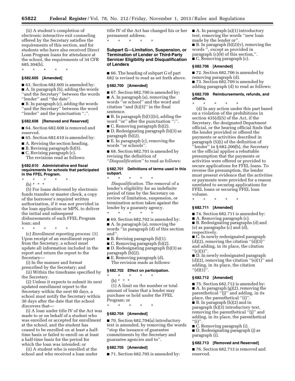(ii) A student's completion of electronic interactive exit counseling offered by the Secretary satisfies the requirements of this section, and for students who have also received Direct Loan Program loans for attendance at the school, the requirements of 34 CFR 685.304(b).

#### \* \* \* \* \*

## **§ 682.605 [Amended]**

■ 63. Section 682.605 is amended by: ■ A. In paragraph (b), adding the words ''and the Secretary'' between the words ''lender'' and ''the date''.

■ B. In paragraph (c), adding the words ''and the Secretary'' between the word ''lender'' and the punctuation '',''.

#### **§ 682.608 [Removed and Reserved]**

■ 64. Section 682.608 is removed and reserved.

■ 65. Section 682.610 is amended by:

- A. Revising the section heading.
- B. Revising paragraph (b)(5).
- C. Revising paragraph (c).
- The revisions read as follows:

#### **§ 682.610 Administrative and fiscal requirements for schools that participated in the FFEL Program.**

\* \* \* \* \*

(b) \* \* \*

(5) For loans delivered by electronic funds transfer or master check, a copy of the borrower's required written authorization, if it was not provided in the loan application or MPN, to deliver the initial and subsequent disbursements of each FFEL Program loan; and

\* \* \* \* \* (c) *Enrollment reporting process.* (1) Upon receipt of an enrollment report from the Secretary, a school must update all information included in the report and return the report to the Secretary—

(i) In the manner and format prescribed by the Secretary; and

(ii) Within the timeframe specified by the Secretary.

(2) Unless it expects to submit its next updated enrollment report to the Secretary within the next 60 days, a school must notify the Secretary within 30 days after the date that the school discovers that—

(i) A loan under title IV of the Act was made to or on behalf of a student who was enrolled or accepted for enrollment at the school, and the student has ceased to be enrolled on at least a halftime basis or failed to enroll on at least a half-time basis for the period for which the loan was intended; or

(ii) A student who is enrolled at the school and who received a loan under title IV of the Act has changed his or her permanent address. \* \* \* \* \*

**Subpart G—Limitation, Suspension, or Termination of Lender or Third-Party Servicer Eligibility and Disqualification of Lenders** 

■ 66. The heading of subpart G of part 682 is revised to read as set forth above.

#### **§ 682.700 [Amended]**

■ 67. Section 682.700 is amended by:

■ A. In paragraph (a), removing the words ''or school'' and the word and citation ''and (h)(3)'' in the final sentence.

■ B. In paragraph (b)(1)(ii), adding the word "or" after the punctuation ";".

■ C. Removing paragraph (b)(2).

■ D. Redesignating paragraph (b)(3) as paragraph (b)(2).

■ E. In paragraph (c), removing the words ''or schools''.

■ 68. Section 682.701 is amended by revising the definition of ''*Disqualification''* to read as follows:

#### **§ 682.701 Definitions of terms used in this subpart.**

\* \* \* \* \* *Disqualification.* The removal of a lender's eligibility for an indefinite period of time by the Secretary on review of limitation, suspension, or termination action taken against the lender by a guaranty agency. \* \* \* \* \*

■ 69. Section 682.702 is amended by:

■ A. In paragraph (a), removing the words ''in paragraph (d) of this section and''.

 $\blacksquare$  B. Revising paragraph (b)(1).

■ C. Removing paragraph (b)(2).

■ D. Redesignating paragraph (b)(3) as paragraph (b)(2).

■ E. Removing paragraph (d). The revision reads as follows:

#### **§ 682.702 Effect on participation.**

\* \* \* \* \* (b) \* \* \*

(1) A limit on the number or total amount of loans that a lender may purchase or hold under the FFEL Program; or

\* \* \* \* \*

### **§ 682.704 [Amended]**

■ 70. Section 682.704(a) introductory text is amended, by removing the words ''stop the issuance of guarantee commitments by the Secretary and guarantee agencies and to''.

#### **§ 682.705 [Amended]**

■ 71. Section 682.705 is amended by:

■ A. In paragraph (a)(1) introductory text, removing the words ''new loan made by the lender or''.

 $\blacksquare$  B. In paragraph (b)(2)(v), removing the words '', except as provided in paragraph (c)(9) of this section,''. ■ C. Removing paragraph (c).

#### **§ 682.706 [Amended]**

■ 72. Section 682.706 is amended by removing paragraph (d).

■ 73. Section 682.709 is amended by adding paragraph (d) to read as follows:

#### **§ 682.709 Reimbursements, refunds, and offsets.**

\* \* \* \* \* (d) In any action under this part based on a violation of the prohibitions in section 435(d)(5) of the Act, if the Secretary, the designated Department official, or the hearing official finds that the lender provided or offered the payments or activities described in paragraph (5)(i) of the definition of ''lender'' in § 682.200(b), the Secretary or the official applies a rebuttable presumption that the payments or activities were offered or provided to secure applications for FFEL loans. To reverse the presumption, the lender must present evidence that the activities or payments were provided for a reason unrelated to securing applications for FFEL loans or securing FFEL loan volume.

\* \* \* \* \*

#### **§ 682.711 [Amended]**

■ 74. Section 682.711 is amended by:

■ A. Removing paragraph (c).

■ B. Redesignating paragraphs (d) and (e) as paragraphs (c) and (d), respectively.

■ C. In newly redesignated paragraph  $(d)(2)$ , removing the citation " $(d)(3)$ " and adding, in its place, the citation  $''(c)(3)''$ .

■ D. In newly redesignated paragraph  $(d)(2)$ , removing the citation " $(e)(1)$ " and adding, in its place, the citation  $"({\rm d})(1)"$ .

#### **§ 682.712 [Amended]**

■ 75. Section 682.712 is amended by: ■ A. In paragraph (g)(2), removing the parenthetical "(j)" and adding, in its place, the parenthetical "(i)". ■ B. In paragraph (h)(2) and in paragraph (h)(3) introductory text, removing the parenthetical "(j)" and adding, in its place, the parenthetical  $"$ (i)".

■ C. Removing paragraph (i).

■ D. Redesignating paragraph (j) as paragraph (i).

### **§ 682.713 [Removed and Reserved]**

■ 76. Section 682.713 is removed and reserved.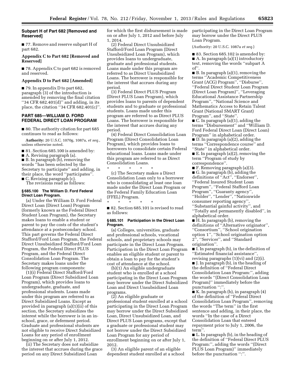### **Subpart H of Part 682 [Removed and Reserved]**

■ 77. Remove and reserve subpart H of part 682.

### **Appendix C to Part 682 [Removed and Reserved]**

■ 78. Appendix C to part 682 is removed and reserved.

#### **Appendix D to Part 682 [Amended]**

■ 79. In appendix D to part 682, paragraph (3) of the introduction is amended by removing the final citation ''34 CFR 682.401(d)'' and adding, in its place, the citation ''34 CFR 682.401(c)''.

### **PART 685—WILLIAM D. FORD FEDERAL DIRECT LOAN PROGRAM**

■ 80. The authority citation for part 685 continues to read as follows:

**Authority:** 20 U.S.C. 1070g, 1087a, *et seq.,*  unless otherwise noted.

■ 81. Section 685.100 is amended by:

■ A. Revising paragraph (a).

■ B. In paragraph (b), removing the words ''has been selected by the Secretary to participate'' and adding, in their place, the word ''participates''. ■ C. Revising paragraph (c).

The revisions read as follows:

### **§ 685.100 The William D. Ford Federal Direct Loan Program.**

(a) Under the William D. Ford Federal Direct Loan (Direct Loan) Program (formerly known as the Federal Direct Student Loan Program), the Secretary makes loans to enable a student or parent to pay the costs of the student's attendance at a postsecondary school. This part governs the Federal Direct Stafford/Ford Loan Program, the Federal Direct Unsubsidized Stafford/Ford Loan Program, the Federal Direct PLUS Program, and the Federal Direct Consolidation Loan Program. The Secretary makes loans under the following program components:

(1)(i) Federal Direct Stafford/Ford Loan Program (Direct Subsidized Loan Program), which provides loans to undergraduate, graduate, and professional students. Loans made under this program are referred to as Direct Subsidized Loans. Except as provided in paragraph (a)(1)(ii) of this section, the Secretary subsidizes the interest while the borrower is in an inschool, grace, or deferment period. Graduate and professional students are not eligible to receive Direct Subsidized Loans for any period of enrollment beginning on or after July 1, 2012.

(ii) The Secretary does not subsidize the interest that accrues during the grace period on any Direct Subsidized Loan

for which the first disbursement is made on or after July 1, 2012 and before July 1, 2014.

(2) Federal Direct Unsubsidized Stafford/Ford Loan Program (Direct Unsubsidized Loan Program), which provides loans to undergraduate, graduate and professional students. Loans made under this program are referred to as Direct Unsubsidized Loans. The borrower is responsible for the interest that accrues during any period.

(3) Federal Direct PLUS Program (Direct PLUS Loan Program), which provides loans to parents of dependent students and to graduate or professional students. Loans made under this program are referred to as Direct PLUS Loans. The borrower is responsible for the interest that accrues during any period.

(4) Federal Direct Consolidation Loan Program (Direct Consolidation Loan Program), which provides loans to borrowers to consolidate certain Federal educational loans. Loans made under this program are referred to as Direct Consolidation Loans.

\* \* \* \* \* (c) The Secretary makes a Direct Consolidation Loan only to a borrower who is consolidating at least one loan made under the Direct Loan Program or the Federal Family Education Loan (FFEL) Program.

\* \* \* \* \* ■ 82. Section 685.101 is revised to read as follows:

#### **§ 685.101 Participation in the Direct Loan Program.**

(a) Colleges, universities, graduate and professional schools, vocational schools, and proprietary schools may participate in the Direct Loan Program. Participation in the Direct Loan Program enables an eligible student or parent to obtain a loan to pay for the student's cost of attendance at the school.

(b)(1) An eligible undergraduate student who is enrolled at a school participating in the Direct Loan Program may borrow under the Direct Subsidized Loan and Direct Unsubsidized Loan programs.

(2) An eligible graduate or professional student enrolled at a school participating in the Direct Loan Program may borrow under the Direct Subsidized Loan, Direct Unsubsidized Loan, and Direct PLUS Loan programs, except that a graduate or professional student may not borrow under the Direct Subsidized Loan Program for any period of enrollment beginning on or after July 1, 2012.

(3) An eligible parent of an eligible dependent student enrolled at a school participating in the Direct Loan Program may borrow under the Direct PLUS Loan Program.

(Authority: 20 U.S.C. 1087a *et seq.*)

■ 83. Section 685.102 is amended by: ■ A. In paragraph (a)(1) introductory text, removing the words ''subpart A of''.

■ B. In paragraph (a)(1), removing the terms ''Academic Competitiveness Grant (ACG) Program'', ''Disburse'', ''Federal Direct Student Loan Program (Direct Loan Program)'', ''Leveraging Educational Assistance Partnership Program'', ''National Science and Mathematics Access to Retain Talent Grant (National SMART Grant) Program", and "State"

■ C. In paragraph (a)(1), adding the terms ''Disbursement'' and ''William D. Ford Federal Direct Loan (Direct Loan) Program'' in alphabetical order.

■ D. In paragraph (a)(2), adding the terms ''Correspondence course'' and ''State'' in alphabetical order.

■ E. In paragraph (a)(2), removing the term ''Program of study by correspondence''.

 $\blacksquare$  F. Removing paragraph (a)(3). ■ G. In paragraph (b), adding the definitions of ''Act'', ''Endorser'', ''Federal Insured Student Loan Program'', ''Federal Stafford Loan Program'', ''Guaranty agency'',

''Holder'', ''Lender'', ''Nationwide consumer reporting agency'', ''Substantial gainful activity'', and

''Totally and permanently disabled'', in alphabetical order.

■ H. In paragraph (b), removing the definitions of ''Alternative originator'', ''Consortium'', ''School origination option 1'', ''School origination option 2'', ''Servicer'', and ''Standard origination''.

■ I. In paragraph (b), in the definition of ''Estimated financial assistance'',

revising paragraphs (1)(vi) and (2)(i). ■ J. In paragraph (b), in the heading of the definition of ''Federal Direct Consolidation Loan Program:'', adding the words ''(Direct Consolidation Loan Program)'' immediately before the punctuation ":".

■ K. In paragraph (b), in paragraph (4) of the definition of ''Federal Direct Consolidation Loan Program'', removing the words ''The term'' in the first sentence and adding, in their place, the words ''In the case of a Direct Consolidation Loan that entered repayment prior to July 1, 2006, the term''.

■ L. In paragraph (b), in the heading of the definition of ''Federal Direct PLUS Program:'', adding the words ''(Direct PLUS Loan Program)'' immediately before the punctuation ":".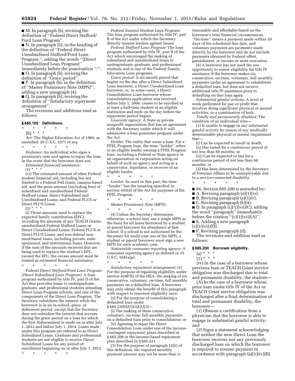■ M. In paragraph (b), revising the definition of ''Federal Direct Stafford/ Ford Loan Program''.

■ N. In paragraph (b), in the heading of the definition of ''Federal Direct Unsubsidized Stafford/Ford Loan Program:'', adding the words ''(Direct Unsubsidized Loan Program)'' immediately before the punctuation ":". ■ O. In paragraph (b), revising the definition of ''Grace period''.

■ P. In paragraph (b), in the definition of ''Master Promissory Note (MPN)'', adding a new paragraph (4).

■ Q. In paragraph (b), revising the definition of ''Satisfactory repayment arrangement''.

The revisions and additions read as follows:

#### **§ 685.102 Definitions.**

\* \* \* \* \*

(b) \* \* \* *Act:* The Higher Education Act of 1965, as amended, 20 U.S.C. 1071 *et seq.* 

\* \* \* \* \* *Endorser:* An individual who signs a promissory note and agrees to repay the loan in the event that the borrower does not.

*Estimated financial assistance:*   $(1) * * * *$ 

(vi) The estimated amount of other Federal student financial aid, including but not limited to a Federal Pell Grant, campus-based aid, and the gross amount (including fees) of subsidized and unsubsidized Federal Stafford Loans, Direct Subsidized and Unsubsidized Loans, and Federal PLUS or Direct PLUS Loans.

 $(2) * * * *$ 

(i) Those amounts used to replace the expected family contribution (EFC), including the amounts of any TEACH Grants, unsubsidized Federal Stafford Loans or Direct Unsubsidized Loans, Federal PLUS or Direct PLUS Loans, and non-federal nonneed-based loans, including private, statesponsored, and institutional loans. However, if the sum of the amounts received that are being used to replace the student's EFC exceed the EFC, the excess amount must be treated as estimated financial assistance;

\* \* \* \* \*

*Federal Direct Stafford/Ford Loan Program (Direct Subsidized Loan Program):* A loan program authorized by title IV, part D of the Act that provides loans to undergraduate, graduate, and professional students attending Direct Loan Program schools, and one of the components of the Direct Loan Program. The Secretary subsidizes the interest while the borrower is in an in-school, grace, or deferment period, except that the Secretary does not subsidize the interest that accrues during the grace period on a loan for which the first disbursement is made on or after July 1, 2012 and before July 1, 2014. Loans made under this program are referred to as Direct Subsidized Loans. Graduate and professional students are not eligible to receive Direct Subsidized Loans for any period of enrollment beginning on or after July 1, 2012.

\* \* \* \* \*

*Federal Insured Student Loan Program:*  The loan program authorized by title IV, part B of the Act under which the Secretary directly insures lenders against losses.

*Federal Stafford Loan Program:* The loan program authorized by title IV, part B of the Act which encouraged the making of subsidized and unsubsidized loans to undergraduate, graduate, and professional students and is one of the Federal Family Education Loan programs.

*Grace period:* A six-month period that begins on the day after a Direct Subsidized Loan borrower, a Direct Unsubsidized Loan borrower, or, in some cases, a Direct Consolidation Loan borrower whose consolidation application was received before July 1, 2006, ceases to be enrolled as at least a half-time student at an eligible institution and ends on the day before the repayment period begins.

*Guaranty agency:* A State or private nonprofit organization that has an agreement with the Secretary under which it will administer a loan guarantee program under the Act.

*Holder:* The entity that owns a loan. For a FFEL Program loan, the term ''holder'' refers to an eligible lender owning a FFEL Program loan, including a Federal or State agency or an organization or corporation acting on behalf of such an agency and acting as a conservator, liquidator, or receiver of an eligible lender.

\* \* \* \* \* *Lender:* As used in this part, the term "lender" has the meaning specified in section 435(d) of the Act for purposes of the FFEL Program.

\* \* \* \* \* *Master Promissory Note (MPN):* 

\* \* \* \* \*

(4) Unless the Secretary determines otherwise, a school may use a single MPN as the basis for all loans borrowed by a student or parent borrower for attendance at that school. If a school is not authorized by the Secretary for multi-year use of the MPN, a student or parent borrower must sign a new MPN for each academic year.

*Nationwide consumer reporting agency:* A consumer reporting agency as defined in 15 U.S.C. 1681a(p).

\* \* \* \* \* *Satisfactory repayment arrangement:* (1) For the purpose of regaining eligibility under section 428F(b) of the HEA, the making of six consecutive, voluntary, on-time, full monthly payments on a defaulted loan. A borrower may only obtain the benefit of this paragraph with respect to renewed eligibility once.

(2) For the purpose of consolidating a defaulted loan under § 685.220(d)(1)(ii)(A)(*3*)—

(i) The making of three consecutive, voluntary, on-time, full monthly payments on a defaulted loan prior to consolidation; or

(ii) Agreeing to repay the Direct Consolidation Loan under one of the incomecontingent repayment plans described in § 685.209 or the income-based repayment plan described in § 685.221.

(3) For the purpose of paragraph (2)(i) of this definition, the required monthly payment amount may not be more than is

reasonable and affordable based on the borrower's total financial circumstances. ''On-time'' means a payment made within 20 days of the scheduled due date, and voluntary payments are payments made directly by the borrower and do not include payments obtained by Federal offset, garnishment, or income or asset execution.

(4) A borrower has not used the one opportunity to renew eligibility for title IV assistance if the borrower makes six consecutive, on-time, voluntary, full monthly payments under an agreement to rehabilitate a defaulted loan, but does not receive additional title IV assistance prior to defaulting on that loan again.

*Substantial gainful activity:* A level of work performed for pay or profit that involves doing significant physical or mental activities, or a combination of both.

*Totally and permanently disabled:* The condition of an individual who—

(1) Is unable to engage in any substantial gainful activity by reason of any medically determinable physical or mental impairment that—

(i) Can be expected to result in death; (ii) Has lasted for a continuous period of not less than 60 months; or

(iii) Can be expected to last for a continuous period of not less than 60 months; or

(2) Has been determined by the Secretary of Veterans Affairs to be unemployable due to a service-connected disability.

■ 84. Section 685.200 is amended by:

A. Revising paragraph  $(a)(1)(iv)$ .

 $\blacksquare$  B. Revising paragraph (a)(1)(v).

■ C. Revising paragraph (b)(4).

\* \* \* \* \*

■ D. In paragraph (c)(1)(vii)(C), adding

the word ''paragraph'' immediately before the citation  $"({\rm c})(1)$ (vii)(A)".

■ E. Adding a new paragraph

- $(c)(1)(vii)(D)$ .
- 

 $\blacksquare$  F. Revising paragraph (d). The revisions and addition read as follows:

#### **§ 685.200 Borrower eligibility.**

 $(a) * * * *$ 

 $(1) * * * *$ 

(iv) In the case of a borrower whose previous loan or TEACH Grant service obligation was discharged due to total and permanent disability, the student—

(A) In the case of a borrower whose prior loan under title IV of the Act or TEACH Grant service obligation was discharged after a final determination of total and permanent disability, the borrower—

(*1*) Obtains a certification from a physician that the borrower is able to engage in substantial gainful activity; and

(*2*) Signs a statement acknowledging that neither the new Direct Loan the borrower receives nor any previously discharged loan on which the borrower is required to resume payment in accordance with paragraph  $(a)(1)(iv)(B)$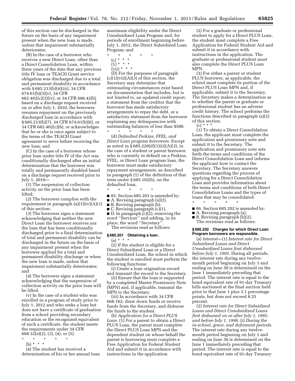of this section can be discharged in the future on the basis of any impairment present when the new loan is made, unless that impairment substantially deteriorates;

(B) In the case of a borrower who receives a new Direct Loan, other than a Direct Consolidation Loan, within three years of the date that any previous title IV loan or TEACH Grant service obligation was discharged due to a total and permanent disability in accordance with § 685.213(b)(4)(iii), 34 CFR 674.61(b)(3)(v), 34 CFR 682.402(c)(3)(iv), or 34 CFR 686.42(b) based on a discharge request received on or after July 1, 2010, the borrower resumes repayment on the previously discharged loan in accordance with § 685.213(b)(7), 34 CFR 674.61(b)(6), or 34 CFR 682.402(c)(6), or acknowledges that he or she is once again subject to the terms of the TEACH Grant

agreement to serve before receiving the new loan; and

(C) In the case of a borrower whose prior loan under title IV of the Act was conditionally discharged after an initial determination that the borrower was totally and permanently disabled based on a discharge request received prior to July 1, 2010—

(*1*) The suspension of collection activity on the prior loan has been lifted;

(*2*) The borrower complies with the requirement in paragraph (a)(1)(iv)(A)(*1*) of this section;

(*3*) The borrower signs a statement acknowledging that neither the new Direct Loan the borrower receives nor the loan that has been conditionally discharged prior to a final determination of total and permanent disability can be discharged in the future on the basis of any impairment present when the borrower applied for a total and permanent disability discharge or when the new loan is made, unless that impairment substantially deteriorates; and

(*4*) The borrower signs a statement acknowledging that the suspension of collection activity on the prior loan will be lifted.

(v) In the case of a student who was enrolled in a program of study prior to July 1, 2012 and who seeks a loan but does not have a certificate of graduation from a school providing secondary education or the recognized equivalent of such a certificate, the student meets the requirements under 34 CFR 668.32(e)(2), (3), (4), or (5).

- \* \* \* \* \*
	- (b) \* \* \* \*

(4) The student has received a determination of his or her annual loan maximum eligibility under the Direct Unsubsidized Loan Program and, for periods of enrollment beginning before July 1, 2012, the Direct Subsidized Loan Program; and

- \* \* \* \* \*
	- (c) \* \* \*  $\binom{1}{1}$  \* \* \*
	- $(vii) * * * *$

(D) For the purposes of paragraph (c)(1)(vii)(A)(*3*) of this section, the Secretary may determine that extenuating circumstances exist based on documentation that includes, but is not limited to, an updated credit report, a statement from the creditor that the borrower has made satisfactory arrangements to repay the debt, or a satisfactory statement from the borrower explaining any delinquencies with outstanding balances of less than \$500.

\* \* \* \* \* (d) *Defaulted Perkins, FFEL, and Direct Loan program borrowers.* Except as noted in § 685.220(d)(1)(ii)(A)(*3*), in the case of a student or parent borrower who is currently in default on a Perkins, FFEL, or Direct Loan program loan, the borrower must make satisfactory repayment arrangements, as described in paragraph (1) of the definition of that term under § 685.102(b), on the defaulted loan.

- \* \* \* \* \*
- 85. Section 685.201 is amended by:
- A. Revising paragraph (a)(2).
- B. Revising paragraph (b).
- C. Revising paragraph (c)(1).

■ D. In paragraph (c)(2), removing the word ''Servicer'' and adding, in its place, the word ''Secretary''.

The revisions read as follows:

### **§ 685.201 Obtaining a loan.**

 $(a) * * * *$ 

(2) If the student is eligible for a Direct Subsidized Loan or a Direct Unsubsidized Loan, the school in which the student is enrolled must perform the following functions:

(i) Create a loan origination record and transmit the record to the Secretary.

(ii) Ensure that the loan is supported by a completed Master Promissory Note (MPN) and, if applicable, transmit the MPN to the Secretary.

(iii) In accordance with 34 CFR 668.162, draw down funds or receive funds from the Secretary, and disburse the funds to the student.

(b) *Application for a Direct PLUS Loan.* (1) For a parent to obtain a Direct PLUS Loan, the parent must complete the Direct PLUS Loan MPN and the dependent student on whose behalf the parent is borrowing must complete a Free Application for Federal Student Aid and submit it in accordance with instructions in the application.

(2) For a graduate or professional student to apply for a Direct PLUS Loan, the student must complete a Free Application for Federal Student Aid and submit it in accordance with instructions in the application. The graduate or professional student must also complete the Direct PLUS Loan MPN.

(3) For either a parent or student PLUS borrower, as applicable, the school must complete its portion of the Direct PLUS Loan MPN and, if applicable, submit it to the Secretary. The Secretary makes a determination as to whether the parent or graduate or professional student has an adverse credit history. The school performs the functions described in paragraph (a)(2) of this section.

(c) \* \* \*

(1) To obtain a Direct Consolidation Loan, the applicant must complete the application and promissory note and submit it to the Secretary. The application and promissory note sets forth the terms and conditions of the Direct Consolidation Loan and informs the applicant how to contact the Secretary. The Secretary answers questions regarding the process of applying for a Direct Consolidation Loan and provides information about the terms and conditions of both Direct Consolidation Loans and the types of loans that may be consolidated.

- 86. Section 685.202 is amended by:
- A. Revising paragraph (a).

\* \* \* \* \*

- B. Revising paragraph (b)(2).
- The revisions read as follows:

#### **§ 685.202 Charges for which Direct Loan Program borrowers are responsible.**

(a) *Interest*—(1) *Interest rate for Direct Subsidized Loans and Direct Unsubsidized Loans first disbursed before July 1, 1995.* During all periods, the interest rate during any twelvemonth period beginning on July 1 and ending on June 30 is determined on the June 1 immediately preceding that period. The interest rate is equal to the bond equivalent rate of 91-day Treasury bills auctioned at the final auction held prior to that June 1 plus 3.1 percentage points, but does not exceed 8.25 percent.

(2) *Interest rate for Direct Subsidized Loans and Direct Unsubsidized Loans first disbursed on or after July 1, 1995, and before July 1, 1998.* (i) *During the in-school, grace, and deferment periods.*  The interest rate during any twelvemonth period beginning on July 1 and ending on June 30 is determined on the June 1 immediately preceding that period. The interest rate is equal to the bond equivalent rate of 91-day Treasury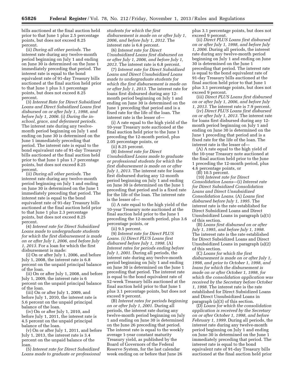bills auctioned at the final auction held prior to that June 1 plus 2.5 percentage points, but does not exceed 8.25 percent.

(ii) *During all other periods.* The interest rate during any twelve-month period beginning on July 1 and ending on June 30 is determined on the June 1 immediately preceding that period. The interest rate is equal to the bond equivalent rate of 91-day Treasury bills auctioned at the final auction held prior to that June 1 plus 3.1 percentage points, but does not exceed 8.25 percent.

(3) *Interest Rate for Direct Subsidized Loans and Direct Subsidized Loans first disbursed on or after July 1, 1998, and before July 1, 2006.* (i) *During the inschool, grace, and deferment periods.*  The interest rate during any twelvemonth period beginning on July 1 and ending on June 30 is determined on the June 1 immediately preceding that period. The interest rate is equal to the bond equivalent rate of 91-day Treasury bills auctioned at the final auction held prior to that June 1 plus 1.7 percentage points, but does not exceed 8.25 percent.

(ii) *During all other periods.* The interest rate during any twelve-month period beginning on July 1 and ending on June 30 is determined on the June 1 immediately preceding that period. The interest rate is equal to the bond equivalent rate of 91-day Treasury bills auctioned at the final auction held prior to that June 1 plus 2.3 percentage points, but does not exceed 8.25 percent.

(4) *Interest rate for Direct Subsidized Loans made to undergraduate students for which the first disbursement is made on or after July 1, 2006, and before July 1, 2013.* For a loan for which the first disbursement is made:

(i) On or after July 1, 2006, and before July 1, 2008, the interest rate is 6.8 percent on the unpaid principal balance of the loan.

(ii) On or after July 1, 2008, and before July 1, 2009, the interest rate is 6 percent on the unpaid principal balance of the loan.

(iii) On or after July 1, 2009, and before July 1, 2010, the interest rate is 5.6 percent on the unpaid principal balance of the loan.

(iv) On or after July 1, 2010, and before July 1, 2011, the interest rate is 4.5 percent on the unpaid principal balance of the loan.

(v) On or after July 1, 2011, and before July 1, 2013, the interest rate is 3.4 percent on the unpaid balance of the loan.

(5) *Interest rate for Direct Subsidized Loans made to graduate or professional*  *students for which the first disbursement is made on or after July 1, 2006, and before July 1, 2012.* The interest rate is 6.8 percent.

(6) *Interest rate for Direct Unsubsidized Loans first disbursed on or after July 1, 2006, and before July 1, 2013.* The interest rate is 6.8 percent.

(7) *Interest rate for Direct Subsidized Loans and Direct Unsubsidized Loans made to undergraduate students for which the first disbursement is made on or after July 1, 2013.* The interest rate for loans first disbursed during any 12 month period beginning on July 1 and ending on June 30 is determined on the June 1 preceding that period and is a fixed rate for the life of the loan. The interest rate is the lesser of—

(i) A rate equal to the high yield of the 10-year Treasury note auctioned at the final auction held prior to the June 1 preceding the 12-month period, plus 2.05 percentage points, or

(ii) 8.25 percent.

(8) *Interest rate for Direct Unsubsidized Loans made to graduate or professional students for which the first disbursement is made on or after July 1, 2013.* The interest rate for loans first disbursed during any 12-month period beginning on July 1 and ending on June 30 is determined on the June 1 preceding that period and is a fixed rate for the life of the loan. The interest rate is the lesser of—

(i) A rate equal to the high yield of the 10-year Treasury note auctioned at the final auction held prior to the June 1 preceding the 12-month period, plus 3.6 percentage points, or

(ii) 9.5 percent.

(9) *Interest rate for Direct PLUS Loans. (i) Direct PLUS Loans first disbursed before July 1, 1998.* (A) *Interest rates for periods ending before July 1, 2001.* During all periods, the interest rate during any twelve-month period beginning on July 1 and ending on June 30 is determined on the June 1 preceding that period. The interest rate is equal to the bond equivalent rate of 52-week Treasury bills auctioned at the final auction held prior to that June 1 plus 3.1 percentage points, but does not exceed 9 percent.

(B) *Interest rates for periods beginning on or after July 1, 2001.* During all periods, the interest rate during any twelve-month period beginning on July 1 and ending on June 30 is determined on the June 26 preceding that period. The interest rate is equal to the weekly average 1-year constant maturity Treasury yield, as published by the Board of Governors of the Federal Reserve System, for the last calendar week ending on or before that June 26

plus 3.1 percentage points, but does not exceed 9 percent.

(ii) *Direct PLUS Loans first disbursed on or after July 1, 1998, and before July 1, 2006.* During all periods, the interest rate during any twelve-month period beginning on July 1 and ending on June 30 is determined on the June 1 preceding that period. The interest rate is equal to the bond equivalent rate of 91-day Treasury bills auctioned at the final auction held prior to that June 1 plus 3.1 percentage points, but does not exceed 9 percent.

(iii) *Direct PLUS Loans first disbursed on or after July 1, 2006, and before July 1, 2013.* The interest rate is 7.9 percent.

(iv) *Direct PLUS Loans first disbursed on or after July 1, 2013.* The interest rate for loans first disbursed during any 12 month period beginning on July 1 and ending on June 30 is determined on the June 1 preceding that period and is a fixed rate for the life of the loan. The interest rate is the lesser of—

(A) A rate equal to the high yield of the 10-year Treasury note auctioned at the final auction held prior to the June 1 preceding the 12-month period, plus 4.6 percentage points, or

(B) 10.5 percent.

(10) *Interest rate for Direct Consolidation Loans*—(i) *Interest rate for Direct Subsidized Consolidation Loans and Direct Unsubsidized Consolidation Loans.* (A) *Loans first disbursed before July 1, 1995.* The interest rate is the rate established for Direct Subsidized Loans and Direct Unsubsidized Loans in paragraph (a)(1) of this section.

(B) *Loans first disbursed on or after July 1, 1995, and before July 1, 1998.*  The interest rate is the rate established for Direct Subsidized Loans and Direct Unsubsidized Loans in paragraph (a)(2) of this section.

(C) *Loans for which the first disbursement is made on or after July 1, 1998, and prior to October 1, 1998, and loans for which the disbursement is made on or after October 1, 1998, for which the consolidation application was received by the Secretary before October 1, 1998.* The interest rate is the rate established for Direct Subsidized Loans and Direct Unsubsidized Loans in paragraph (a)(3) of this section.

(D) *Loans for which the consolidation application is received by the Secretary on or after October 1, 1998, and before February 1, 1999.* During all periods, the interest rate during any twelve-month period beginning on July 1 and ending on June 30 is determined on the June 1 immediately preceding that period. The interest rate is equal to the bond equivalent rate of 91-day Treasury bills auctioned at the final auction held prior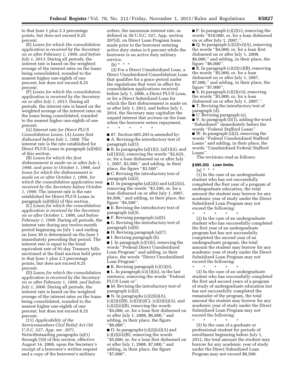to that June 1 plus 2.3 percentage points, but does not exceed 8.25 percent.

(E) *Loans for which the consolidation application is received by the Secretary on or after February 1, 1999, and before July 1, 2013.* During all periods, the interest rate is based on the weighted average of the interest rates on the loans being consolidated, rounded to the nearest higher one-eighth of one percent, but does not exceed 8.25 percent.

(F) *Loans for which the consolidation application is received by the Secretary on or after July 1, 2013.* During all periods, the interest rate is based on the weighted average of the interest rates on the loans being consolidated, rounded to the nearest higher one-eighth of one percent.

(ii) *Interest rate for Direct PLUS Consolidation Loans.* (A) *Loans first disbursed before July 1, 1998.* The interest rate is the rate established for Direct PLUS Loans in paragraph (a)(9)(i) of this section.

(B) *Loans for which the first disbursement is made on or after July 1, 1998, and prior to October 1, 1998, and loans for which the disbursement is made on or after October 1, 1998, for which the consolidation application was received by the Secretary before October 1, 1998.* The interest rate is the rate established for Direct PLUS Loans in paragraph (a)(9)(ii) of this section.

(C) *Loans for which the consolidation application is received by the Secretary on or after October 1, 1998, and before February 1, 1999.* During all periods, the interest rate during any twelve-month period beginning on July 1 and ending on June 30 is determined on the June 1 immediately preceding that period. The interest rate is equal to the bond equivalent rate of 91-day Treasury bills auctioned at the final auction held prior to that June 1 plus 2.3 percentage points, but does not exceed 8.25 percent.

(D) *Loans for which the consolidation application is received by the Secretary on or after February 1, 1999, and before July 1, 2006.* During all periods, the interest rate is based on the weighted average of the interest rates on the loans being consolidated, rounded to the nearest higher one-eighth of one percent, but does not exceed 8.25 percent.

(11) *Applicability of the Servicemembers Civil Relief Act (50 U.S.C. 527, App. sec. 207).* 

Notwithstanding paragraphs (a)(1) through (10) of this section, effective August 14, 2008, upon the Secretary's receipt of a borrower's written request and a copy of the borrower's military

orders, the maximum interest rate, as defined in 50 U.S.C. 527, App. section 207(d), on Direct Loan Program loans made prior to the borrower entering active duty status is 6 percent while the borrower is on active duty military service.

(b)  $* * * *$ 

(2) For a Direct Unsubsidized Loan, a Direct Unsubsidized Consolidation Loan that qualifies for a grace period under the regulations that were in effect for consolidation applications received before July 1, 2006, a Direct PLUS Loan, or for a Direct Subsidized Loan for which the first disbursement is made on or after July 1, 2012, and before July 1, 2014, the Secretary may capitalize the unpaid interest that accrues on the loan when the borrower enters repayment.

■ 87. Section 685.203 is amended by: ■ A. Revising the introductory text of paragraph (a)(1).

\* \* \* \* \*

 $\blacksquare$  B. In paragraphs (a)(1)(i), (a)(1)(ii), and (a)(1)(iii), removing the words ''\$2,625, or, for a loan disbursed on or after July 1, 2007, \$3,500,'' and adding, in their place, the figure ''\$3,500''.

■ C. Revising the introductory text of paragraph (a)(2).

■ D. In paragraphs  $(a)(2)(i)$  and  $(a)(2)(ii)$ , removing the words ''\$3,500, or, for a loan disbursed on or after July 1, 2007, \$4,500,'' and adding, in their place, the figure ''\$4,500''.

■ E. Revising the introductory text of paragraph (a)(3).

■ F. Revising paragraph (a)(5).

■ G. Revising the introductory text of paragraph (a)(6).

■ H. Revising paragraph (a)(7).

■ I. Revising paragraph (b).

 $\blacksquare$  J. In paragraph  $(c)(1)(i)$ , removing the words ''Federal Direct Unsubsidized Loan Program'' and adding, in their place, the words ''Direct Unsubsidized Loan Program''.

 $\blacksquare$  K. Revising paragraph  $(c)(1)(ii)$ .

 $\blacksquare$  L. In paragraph (c)(1)(iii), in the last sentence, removing the words ''Federal PLUS Loan or''.

■ M. Revising the introductory text of paragraph (c)(2).

■ N. In paragraphs (c)(2)(i)(A),  $(c)(2)(i)(B), (c)(2)(i)(C), (c)(2)(ii)(A), and$  $(c)(2)(ii)(B)$ , removing the words ''\$4,000, or, for a loan first disbursed on or after July 1, 2008, \$6,000,'' and adding, in their place, the figure ''\$6,000''.

■ O. In paragraphs (c)(2)(iii)(A) and (c)(2)(iii)(B), removing the words ''\$5,000, or, for a loan first disbursed on or after July 1, 2008, \$7,000,'' and adding, in their place, the figure ''\$7,000''.

 $\blacksquare$  P. In paragraph (c)(2)(v), removing the words ''\$10,000, or, for a loan disbursed on or after July 1, 2007,'

■ Q. In paragraph (c)(2)(vi)(A), removing the words ''\$4,000, or, for a loan first disbursed on or after July 1, 2008, \$6,000,'' and adding, in their place, the figure ''\$6,000''.

 $\blacksquare$  R. In paragraph  $(c)(2)(vi)(B)$ , removing the words ''\$5,000, or, for a loan disbursed on or after July 1, 2007, \$7,000,'' and adding, in their place, the figure ''\$7,000''.

■ S. In paragraph (c)(2)(vii), removing the words ''\$5,000, or, for a loan disbursed on or after July 1, 2007,"

■ T. Revising the introductory text of paragraph (d).

■ U. Revising paragraph (e).

■ V. In paragraph (ĭ)(1), adding the word ''Subsidized'' immediately before the words ''Federal Stafford Loans''.

■ W. In paragraph (i)(2), removing the words ''Federal Unsubsidized Stafford Loans'' and adding, in their place, the words ''Unsubsidized Federal Stafford Loans''.

The revisions read as follows:

#### **§ 685.203 Loan limits.**

 $(a) * * * *$ 

(1) In the case of an undergraduate student who has not successfully completed the first year of a program of undergraduate education, the total amount the student may borrow for any academic year of study under the Direct Subsidized Loan Program may not exceed the following:

\* \* \* \* \* (2) In the case of an undergraduate student who has successfully completed the first year of an undergraduate program but has not successfully completed the second year of an undergraduate program, the total amount the student may borrow for any academic year of study under the Direct Subsidized Loan Program may not exceed the following:

\* \* \* \* \* (3) In the case of an undergraduate student who has successfully completed the first and second years of a program of study of undergraduate education but has not successfully completed the remainder of the program, the total amount the student may borrow for any academic year of study under the Direct Subsidized Loan Program may not exceed the following:

\* \* \* \* \* (5) In the case of a graduate or professional student for periods of enrollment beginning before July 1, 2012, the total amount the student may borrow for any academic year of study under the Direct Subsidized Loan Program may not exceed \$8,500.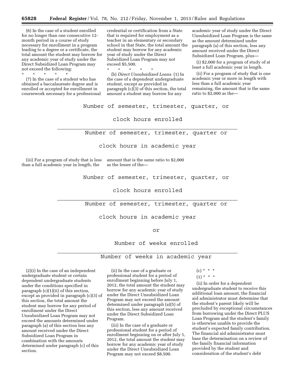(6) In the case of a student enrolled for no longer than one consecutive 12 month period in a course of study necessary for enrollment in a program leading to a degree or a certificate, the total amount the student may borrow for any academic year of study under the Direct Subsidized Loan Program may not exceed the following:<br>  $\begin{array}{ccc} * & * & * & * \end{array}$ 

\* \* \* \* \* (7) In the case of a student who has obtained a baccalaureate degree and is enrolled or accepted for enrollment in coursework necessary for a professional

credential or certification from a State that is required for employment as a teacher in an elementary or secondary school in that State, the total amount the student may borrow for any academic year of study under the Direct Subsidized Loan Program may not exceed \$5,500.

\* \* \* \* \* (b) *Direct Unsubsidized Loans.* (1) In the case of a dependent undergraduate student, except as provided in paragraph (c)(3) of this section, the total amount a student may borrow for any

academic year of study under the Direct Unsubsidized Loan Program is the same as the amount determined under paragraph (a) of this section, less any amount received under the Direct Subsidized Loan Program, plus—

(i) \$2,000 for a program of study of at least a full academic year in length.

(ii) For a program of study that is one academic year or more in length with less than a full academic year remaining, the amount that is the same ratio to \$2,000 as the—

Number of semester, trimester, quarter, or clock hours enrolled

Number of semester, trimester, quarter or

clock hours in academic year

(iii) For a program of study that is less amount that is the same ratio to \$2,000 than a full academic year in length, the

as the lesser of the—

Number of semester, trimester, quarter, or

clock hours enrolled

Number of semester, trimester, quarter or

clock hours in academic year

or

Number of weeks enrolled

Number of weeks in academic year

(2)(i) In the case of an independent undergraduate student or certain dependent undergraduate students under the conditions specified in paragraph (c)(1)(ii) of this section, except as provided in paragraph (c)(3) of this section, the total amount the student may borrow for any period of enrollment under the Direct Unsubsidized Loan Program may not exceed the amounts determined under paragraph (a) of this section less any amount received under the Direct Subsidized Loan Program in combination with the amounts determined under paragraph (c) of this section.

(ii) In the case of a graduate or professional student for a period of enrollment beginning before July 1, 2012, the total amount the student may borrow for any academic year of study under the Direct Unsubsidized Loan Program may not exceed the amount determined under paragraph (a)(5) of this section, less any amount received under the Direct Subsidized Loan Program.

(iii) In the case of a graduate or professional student for a period of enrollment beginning on or after July 1, 2012, the total amount the student may borrow for any academic year of study under the Direct Unsubsidized Loan Program may not exceed \$8,500.

- $(c) * * * *$
- $(1) * * * *$

(ii) In order for a dependent undergraduate student to receive this additional loan amount, the financial aid administrator must determine that the student's parent likely will be precluded by exceptional circumstances from borrowing under the Direct PLUS Loan Program and the student's family is otherwise unable to provide the student's expected family contribution. The financial aid administrator must base the determination on a review of the family financial information provided by the student and consideration of the student's debt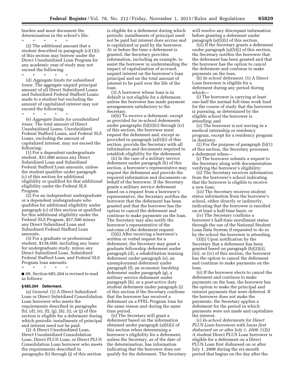burden and must document the determination in the school's file.

\* \* \* \* \* (2) The additional amount that a student described in paragraph (c)(1)(i) of this section may borrow under the Direct Unsubsidized Loan Program for any academic year of study may not exceed the following:

(d) *Aggregate limits for subsidized loans.* The aggregate unpaid principal amount of all Direct Subsidized Loans and Subsidized Federal Stafford Loans made to a student but excluding the amount of capitalized interest may not exceed the following:

 $\star$   $\star$   $\star$ 

\* \* \* \* \*

(e) *Aggregate limits for unsubsidized loans.* The total amount of Direct Unsubsidized Loans, Unsubsidized Federal Stafford Loans, and Federal SLS Loans, excluding the amount of capitalized interest, may not exceed the following:

(1) For a dependent undergraduate student, \$31,000 minus any Direct Subsidized Loan and Subsidized Federal Stafford Loan amounts, unless the student qualifies under paragraph (c) of this section for additional eligibility or qualified for that additional eligibility under the Federal SLS Program.

(2) For an independent undergraduate or a dependent undergraduate who qualifies for additional eligibility under paragraph (c) of this section or qualified for this additional eligibility under the Federal SLS Program, \$57,500 minus any Direct Subsidized Loan and Subsidized Federal Stafford Loan amounts.

(3) For a graduate or professional student, \$138,500, including any loans for undergraduate study, minus any Direct Subsidized Loan, Subsidized Federal Stafford Loan, and Federal SLS Program loan amounts.

\* \* \* \* \*

■ 88. Section 685.204 is revised to read as follows:

#### **§ 685.204 Deferment.**

(a) *General.* (1) A Direct Subsidized Loan or Direct Subsidized Consolidation Loan borrower who meets the requirements described in paragraphs (b), (d), (e), (f), (g), (h), (i), or (j) of this section is eligible for a deferment during which periodic installments of principal and interest need not be paid.

(2) A Direct Unsubsidized Loan, Direct Unsubsidized Consolidation Loan, Direct PLUS Loan, or Direct PLUS Consolidation Loan borrower who meets the requirements described in paragraphs (b) through (j) of this section

is eligible for a deferment during which periodic installments of principal need not be paid but interest does accrue and is capitalized or paid by the borrower. At or before the time a deferment is granted, the Secretary provides information, including an example, to assist the borrower in understanding the impact of capitalization of accrued, unpaid interest on the borrower's loan principal and on the total amount of interest to be paid over the life of the loan.

(3) A borrower whose loan is in default is not eligible for a deferment, unless the borrower has made payment arrangements satisfactory to the Secretary.

 $(4)(i)$  To receive a deferment, except as provided for in-school deferments under paragraphs (b)(2)(ii) through (iv) of this section, the borrower must request the deferment and, except as provided in paragraph (a)(5)(i) of this section, provide the Secretary with all information and documents required to establish eligibility for the deferment.

(ii) In the case of a military service deferment under paragraph (h) of this section, a borrower's representative may request the deferment and provide the required information and documents on behalf of the borrower. If the Secretary grants a military service deferment based on a request from a borrower's representative, the Secretary notifies the borrower that the deferment has been granted and that the borrower has the option to cancel the deferment and continue to make payments on the loan. The Secretary may also notify the borrower's representative of the outcome of the deferment request.

(5)(i) After receiving a borrower's written or verbal request for a deferment, the Secretary may grant a graduate fellowship deferment under paragraph (d), a rehabilitation training deferment under paragraph (e), an unemployment deferment under paragraph (f), an economic hardship deferment under paragraph (g), a military service deferment under paragraph (h), or a post-active duty student deferment under paragraph (i) of this section if the Secretary confirms that the borrower has received a deferment on a FFEL Program loan for the same reason and during the same time period.

(ii) The Secretary will grant a deferment based on the information obtained under paragraph (a)(5)(i) of this section when determining a borrower's eligibility for a deferment, unless the Secretary, as of the date of the determination, has information indicating that the borrower does not qualify for the deferment. The Secretary will resolve any discrepant information before granting a deferment under paragraph (a)(5)(i) of this section.

(iii) If the Secretary grants a deferment under paragraph  $(a)(5)(i)$  of this section, the Secretary notifies the borrower that the deferment has been granted and that the borrower has the option to cancel the deferment and continue to make payments on the loan.

(b) *In-school deferment.* (1) A Direct Loan borrower is eligible for a deferment during any period during which—

(i) The borrower is carrying at least one-half the normal full-time work load for the course of study that the borrower is pursuing, as determined by the eligible school the borrower is attending; and

(ii) The borrower is not serving in a medical internship or residency program, except for a residency program in dentistry.

(2) For the purpose of paragraph (b)(1) of this section, the Secretary processes a deferment when—

(i) The borrower submits a request to the Secretary along with documentation verifying the borrower's eligibility;

(ii) The Secretary receives information from the borrower's school indicating that the borrower is eligible to receive a new loan;

(iii) The Secretary receives student status information from the borrower's school, either directly or indirectly, indicating that the borrower is enrolled on at least a half-time basis; or

(iv) The Secretary confirms a borrower's half-time enrollment status through the use of the National Student Loan Data System if requested to do so by the school the borrower is attending.

(3)(i) Upon notification by the Secretary that a deferment has been granted based on paragraph (b)(2)(ii), (iii), or (iv) of this section, the borrower has the option to cancel the deferment and continue to make payments on the loan.

(ii) If the borrower elects to cancel the deferment and continue to make payments on the loan, the borrower has the option to make the principal and interest payments that were deferred. If the borrower does not make the payments, the Secretary applies a deferment for the period in which payments were not made and capitalizes the interest.

(c) *In-school deferments for Direct PLUS Loan borrowers with loans first disbursed on or after July 1, 2008.* (1)(i) A student Direct PLUS Loan borrower is eligible for a deferment on a Direct PLUS Loan first disbursed on or after July 1, 2008 during the six-month period that begins on the day after the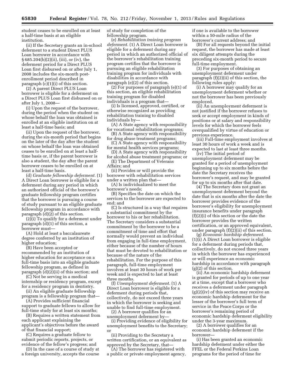student ceases to be enrolled on at least a half-time basis at an eligible institution.

(ii) If the Secretary grants an in-school deferment to a student Direct PLUS Loan borrower in accordance with § 685.204(b)(2)(ii), (iii), or (iv), the deferment period for a Direct PLUS Loan first disbursed on or after July 1, 2008 includes the six-month postenrollment period described in paragraph (c)(1)(i) of this section.

(2) A parent Direct PLUS Loan borrower is eligible for a deferment on a Direct PLUS Loan first disbursed on or after July 1, 2008—

(i) Upon the request of the borrower, during the period when the student on whose behalf the loan was obtained is enrolled at an eligible institution on at least a half-time basis; and

(ii) Upon the request of the borrower, during the six-month period that begins on the later of the day after the student on whose behalf the loan was obtained ceases to be enrolled on at least a halftime basis or, if the parent borrower is also a student, the day after the parent borrower ceases to be enrolled on at least a half-time basis.

(d) *Graduate fellowship deferment.* (1) A Direct Loan borrower is eligible for a deferment during any period in which an authorized official of the borrower's graduate fellowship program certifies that the borrower is pursuing a course of study pursuant to an eligible graduate fellowship program in accordance with paragraph (d)(2) of this section.

(2)(i) To qualify for a deferment under paragraph (d)(1) of this section, a borrower must—

(A) Hold at least a baccalaureate degree conferred by an institution of higher education;

(B) Have been accepted or recommended by an institution of higher education for acceptance on a full-time basis into an eligible graduate fellowship program, as defined in paragraph  $\left(\frac{d}{2}\right)$ (ii) of this section; and

(C) Not be serving in a medical internship or residency program, except for a residency program in dentistry.

(ii) An eligible graduate fellowship program is a fellowship program that—

(A) Provides sufficient financial support to graduate fellows to allow for full-time study for at least six months;

(B) Requires a written statement from each applicant explaining the applicant's objectives before the award of that financial support;

(C) Requires a graduate fellow to submit periodic reports, projects, or evidence of the fellow's progress; and

(D) In the case of a course of study at a foreign university, accepts the course of study for completion of the fellowship program.

(e) *Rehabilitation training program deferment.* (1) A Direct Loan borrower is eligible for a deferment during any period in which an authorized official of the borrower's rehabilitation training program certifies that the borrower is pursuing an eligible rehabilitation training program for individuals with disabilities in accordance with paragraph (e)(2) of this section.

(2) For purposes of paragraph (e)(1) of this section, an eligible rehabilitation training program for disabled individuals is a program that—

(i) Is licensed, approved, certified, or otherwise recognized as providing rehabilitation training to disabled individuals by—

(A) A State agency with responsibility for vocational rehabilitation programs;

(B) A State agency with responsibility for drug abuse treatment programs;

(C) A State agency with responsibility for mental health services programs;

(D) A State agency with responsibility for alcohol abuse treatment programs; or

(E) The Department of Veterans Affairs; and

(ii) Provides or will provide the borrower with rehabilitation services under a written plan that—

(A) Is individualized to meet the borrower's needs;

(B) Specifies the date on which the services to the borrower are expected to end; and

(C) Is structured in a way that requires a substantial commitment by the borrower to his or her rehabilitation. The Secretary considers a substantial commitment by the borrower to be a commitment of time and effort that normally would prevent an individual from engaging in full-time employment, either because of the number of hours that must be devoted to rehabilitation or because of the nature of the rehabilitation. For the purpose of this paragraph, full-time employment involves at least 30 hours of work per week and is expected to last at least three months.

(f) *Unemployment deferment.* (1) A Direct Loan borrower is eligible for a deferment during periods that, collectively, do not exceed three years in which the borrower is seeking and unable to find full-time employment.

(2) A borrower qualifies for an unemployment deferment by—

(i) Providing evidence of eligibility for unemployment benefits to the Secretary; or

(ii) Providing to the Secretary a written certification, or an equivalent as approved by the Secretary, that—

(A) The borrower has registered with a public or private employment agency, if one is available to the borrower within a 50-mile radius of the borrower's current address; and

(B) For all requests beyond the initial request, the borrower has made at least six diligent attempts during the preceding six-month period to secure full-time employment.

(3) For purposes of obtaining an unemployment deferment under paragraph (f)(2)(ii) of this section, the following rules apply:

(i) A borrower may qualify for an unemployment deferment whether or not the borrower has been previously employed.

(ii) An unemployment deferment is not justified if the borrower refuses to seek or accept employment in kinds of positions or at salary and responsibility levels for which the borrower feels overqualified by virtue of education or previous experience.

(iii) Full-time employment involves at least 30 hours of work a week and is expected to last at least three months.

(iv) The initial period of unemployment deferment may be granted for a period of unemployment beginning up to six months before the date the Secretary receives the borrower's request, and may be granted for up to six months after that date.

(4) The Secretary does not grant an unemployment deferment beyond the date that is six months after the date the borrower provides evidence of the borrower's eligibility for unemployment insurance benefits under paragraph (f)(2)(i) of this section or the date the borrower provides the written certification, or an approved equivalent, under paragraph (f)(2)(ii) of this section.

(g) *Economic hardship deferment.*  (1)(i) A Direct Loan borrower is eligible for a deferment during periods that, collectively, do not exceed three years in which the borrower has experienced or will experience an economic hardship in accordance with paragraph (g)(2) of this section.

(ii) An economic hardship deferment is granted for periods of up to one year at a time, except that a borrower who receives a deferment under paragraph  $(g)(2)(iv)$  of this section may receive an economic hardship deferment for the lesser of the borrower's full term of service in the Peace Corps or the borrower's remaining period of economic hardship deferment eligibility under the 3-year maximum.

(2) A borrower qualifies for an economic hardship deferment if the borrower—

(i) Has been granted an economic hardship deferment under either the FFEL or the Federal Perkins Loan programs for the period of time for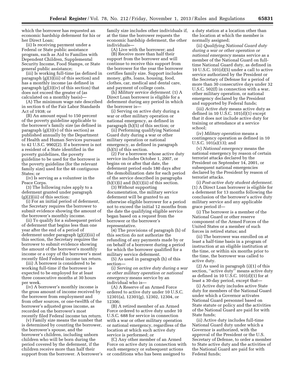which the borrower has requested an economic hardship deferment for his or her Direct Loan;

(ii) Is receiving payment under a Federal or State public assistance program, such as Aid to Families with Dependent Children, Supplemental Security Income, Food Stamps, or State general public assistance;

(iii) Is working full-time (as defined in paragraph (g)(3)(iii) of this section) and has a monthly income (as defined in paragraph (g)(3)(iv) of this section) that does not exceed the greater of (as calculated on a monthly basis)—

(A) The minimum wage rate described in section 6 of the Fair Labor Standards Act of 1938; or

(B) An amount equal to 150 percent of the poverty guideline applicable to the borrower's family size (as defined in paragraph  $(g)(3)(v)$  of this section) as published annually by the Department of Health and Human Services pursuant to 42 U.S.C. 9902(2). If a borrower is not a resident of a State identified in the poverty guidelines, the poverty guideline to be used for the borrower is the poverty guideline (for the relevant family size) used for the 48 contiguous States; or

(iv) Is serving as a volunteer in the Peace Corps.

(3) The following rules apply to a deferment granted under paragraph  $(g)(2)(iii)$  of this section:

(i) For an initial period of deferment, the Secretary requires the borrower to submit evidence showing the amount of the borrower's monthly income.

(ii) To qualify for a subsequent period of deferment that begins less than one year after the end of a period of deferment under paragraph (g)(2)(iii) of this section, the Secretary requires the borrower to submit evidence showing the amount of the borrower's monthly income or a copy of the borrower's most recently filed Federal income tax return.

(iii) A borrower is considered to be working full-time if the borrower is expected to be employed for at least three consecutive months at 30 hours per week.

(iv) A borrower's monthly income is the gross amount of income received by the borrower from employment and from other sources, or one-twelfth of the borrower's adjusted gross income, as recorded on the borrower's most recently filed Federal income tax return.

(v) Family size means the number that is determined by counting the borrower, the borrower's spouse, and the borrower's children, including unborn children who will be born during the period covered by the deferment, if the children receive more than half their support from the borrower. A borrower's

family size includes other individuals if, at the time the borrower requests the economic hardship deferment, the other individuals—

(A) Live with the borrower; and (B) Receive more than half their support from the borrower and will continue to receive this support from the borrower for the year the borrower certifies family size. Support includes money, gifts, loans, housing, food, clothes, car, medical and dental care, and payment of college costs.

(h) *Military service deferment.* (1) A Direct Loan borrower is eligible for a deferment during any period in which the borrower is—

(i) Serving on active duty during a war or other military operation or national emergency, as defined in paragraph (h)(5) of this section; or

(ii) Performing qualifying National Guard duty during a war or other military operation or national emergency, as defined in paragraph (h)(5) of this section.

(2) For a borrower whose active duty service includes October 1, 2007, or begins on or after that date, the deferment period ends 180 days after the demobilization date for each period of the service described in paragraphs  $(h)(1)(i)$  and  $(h)(1)(ii)$  of this section.

(3) Without supporting documentation, the military service deferment will be granted to an otherwise eligible borrower for a period not to exceed the initial 12 months from the date the qualifying eligible service began based on a request from the borrower or the borrower's representative.

(4) The provisions of paragraph (h) of this section do not authorize the refunding of any payments made by or on behalf of a borrower during a period for which the borrower qualified for a military service deferment.

(5) As used in paragraph (h) of this section—

(i) *Serving on active duty during a war or other military operation or national emergency* means service by an individual who is—

(A) A Reserve of an Armed Force ordered to active duty under 10 U.S.C. 12301(a), 12301(g), 12302, 12304, or 12306;

(B) A retired member of an Armed Force ordered to active duty under 10 U.S.C. 688 for service in connection with a war or other military operation or national emergency, regardless of the location at which such active duty service is performed; or

(C) Any other member of an Armed Force on active duty in connection with such emergency or subsequent actions or conditions who has been assigned to

a duty station at a location other than the location at which the member is normally assigned;

(ii) *Qualifying National Guard duty during a war or other operation or national emergency* means service as a member of the National Guard on fulltime National Guard duty, as defined in 10 U.S.C. 101(d)(5) under a call to active service authorized by the President or the Secretary of Defense for a period of more than 30 consecutive days under 32 U.S.C. 502(f) in connection with a war, other military operation, or national emergency declared by the President and supported by Federal funds;

(iii) *Active duty* means active duty as defined in 10 U.S.C. 101(d)(1) except that it does not include active duty for training or attendance at a service school;

(iv) *Military operation* means a contingency operation as defined in 10 U.S.C. 101(a)(13); and

(v) *National emergency* means the national emergency by reason of certain terrorist attacks declared by the President on September 14, 2001, or subsequent national emergencies declared by the President by reason of terrorist attacks.

(i) *Post-active duty student deferment.*  (1) A Direct Loan borrower is eligible for a deferment for 13 months following the conclusion of the borrower's active duty military service and any applicable grace period if—

(i) The borrower is a member of the National Guard or other reserve component of the Armed Forces of the United States or a member of such forces in retired status; and

(ii) The borrower was enrolled on at least a half-time basis in a program of instruction at an eligible institution at the time, or within six months prior to the time, the borrower was called to active duty.

(2) As used in paragraph (i)(1) of this section, "active duty" means active duty as defined in 10 U.S.C.  $101(d)(1)$  for at least a 30-day period, except that—

(i) Active duty includes active State duty for members of the National Guard under which a Governor activates National Guard personnel based on State statute or policy and the activities of the National Guard are paid for with State funds;

(ii) Active duty includes full-time National Guard duty under which a Governor is authorized, with the approval of the President or the U.S. Secretary of Defense, to order a member to State active duty and the activities of the National Guard are paid for with Federal funds;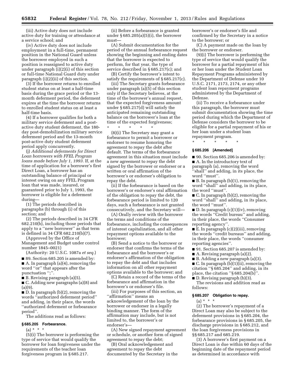(iii) Active duty does not include active duty for training or attendance at a service school; and

(iv) Active duty does not include employment in a full-time, permanent position in the National Guard unless the borrower employed in such a position is reassigned to active duty under paragraph (i)(2)(i) of this section or full-time National Guard duty under paragraph (i)(2)(ii) of this section.

(3) If the borrower returns to enrolled student status on at least a half-time basis during the grace period or the 13 month deferment period, the deferment expires at the time the borrower returns to enrolled student status on at least a half-time basis.

(4) If a borrower qualifies for both a military service deferment and a postactive duty student deferment, the 180 day post-demobilization military service deferment period and the 13-month post-active duty student deferment period apply concurrently.

(j) *Additional deferments for Direct Loan borrowers with FFEL Program loans made before July 1, 1993.* If, at the time of application for a borrower's first Direct Loan, a borrower has an outstanding balance of principal or interest owing on any FFEL Program loan that was made, insured, or guaranteed prior to July 1, 1993, the borrower is eligible for a deferment during—

(1) The periods described in paragraphs (b) through (i) of this section; and

(2) The periods described in 34 CFR 682.210(b), including those periods that apply to a ''new borrower'' as that term is defined in 34 CFR 682.210(b)(7).

(Approved by the Office of Management and Budget under control

number 1845–0021)

(Authority: 20 U.S.C. 1087a *et seq.*) ■ 89. Section 685.205 is amended by: ■ A. In paragraph (a)(4), removing the word ''or'' that appears after the

punctuation ";".

■ B. Revising paragraph (a)(5).

■ C. Adding new paragraphs (a)(8) and (a)(9).

■ D. In paragraph (b)(2), removing the words ''authorized deferment period'' and adding, in their place, the words ''authorized deferment or forbearance period''.

The additions read as follows:

#### **§ 685.205 Forbearance.**

 $(a) * * * *$ 

(5)(i) The borrower is performing the type of service that would qualify the borrower for loan forgiveness under the requirements of the teacher loan forgiveness program in § 685.217.

(ii) Before a forbearance is granted under § 685.205(a)(5)(i), the borrower must—

(A) Submit documentation for the period of the annual forbearance request showing the beginning and ending dates that the borrower is expected to perform, for that year, the type of service described in § 685.217(c); and

(B) Certify the borrower's intent to satisfy the requirements of § 685.217(c).

(iii) The Secretary grants forbearance under paragraph (a)(5) of this section only if the Secretary believes, at the time of the borrower's annual request, that the expected forgiveness amount under § 685.217(d) will satisfy the anticipated remaining outstanding balance on the borrower's loan at the time of the expected forgiveness;

\* \* \* \* \* (8)(i) The Secretary may grant a forbearance to permit a borrower or endorser to resume honoring the agreement to repay the debt after default. The terms of the forbearance agreement in this situation must include a new agreement to repay the debt signed by the borrower or endorser or a written or oral affirmation of the borrower's or endorser's obligation to repay the debt.

(ii) If the forbearance is based on the borrower's or endorser's oral affirmation of the obligation to repay the debt, the forbearance period is limited to 120 days, such a forbearance is not granted consecutively, and the Secretary will—

(A) Orally review with the borrower the terms and conditions of the forbearance, including the consequences of interest capitalization, and all other repayment options available to the borrower;

(B) Send a notice to the borrower or endorser that confirms the terms of the forbearance and the borrower's or endorser's affirmation of the obligation to repay the debt and that includes information on all other repayment options available to the borrower; and

(C) Retain a record of the terms of the forbearance and affirmation in the borrower's or endorser's file.

(iii) For purposes of this section, an ''affirmation'' means an acknowledgement of the loan by the borrower or endorser in a legally binding manner. The form of the affirmation may include, but is not limited to, the borrower's or endorser's—

(A) New signed repayment agreement or schedule, or another form of signed agreement to repay the debt;

(B) Oral acknowledgement and agreement to repay the debt documented by the Secretary in the borrower's or endorser's file and confirmed by the Secretary in a notice to the borrower; or

(C) A payment made on the loan by the borrower or endorser.

(9)(i) The borrower is performing the type of service that would qualify the borrower for a partial repayment of his or her loan under the Student Loan Repayment Programs administered by the Department of Defense under 10 U.S.C. 2171, 2173, 2174, or any other student loan repayment programs administered by the Department of Defense.

(ii) To receive a forbearance under this paragraph, the borrower must submit documentation showing the time period during which the Department of Defense considers the borrower to be eligible for a partial repayment of his or her loan under a student loan repayment program.

\* \* \* \* \*

## **§ 685.206 [Amended]**

■ 90. Section 685.206 is amended by: ■ A. In the introductory text of paragraph (a), removing the word ''shall'' and adding, in its place, the word "must".

■ B. In paragraph (b)(1), removing the word ''shall'' and adding, in its place, the word ''must''.

■ C. In paragraph (b)(2), removing the word ''shall'' and adding, in its place, the word ''must''.

 $\blacksquare$  D. In paragraph  $(c)(1)(iv)$ , removing the words ''Credit bureau'' and adding, in their place, the words ''Consumer reporting agency''.

■ E. In paragraph (c)(2)(iii), removing the words ''credit bureaus'' and adding, in their place, the words ''consumer reporting agencies''.

■ 91. Section 685.207 is amended by:

■ A. Revising paragraph (a)(2).

■ B. Adding a new paragraph (a)(3).

■ C. In paragraph (b)(1)(ii), removing the citation ''§ 685.204'' and adding, in its place, the citation ''§ 685.204(b)''.

■ D. Revising paragraph (b)(3).

The revisions and addition read as follows:

#### **§ 685.207 Obligation to repay.**

 $(a) * * * *$ 

(2) The borrower's repayment of a Direct Loan may also be subject to the deferment provisions in § 685.204, the forbearance provisions in § 685.205, the discharge provisions in § 685.212, and the loan forgiveness provisions in §§ 685.217 and 685.219.

(3) A borrower's first payment on a Direct Loan is due within 60 days of the beginning date of the repayment period as determined in accordance with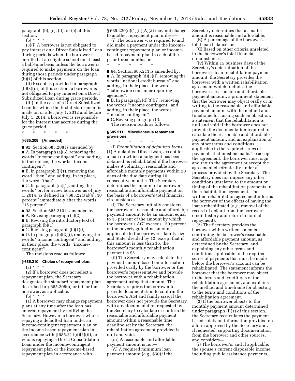paragraph (b), (c), (d), or (e) of this section.

(b) \* \* \*

(3)(i) A borrower is not obligated to pay interest on a Direct Subsidized Loan during periods when the borrower is enrolled at an eligible school on at least a half-time basis unless the borrower is required to make payments on the loan during those periods under paragraph (b)(1) of this section.

(ii) Except as provided in paragraph (b)(3)(iii) of this section, a borrower is not obligated to pay interest on a Direct Subsidized Loan during grace periods.

(iii) In the case of a Direct Subsidized Loan for which the first disbursement is made on or after July 1, 2012 and before July 1, 2014, a borrower is responsible for the interest that accrues during the grace period.

### **§ 685.208 [Amended]**

\* \* \* \* \*

■ 92. Section 685.208 is amended by: ■ A. In paragraph (a)(5), removing the words ''income contingent'' and adding, in their place, the words ''incomecontingent''.

■ B. In paragraph (j)(1), removing the word ''then'' and adding, in its place, the word ''than''.

■ C. In paragraph (m)(1), adding the words ''or, for a new borrower as of July 1, 2014, as defined in § 685.221(a)(4), 10 percent'' immediately after the words ''15 percent''.

■ 93. Section 685.210 is amended by:

■ A. Revising paragraph (a)(2).

■ B. Revising the introductory text of paragraph (b)(1).

 $\blacksquare$  C. Revising paragraph (b)(1)(i).

 $\blacksquare$  D. In paragraph  $(b)(2)(i)$ , removing the words ''income contingent'' and adding, in their place, the words ''incomecontingent''.

The revisions read as follows:

## **§ 685.210 Choice of repayment plan.**

 $(a) * * * *$ 

(2) If a borrower does not select a repayment plan, the Secretary designates the standard repayment plan described in § 685.208(b) or (c) for the borrower, as applicable.

(b)  $* * * *$ 

(1) A borrower may change repayment plans at any time after the loan has entered repayment by notifying the Secretary. However, a borrower who is repaying a defaulted loan under an income-contingent repayment plan or the income-based repayment plan in accordance with § 685.211(d)(3)(ii), or who is repaying a Direct Consolidation Loan under the income-contingent repayment plan or the income-based repayment plan in accordance with

§ 685.220(d)(1)(ii)(A)(*3*) may not change to another repayment plan unless—

(i) The borrower was required to and did make a payment under the incomecontingent repayment plan or incomebased repayment plan in each of the prior three months; or

\* \* \* \* \*

■ 94. Section 685.211 is amended by: ■ A. In paragraph (d)(3)(i), removing the words ''national credit bureaus'' and adding, in their place, the words ''nationwide consumer reporting agencies''.

■ B. In paragraph (d)(3)(ii), removing the words ''income contingent'' and adding, in their place, the words ''income-contingent''.

■ C. Revising paragraph (f). The revision reads as follows:

#### **§ 685.211 Miscellaneous repayment provisions.**

\* \* \* \* \* (f) *Rehabilitation of defaulted loans.*  (1) A defaulted Direct Loan, except for a loan on which a judgment has been obtained, is rehabilitated if the borrower makes 9 voluntary, reasonable and affordable monthly payments within 20 days of the due date during 10 consecutive months. The Secretary determines the amount of a borrower's reasonable and affordable payment on the basis of a borrower's total financial circumstances.

(i) The Secretary initially considers the borrower's reasonable and affordable payment amount to be an amount equal to 15 percent of the amount by which the borrower's AGI exceeds 150 percent of the poverty guideline amount applicable to the borrower's family size and State, divided by 12, except that if this amount is less than \$5, the borrower's monthly rehabilitation payment is \$5.

(ii) The Secretary may calculate the payment amount based on information provided orally by the borrower or the borrower's representative and provide the borrower with a rehabilitation agreement using that amount. The Secretary requires the borrower to provide documentation to confirm the borrower's AGI and family size. If the borrower does not provide the Secretary with any documentation requested by the Secretary to calculate or confirm the reasonable and affordable payment amount within a reasonable time deadline set by the Secretary, the rehabilitation agreement provided is null and void.

(iii) A reasonable and affordable payment amount is not—

(A) A required minimum loan payment amount (*e.g.,* \$50) if the Secretary determines that a smaller amount is reasonable and affordable; (B) A percentage of the borrower's

total loan balance; or

(C) Based on other criteria unrelated to the borrower's total financial circumstances.

(iv) Within 15 business days of the Secretary's determination of the borrower's loan rehabilitation payment amount, the Secretary provides the borrower with a written rehabilitation agreement which includes the borrower's reasonable and affordable payment amount, a prominent statement that the borrower may object orally or in writing to the reasonable and affordable payment amount with the method and timeframe for raising such an objection, a statement that the rehabilitation is null and void if the borrower does not provide the documentation required to calculate the reasonable and affordable payment amount, and an explanation of any other terms and conditions applicable to the required series of payments that must be made. To accept the agreement, the borrower must sign and return the agreement or accept the agreement electronically under a process provided by the Secretary. The Secretary does not impose any other conditions unrelated to the amount or timing of the rehabilitation payments in the rehabilitation agreement. The written rehabilitation agreement informs the borrower of the effects of having the loans rehabilitated (*e.g.,* removal of the record of default from the borrower's credit history and return to normal repayment).

(2) The Secretary provides the borrower with a written statement confirming the borrower's reasonable and affordable payment amount, as determined by the Secretary, and explaining any other terms and conditions applicable to the required series of payments that must be made before the borrower's account can be rehabilitated. The statement informs the borrower that the borrower may object to the terms and conditions of the rehabilitation agreement, and explains the method and timeframe for objecting to the terms and conditions of the rehabilitation agreement.

(3) If the borrower objects to the monthly payment amount determined under paragraph (f)(1) of this section, the Secretary recalculates the payment based solely on information provided on a form approved by the Secretary and, if requested, supporting documentation from the borrower and other sources, and considers—

(i) The borrower's, and if applicable, the spouse's current disposable income, including public assistance payments,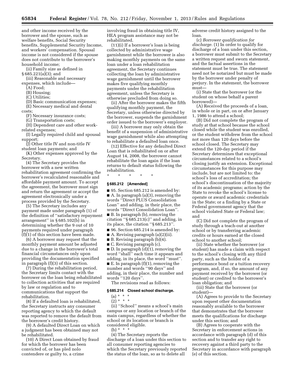and other income received by the borrower and the spouse, such as welfare benefits, Social Security benefits, Supplemental Security Income, and workers' compensation. Spousal income is not considered if the spouse does not contribute to the borrower's household income;

(ii) Family size as defined in

§ 685.221(a)(3); and

(iii) Reasonable and necessary expenses, which include—

(A) Food;

- (B) Housing;
- (C) Utilities;

(D) Basic communication expenses;

(E) Necessary medical and dental costs;

(F) Necessary insurance costs;

(G) Transportation costs;

(H) Dependent care and other workrelated expenses;

(I) Legally required child and spousal support;

(J) Other title IV and non-title IV student loan payments; and

(K) Other expenses approved by the Secretary.

(4) The Secretary provides the borrower with a new written rehabilitation agreement confirming the borrower's recalculated reasonable and affordable payment amount. To accept the agreement, the borrower must sign and return the agreement or accept the agreement electronically under a process provided by the Secretary.

(5) The Secretary includes any payment made under paragraph (1) of the definition of ''satisfactory repayment arrangement'' in § 685.102(b) in determining whether the 9 out of 10 payments required under paragraph (f)(1) of this section have been made.

(6) A borrower may request that the monthly payment amount be adjusted due to a change in the borrower's total financial circumstances only upon providing the documentation specified in paragraph (f)(3) of this section.

(7) During the rehabilitation period, the Secretary limits contact with the borrower on the loan being rehabilitated to collection activities that are required by law or regulation and to communications that support the rehabilitation.

(8) If a defaulted loan is rehabilitated, the Secretary instructs any consumer reporting agency to which the default was reported to remove the default from the borrower's credit history.

(9) A defaulted Direct Loan on which a judgment has been obtained may not be rehabilitated.

(10) A Direct Loan obtained by fraud for which the borrower has been convicted of, or has pled nolo contendere or guilty to, a crime

involving fraud in obtaining title IV, HEA program assistance may not be rehabilitated.

(11)(i) If a borrower's loan is being collected by administrative wage garnishment while the borrower is also making monthly payments on the same loan under a loan rehabilitation agreement, the Secretary continues collecting the loan by administrative wage garnishment until the borrower makes five qualifying monthly payments under the rehabilitation agreement, unless the Secretary is otherwise precluded from doing so.

(ii) After the borrower makes the fifth qualifying monthly payment, the Secretary, unless otherwise directed by the borrower, suspends the garnishment order issued to the borrower's employer.

(iii) A borrower may only obtain the benefit of a suspension of administrative wage garnishment while also attempting to rehabilitate a defaulted loan once.

(12) Effective for any defaulted Direct Loan that is rehabilitated on or after August 14, 2008, the borrower cannot rehabilitate the loan again if the loan returns to default status following the rehabilitation.

\* \* \* \* \*

#### **§ 685.212 [Amended]**

■ 95. Section 685.212 is amended by: ■ A. In paragraph (a)(3), removing the words ''Direct PLUS Consolidation Loan'' and adding, in their place, the words ''Direct Consolidation Loan''. ■ B. In paragraph (b), removing the citation " $\S 685.213(c)$ " and adding, in its place, the citation ''§ 685.213''.

■ 96. Section 685.214 is amended by:

■ A. Revising paragraph (a)(2)(ii).

■ B. Revising paragraph (b)(4).

■ C. Revising paragraph (c).

■ D. In paragraph (d)(1), removing the word ''shall'' each time it appears and adding, in its place, the word ''must''. ■ E. In paragraph (f)(1), removing the number and words ''90 days'' and adding, in their place, the number and words ''120 days''.

The revisions read as follows:

### **§ 685.214 Closed school discharge.**

 $(a) * * * *$ 

 $(2) * * * *$ 

(ii) ''School'' means a school's main campus or any location or branch of the main campus, regardless of whether the school or its location or branch is considered eligible.

(b) \* \* \*

(4) The Secretary reports the discharge of a loan under this section to all consumer reporting agencies to which the Secretary previously reported the status of the loan, so as to delete all

adverse credit history assigned to the loan.

(c) *Borrower qualification for discharge.* (1) In order to qualify for discharge of a loan under this section, a borrower must submit to the Secretary a written request and sworn statement, and the factual assertions in the statement must be true. The statement need not be notarized but must be made by the borrower under penalty of perjury. In the statement, the borrower must—

(i) State that the borrower (or the student on whose behalf a parent borrowed)—

(A) Received the proceeds of a loan, in whole or in part, on or after January 1, 1986 to attend a school;

(B) Did not complete the program of study at that school because the school closed while the student was enrolled, or the student withdrew from the school not more than 120 days before the school closed. The Secretary may extend the 120-day period if the Secretary determines that exceptional circumstances related to a school's closing justify an extension. Exceptional circumstances for this purpose may include, but are not limited to: the school's loss of accreditation; the school's discontinuation of the majority of its academic programs; action by the State to revoke the school's license to operate or award academic credentials in the State; or a finding by a State or Federal government agency that the school violated State or Federal law; and

(C) Did not complete the program of study through a teach-out at another school or by transferring academic credits or hours earned at the closed school to another school;

(ii) State whether the borrower (or student) has made a claim with respect to the school's closing with any third party, such as the holder of a performance bond or a tuition recovery program, and, if so, the amount of any payment received by the borrower (or student) or credited to the borrower's loan obligation; and

(iii) State that the borrower (or student)—

(A) Agrees to provide to the Secretary upon request other documentation reasonably available to the borrower that demonstrates that the borrower meets the qualifications for discharge under this section; and

(B) Agrees to cooperate with the Secretary in enforcement actions in accordance with paragraph (d) of this section and to transfer any right to recovery against a third party to the Secretary in accordance with paragraph (e) of this section.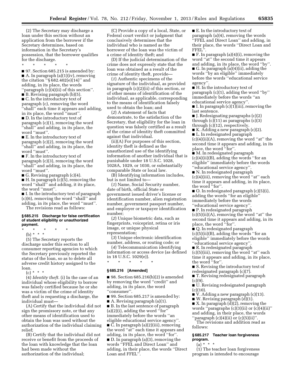(2) The Secretary may discharge a loan under this section without an application from the borrower if the Secretary determines, based on information in the Secretary's possession, that the borrower qualifies for the discharge.

\* \* \* \* \*

■ 97. Section 685.215 is amended by: ■ A. In paragraph (a)(1)(iv), removing the citation ''§ 682.402(e)(14)'' and adding, in its place, the words ''paragraph (c)(4)(ii) of this section''.

■ B. Revising paragraph (b)(5).

■ C. In the introductory text of paragraph (c), removing the word ''shall'' each time it appears and adding, in its place, the word ''must''.

■ D. In the introductory text of paragraph (c)(1), removing the word ''shall'' and adding, in its place, the word ''must''.

■ E. In the introductory text of paragraph (c)(2), removing the word ''shall'' and adding, in its place, the word ''must''.

■ F. In the introductory text of paragraph (c)(3), removing the word ''shall'' and adding, in its place, the word ''must''.

G. Revising paragraph  $(c)(4)$ .

 $\blacksquare$  H. In paragraph (c)(5), removing the word ''shall'' and adding, it its place, the word ''must''.

■ I. In the introductory text of paragraph (c)(6), removing the word ''shall'' and adding, in its place, the word ''must''. The revisions read as follows:

**§ 685.215 Discharge for false certification** 

## **of student eligibility or unauthorized payment.**

- \* \* \* \* \*
	- (b) \* \* \*

(5) The Secretary reports the discharge under this section to all consumer reporting agencies to which the Secretary previously reported the status of the loan, so as to delete all adverse credit history assigned to the loan.

 $(c) * * * *$ 

(4) *Identity theft.* (i) In the case of an individual whose eligibility to borrow was falsely certified because he or she was a victim of the crime of identity theft and is requesting a discharge, the individual must—

(A) Certify that the individual did not sign the promissory note, or that any other means of identification used to obtain the loan was used without the authorization of the individual claiming relief;

(B) Certify that the individual did not receive or benefit from the proceeds of the loan with knowledge that the loan had been made without the authorization of the individual;

(C) Provide a copy of a local, State, or Federal court verdict or judgment that conclusively determines that the individual who is named as the borrower of the loan was the victim of a crime of identity theft; and

(D) If the judicial determination of the crime does not expressly state that the loan was obtained as a result of the crime of identity theft, provide—

(*1*) Authentic specimens of the signature of the individual, as provided in paragraph (c)(2)(ii) of this section, or of other means of identification of the individual, as applicable, corresponding to the means of identification falsely used to obtain the loan; and

(*2*) A statement of facts that demonstrate, to the satisfaction of the Secretary, that eligibility for the loan in question was falsely certified as a result of the crime of identity theft committed against that individual.

(ii)(A) For purposes of this section, identity theft is defined as the unauthorized use of the identifying information of another individual that is punishable under 18 U.S.C. 1028, 1028A, 1029, or 1030, or substantially comparable State or local law.

(B) Identifying information includes, but is not limited to—

(*1*) Name, Social Security number, date of birth, official State or government issued driver's license or identification number, alien registration number, government passport number, and employer or taxpayer identification number;

(*2*) Unique biometric data, such as fingerprints, voiceprint, retina or iris image, or unique physical representation;

(*3*) Unique electronic identification number, address, or routing code; or

(*4*) Telecommunication identifying information or access device (as defined

in 18 U.S.C. 1029(e)). \* \* \* \* \*

### **§ 685.216 [Amended]**

■ 98. Section 685.216(b)(2) is amended by removing the word ''credit'' and adding, in its place, the word ''consumer''.

■ 99. Section 685.217 is amended by:

■ A. Revising paragraph (a)(1). ■ B. In the last sentence of paragraph  $(a)(2)(i)$ , adding the word "for" immediately before the words ''an eligible educational service agency''. ■ C. In paragraph (a)(2)(iii), removing the word ''at'' each time it appears and adding, in its place, the word ''for''. ■ D. In paragraph (a)(3), removing the words ''FFEL and Direct Loan'' and adding, in their place, the words ''Direct Loan and FFEL''.

■ E. In the introductory text of paragraph (a)(4), removing the words ''FFEL and Direct Loan'' and adding, in their place, the words ''Direct Loan and FFEL<sup>7</sup>.

■ F. In paragraph (a)(4)(i), removing the word ''at'' the second time it appears and adding, in its place, the word ''by''. ■ G. In paragraph (a)(4)(ii), adding the words ''by an eligible'' immediately before the words ''educational service agency''.

■ H. In the introductory text of paragraph (c)(1), adding the word ''by'' immediately before the words ''an educational service agency''.

■ I. In paragraph (c)(1)(iii), removing the last sentence.

■ J. Redesignating paragraphs (c)(2) through (c)(11) as paragraphs (c)(3) through (c)(12), respectively.

■ K. Adding a new paragraph (c)(2). ■ L. In redesignated paragraph (c)(4)(ii)(A), removing the word ''at'' the second time it appears and adding, in its

place, the word ''for''. ■ M. In redesignated paragraph (c)(4)(ii)(B), adding the words ''for an eligible'' immediately before the words ''educational service agency''.

■ N. In redesignated paragraph (c)(4)(iii), removing the word ''at'' each time it appears and adding, in its place, the word ''for''.

■ O. In redesignated paragraph (c)(5)(i), adding the words ''for an eligible'' immediately before the words ''educational service agency''.

■ P. In redesignated paragraph (c)(5)(ii)(A), removing the word ''at'' the second time it appears and adding, in its place, the word ''for''.

■ Q. In redesignated paragraph  $(c)(5)(ii)(B)$ , adding the words "for an eligible'' immediately before the words ''educational service agency''.

■ R. In redesignated paragraph (c)(5)(iii), removing the word ''at'' each time it appears and adding, in its place, the word ''for''.

■ S. Revising the introductory text of redesignated paragraph (c)(7).

■ T. Revising redesignated paragraph  $(c)(9)$ .

■ U. Revising redesignated paragraph  $(c)(10)$ .

■ V. Adding a new paragraph (c)(13).

■ W. Revising paragraph (d)(1).

 $\blacksquare$  X. In paragraph  $\ddot{\text{(d)}}(2)$ , removing the words ''paragraphs (c)(3)(ii) or (c)(4)(ii)'' and adding, in their place, the words 'paragraph  $(c)(4)(ii)$  or  $(c)(5)(ii)'$ .

The revisions and addition read as follows:

### **§ 685.217 Teacher loan forgiveness program.**

(a) \* \* \*

(1) The teacher loan forgiveness program is intended to encourage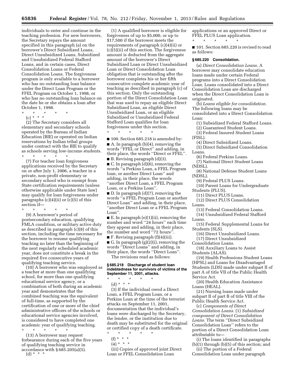individuals to enter and continue in the teaching profession. For new borrowers, the Secretary repays the amount specified in this paragraph (a) on the borrower's Direct Subsidized Loans, Direct Unsubsidized Loans, Subsidized and Unsubsidized Federal Stafford Loans, and in certain cases, Direct Consolidation Loans or Federal Consolidation Loans. The forgiveness program is only available to a borrower who has no outstanding loan balance under the Direct Loan Program or the FFEL Program on October 1, 1998, or who has no outstanding loan balance on the date he or she obtains a loan after October 1, 1998.

\* \* \* \* \*

(c) \* \* \*

(2) The Secretary considers all elementary and secondary schools operated by the Bureau of Indian Education (BIE) or operated on Indian reservations by Indian tribal groups under contract with the BIE to qualify as schools serving low-income students.

\* \* \* \* \* (7) For teacher loan forgiveness applications received by the Secretary on or after July 1, 2006, a teacher in a private, non-profit elementary or secondary school who is exempt from State certification requirements (unless otherwise applicable under State law) may qualify for loan forgiveness under paragraphs  $(c)(4)(ii)$  or  $(c)(5)$  of this section if—

\* \* \* \* \*

(9) A borrower's period of postsecondary education, qualifying FMLA condition, or military active duty as described in paragraph (c)(8) of this section, including the time necessary for the borrower to resume qualifying teaching no later than the beginning of the next regularly scheduled academic year, does not constitute a break in the required five consecutive years of qualifying teaching service.

(10) A borrower who was employed as a teacher at more than one qualifying school, for more than one qualifying educational service agency, or a combination of both during an academic year and demonstrates that the combined teaching was the equivalent of full-time, as supported by the certification of one or more of the chief administrative officers of the schools or educational service agencies involved, is considered to have completed one academic year of qualifying teaching.

\* \* \* \* \* (13) A borrower may request forbearance during each of the five years of qualifying teaching service in accordance with § 685.205(a)(5).

 $(d) * * * *$ 

(1) A qualified borrower is eligible for forgiveness of up to \$5,000, or up to \$17,500 if the borrower meets the requirements of paragraph (c)(4)(ii) or (c)(5)(ii) of this section. The forgiveness amount is deducted from the aggregate amount of the borrower's Direct Subsidized Loan or Direct Unsubsidized Loan or Direct Consolidation Loan obligation that is outstanding after the borrower completes his or her fifth consecutive complete academic year of teaching as described in paragraph (c) of this section. Only the outstanding portion of the Direct Consolidation Loan that was used to repay an eligible Direct Subsidized Loan, an eligible Direct Unsubsidized Loan, or an eligible Subsidized or Unsubsidized Federal Stafford Loan qualifies for loan forgiveness under this section.

■ 100. Section 685.218 is amended by:

\* \* \* \* \*

■ A. In paragraph (b)(4), removing the words ''FFEL or Direct'' and adding, in their place, the words ''Direct or FFEL''.  $\blacksquare$  B. Revising paragraph  $(d)(3)$ .

■ C. In paragraph (d)(6), removing the words ''a Perkins Loan, a FFEL Program loan, or another Direct Loan'' and adding, in their place, the words ''another Direct Loan, a FFEL Program Loan, or a Perkins Loan''.

■ D. In paragraph (d)(7), removing the words ''a FFEL Program Loan or another Direct Loan'' and adding, in their place, ''another Direct Loan or a FFEL Program Loan''.

■ E. In paragraph (e)(1)(ii), removing the number and word ''24 hours'' each time they appear and adding, in their place, the number and word  $^{7}$ 72 hours".

 $\blacksquare$  F. Revising paragraph  $(f)(4)(iii)$ . G. In paragraph  $(g)(2)(i)$ , removing the words ''Direct Loans'' and adding, in their place, the words ''Direct Loan''.

The revisions read as follows:

### **§ 685.218 Discharge of student loan indebtedness for survivors of victims of the September 11, 2001, attacks.**

- \* \* \* \* \*
- (d) \* \* \*

(3) If the individual owed a Direct Loan, a FFEL Program Loan, or a Perkins Loan at the time of the terrorist attacks on September 11, 2001, documentation that the individual's loans were discharged by the Secretary, the lender, or the institution due to death may be substituted for the original or certified copy of a death certificate.

- \* \* \* \* \*
	- (f) \* \* \*
	- $(4) * * * *$

(iii) Copies of approved joint Direct Loan or FFEL Consolidation Loan

applications or an approved Direct or FFEL PLUS Loan application. \* \* \* \* \*

■ 101. Section 685.220 is revised to read as follows:

#### **§ 685.220 Consolidation.**

(a) *Direct Consolidation Loans.* A borrower may consolidate education loans made under certain Federal programs into a Direct Consolidation Loan. Loans consolidated into a Direct Consolidation Loan are discharged when the Direct Consolidation Loan is originated.

(b) *Loans eligible for consolidation.*  The following loans may be consolidated into a Direct Consolidation Loan:

(1) Subsidized Federal Stafford Loans.

- (2) Guaranteed Student Loans.
- (3) Federal Insured Student Loans (FISL).
	- (4) Direct Subsidized Loans.
- (5) Direct Subsidized Consolidation Loans.
- (6) Federal Perkins Loans.
- (7) National Direct Student Loans (NDSL).
- (8) National Defense Student Loans (NDSL).
	- (9) Federal PLUS Loans.
- (10) Parent Loans for Undergraduate Students (PLUS).
	- (11) Direct PLUS Loans.
- (12) Direct PLUS Consolidation Loans.
	- (13) Federal Consolidation Loans.
- (14) Unsubsidized Federal Stafford Loans.
- (15) Federal Supplemental Loans for Students (SLS).
	- (16) Direct Unsubsidized Loans. (17) Direct Unsubsidized
- Consolidation Loans.
- (18) Auxiliary Loans to Assist Students (ALAS).

(19) Health Professions Student Loans (HPSL) and Loans for Disadvantaged Students (LDS) made under subpart II of part A of title VII of the Public Health Service Act.

(20) Health Education Assistance Loans (HEAL).

(21) Nursing loans made under subpart II of part B of title VIII of the Public Health Service Act.

(c) *Components of Direct Consolidation Loans.* (1) *Subsidized component of Direct Consolidation Loans.* The term ''Direct Subsidized Consolidation Loan'' refers to the portion of a Direct Consolidation Loan attributable to—

(i) The loans identified in paragraphs (b)(1) through (b)(5) of this section; and

(ii) The portion of a Federal Consolidation Loan under paragraph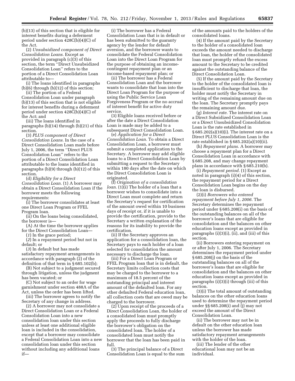(b)(13) of this section that is eligible for interest benefits during a deferment period under section 428C(b)(4)(C) of the Act.

(2) *Unsubsidized component of Direct Consolidation Loans.* Except as provided in paragraph (c)(3) of this section, the term ''Direct Unsubsidized Consolidation Loan'' refers to the portion of a Direct Consolidation Loan attributable to—

(i) The loans identified in paragraphs (b)(6) through (b)(12) of this section;

(ii) The portion of a Federal Consolidation Loan under paragraph (b)(13) of this section that is not eligible for interest benefits during a deferment period under section 428C(b)(4)(C) of the Act; and

(iii) The loans identified in paragraphs (b)(14) through (b)(21) of this section.

(3) *PLUS component of Direct Consolidation Loans.* In the case of a Direct Consolidation Loan made before July 1, 2006, the term ''Direct PLUS Consolidation Loan'' refers to the portion of a Direct Consolidation Loan attributable to the loans identified in paragraphs (b)(9) through (b)(12) of this section.

(d) *Eligibility for a Direct Consolidation Loan.* (1) A borrower may obtain a Direct Consolidation Loan if the borrower meets the following requirements:

(i) The borrower consolidates at least one Direct Loan Program or FFEL Program loan.

(ii) On the loans being consolidated, the borrower is—

(A) At the time the borrower applies for the Direct Consolidation Loan—

(*1*) In the grace period;

(*2*) In a repayment period but not in default; or

(*3*) In default but has made satisfactory repayment arrangements in accordance with paragraph (2) of the definition of that term in § 685.102(b);

(B) Not subject to a judgment secured through litigation, unless the judgment has been vacated; or

(C) Not subject to an order for wage garnishment under section 488A of the Act, unless the order has been lifted.

(iii) The borrower agrees to notify the Secretary of any change in address.

(2) A borrower may not consolidate a Direct Consolidation Loan or a Federal Consolidation Loan into a new consolidation loan under this section unless at least one additional eligible loan is included in the consolidation, except that a borrower may consolidate a Federal Consolidation Loan into a new consolidation loan under this section without including any additional loans if—

(i) The borrower has a Federal Consolidation Loan that is in default or has been submitted to the guaranty agency by the lender for default aversion, and the borrower wants to consolidate the Federal Consolidation Loan into the Direct Loan Program for the purpose of obtaining an incomecontingent repayment plan or an income-based repayment plan; or

(ii) The borrower has a Federal Consolidation Loan and the borrower wants to consolidate that loan into the Direct Loan Program for the purpose of using the Public Service Loan Forgiveness Program or the no accrual of interest benefit for active duty service.

(3) Eligible loans received before or after the date a Direct Consolidation Loan is made may be added to a subsequent Direct Consolidation Loan.

(e) *Application for a Direct Consolidation Loan.* To obtain a Direct Consolidation Loan, a borrower must submit a completed application to the Secretary. A borrower may add eligible loans to a Direct Consolidation Loan by submitting a request to the Secretary within 180 days after the date on which the Direct Consolidation Loan is originated.

(f) *Origination of a consolidation loan.* (1)(i) The holder of a loan that a borrower wishes to consolidate into a Direct Loan must complete and return the Secretary's request for certification of the amount owed within 10 business days of receipt or, if it is unable to provide the certification, provide to the Secretary a written explanation of the reasons for its inability to provide the certification.

(ii) If the Secretary approves an application for a consolidation loan, the Secretary pays to each holder of a loan selected for consolidation the amount necessary to discharge the loan.

(iii) For a Direct Loan Program or FFEL Program loan that is in default, the Secretary limits collection costs that may be charged to the borrower to a maximum of 18.5 percent of the outstanding principal and interest amount of the defaulted loan. For any other defaulted Federal education loan, all collection costs that are owed may be charged to the borrower.

(2) Upon receipt of the proceeds of a Direct Consolidation Loan, the holder of a consolidated loan must promptly apply the proceeds to fully discharge the borrower's obligation on the consolidated loan. The holder of a consolidated loan must notify the borrower that the loan has been paid in full.

(3) The principal balance of a Direct Consolidation Loan is equal to the sum of the amounts paid to the holders of the consolidated loans.

(4) If the amount paid by the Secretary to the holder of a consolidated loan exceeds the amount needed to discharge that loan, the holder of the consolidated loan must promptly refund the excess amount to the Secretary to be credited against the outstanding balance of the Direct Consolidation Loan.

(5) If the amount paid by the Secretary to the holder of the consolidated loan is insufficient to discharge that loan, the holder must notify the Secretary in writing of the remaining amount due on the loan. The Secretary promptly pays the remaining amount due.

(g) *Interest rate.* The interest rate on a Direct Subsidized Consolidation Loan or a Direct Unsubsidized Consolidation Loan is the rate established in § 685.202(a)(10)(i). The interest rate on a Direct PLUS Consolidation Loan is the rate established in § 685.202(a)(10)(ii).

(h) *Repayment plans.* A borrower may choose a repayment plan for a Direct Consolidation Loan in accordance with § 685.208, and may change repayment plans in accordance with § 685.210(b).

(i) *Repayment period.* (1) Except as noted in paragraph (i)(4) of this section, the repayment period for a Direct Consolidation Loan begins on the day the loan is disbursed.

(2)(i) *Borrowers who entered repayment before July 1, 2006.* The Secretary determines the repayment period under § 685.208(i) on the basis of the outstanding balances on all of the borrower's loans that are eligible for consolidation and the balances on other education loans except as provided in paragraphs (i)(3)(i), (ii), and (iii) of this section.

(ii) Borrowers entering repayment on or after July 1, 2006. The Secretary determines the repayment period under § 685.208(j) on the basis of the outstanding balances on all of the borrower's loans that are eligible for consolidation and the balances on other education loans except as provided in paragraphs (i)(3)(i) through (iii) of this section.

(3)(i) The total amount of outstanding balances on the other education loans used to determine the repayment period under §§ 685.208(i) and (j) may not exceed the amount of the Direct Consolidation Loan.

(ii) The borrower may not be in default on the other education loan unless the borrower has made satisfactory repayment arrangements with the holder of the loan.

(iii) The lender of the other educational loan may not be an individual.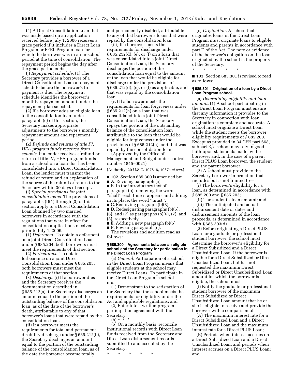(4) A Direct Consolidation Loan that was made based on an application received before July 1, 2006 receives a grace period if it includes a Direct Loan Program or FFEL Program loan for which the borrower was in an in-school period at the time of consolidation. The repayment period begins the day after the grace period ends.

(j) *Repayment schedule.* (1) The Secretary provides a borrower of a Direct Consolidation Loan a repayment schedule before the borrower's first payment is due. The repayment schedule identifies the borrower's monthly repayment amount under the repayment plan selected.

(2) If a borrower adds an eligible loan to the consolidation loan under paragraph (e) of this section, the Secretary makes appropriate adjustments to the borrower's monthly repayment amount and repayment period.

(k) *Refunds and returns of title IV, HEA program funds received from schools.* If a lender receives a refund or return of title IV, HEA program funds from a school on a loan that has been consolidated into a Direct Consolidation Loan, the lender must transmit the refund or return and an explanation of the source of the refund or return to the Secretary within 30 days of receipt.

(l) *Special provisions for joint consolidation loans.* The provisions of paragraphs  $(l)(1)$  through  $(3)$  of this section apply to a Direct Consolidation Loan obtained by two married borrowers in accordance with the regulations that were in effect for consolidation applications received prior to July 1, 2006.

(1) *Deferment.* To obtain a deferment on a joint Direct Consolidation Loan under § 685.204, both borrowers must meet the requirements of that section.

(2) *Forbearance.* To obtain forbearance on a joint Direct Consolidation Loan under § 685.205, both borrowers must meet the requirements of that section.

(3) *Discharge.* (i) If a borrower dies and the Secretary receives the documentation described in § 685.212(a), the Secretary discharges an amount equal to the portion of the outstanding balance of the consolidation loan, as of the date of the borrower's death, attributable to any of that borrower's loans that were repaid by the consolidation loan.

(ii) If a borrower meets the requirements for total and permanent disability discharge under § 685.212(b), the Secretary discharges an amount equal to the portion of the outstanding balance of the consolidation loan, as of the date the borrower became totally

and permanently disabled, attributable to any of that borrower's loans that were repaid by the consolidation loan.

(iii) If a borrower meets the requirements for discharge under § 685.212(d), (e), or (f) on a loan that was consolidated into a joint Direct Consolidation Loan, the Secretary discharges the portion of the consolidation loan equal to the amount of the loan that would be eligible for discharge under the provisions of  $§ 685.212(d)$ , (e), or (f) as applicable, and that was repaid by the consolidation loan.

(iv) If a borrower meets the requirements for loan forgiveness under § 685.212(h) on a loan that was consolidated into a joint Direct Consolidation Loan, the Secretary repays the portion of the outstanding balance of the consolidation loan attributable to the loan that would be eligible for forgiveness under the provisions of § 685.212(h), and that was repaid by the consolidation loan.

(Approved by the Office of Management and Budget under control number 1845–0021)

(Authority: 20 U.S.C. 1078–8, 1087a *et seq.*)

■ 102. Section 685.300 is amended by:

■ A. Revising paragraph (a). ■ B. In the introductory text of paragraph (b), removing the word ''shall'' each time it appears and adding, in its place, the word ''must''.

■ C. Removing paragraph (b)(8).

■ D. Redesignating paragraphs (b)(5), (6), and (7) as paragraphs (b)(6), (7), and (8), respectively.

■ E. Adding a new paragraph (b)(5).

■ F. Revising paragraph (c).

The revisions and addition read as follows:

#### **§ 685.300 Agreements between an eligible school and the Secretary for participation in the Direct Loan Program**

(a) *General.* Participation of a school in the Direct Loan Program means that eligible students at the school may receive Direct Loans. To participate in the Direct Loan Program, a school must—

(1) Demonstrate to the satisfaction of the Secretary that the school meets the requirements for eligibility under the Act and applicable regulations; and

(2) Enter into a written program participation agreement with the Secretary.

(b)  $*$   $*$   $*$ 

(5) On a monthly basis, reconcile institutional records with Direct Loan funds received from the Secretary and Direct Loan disbursement records submitted to and accepted by the Secretary;

\* \* \* \* \*

(c) *Origination.* A school that originates loans in the Direct Loan Program must originate loans to eligible students and parents in accordance with part D of the Act. The note or evidence of the borrower's obligation on the loan originated by the school is the property of the Secretary.

\* \* \* \* \*

■ 103. Section 685.301 is revised to read as follows:

#### **§ 685.301 Origination of a loan by a Direct Loan Program school.**

(a) *Determining eligibility and loan amount.* (1) A school participating in the Direct Loan Program must ensure that any information it provides to the Secretary in connection with loan origination is complete and accurate. A school must originate a Direct Loan while the student meets the borrower eligibility requirements of § 685.200. Except as provided in 34 CFR part 668, subpart E, a school may rely in good faith upon statements made by the borrower and, in the case of a parent Direct PLUS Loan borrower, the student and the parent borrower.

(2) A school must provide to the Secretary borrower information that includes but is not limited to—

(i) The borrower's eligibility for a loan, as determined in accordance with § 685.200 and § 685.203;

(ii) The student's loan amount; and (iii) The anticipated and actual disbursement date or dates and disbursement amounts of the loan proceeds, as determined in accordance with § 685.303(d).

(3) Before originating a Direct PLUS Loan for a graduate or professional student borrower, the school must determine the borrower's eligibility for a Direct Subsidized and a Direct Unsubsidized Loan. If the borrower is eligible for a Direct Subsidized or Direct Unsubsidized Loan, but has not requested the maximum Direct Subsidized or Direct Unsubsidized Loan amount for which the borrower is eligible, the school must—

(i) Notify the graduate or professional student borrower of the maximum Direct Subsidized or Direct Unsubsidized Loan amount that he or she is eligible to receive and provide the borrower with a comparison of—

(A) The maximum interest rate for a Direct Subsidized Loan and a Direct Unsubsidized Loan and the maximum interest rate for a Direct PLUS Loan;

(B) Periods when interest accrues on a Direct Subsidized Loan and a Direct Unsubsidized Loan, and periods when interest accrues on a Direct PLUS Loan; and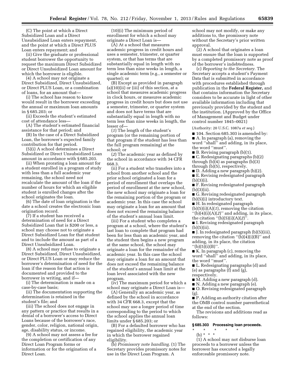(C) The point at which a Direct Subsidized Loan and a Direct Unsubsidized Loan enters repayment, and the point at which a Direct PLUS Loan enters repayment; and

(ii) Give the graduate or professional student borrower the opportunity to request the maximum Direct Subsidized or Direct Unsubsidized Loan amount for which the borrower is eligible.

(4) A school may not originate a Direct Subsidized, Direct Unsubsidized, or Direct PLUS Loan, or a combination of loans, for an amount that—

(i) The school has reason to know would result in the borrower exceeding the annual or maximum loan amounts in § 685.203; or

(ii) Exceeds the student's estimated cost of attendance less—

(A) The student's estimated financial assistance for that period; and

(B) In the case of a Direct Subsidized Loan, the borrower's expected family contribution for that period.

(5)(i) A school determines a Direct Subsidized or Direct Unsubsidized Loan amount in accordance with § 685.203.

(ii) When prorating a loan amount for a student enrolled in a program of study with less than a full academic year remaining, the school need not recalculate the amount of the loan if the number of hours for which an eligible student is enrolled changes after the school originates the loan.

(6) The date of loan origination is the date a school creates the electronic loan origination record.

(7) If a student has received a determination of need for a Direct Subsidized Loan that is \$200 or less, a school may choose not to originate a Direct Subsidized Loan for that student and to include the amount as part of a Direct Unsubsidized Loan.

(8) A school may refuse to originate a Direct Subsidized, Direct Unsubsidized, or Direct PLUS Loan or may reduce the borrower's determination of need for the loan if the reason for that action is documented and provided to the borrower in writing, and if—

(i) The determination is made on a case-by-case basis;

(ii) The documentation supporting the determination is retained in the student's file; and

(iii) The school does not engage in any pattern or practice that results in a denial of a borrower's access to Direct Loans because of the borrower's race, gender, color, religion, national origin, age, disability status, or income.

(9) A school may not assess a fee for the completion or certification of any Direct Loan Program forms or information or for the origination of a Direct Loan.

(10)(i) The minimum period of enrollment for which a school may originate a Direct Loan is—

(A) At a school that measures academic progress in credit hours and uses a semester, trimester, or quarter system, or that has terms that are substantially equal in length with no term less than nine weeks in length, a single academic term (e.g., a semester or quarter); or

(B) Except as provided in paragraph  $(a)(10)(ii)$  or  $(iii)$  of this section, at a school that measures academic progress in clock hours, or measures academic progress in credit hours but does not use a semester, trimester, or quarter system and does not have terms that are substantially equal in length with no term less than nine weeks in length, the lesser of—

(*1*) The length of the student's program (or the remaining portion of that program if the student has less than the full program remaining) at the school; or

(*2*) The academic year as defined by the school in accordance with 34 CFR 668.3.

(ii) For a student who transfers into a school from another school and the prior school originated a loan for a period of enrollment that overlaps the period of enrollment at the new school, the new school may originate a loan for the remaining portion of the program or academic year. In this case the school may originate a loan for an amount that does not exceed the remaining balance of the student's annual loan limit.

(iii) For a student who completes a program at a school, where the student's last loan to complete that program had been for less than an academic year, and the student then begins a new program at the same school, the school may originate a loan for the remainder of the academic year. In this case the school may originate a loan for an amount that does not exceed the remaining balance of the student's annual loan limit at the loan level associated with the new program.

(iv) The maximum period for which a school may originate a Direct Loan is—

(A) Generally an academic year, as defined by the school in accordance with 34 CFR 668.3, except that the school may use a longer period of time corresponding to the period to which the school applies the annual loan limits under § 685.203; or

(B) For a defaulted borrower who has regained eligibility, the academic year in which the borrower regained eligibility.

(b) *Promissory note handling.* (1) The Secretary provides promissory notes for use in the Direct Loan Program. A

school may not modify, or make any additions to, the promissory note without the Secretary's prior written approval.

(2) A school that originates a loan must ensure that the loan is supported by a completed promissory note as proof of the borrower's indebtedness.

(c) *Reporting to the Secretary.* The Secretary accepts a student's Payment Data that is submitted in accordance with procedures established through publication in the **Federal Register,** and that contains information the Secretary considers to be accurate in light of other available information including that previously provided by the student and the institution. (Approved by the Office of Management and Budget under control number 1845–0021)

(Authority: 20 U.S.C. 1087a *et seq.*)

- 104. Section 685.303 is amended by: ■ A. In paragraph (a), removing the word ''shall'' and adding, in its place, the word ''must''.
- B. Revising paragraph (b)(1).
- C. Redesignating paragraphs (b)(2) through (b)(4) as paragraphs (b)(3)
- through (b)(5), respectively.
- D. Adding a new paragraph (b)(2). ■ E. Revising redesignated paragraph (b)(3)(i).
- F. Revising redesignated paragraph (b)(3)(ii).
- G. Revising redesignated paragraph (b)(5)(i) introductory text.
- H. In redesignated paragraph
- (b)(5)(i)(A)(*1*), removing the citation ''(b)(4)(i)(A)(*2*)'' and adding, in its place,
- the citation ''(b)(5)(i)(A)(*2*)''.
- I. Revising redesignated paragraph (b)(5)(ii).

■ J. In redesignated paragraph (b)(5)(iii), removing the citation  $\lq(b)(4)(i)(B)$ " and adding, in its place, the citation  $''(b)(5)(i)(B)''$ .

- K. In paragraph (c), removing the word ''shall'' and adding, in its place, the word ''must''.
- L. Redesignating paragraphs (d) and (e) as paragraphs (f) and (g), respectively.
- M. Adding a new paragraph (d).
- N. Adding a new paragraph (e).

■ O. Revising redesignated paragraph (g).

■ P. Adding an authority citation after the OMB control number parenthetical at the end of the section.

The revisions and additions read as follows:

### **§ 685.303 Processing loan proceeds.**

\* \* \* \* \* (b) \* \* \*

(1) A school may not disburse loan proceeds to a borrower unless the borrower has executed a legally enforceable promissory note.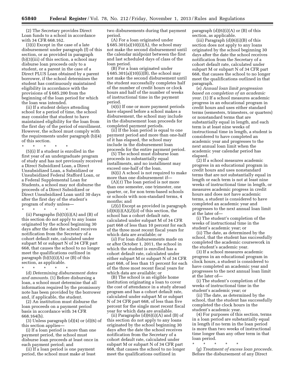(2) The Secretary provides Direct Loan funds to a school in accordance with 34 CFR 668.162.

(3)(i) Except in the case of a late disbursement under paragraph (f) of this section, or as provided in paragraph (b)(3)(iii) of this section, a school may disburse loan proceeds only to a student, or a parent in the case of a Direct PLUS Loan obtained by a parent borrower, if the school determines the student has continuously maintained eligibility in accordance with the provisions of § 685.200 from the beginning of the loan period for which the loan was intended.

(ii) If a student delays attending school for a period of time, the school may consider that student to have maintained eligibility for the loan from the first day of the period of enrollment. However, the school must comply with the requirements under paragraph (b)(4) of this section.

\* \* \* \* \*

(5)(i) If a student is enrolled in the first year of an undergraduate program of study and has not previously received a Direct Subsidized Loan, a Direct Unsubsidized Loan, a Subsidized or Unsubsidized Federal Stafford Loan, or a Federal Supplemental Loan for Students, a school may not disburse the proceeds of a Direct Subsidized or Direct Unsubsidized Loan until 30 days after the first day of the student's program of study unless—

\* \* \* \* \*

(ii) Paragraphs  $(b)(5)(i)(A)$  and  $(B)$  of this section do not apply to any loans originated by the school beginning 30 days after the date the school receives notification from the Secretary of a cohort default rate, calculated under subpart M or subpart N of 34 CFR part 668, that causes the school to no longer meet the qualifications outlined in paragraph  $(b)(5)(i)(A)$  or  $(B)$  of this section, as applicable.

\* \* \* \* \*

(d) *Determining disbursement dates and amounts.* (1) Before disbursing a loan, a school must determine that all information required by the promissory note has been provided by the borrower and, if applicable, the student.

(2) An institution must disburse the loan proceeds on a payment period basis in accordance with 34 CFR 668.164(b).

 $(3)$  Unless paragraph  $(d)(4)$  or  $(d)(6)$  of this section applies—

(i) If a loan period is more than one payment period, the school must disburse loan proceeds at least once in each payment period; and

(ii) If a loan period is one payment period, the school must make at least two disbursements during that payment period.

(A) For a loan originated under § 685.301(a)(10)(i)(A), the school may not make the second disbursement until the calendar midpoint between the first and last scheduled days of class of the loan period.

(B) For a loan originated under § 685.301(a)(10)(i)(B), the school may not make the second disbursement until the student successfully completes half of the number of credit hours or clock hours and half of the number of weeks of instructional time in the payment period.

(4)(i) If one or more payment periods have elapsed before a school makes a disbursement, the school may include in the disbursement loan proceeds for completed payment periods.

(ii) If the loan period is equal to one payment period and more than one-half of it has elapsed, the school may include in the disbursement loan proceeds for the entire payment period.

(5) The school must disburse loan proceeds in substantially equal installments, and no installment may exceed one-half of the loan.

(6)(i) A school is not required to make more than one disbursement if—

(A)(*1*) The loan period is not more than one semester, one trimester, one quarter, or, for non term-based schools or schools with non-standard terms, 4 months; and

(*2*)(*i*) Except as provided in paragraph  $(d)(6)(i)(A)(2)(ii)$  of this section, the school has a cohort default rate, calculated under subpart M of 34 CFR part 668 of less than 10 percent for each of the three most recent fiscal years for which data are available; or

(*ii*) For loan disbursements made on or after October 1, 2011, the school in which the student is enrolled has a cohort default rate, calculated under either subpart M or subpart N of 34 CFR part 668, of less than 15 percent for each of the three most recent fiscal years for which data are available; or

(B) The school is an eligible home institution originating a loan to cover the cost of attendance in a study abroad program and has a cohort default rate, calculated under subpart M or subpart N of 34 CFR part 668, of less than five percent for the single most recent fiscal year for which data are available.

(ii) Paragraphs  $(d)(6)(i)(A)$  and  $(B)$  of this section do not apply to any loans originated by the school beginning 30 days after the date the school receives notification from the Secretary of a cohort default rate, calculated under subpart M or subpart N of 34 CFR part 668, that causes the school to no longer meet the qualifications outlined in

paragraph  $(d)(6)(i)(A)$  or  $(B)$  of this section, as applicable.

(iii) Paragraph  $(d)(6)(i)(B)$  of this section does not apply to any loans originated by the school beginning 30 days after the date the school receives notification from the Secretary of a cohort default rate, calculated under subpart M or subpart N of 34 CFR part 668, that causes the school to no longer meet the qualifications outlined in that paragraph.

(e) *Annual loan limit progression based on completion of an academic year.* (1) If a school measures academic progress in an educational program in credit hours and uses either standard terms (semesters, trimesters, or quarters) or nonstandard terms that are substantially equal in length, and each term is at least nine weeks of instructional time in length, a student is considered to have completed an academic year and progresses to the next annual loan limit when the academic year calendar period has elapsed.

(2) If a school measures academic progress in an educational program in credit hours and uses nonstandard terms that are not substantially equal in length or each term is not at least nine weeks of instructional time in length, or measures academic progress in credit hours and does not have academic terms, a student is considered to have completed an academic year and progresses to the next annual loan limit at the later of—

(i) The student's completion of the weeks of instructional time in the student's academic year; or

(ii) The date, as determined by the school, that the student has successfully completed the academic coursework in the student's academic year.

(3) If a school measures academic progress in an educational program in clock hours, a student is considered to have completed an academic year and progresses to the next annual loan limit at the later of—

(i) The student's completion of the weeks of instructional time in the student's academic year; or

(ii) The date, as determined by the school, that the student has successfully completed the clock hours in the student's academic year.

(4) For purposes of this section, terms in a loan period are substantially equal in length if no term in the loan period is more than two weeks of instructional time longer than any other term in that loan period.

\* \* \* \* \*

(g) *Treatment of excess loan proceeds.*  Before the disbursement of any Direct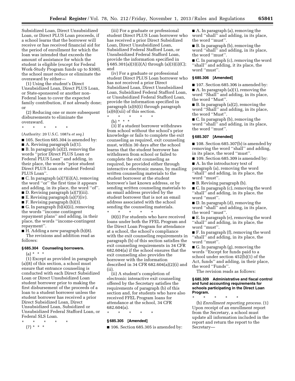Subsidized Loan, Direct Unsubsidized Loan, or Direct PLUS Loan proceeds, if a school learns that the borrower will receive or has received financial aid for the period of enrollment for which the loan was intended that exceeds the amount of assistance for which the student is eligible (except for Federal Work-Study Program funds up to \$300), the school must reduce or eliminate the overaward by either—

(1) Using the student's Direct Unsubsidized Loan, Direct PLUS Loan, or State-sponsored or another non-Federal loan to cover the expected family contribution, if not already done; or

(2) Reducing one or more subsequent disbursements to eliminate the overaward.

# \* \* \* \* \*

(Authority: 20 U.S.C. 1087a *et seq.*)

■ 105. Section 685.304 is amended by:

A. Revising paragraph  $(a)(1)$ . ■ B. In paragraph (a)(2), removing the words ''prior Direct PLUS Loan or Federal PLUS Loan'' and adding, in their place, the words ''prior student Direct PLUS Loan or student Federal PLUS Loan''.

■ C. In paragraph (a)(7)(i)(A), removing the word ''or'' the first time it appears and adding, in its place, the word ''of''. ■ D. Revising paragraph (a)(7)(iii).

 $\blacksquare$  E. Revising paragraph (a)(7)(iv).

■ F. Revising paragraph (b)(3).

■ G. In paragraph (b)(4)(ii), removing

the words ''income contingent repayment plans'' and adding, in their place, the words ''income-contingent repayment''.

■ H. Adding a new paragraph (b)(8).

The revisions and addition read as follows:

# **§ 685.304 Counseling borrowers.**

 $(a) * * * *$ 

(1) Except as provided in paragraph (a)(8) of this section, a school must ensure that entrance counseling is conducted with each Direct Subsidized Loan or Direct Unsubsidized Loan student borrower prior to making the first disbursement of the proceeds of a loan to a student borrower unless the student borrower has received a prior Direct Subsidized Loan, Direct Unsubsidized Loan, Subsidized or Unsubsidized Federal Stafford Loan, or Federal SLS Loan.

- \* \* \* \* \*
- $(7) * * * *$

(iii) For a graduate or professional student Direct PLUS Loan borrower who has received a prior Direct Subsidized Loan, Direct Unsubsidized Loan, Subsidized Federal Stafford Loan, or Unsubsidized Federal Stafford Loan, provide the information specified in § 685.301(a)(3)(i)(A) through (a)(3)(i)(C); and

(iv) For a graduate or professional student Direct PLUS Loan borrower who has not received a prior Direct Subsidized Loan, Direct Unsubsidized Loan, Subsidized Federal Stafford Loan, or Unsubsidized Federal Stafford Loan, provide the information specified in paragraph (a)(6)(i) through paragraph  $(a)(6)(xii)$  of this section.

\* \* \* \* \*

(b) \* \* \*

(3) If a student borrower withdraws from school without the school's prior knowledge or fails to complete the exit counseling as required, exit counseling must, within 30 days after the school learns that the student borrower has withdrawn from school or failed to complete the exit counseling as required, be provided either through interactive electronic means, by mailing written counseling materials to the student borrower at the student borrower's last known address, or by sending written counseling materials to an email address provided by the student borrower that is not an email address associated with the school sending the counseling materials.

\* \* \* \* \* (8)(i) For students who have received loans under both the FFEL Program and the Direct Loan Program for attendance at a school, the school's compliance with the exit counseling requirements in paragraph (b) of this section satisfies the exit counseling requirements in 34 CFR 682.604(a) if the school ensures that the exit counseling also provides the borrower with the information described in 34 CFR 682.604(a)(2)(i) and  $(iii)$ 

(ii) A student's completion of electronic interactive exit counseling offered by the Secretary satisfies the requirements of paragraph (b) of this section and, for students who have also received FFEL Program loans for attendance at the school, 34 CFR 682.604(a).

\* \* \* \* \*

#### **§ 685.305 [Amended]**

■ 106. Section 685.305 is amended by:

■ A. In paragraph (a), removing the word ''shall'' and adding, in its place, the word ''must''.

■ B. In paragraph (b), removing the word ''shall'' and adding, in its place, the word ''must''.

■ C. In paragraph (c), removing the word "shall" and adding, it its place, the word "must".

# **§ 685.306 [Amended]**

■ 107. Section 685.306 is amended by: ■ A. In paragraph (a)(1), removing the word ''Shall'' and adding, in its place, the word ''Must''.

■ B. In paragraph (a)(2), removing the word ''Shall'' and adding, in its place, the word ''Must''.

■ C. In paragraph (b), removing the word ''shall'' and adding, in its place, the word ''must''.

# **§ 685.307 [Amended]**

■ 108. Section 685.307(b) is amended by removing the word ''shall'' and adding, in its place, the word ''must''.

■ 109. Section 685.309 is amended by:

■ A. In the introductory text of paragraph (a), removing the word ''shall'' and adding, in its place, the word ''must''.

■ B. Revising paragraph (b).

■ C. In paragraph (c), removing the word "shall" and adding, in its place, the word ''must''.

■ D. In paragraph (d), removing the word ''shall'' and adding, in its place, the word ''must''.

■ E. In paragraph (e), removing the word ''shall'' and adding, in its place, the word ''must''.

■ F. In paragraph (f), removing the word ''shall'' and adding, in its place, the word "must".

■ G. In paragraph (g), removing the words ''Except for funds paid to a school under section 452(b)(1) of the Act, funds'' and adding, in their place, the word ''Funds''.

The revision reads as follows:

# **§ 685.309 Administrative and fiscal control and fund accounting requirements for schools participating in the Direct Loan Program.**

\* \* \* \* \*

(b) *Enrollment reporting process.* (1) Upon receipt of an enrollment report from the Secretary, a school must update all information included in the report and return the report to the Secretary—